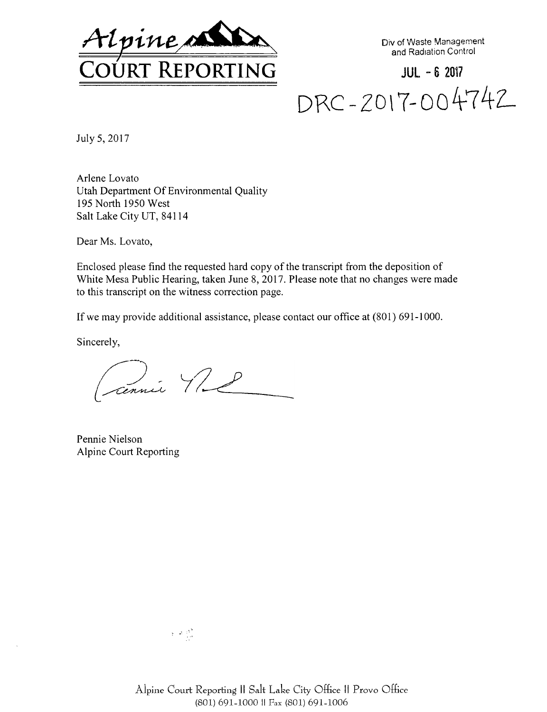

Div of Waste Management and Radiation Control

**JUL - <sup>6</sup> <sup>2017</sup> drc-zo\?-oo4-74^**

July 5, 2017

Arlene Lovato Utah Department Of Environmental Quality 195 North 1950 West Salt Lake City UT, 84114

Dear Ms. Lovato,

Enclosed please find the requested hard copy of the transcript from the deposition of White Mesa Public Hearing, taken June 8, 2017. Please note that no changes were made to this transcript on the witness correction page.

If we may provide additional assistance, please contact our office at (801) 691-1000.

Sincerely,

cennie 11 l

Pennie Nielson Alpine Court Reporting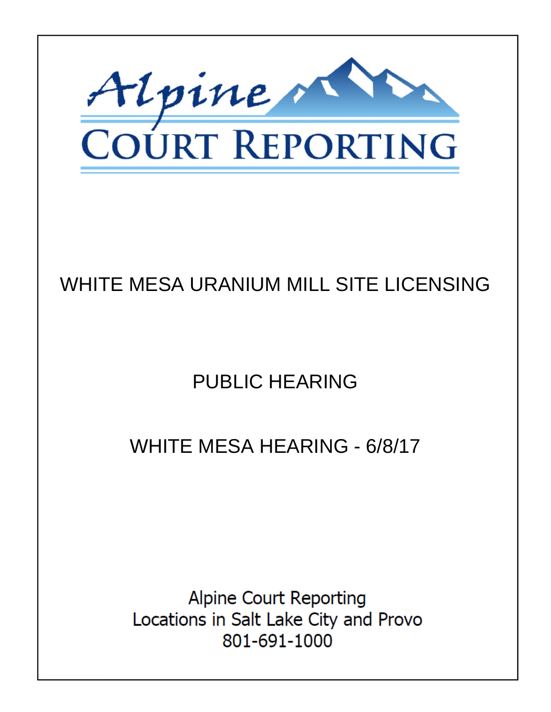

## WHITE MESA URANIUM MILL SITE LICENSING

# **PUBLIC HEARING**

## **WHITE MESA HEARING - 6/8/17**

**Alpine Court Reporting** Locations in Salt Lake City and Provo 801-691-1000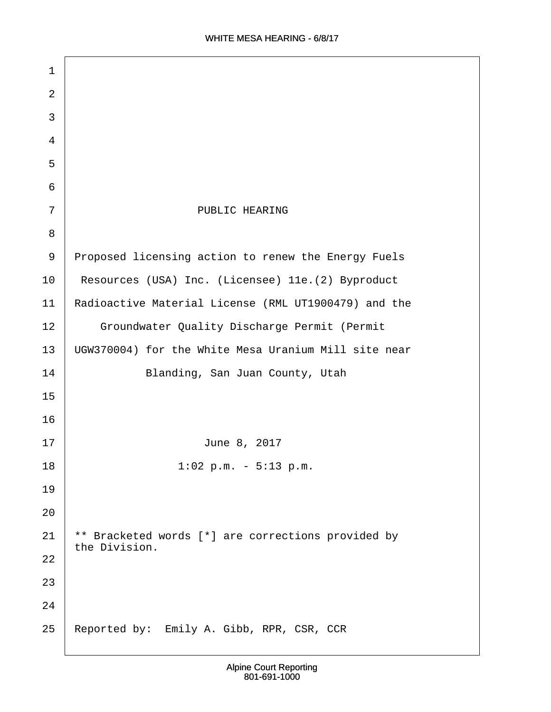| 1  |                                                                     |
|----|---------------------------------------------------------------------|
| 2  |                                                                     |
| 3  |                                                                     |
| 4  |                                                                     |
| 5  |                                                                     |
| 6  |                                                                     |
| 7  | PUBLIC HEARING                                                      |
| 8  |                                                                     |
| 9  | Proposed licensing action to renew the Energy Fuels                 |
| 10 | Resources (USA) Inc. (Licensee) 11e. (2) Byproduct                  |
| 11 | Radioactive Material License (RML UT1900479) and the                |
| 12 | Groundwater Quality Discharge Permit (Permit                        |
| 13 | UGW370004) for the White Mesa Uranium Mill site near                |
| 14 | Blanding, San Juan County, Utah                                     |
| 15 |                                                                     |
| 16 |                                                                     |
| 17 | June 8, 2017                                                        |
| 18 | $1:02$ p.m. - $5:13$ p.m.                                           |
| 19 |                                                                     |
| 20 |                                                                     |
| 21 | ** Bracketed words [*] are corrections provided by<br>the Division. |
| 22 |                                                                     |
| 23 |                                                                     |
| 24 |                                                                     |
| 25 | Reported by: Emily A. Gibb, RPR, CSR, CCR                           |
|    |                                                                     |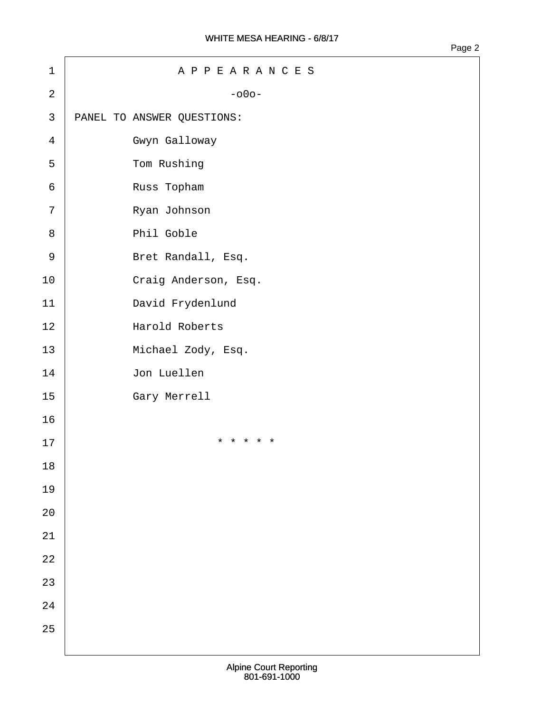| $1\,$          | APPEARANCES                |
|----------------|----------------------------|
| $\overline{a}$ | $-000-$                    |
| 3              | PANEL TO ANSWER QUESTIONS: |
| $\overline{4}$ | Gwyn Galloway              |
| 5              | Tom Rushing                |
| 6              | Russ Topham                |
| 7              | Ryan Johnson               |
| 8              | Phil Goble                 |
| $\mathsf 9$    | Bret Randall, Esq.         |
| $10$           | Craig Anderson, Esq.       |
| 11             | David Frydenlund           |
| 12             | Harold Roberts             |
| 13             | Michael Zody, Esq.         |
| 14             | Jon Luellen                |
| 15             | Gary Merrell               |
| 16             |                            |
| 17             | * * * * *                  |
| $18\,$         |                            |
| 19             |                            |
| $20\,$         |                            |
| $2\sqrt{1}$    |                            |
| $2\sqrt{2}$    |                            |
| 23             |                            |
| $2\sqrt{4}$    |                            |
| 25             |                            |
|                |                            |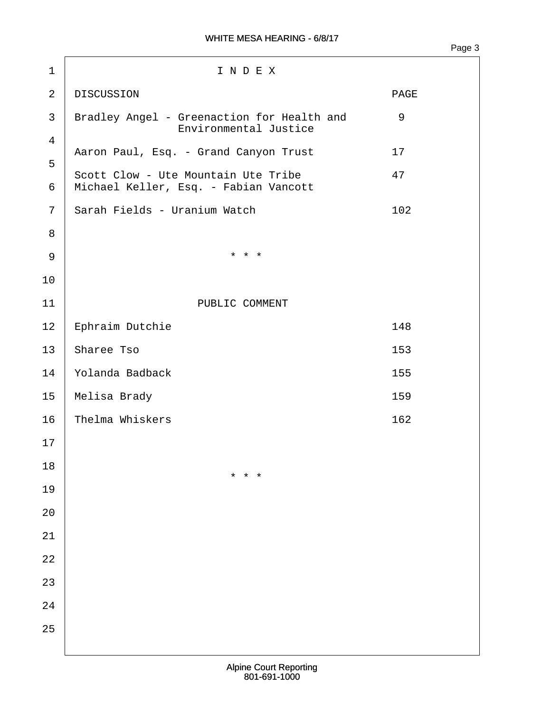Page 3

1 I N D E X 2 DISCUSSION PAGE 3 | Bradley Angel - Greenaction for Health and  $\sim$  9 Environmental Justice ·4 Aaron Paul, Esq. - Grand Canyon Trust · · · 17 ·5 Scott Clow - Ute Mountain Ute Tribe · · · · · 47 6 | Michael Keller, Esq. - Fabian Vancott 7 Sarah Fields - Uranium Watch · · · · · · · · · · · · · 102 ·8  $9 \mid$  \* \* \* \* 10 11 | PUBLIC COMMENT 12 Ephraim Dutchie<br>148 13 Sharee Tso 14· ·Yolanda Badback· · · · · · · · · · · · · · · · · 155 15· ·Melisa Brady· · · · · · · · · · · · · · · · · · ·159 16· ·Thelma Whiskers· · · · · · · · · · · · · · · · · 162 17 18  $\star$   $\star$   $\star$   $\star$   $\star$ 19 20 21 22 23 24 25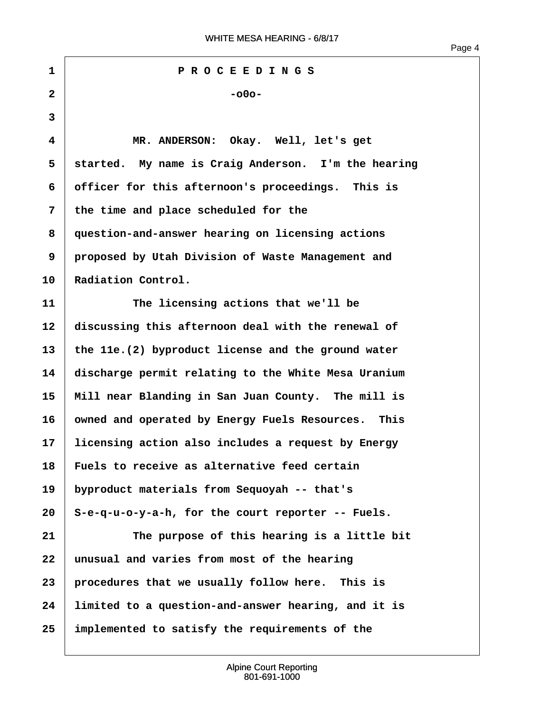**·1· · · · · · · · · ·P R O C E E D I N G S ·2· · · · · · · · · · · · · ·-o0o- ·3 ·4· · · · · · MR. ANDERSON:· Okay.· Well, let's get** 5 | started. My name is Craig Anderson. I'm the hearing **·6· ·officer for this afternoon's proceedings.· This is ·7· ·the time and place scheduled for the ·8· ·question-and-answer hearing on licensing actions ·9· ·proposed by Utah Division of Waste Management and** 10 Radiation Control. **11· · · · · · The licensing actions that we'll be 12· ·discussing this afternoon deal with the renewal of 13· ·the 11e.(2) byproduct license and the ground water 14· ·discharge permit relating to the White Mesa Uranium** 15 | Mill near Blanding in San Juan County. The mill is 16 | owned and operated by Energy Fuels Resources. This **17· ·licensing action also includes a request by Energy 18· ·Fuels to receive as alternative feed certain 19· ·byproduct materials from Sequoyah -- that's 20· ·S-e-q-u-o-y-a-h, for the court reporter -- Fuels. 21· · · · · · The purpose of this hearing is a little bit 22· ·unusual and varies from most of the hearing** 23 **procedures that we usually follow here.** This is **24· ·limited to a question-and-answer hearing, and it is 25· ·implemented to satisfy the requirements of the**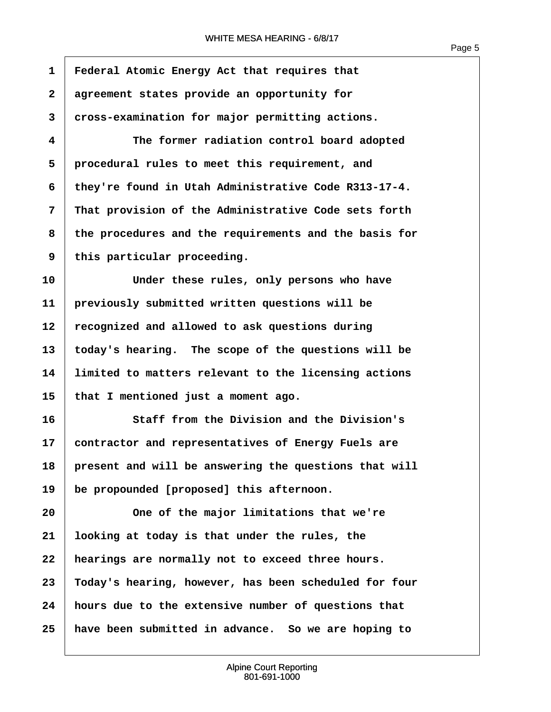1 **Federal Atomic Energy Act that requires that ·2· ·agreement states provide an opportunity for ·3· ·cross-examination for major permitting actions. ·4· · · · · · The former radiation control board adopted ·5· ·procedural rules to meet this requirement, and ·6· ·they're found in Utah Administrative Code R313-17-4. ·7· ·That provision of the Administrative Code sets forth ·8· ·the procedures and the requirements and the basis for ·9· ·this particular proceeding. 10· · · · · · Under these rules, only persons who have 11· ·previously submitted written questions will be** 12 recognized and allowed to ask questions during **13· ·today's hearing.· The scope of the questions will be 14· ·limited to matters relevant to the licensing actions 15· ·that I mentioned just a moment ago. 16· · · · · · Staff from the Division and the Division's 17· ·contractor and representatives of Energy Fuels are** 18 present and will be answering the questions that will 19 be propounded [proposed] this afternoon. **20· · · · · · One of the major limitations that we're 21· ·looking at today is that under the rules, the 22· ·hearings are normally not to exceed three hours. 23· ·Today's hearing, however, has been scheduled for four 24· ·hours due to the extensive number of questions that 25· ·have been submitted in advance.· So we are hoping to**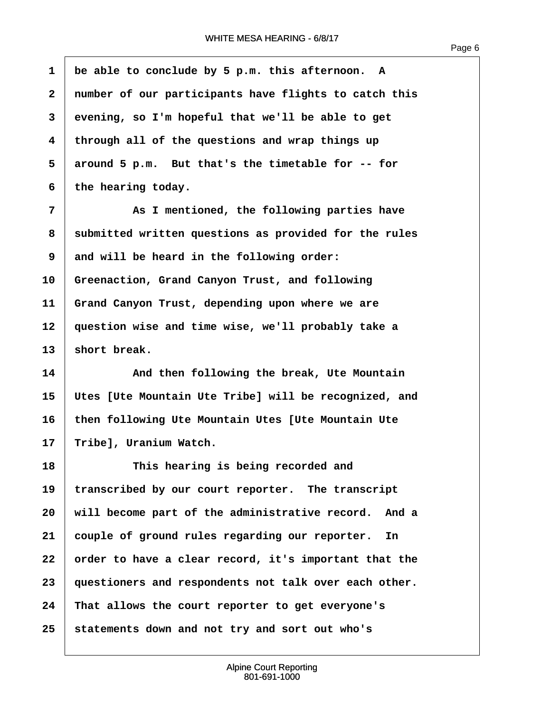$\overline{1}$ 

| $\mathbf{1}$ | be able to conclude by 5 p.m. this afternoon. A       |
|--------------|-------------------------------------------------------|
| $\mathbf{2}$ | number of our participants have flights to catch this |
| 3            | evening, so I'm hopeful that we'll be able to get     |
| 4            | through all of the questions and wrap things up       |
| 5            | around 5 p.m. But that's the timetable for -- for     |
| 6            | the hearing today.                                    |
| 7            | As I mentioned, the following parties have            |
| 8            | submitted written questions as provided for the rules |
| 9            | and will be heard in the following order:             |
| 10           | Greenaction, Grand Canyon Trust, and following        |
| 11           | Grand Canyon Trust, depending upon where we are       |
| 12           | question wise and time wise, we'll probably take a    |
| 13           | short break.                                          |
| 14           | And then following the break, Ute Mountain            |
| 15           | Utes [Ute Mountain Ute Tribe] will be recognized, and |
| 16           | then following Ute Mountain Utes [Ute Mountain Ute    |
| 17           | Tribe], Uranium Watch.                                |
| 18           | This hearing is being recorded and                    |
| 19           | transcribed by our court reporter. The transcript     |
| 20           | will become part of the administrative record. And a  |
| 21           | couple of ground rules regarding our reporter. In     |
| 22           | order to have a clear record, it's important that the |
| 23           | questioners and respondents not talk over each other. |
| 24           | That allows the court reporter to get everyone's      |
| 25           | statements down and not try and sort out who's        |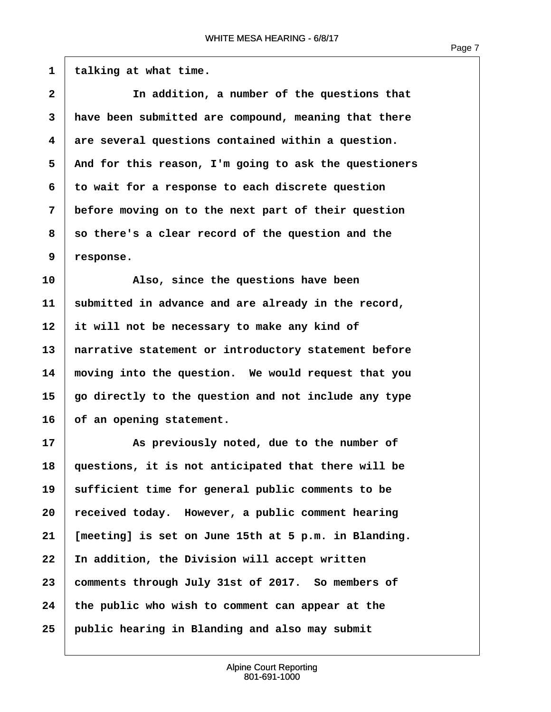1 **talking at what time.** 

| $\mathbf{2}$ | In addition, a number of the questions that           |
|--------------|-------------------------------------------------------|
| 3            | have been submitted are compound, meaning that there  |
| 4            | are several questions contained within a question.    |
| 5            | And for this reason, I'm going to ask the questioners |
| 6            | to wait for a response to each discrete question      |
| 7            | before moving on to the next part of their question   |
| 8            | so there's a clear record of the question and the     |
| 9            | response.                                             |
| 10           | Also, since the questions have been                   |
| 11           | submitted in advance and are already in the record,   |
| 12           | it will not be necessary to make any kind of          |
| 13           | narrative statement or introductory statement before  |
| 14           | moving into the question. We would request that you   |
| 15           | go directly to the question and not include any type  |
| 16           | of an opening statement.                              |
| 17           | As previously noted, due to the number of             |
| 18           | questions, it is not anticipated that there will be   |
| 19           | sufficient time for general public comments to be     |
| 20           | received today. However, a public comment hearing     |
| 21           | [meeting] is set on June 15th at 5 p.m. in Blanding.  |
| 22           | In addition, the Division will accept written         |
| 23           | comments through July 31st of 2017. So members of     |
| 24           | the public who wish to comment can appear at the      |
| 25           | public hearing in Blanding and also may submit        |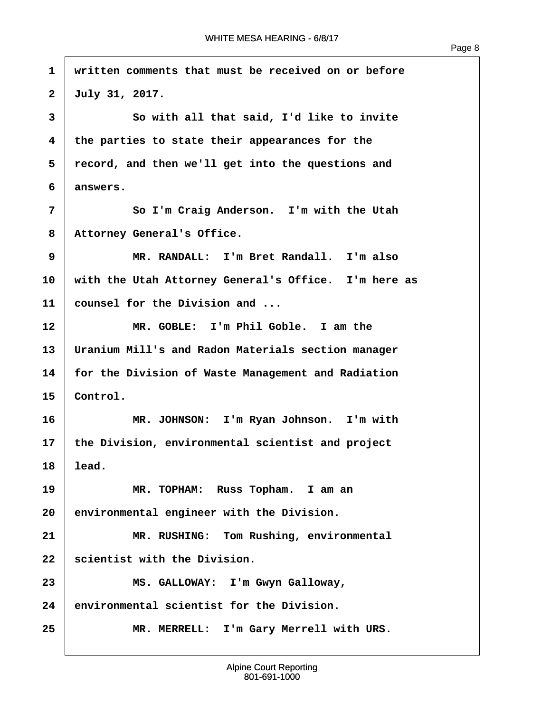| $\mathbf{1}$            | written comments that must be received on or before  |
|-------------------------|------------------------------------------------------|
| $\mathbf{2}$            | July 31, 2017.                                       |
| 3                       | So with all that said, I'd like to invite            |
| $\overline{\mathbf{4}}$ | the parties to state their appearances for the       |
| 5                       | record, and then we'll get into the questions and    |
| 6                       | answers.                                             |
| 7                       | So I'm Craig Anderson. I'm with the Utah             |
| 8                       | Attorney General's Office.                           |
| 9                       | MR. RANDALL: I'm Bret Randall. I'm also              |
| 10                      | with the Utah Attorney General's Office. I'm here as |
| 11                      | counsel for the Division and                         |
| 12                      | MR. GOBLE:<br>I'm Phil Goble. I am the               |
| 13                      | Uranium Mill's and Radon Materials section manager   |
| 14                      | for the Division of Waste Management and Radiation   |
| 15                      | Control.                                             |
| 16                      | MR. JOHNSON: I'm Ryan Johnson. I'm with              |
| 17                      | the Division, environmental scientist and project    |
| 18                      | lead.                                                |
| 19                      | MR. TOPHAM: Russ Topham. I am an                     |
| 20                      | environmental engineer with the Division.            |
| 21                      | MR. RUSHING: Tom Rushing, environmental              |
| 22                      | scientist with the Division.                         |
| 23                      | MS. GALLOWAY: I'm Gwyn Galloway,                     |
| 24                      | environmental scientist for the Division.            |

25 **MR. MERRELL:** I'm Gary Merrell with URS.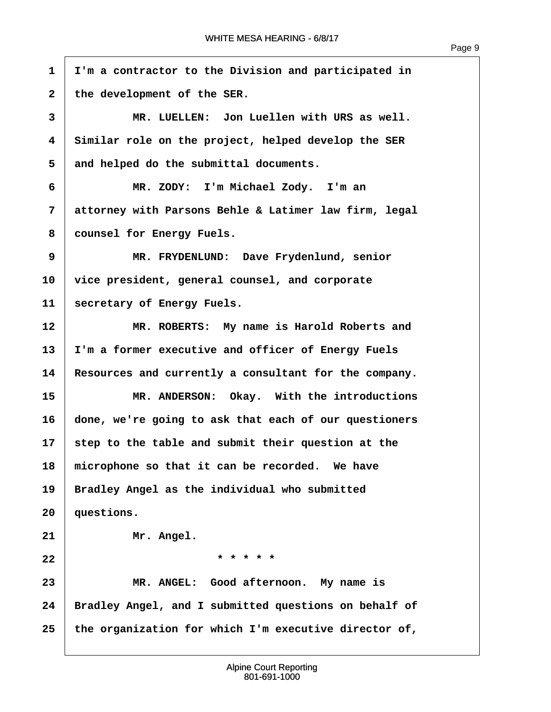$\overline{1}$ 

| $\mathbf{1}$ | I'm a contractor to the Division and participated in  |
|--------------|-------------------------------------------------------|
| $\mathbf{2}$ | the development of the SER.                           |
| 3            | MR. LUELLEN: Jon Luellen with URS as well.            |
| 4            | Similar role on the project, helped develop the SER   |
| 5            | and helped do the submittal documents.                |
| 6            | MR. ZODY: I'm Michael Zody. I'm an                    |
| 7            | attorney with Parsons Behle & Latimer law firm, legal |
| 8            | counsel for Energy Fuels.                             |
| 9            | MR. FRYDENLUND: Dave Frydenlund, senior               |
| 10           | vice president, general counsel, and corporate        |
| 11           | secretary of Energy Fuels.                            |
| 12           | MR. ROBERTS: My name is Harold Roberts and            |
| 13           | I'm a former executive and officer of Energy Fuels    |
| 14           | Resources and currently a consultant for the company. |
| 15           | MR. ANDERSON: Okay. With the introductions            |
| 16           | done, we're going to ask that each of our questioners |
| 17           | step to the table and submit their question at the    |
| 18           | microphone so that it can be recorded. We have        |
| 19           | Bradley Angel as the individual who submitted         |
| 20           | questions.                                            |
| 21           | Mr. Angel.                                            |
| 22           | * * * * *                                             |
| 23           | MR. ANGEL: Good afternoon. My name is                 |
| 24           | Bradley Angel, and I submitted questions on behalf of |
| 25           | the organization for which I'm executive director of, |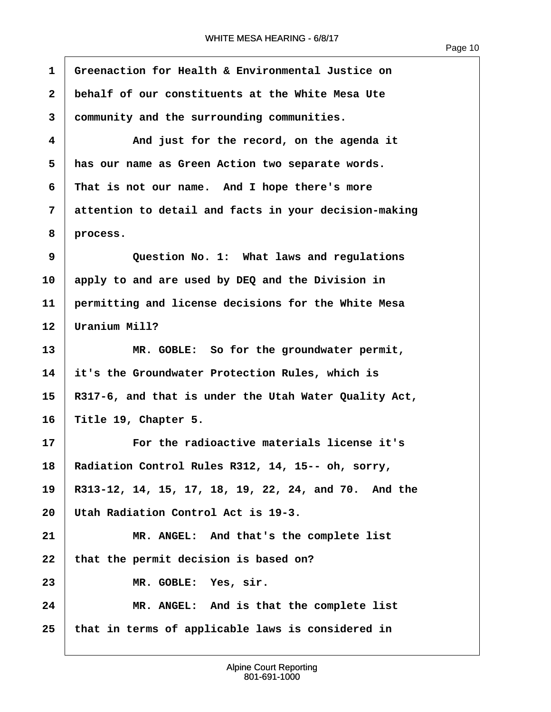**·1· ·Greenaction for Health & Environmental Justice on ·2· ·behalf of our constituents at the White Mesa Ute ·3· ·community and the surrounding communities. ·4· · · · · · And just for the record, on the agenda it ·5· ·has our name as Green Action two separate words. ·6· ·That is not our name.· And I hope there's more ·7· ·attention to detail and facts in your decision-making ·8· ·process. ·9· · · · · · Question No. 1:· What laws and regulations 10· ·apply to and are used by DEQ and the Division in 11· ·permitting and license decisions for the White Mesa** 12 | Uranium Mill? 13 **8 13** MR. GOBLE: So for the groundwater permit, **14· ·it's the Groundwater Protection Rules, which is 15· ·R317-6, and that is under the Utah Water Quality Act, 16· ·Title 19, Chapter 5. 17· · · · · · For the radioactive materials license it's** 18 Radiation Control Rules R312, 14, 15-- oh, sorry, **19· ·R313-12, 14, 15, 17, 18, 19, 22, 24, and 70.· And the 20· ·Utah Radiation Control Act is 19-3.** 21 MR. ANGEL: And that's the complete list 22 that the permit decision is based on? 23 MR. GOBLE: Yes, sir. **24· · · · · · MR. ANGEL:· And is that the complete list 25· ·that in terms of applicable laws is considered in**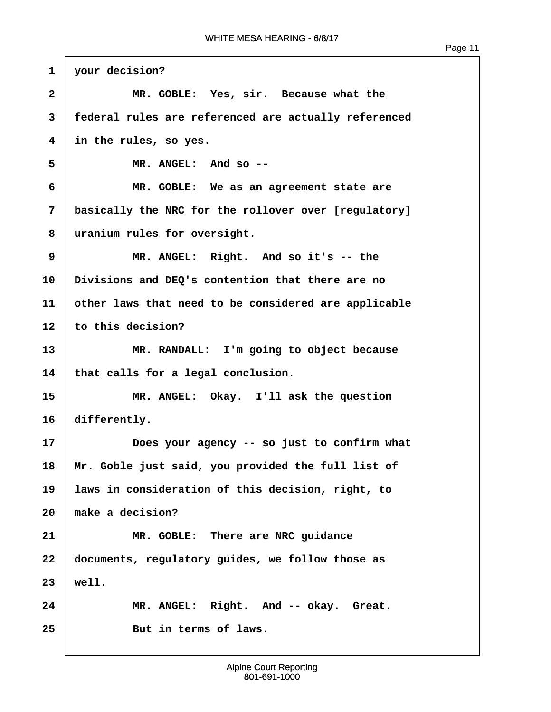```
1 vour decision?
 2 1 MR. GOBLE: Yes, sir. Because what the
 ·3· ·federal rules are referenced are actually referenced
 ·4· ·in the rules, so yes.
 ·5· · · · · · MR. ANGEL:· And so --
 ·6· · · · · · MR. GOBLE:· We as an agreement state are
·7· ·basically the NRC for the rollover over [regulatory]
 ·8· ·uranium rules for oversight.
9 IDER. MR. ANGEL: Right. And so it's -- the
10· ·Divisions and DEQ's contention that there are no
11· ·other laws that need to be considered are applicable
12 to this decision?
13 8 13 MR. RANDALL: I'm going to object because
14 that calls for a legal conclusion.
15· · · · · · MR. ANGEL:· Okay.· I'll ask the question
16 differently.
17· · · · · · Does your agency -- so just to confirm what
18 | Mr. Goble just said, you provided the full list of
19 | laws in consideration of this decision, right, to
20· ·make a decision?
21 MR. GOBLE: There are NRC guidance
22· ·documents, regulatory guides, we follow those as
23· ·well.
24 MR. ANGEL: Right. And -- okay. Great.
25· · · · · · But in terms of laws.
```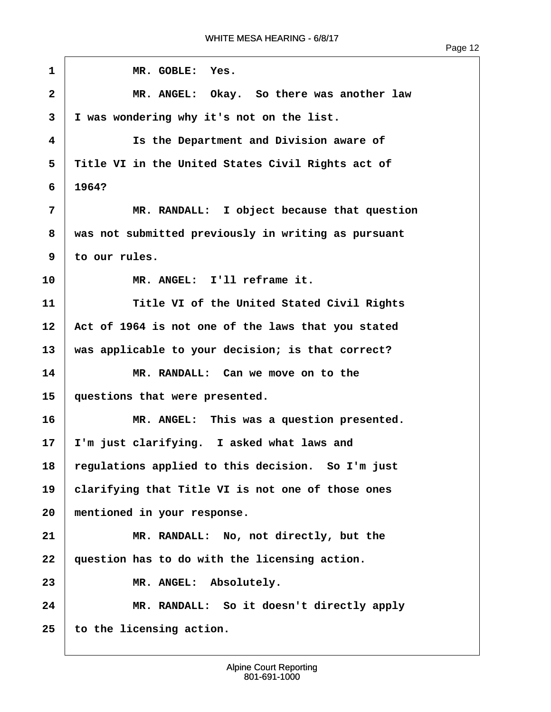1 | **MR. GOBLE: Yes. ·2· · · · · · MR. ANGEL:· Okay.· So there was another law ·3· ·I was wondering why it's not on the list. ·4· · · · · · Is the Department and Division aware of ·5· ·Title VI in the United States Civil Rights act of ·6· ·1964? ·7· · · · · · MR. RANDALL:· I object because that question ·8· ·was not submitted previously in writing as pursuant ·9· ·to our rules.** 10 MR. ANGEL: I'll reframe it. **11· · · · · · Title VI of the United Stated Civil Rights** 12 Act of 1964 is not one of the laws that you stated 13 | was applicable to your decision; is that correct? **14· · · · · · MR. RANDALL:· Can we move on to the** 15 | questions that were presented. 16 **8 16** MR. ANGEL: This was a question presented. 17 I'm just clarifying. I asked what laws and 18 regulations applied to this decision. So I'm just 19 | clarifying that Title VI is not one of those ones **20· ·mentioned in your response. 21· · · · · · MR. RANDALL:· No, not directly, but the** 22 | question has to do with the licensing action. 23 MR. ANGEL: Absolutely. **24· · · · · · MR. RANDALL:· So it doesn't directly apply 25· ·to the licensing action.**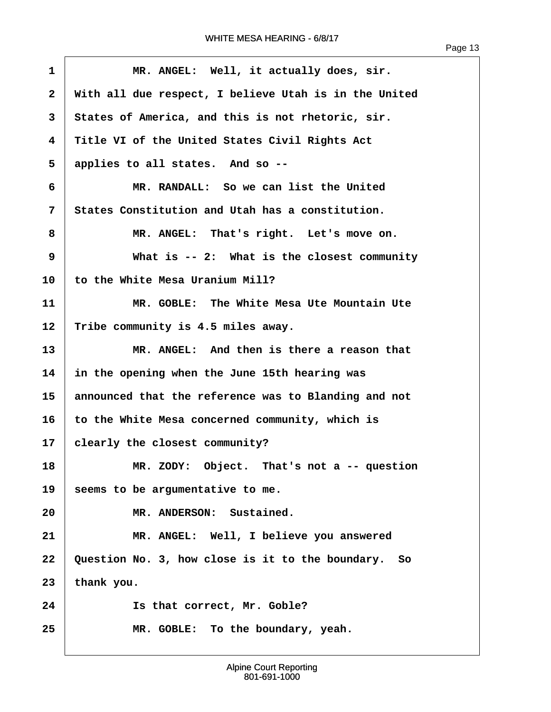| $\mathbf{1}$ | MR. ANGEL: Well, it actually does, sir.               |
|--------------|-------------------------------------------------------|
| $\mathbf{2}$ | With all due respect, I believe Utah is in the United |
| 3            | States of America, and this is not rhetoric, sir.     |
| 4            | Title VI of the United States Civil Rights Act        |
| 5            | applies to all states. And so --                      |
| 6            | MR. RANDALL: So we can list the United                |
| 7            | States Constitution and Utah has a constitution.      |
| 8            | MR. ANGEL: That's right. Let's move on.               |
| 9            | What is $--$ 2: What is the closest community         |
| 10           | to the White Mesa Uranium Mill?                       |
| 11           | MR. GOBLE: The White Mesa Ute Mountain Ute            |
| 12           | Tribe community is 4.5 miles away.                    |
| 13           | MR. ANGEL: And then is there a reason that            |
| 14           | in the opening when the June 15th hearing was         |
| 15           | announced that the reference was to Blanding and not  |
| 16           | to the White Mesa concerned community, which is       |
| 17           | clearly the closest community?                        |
| 18           | MR. ZODY: Object. That's not a -- question            |
| 19           | seems to be argumentative to me.                      |
| 20           | MR. ANDERSON: Sustained.                              |
| 21           | MR. ANGEL: Well, I believe you answered               |
| 22           | Question No. 3, how close is it to the boundary. So   |
| 23           | thank you.                                            |
| 24           | Is that correct, Mr. Goble?                           |
| 25           | MR. GOBLE: To the boundary, yeah.                     |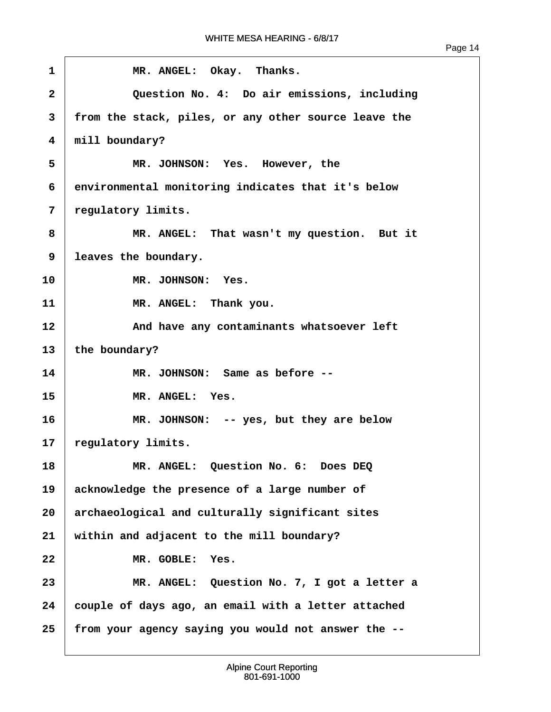| $\mathbf{1}$ | MR. ANGEL: Okay. Thanks.                             |
|--------------|------------------------------------------------------|
| $\mathbf{2}$ | Question No. 4: Do air emissions, including          |
| 3            | from the stack, piles, or any other source leave the |
| 4            | mill boundary?                                       |
| 5            | MR. JOHNSON: Yes. However, the                       |
| 6            | environmental monitoring indicates that it's below   |
| 7            | regulatory limits.                                   |
| 8            | MR. ANGEL: That wasn't my question. But it           |
| 9            | leaves the boundary.                                 |
| 10           | MR. JOHNSON: Yes.                                    |
| 11           | MR. ANGEL: Thank you.                                |
| 12           | And have any contaminants whatsoever left            |
| 13           | the boundary?                                        |
| 14           | MR. JOHNSON: Same as before --                       |
| 15           | MR. ANGEL: Yes.                                      |
| 16           | MR. JOHNSON: -- yes, but they are below              |
| $17 \,$      | regulatory limits.                                   |
| 18           | MR. ANGEL: Question No. 6: Does DEQ                  |
| 19           | acknowledge the presence of a large number of        |
| 20           | archaeological and culturally significant sites      |
| 21           | within and adjacent to the mill boundary?            |
| 22           | MR. GOBLE:<br>Yes.                                   |
| 23           | MR. ANGEL: Question No. 7, I got a letter a          |
| 24           | couple of days ago, an email with a letter attached  |
| 25           | from your agency saying you would not answer the --  |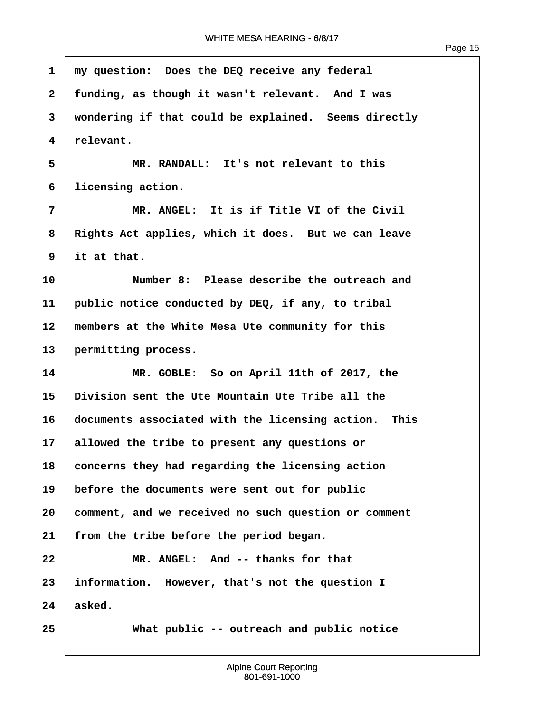| $\mathbf{1}$ | my question: Does the DEQ receive any federal        |
|--------------|------------------------------------------------------|
| $\mathbf{2}$ | funding, as though it wasn't relevant. And I was     |
| 3            | wondering if that could be explained. Seems directly |
| 4            | relevant.                                            |
| 5            | MR. RANDALL: It's not relevant to this               |
| 6            | licensing action.                                    |
| 7            | MR. ANGEL: It is if Title VI of the Civil            |
| 8            | Rights Act applies, which it does. But we can leave  |
| 9            | it at that.                                          |
| 10           | Number 8: Please describe the outreach and           |
| 11           | public notice conducted by DEQ, if any, to tribal    |
| 12           | members at the White Mesa Ute community for this     |
| 13           | permitting process.                                  |
| 14           | MR. GOBLE: So on April 11th of 2017, the             |
| 15           | Division sent the Ute Mountain Ute Tribe all the     |
| 16           | documents associated with the licensing action. This |
| 17           | allowed the tribe to present any questions or        |
| 18           | concerns they had regarding the licensing action     |
| 19           | before the documents were sent out for public        |
| 20           | comment, and we received no such question or comment |
| 21           | from the tribe before the period began.              |
| 22           | MR. ANGEL: And -- thanks for that                    |
| 23           | information. However, that's not the question I      |
| 24           | asked.                                               |
| 25           | What public -- outreach and public notice            |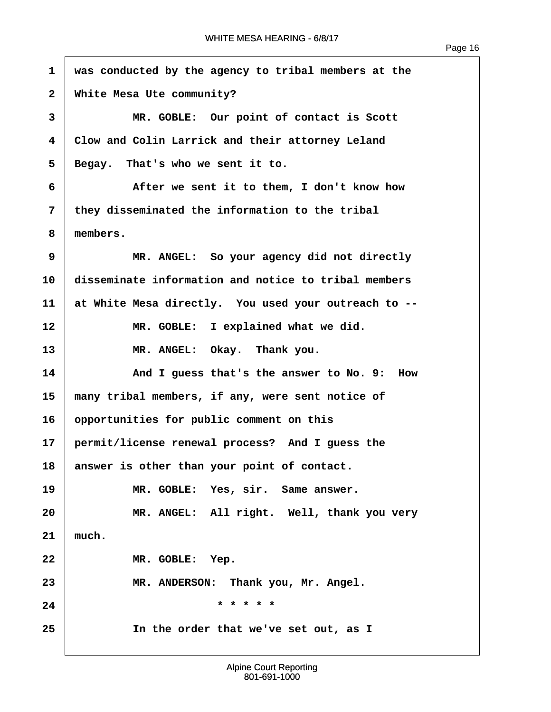$\sqrt{ }$ 

| $\mathbf{1}$ | was conducted by the agency to tribal members at the |
|--------------|------------------------------------------------------|
| $\mathbf{2}$ | White Mesa Ute community?                            |
| 3            | MR. GOBLE: Our point of contact is Scott             |
| 4            | Clow and Colin Larrick and their attorney Leland     |
| 5            | Begay. That's who we sent it to.                     |
| 6            | After we sent it to them, I don't know how           |
| 7            | they disseminated the information to the tribal      |
| 8            | members.                                             |
| 9            | MR. ANGEL: So your agency did not directly           |
| 10           | disseminate information and notice to tribal members |
| 11           | at White Mesa directly. You used your outreach to -- |
| 12           | MR. GOBLE: I explained what we did.                  |
| 13           | MR. ANGEL: Okay. Thank you.                          |
| 14           | And I guess that's the answer to No. 9:<br>How       |
| 15           | many tribal members, if any, were sent notice of     |
| 16           | opportunities for public comment on this             |
| 17           | permit/license renewal process? And I guess the      |
| 18           | answer is other than your point of contact.          |
| 19           | MR. GOBLE: Yes, sir. Same answer.                    |
| 20           | MR. ANGEL: All right. Well, thank you very           |
| 21           | much.                                                |
| 22           | MR. GOBLE: Yep.                                      |
| 23           | MR. ANDERSON: Thank you, Mr. Angel.                  |
| 24           | * * * * *                                            |
| 25           | In the order that we've set out, as I                |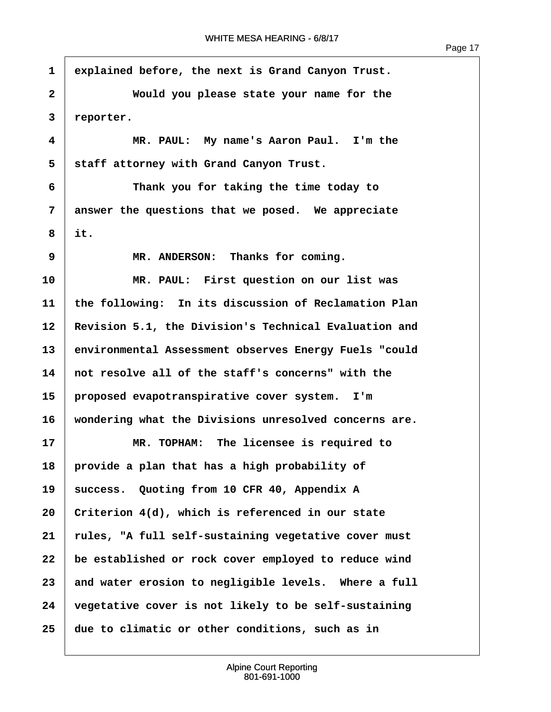**·1· ·explained before, the next is Grand Canyon Trust. ·2· · · · · · Would you please state your name for the ·3· ·reporter. ·4· · · · · · MR. PAUL:· My name's Aaron Paul.· I'm the** 5 | staff attorney with Grand Canyon Trust. **·6· · · · · · Thank you for taking the time today to ·7· ·answer the questions that we posed.· We appreciate**  $8$  it. **9 I MR. ANDERSON:** Thanks for coming. **10· · · · · · MR. PAUL:· First question on our list was 11· ·the following:· In its discussion of Reclamation Plan** 12 Revision 5.1, the Division's Technical Evaluation and **13· ·environmental Assessment observes Energy Fuels "could 14· ·not resolve all of the staff's concerns" with the 15· ·proposed evapotranspirative cover system.· I'm 16· ·wondering what the Divisions unresolved concerns are. 17· · · · · · MR. TOPHAM:· The licensee is required to 18· ·provide a plan that has a high probability of** 19 | success. Quoting from 10 CFR 40, Appendix A **20· ·Criterion 4(d), which is referenced in our state 21· ·rules, "A full self-sustaining vegetative cover must 22· ·be established or rock cover employed to reduce wind** 23 and water erosion to negligible levels. Where a full **24· ·vegetative cover is not likely to be self-sustaining 25· ·due to climatic or other conditions, such as in**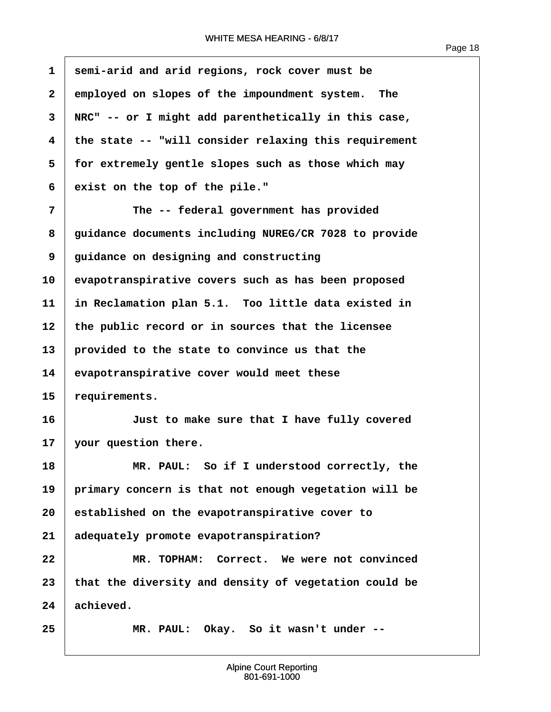$\overline{1}$ 

| $\mathbf{1}$ | semi-arid and arid regions, rock cover must be        |
|--------------|-------------------------------------------------------|
| $\mathbf{2}$ | employed on slopes of the impoundment system.<br>The  |
| 3            | NRC" -- or I might add parenthetically in this case,  |
| 4            | the state -- "will consider relaxing this requirement |
| 5            | for extremely gentle slopes such as those which may   |
| 6            | exist on the top of the pile."                        |
| 7            | The -- federal government has provided                |
| 8            | guidance documents including NUREG/CR 7028 to provide |
| 9            | guidance on designing and constructing                |
| 10           | evapotranspirative covers such as has been proposed   |
| 11           | in Reclamation plan 5.1. Too little data existed in   |
| 12           | the public record or in sources that the licensee     |
| 13           | provided to the state to convince us that the         |
| 14           | evapotranspirative cover would meet these             |
| 15           | requirements.                                         |
| 16           | Just to make sure that I have fully covered           |
| 17           | your question there.                                  |
| 18           | MR. PAUL: So if I understood correctly, the           |
| 19           | primary concern is that not enough vegetation will be |
| 20           | established on the evapotranspirative cover to        |
| 21           | adequately promote evapotranspiration?                |
| 22           | MR. TOPHAM: Correct. We were not convinced            |
| 23           | that the diversity and density of vegetation could be |
| 24           | achieved.                                             |
| 25           | MR. PAUL: Okay. So it wasn't under --                 |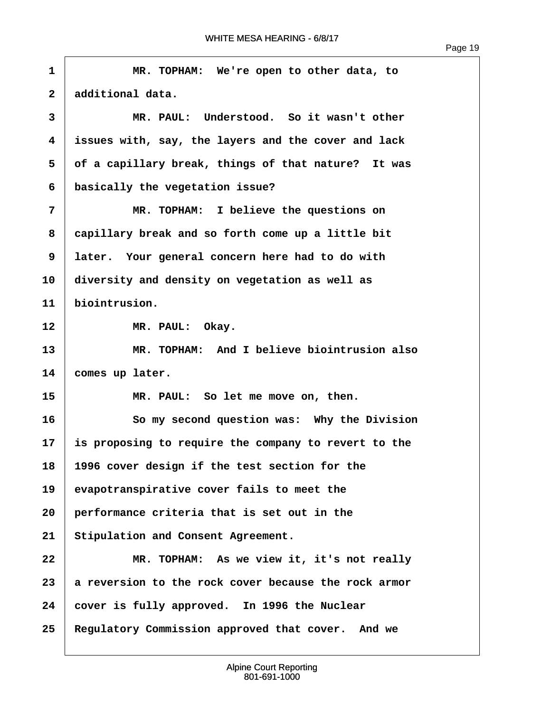$\sqrt{ }$ 

| Page | -19 |
|------|-----|
|------|-----|

| 1            | MR. TOPHAM: We're open to other data, to             |
|--------------|------------------------------------------------------|
| $\mathbf{2}$ | additional data.                                     |
| 3            | MR. PAUL: Understood. So it wasn't other             |
| 4            | issues with, say, the layers and the cover and lack  |
| 5            | of a capillary break, things of that nature? It was  |
| 6            | basically the vegetation issue?                      |
| 7            | MR. TOPHAM: I believe the questions on               |
| 8            | capillary break and so forth come up a little bit    |
| 9            | later. Your general concern here had to do with      |
| 10           | diversity and density on vegetation as well as       |
| 11           | biointrusion.                                        |
| 12           | MR. PAUL: Okay.                                      |
| 13           | MR. TOPHAM: And I believe biointrusion also          |
| 14           | comes up later.                                      |
| 15           | MR. PAUL: So let me move on, then.                   |
| 16           | So my second question was: Why the Division          |
| 17           | is proposing to require the company to revert to the |
| 18           | 1996 cover design if the test section for the        |
| 19           | evapotranspirative cover fails to meet the           |
| 20           | performance criteria that is set out in the          |
| 21           | Stipulation and Consent Agreement.                   |
| 22           | MR. TOPHAM: As we view it, it's not really           |
| 23           | a reversion to the rock cover because the rock armor |
| 24           | cover is fully approved. In 1996 the Nuclear         |
| 25           | Regulatory Commission approved that cover. And we    |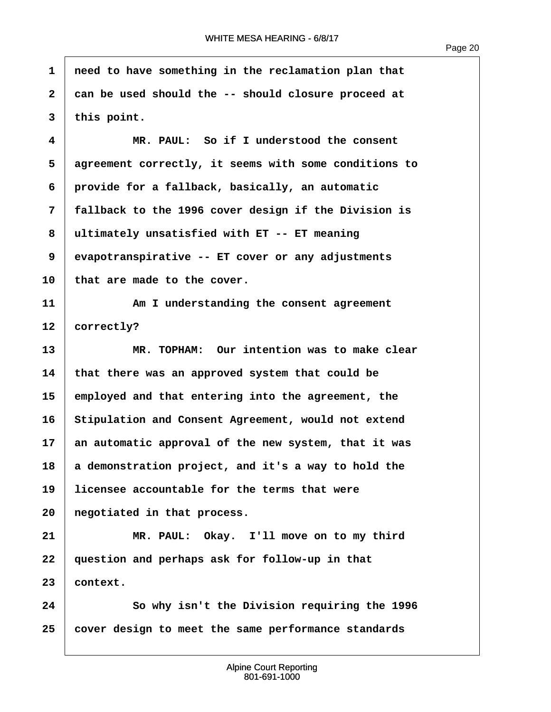Page 20

**·1· ·need to have something in the reclamation plan that ·2· ·can be used should the -- should closure proceed at ·3· ·this point. ·4· · · · · · MR. PAUL:· So if I understood the consent ·5· ·agreement correctly, it seems with some conditions to ·6· ·provide for a fallback, basically, an automatic ·7· ·fallback to the 1996 cover design if the Division is ·8· ·ultimately unsatisfied with ET -- ET meaning ·9· ·evapotranspirative -- ET cover or any adjustments** 10 that are made to the cover. **11· · · · · · Am I understanding the consent agreement** 12 **correctly? 13· · · · · · MR. TOPHAM:· Our intention was to make clear 14· ·that there was an approved system that could be 15· ·employed and that entering into the agreement, the** 16 Stipulation and Consent Agreement, would not extend **17· ·an automatic approval of the new system, that it was 18· ·a demonstration project, and it's a way to hold the 19· ·licensee accountable for the terms that were 20· ·negotiated in that process. 21· · · · · · MR. PAUL:· Okay.· I'll move on to my third 22· ·question and perhaps ask for follow-up in that 23· ·context. 24· · · · · · So why isn't the Division requiring the 1996 25· ·cover design to meet the same performance standards**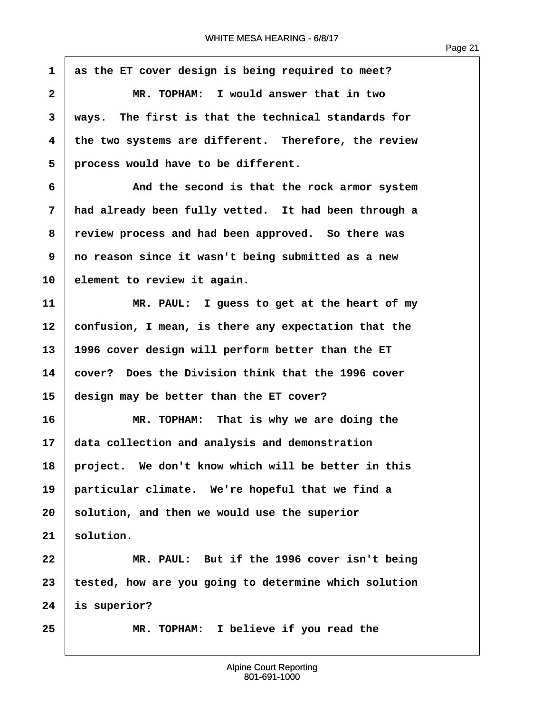**·1· ·as the ET cover design is being required to meet? ·2· · · · · · MR. TOPHAM:· I would answer that in two ·3· ·ways.· The first is that the technical standards for ·4· ·the two systems are different.· Therefore, the review** 5 **process would have to be different. ·6· · · · · · And the second is that the rock armor system ·7· ·had already been fully vetted.· It had been through a ·8· ·review process and had been approved.· So there was ·9· ·no reason since it wasn't being submitted as a new 10· ·element to review it again. 11** *I* **MR. PAUL: I guess to get at the heart of my 12· ·confusion, I mean, is there any expectation that the 13· ·1996 cover design will perform better than the ET 14· ·cover?· Does the Division think that the 1996 cover 15· ·design may be better than the ET cover? 16· · · · · · MR. TOPHAM:· That is why we are doing the 17· ·data collection and analysis and demonstration** 18 | project. We don't know which will be better in this 19 particular climate. We're hopeful that we find a **20· ·solution, and then we would use the superior**  $21$  solution. **22· · · · · · MR. PAUL:· But if the 1996 cover isn't being 23· ·tested, how are you going to determine which solution 24· ·is superior? 25· · · · · · MR. TOPHAM:· I believe if you read the**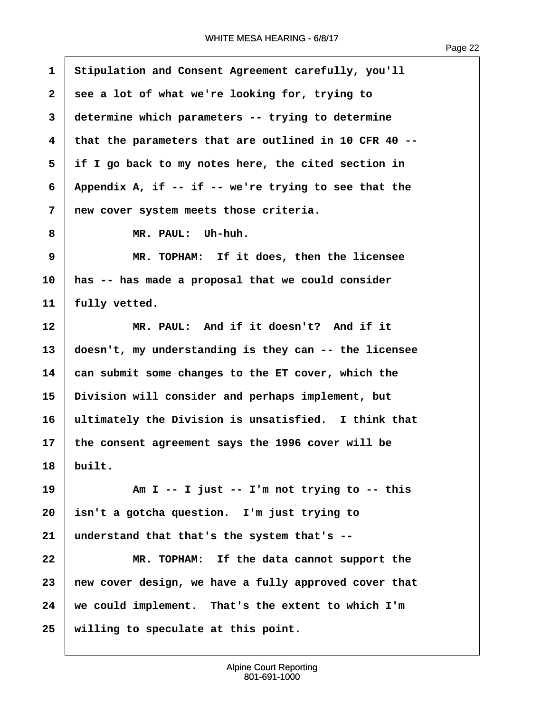$\sqrt{ }$ 

| $\mathbf{1}$ | Stipulation and Consent Agreement carefully, you'll    |
|--------------|--------------------------------------------------------|
| $\mathbf{2}$ | see a lot of what we're looking for, trying to         |
| 3            | determine which parameters -- trying to determine      |
| 4            | that the parameters that are outlined in 10 CFR 40 --  |
| 5            | if I go back to my notes here, the cited section in    |
| 6            | Appendix A, if $-$ if $-$ we're trying to see that the |
| 7            | new cover system meets those criteria.                 |
| 8            | MR. PAUL: Uh-huh.                                      |
| 9            | MR. TOPHAM: If it does, then the licensee              |
| 10           | has -- has made a proposal that we could consider      |
| 11           | fully vetted.                                          |
| 12           | MR. PAUL: And if it doesn't? And if it                 |
| 13           | doesn't, my understanding is they can -- the licensee  |
| 14           | can submit some changes to the ET cover, which the     |
| 15           | Division will consider and perhaps implement, but      |
| 16           | ultimately the Division is unsatisfied. I think that   |
| 17           | the consent agreement says the 1996 cover will be      |
| 18           | built.                                                 |
| 19           | Am I -- I just -- I'm not trying to -- this            |
| 20           | isn't a gotcha question. I'm just trying to            |
| 21           | understand that that's the system that's --            |
| 22           | MR. TOPHAM: If the data cannot support the             |
| 23           | new cover design, we have a fully approved cover that  |
| 24           | we could implement. That's the extent to which I'm     |
| 25           | willing to speculate at this point.                    |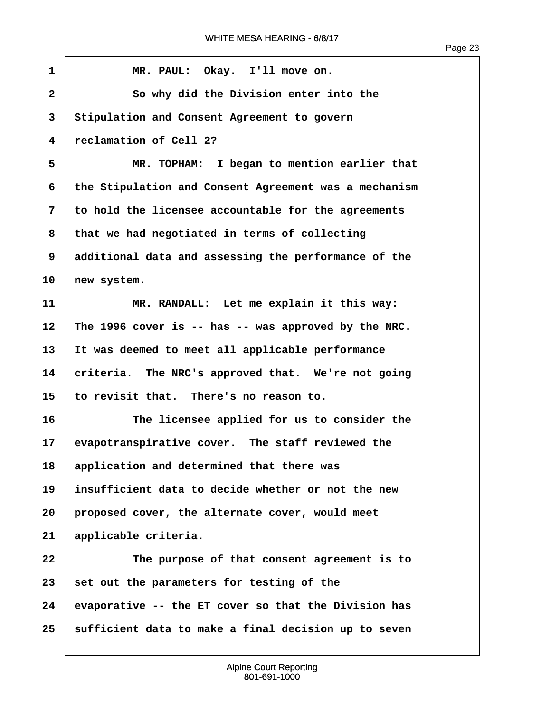| $\mathbf{1}$            | MR. PAUL: Okay. I'll move on.                         |
|-------------------------|-------------------------------------------------------|
| $\mathbf{2}$            | So why did the Division enter into the                |
| 3                       | Stipulation and Consent Agreement to govern           |
| $\overline{\mathbf{4}}$ | reclamation of Cell 2?                                |
| 5                       | MR. TOPHAM: I began to mention earlier that           |
| 6                       | the Stipulation and Consent Agreement was a mechanism |
| 7                       | to hold the licensee accountable for the agreements   |
| 8                       | that we had negotiated in terms of collecting         |
| 9                       | additional data and assessing the performance of the  |
| 10                      | new system.                                           |
| 11                      | MR. RANDALL: Let me explain it this way:              |
| 12                      | The 1996 cover is -- has -- was approved by the NRC.  |
| 13                      | It was deemed to meet all applicable performance      |
| 14                      | criteria. The NRC's approved that. We're not going    |
| 15                      | to revisit that. There's no reason to.                |
| 16                      | The licensee applied for us to consider the           |
| 17                      | evapotranspirative cover. The staff reviewed the      |
| 18                      | application and determined that there was             |
| 19                      | insufficient data to decide whether or not the new    |
| 20                      | proposed cover, the alternate cover, would meet       |
| 21                      | applicable criteria.                                  |
| 22                      | The purpose of that consent agreement is to           |
| 23                      | set out the parameters for testing of the             |
| 24                      | evaporative -- the ET cover so that the Division has  |
| 25                      | sufficient data to make a final decision up to seven  |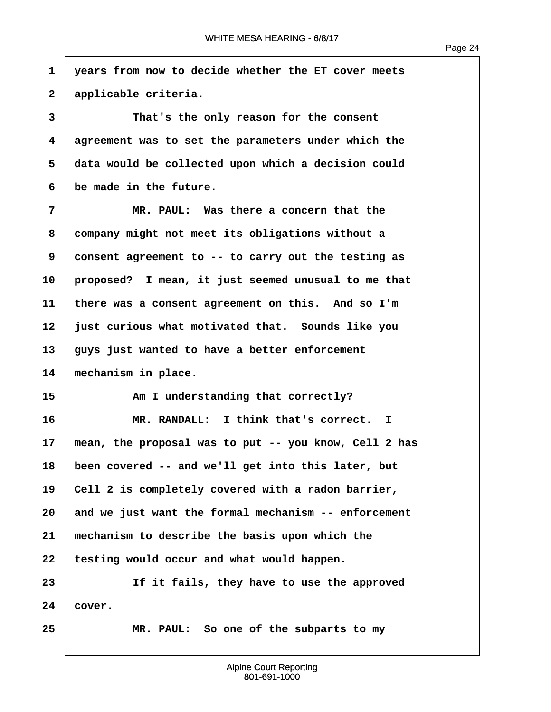**·1· ·years from now to decide whether the ET cover meets ·2· ·applicable criteria. 3 i** *Inat's the only reason for the consent* **·4· ·agreement was to set the parameters under which the ·5· ·data would be collected upon which a decision could ·6· ·be made in the future. ·7· · · · · · MR. PAUL:· Was there a concern that the ·8· ·company might not meet its obligations without a ·9· ·consent agreement to -- to carry out the testing as 10· ·proposed?· I mean, it just seemed unusual to me that 11· ·there was a consent agreement on this.· And so I'm 12· ·just curious what motivated that.· Sounds like you 13· ·guys just wanted to have a better enforcement** 14 mechanism in place. 15 **Am I understanding that correctly? 16· · · · · · MR. RANDALL:· I think that's correct. I 17· ·mean, the proposal was to put -- you know, Cell 2 has 18· ·been covered -- and we'll get into this later, but** 19 **Cell 2** is completely covered with a radon barrier, **20· ·and we just want the formal mechanism -- enforcement 21· ·mechanism to describe the basis upon which the** 22 | testing would occur and what would happen. 23 **1 11 If it fails, they have to use the approved**  $24 \mid \text{cover.}$ **25· · · · · · MR. PAUL:· So one of the subparts to my**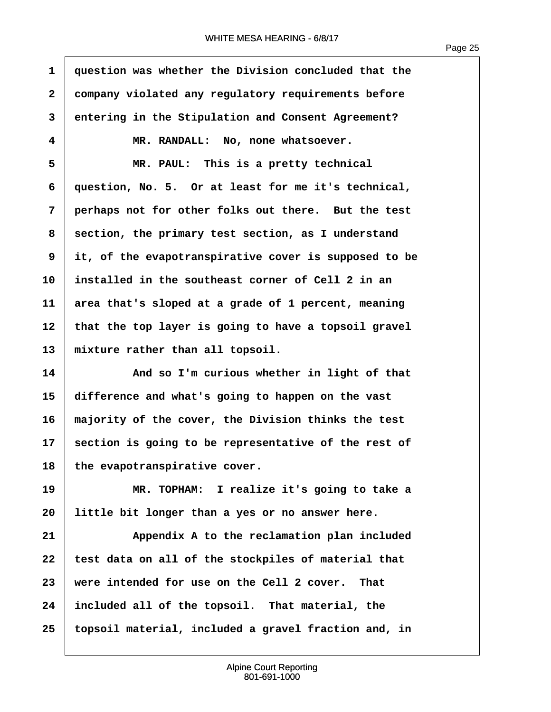Page 25

**·1· ·question was whether the Division concluded that the ·2· ·company violated any regulatory requirements before ·3· ·entering in the Stipulation and Consent Agreement? ·4· · · · · · MR. RANDALL:· No, none whatsoever. ·5· · · · · · MR. PAUL:· This is a pretty technical ·6· ·question, No. 5.· Or at least for me it's technical, ·7· ·perhaps not for other folks out there.· But the test ·8· ·section, the primary test section, as I understand ·9· ·it, of the evapotranspirative cover is supposed to be 10· ·installed in the southeast corner of Cell 2 in an 11· ·area that's sloped at a grade of 1 percent, meaning 12· ·that the top layer is going to have a topsoil gravel** 13 | mixture rather than all topsoil. **14· · · · · · And so I'm curious whether in light of that 15· ·difference and what's going to happen on the vast 16· ·majority of the cover, the Division thinks the test 17· ·section is going to be representative of the rest of** 18 the evapotranspirative cover. **19· · · · · · MR. TOPHAM:· I realize it's going to take a 20· ·little bit longer than a yes or no answer here. 21· · · · · · Appendix A to the reclamation plan included** 22 | test data on all of the stockpiles of material that 23 | were intended for use on the Cell 2 cover. That **24· ·included all of the topsoil.· That material, the 25· ·topsoil material, included a gravel fraction and, in**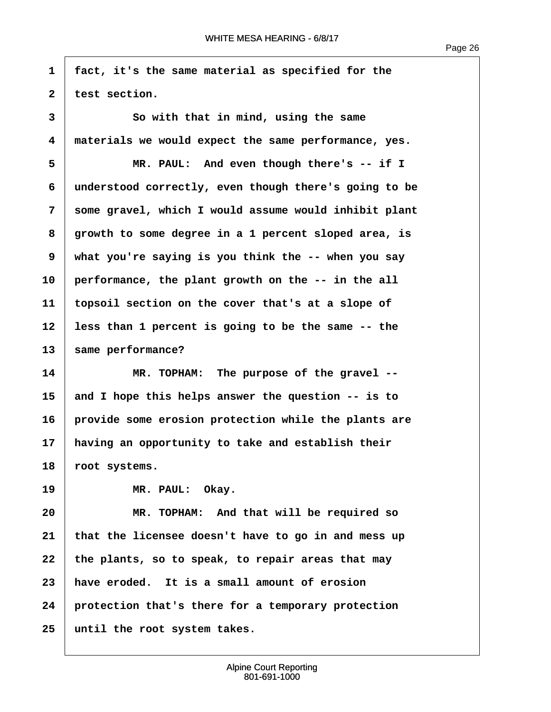**·1· ·fact, it's the same material as specified for the**

Page 26

2 test section. **·3· · · · · · So with that in mind, using the same ·4· ·materials we would expect the same performance, yes. ·5· · · · · · MR. PAUL:· And even though there's -- if I ·6· ·understood correctly, even though there's going to be ·7· ·some gravel, which I would assume would inhibit plant ·8· ·growth to some degree in a 1 percent sloped area, is ·9· ·what you're saying is you think the -- when you say 10· ·performance, the plant growth on the -- in the all 11· ·topsoil section on the cover that's at a slope of 12· ·less than 1 percent is going to be the same -- the** 13 | same performance? **14· · · · · · MR. TOPHAM:· The purpose of the gravel -- 15· ·and I hope this helps answer the question -- is to 16· ·provide some erosion protection while the plants are 17· ·having an opportunity to take and establish their** 18 **root** systems. 19 | **MR. PAUL:** Okay. **20· · · · · · MR. TOPHAM:· And that will be required so 21· ·that the licensee doesn't have to go in and mess up** 22 the plants, so to speak, to repair areas that may **23· ·have eroded.· It is a small amount of erosion 24· ·protection that's there for a temporary protection 25· ·until the root system takes.**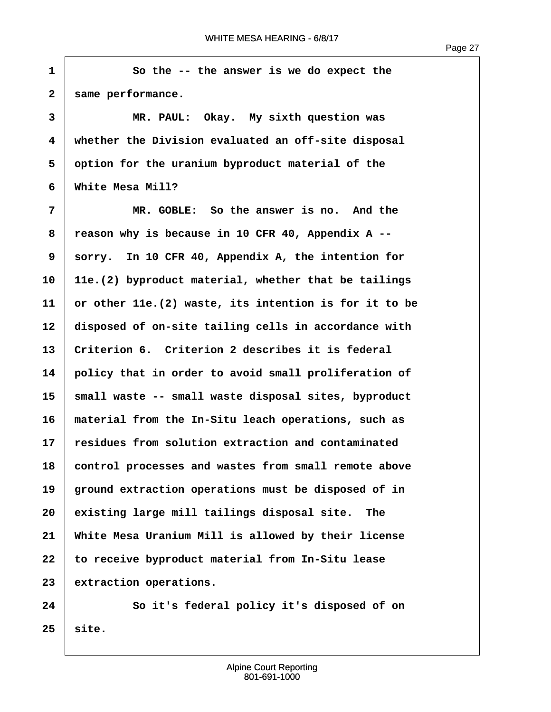**·1· · · · · · So the -- the answer is we do expect the** 2 | same performance. **·3· · · · · · MR. PAUL:· Okay.· My sixth question was ·4· ·whether the Division evaluated an off-site disposal ·5· ·option for the uranium byproduct material of the ·6· ·White Mesa Mill? ·7· · · · · · MR. GOBLE:· So the answer is no.· And the ·8· ·reason why is because in 10 CFR 40, Appendix A -- ·9· ·sorry.· In 10 CFR 40, Appendix A, the intention for 10· ·11e.(2) byproduct material, whether that be tailings 11· ·or other 11e.(2) waste, its intention is for it to be** 12 disposed of on-site tailing cells in accordance with **13· ·Criterion 6.· Criterion 2 describes it is federal 14· ·policy that in order to avoid small proliferation of 15· ·small waste -- small waste disposal sites, byproduct 16· ·material from the In-Situ leach operations, such as 17· ·residues from solution extraction and contaminated 18· ·control processes and wastes from small remote above 19· ·ground extraction operations must be disposed of in 20· ·existing large mill tailings disposal site.· The 21· ·White Mesa Uranium Mill is allowed by their license** 22 to receive byproduct material from In-Situ lease 23 extraction operations. **24· · · · · · So it's federal policy it's disposed of on**

 $25$  site.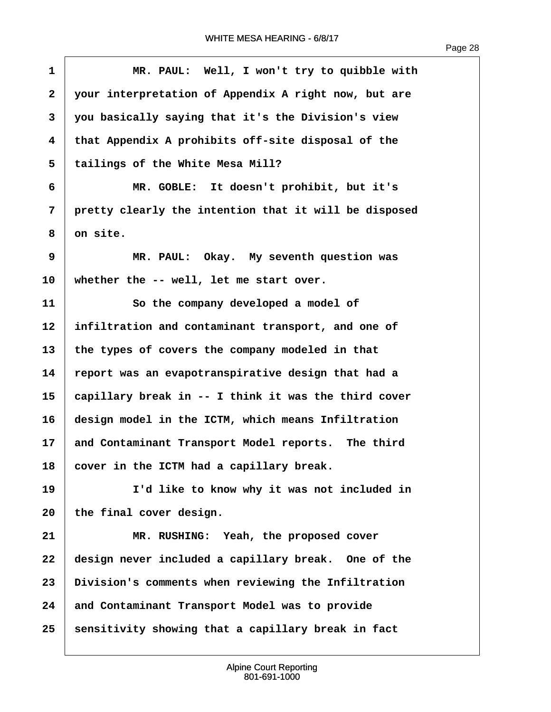$\overline{1}$ 

| $\mathbf{1}$ | MR. PAUL: Well, I won't try to quibble with           |
|--------------|-------------------------------------------------------|
| $\mathbf{2}$ | your interpretation of Appendix A right now, but are  |
| 3            | you basically saying that it's the Division's view    |
| 4            | that Appendix A prohibits off-site disposal of the    |
| 5            | tailings of the White Mesa Mill?                      |
| 6            | MR. GOBLE: It doesn't prohibit, but it's              |
| 7            | pretty clearly the intention that it will be disposed |
| 8            | on site.                                              |
| 9            | MR. PAUL: Okay. My seventh question was               |
| 10           | whether the -- well, let me start over.               |
| 11           | So the company developed a model of                   |
| 12           | infiltration and contaminant transport, and one of    |
| 13           | the types of covers the company modeled in that       |
| 14           | report was an evapotranspirative design that had a    |
| 15           | capillary break in -- I think it was the third cover  |
| 16           | design model in the ICTM, which means Infiltration    |
| 17           | and Contaminant Transport Model reports. The third    |
| 18           | cover in the ICTM had a capillary break.              |
| 19           | I'd like to know why it was not included in           |
| 20           | the final cover design.                               |
| 21           | MR. RUSHING: Yeah, the proposed cover                 |
| 22           | design never included a capillary break. One of the   |
| 23           | Division's comments when reviewing the Infiltration   |
| 24           | and Contaminant Transport Model was to provide        |
| 25           | sensitivity showing that a capillary break in fact    |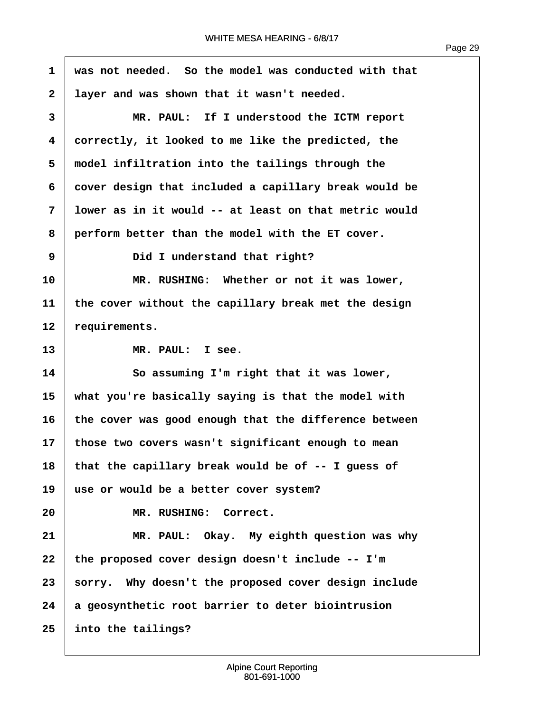**·1· ·was not needed.· So the model was conducted with that ·2· ·layer and was shown that it wasn't needed. ·3· · · · · · MR. PAUL:· If I understood the ICTM report ·4· ·correctly, it looked to me like the predicted, the** 5 **model infiltration into the tailings through the ·6· ·cover design that included a capillary break would be ·7· ·lower as in it would -- at least on that metric would ·8· ·perform better than the model with the ET cover. ·9· · · · · · Did I understand that right? 10· · · · · · MR. RUSHING:· Whether or not it was lower, 11· ·the cover without the capillary break met the design** 12 requirements. 13 MR. PAUL: I see. **14· · · · · · So assuming I'm right that it was lower, 15· ·what you're basically saying is that the model with 16· ·the cover was good enough that the difference between 17· ·those two covers wasn't significant enough to mean 18· ·that the capillary break would be of -- I guess of 19· ·use or would be a better cover system?** 20 MR. RUSHING: Correct. **21· · · · · · MR. PAUL:· Okay.· My eighth question was why 22· ·the proposed cover design doesn't include -- I'm** 23 sorry. Why doesn't the proposed cover design include **24· ·a geosynthetic root barrier to deter biointrusion 25· ·into the tailings?**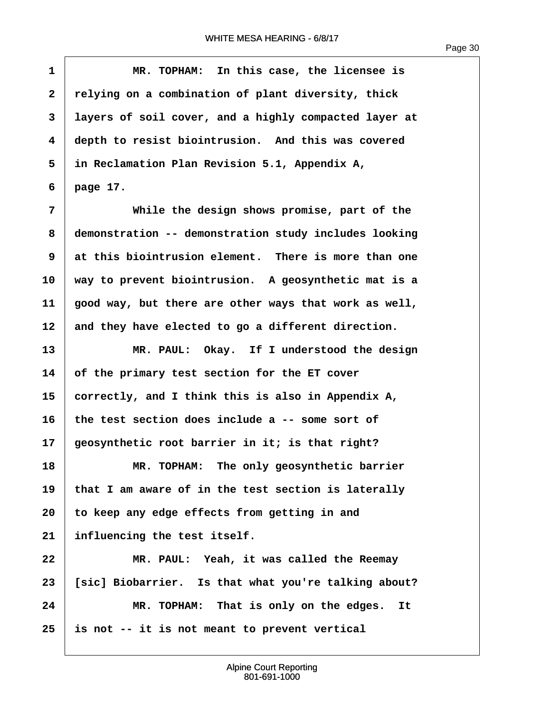| $\mathbf 1$             | MR. TOPHAM: In this case, the licensee is             |
|-------------------------|-------------------------------------------------------|
| $\overline{\mathbf{2}}$ | relying on a combination of plant diversity, thick    |
| 3                       | layers of soil cover, and a highly compacted layer at |
| $\overline{\mathbf{4}}$ | depth to resist biointrusion. And this was covered    |
| 5                       | in Reclamation Plan Revision 5.1, Appendix A,         |
| 6                       | page 17.                                              |
| 7                       | While the design shows promise, part of the           |
| 8                       | demonstration -- demonstration study includes looking |
| 9                       | at this biointrusion element. There is more than one  |
| 10                      | way to prevent biointrusion. A geosynthetic mat is a  |
| 11                      | good way, but there are other ways that work as well, |
| 12                      | and they have elected to go a different direction.    |
| 13                      | MR. PAUL: Okay. If I understood the design            |
| 14                      | of the primary test section for the ET cover          |
| 15                      | correctly, and I think this is also in Appendix A,    |
| 16                      | the test section does include a -- some sort of       |
| 17                      | geosynthetic root barrier in it; is that right?       |
| 18                      | MR. TOPHAM: The only geosynthetic barrier             |
| 19                      | that I am aware of in the test section is laterally   |
| 20                      | to keep any edge effects from getting in and          |
| 21                      | influencing the test itself.                          |
| 22                      | MR. PAUL: Yeah, it was called the Reemay              |
| 23                      | [sic] Biobarrier. Is that what you're talking about?  |
| 24                      | MR. TOPHAM: That is only on the edges.<br>It          |
| 25                      | is not -- it is not meant to prevent vertical         |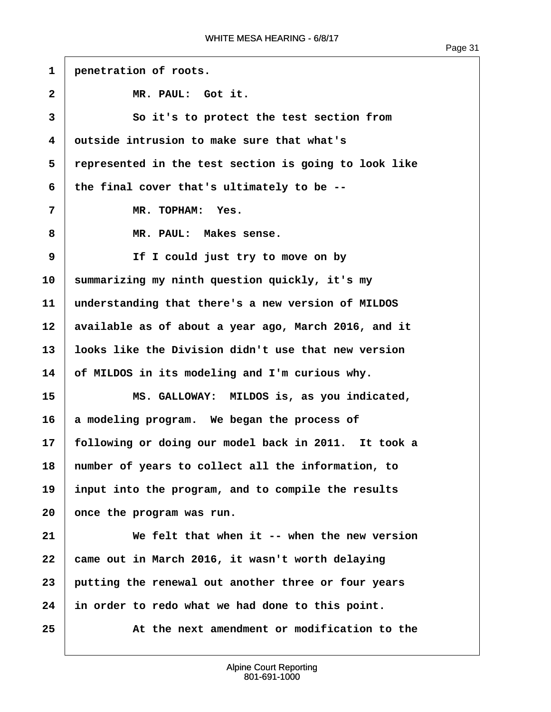| $\mathbf{1}$      | penetration of roots.                                 |
|-------------------|-------------------------------------------------------|
| $\mathbf{2}$      | MR. PAUL: Got it.                                     |
| 3                 | So it's to protect the test section from              |
| 4                 | outside intrusion to make sure that what's            |
| 5                 | represented in the test section is going to look like |
| 6                 | the final cover that's ultimately to be --            |
| 7                 | MR. TOPHAM: Yes.                                      |
| 8                 | MR. PAUL: Makes sense.                                |
| 9                 | If I could just try to move on by                     |
| 10                | summarizing my ninth question quickly, it's my        |
| 11                | understanding that there's a new version of MILDOS    |
| $12 \overline{ }$ | available as of about a year ago, March 2016, and it  |
| 13                | looks like the Division didn't use that new version   |
| 14                | of MILDOS in its modeling and I'm curious why.        |
| 15                | MS. GALLOWAY: MILDOS is, as you indicated,            |
| 16                | a modeling program. We began the process of           |
| 17                | following or doing our model back in 2011. It took a  |
| 18                | number of years to collect all the information, to    |
| 19                | input into the program, and to compile the results    |
| 20                | once the program was run.                             |
| 21                | We felt that when it -- when the new version          |
| 22                | came out in March 2016, it wasn't worth delaying      |
| 23                | putting the renewal out another three or four years   |
| 24                | in order to redo what we had done to this point.      |
| 25                | At the next amendment or modification to the          |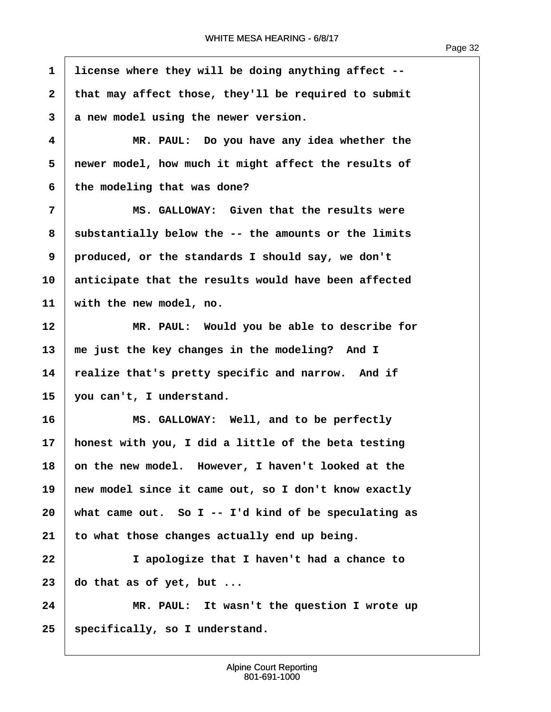| $\mathbf{1}$ | license where they will be doing anything affect --  |
|--------------|------------------------------------------------------|
| $\mathbf{2}$ | that may affect those, they'll be required to submit |
| 3            | a new model using the newer version.                 |
| 4            | MR. PAUL: Do you have any idea whether the           |
| 5            | newer model, how much it might affect the results of |
| 6            | the modeling that was done?                          |
| 7            | MS. GALLOWAY: Given that the results were            |
| 8            | substantially below the -- the amounts or the limits |
| 9            | produced, or the standards I should say, we don't    |
| 10           | anticipate that the results would have been affected |
| 11           | with the new model, no.                              |
| 12           | MR. PAUL: Would you be able to describe for          |
| 13           | me just the key changes in the modeling? And I       |
| 14           | realize that's pretty specific and narrow. And if    |
| 15           | you can't, I understand.                             |
| 16           | MS. GALLOWAY: Well, and to be perfectly              |
| 17           | honest with you, I did a little of the beta testing  |
| 18           | on the new model. However, I haven't looked at the   |
| 19           | new model since it came out, so I don't know exactly |
| 20           | what came out. So I -- I'd kind of be speculating as |
| 21           | to what those changes actually end up being.         |
| 22           | I apologize that I haven't had a chance to           |
| 23           | do that as of yet, but                               |
| 24           | MR. PAUL: It wasn't the question I wrote up          |
| 25           | specifically, so I understand.                       |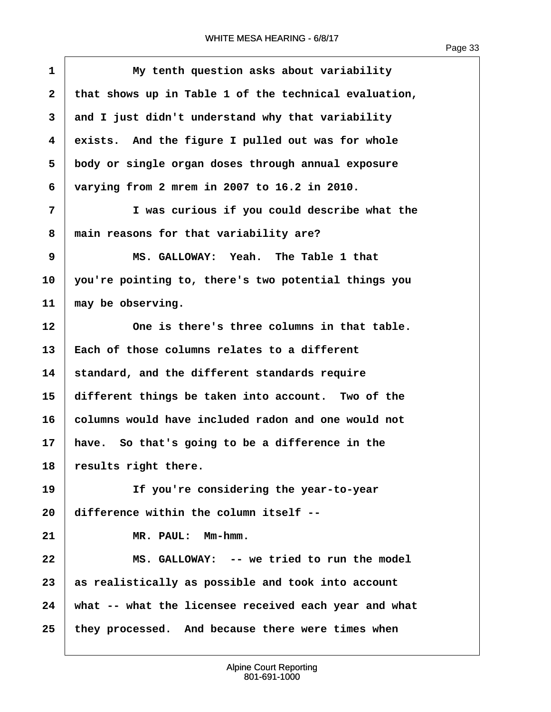$\overline{1}$ 

| $\mathbf{1}$ | My tenth question asks about variability              |
|--------------|-------------------------------------------------------|
| $\mathbf{2}$ | that shows up in Table 1 of the technical evaluation, |
| 3            | and I just didn't understand why that variability     |
| 4            | exists. And the figure I pulled out was for whole     |
| 5            | body or single organ doses through annual exposure    |
| 6            | varying from 2 mrem in 2007 to 16.2 in 2010.          |
| 7            | I was curious if you could describe what the          |
| 8            | main reasons for that variability are?                |
| 9            | MS. GALLOWAY: Yeah. The Table 1 that                  |
| 10           | you're pointing to, there's two potential things you  |
| 11           | may be observing.                                     |
| 12           | One is there's three columns in that table.           |
| 13           | Each of those columns relates to a different          |
| 14           | standard, and the different standards require         |
| 15           | different things be taken into account. Two of the    |
| 16           | columns would have included radon and one would not   |
| 17           | have. So that's going to be a difference in the       |
| 18           | results right there.                                  |
| 19           | If you're considering the year-to-year                |
| 20           | difference within the column itself --                |
| 21           | MR. PAUL: Mm-hmm.                                     |
| 22           | MS. GALLOWAY: -- we tried to run the model            |
| 23           | as realistically as possible and took into account    |
| 24           | what -- what the licensee received each year and what |
| 25           | they processed. And because there were times when     |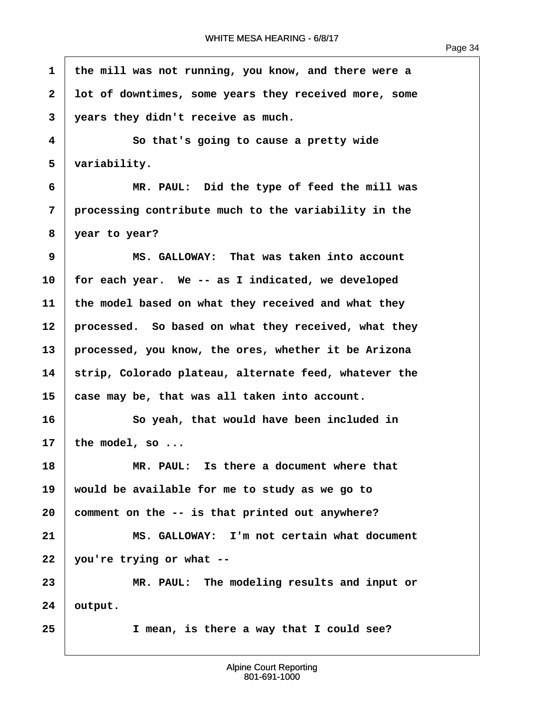Page 34

**·1· ·the mill was not running, you know, and there were a ·2· ·lot of downtimes, some years they received more, some ·3· ·years they didn't receive as much. ·4· · · · · · So that's going to cause a pretty wide** 5 | variability. **·6· · · · · · MR. PAUL:· Did the type of feed the mill was ·7· ·processing contribute much to the variability in the ·8· ·year to year? ·9· · · · · · MS. GALLOWAY:· That was taken into account 10· ·for each year.· We -- as I indicated, we developed 11· ·the model based on what they received and what they** 12 **processed.** So based on what they received, what they **13· ·processed, you know, the ores, whether it be Arizona** 14 Strip, Colorado plateau, alternate feed, whatever the **15· ·case may be, that was all taken into account. 16· · · · · · So yeah, that would have been included in**  $17$  the model, so  $\ldots$ **18· · · · · · MR. PAUL:· Is there a document where that 19· ·would be available for me to study as we go to 20· ·comment on the -- is that printed out anywhere? 21· · · · · · MS. GALLOWAY:· I'm not certain what document 22· ·you're trying or what -- 23· · · · · · MR. PAUL:· The modeling results and input or 24· ·output. 25· · · · · · I mean, is there a way that I could see?**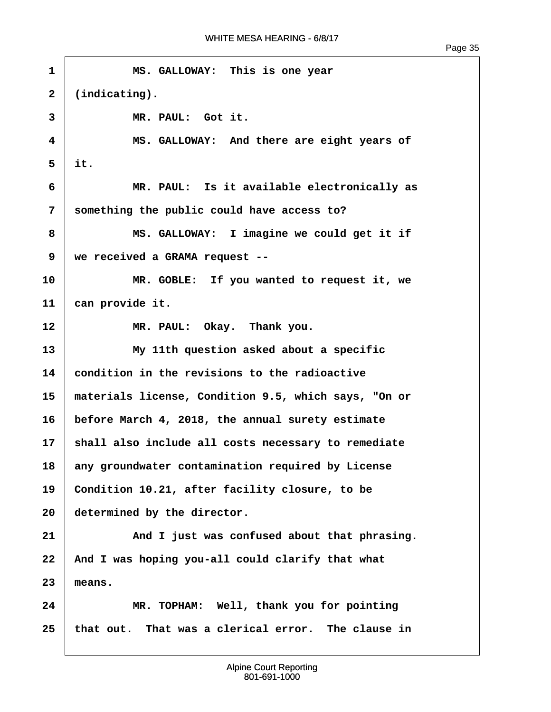| $\mathbf{1}$    | MS. GALLOWAY: This is one year                       |
|-----------------|------------------------------------------------------|
| $\mathbf{2}$    | $(indicating)$ .                                     |
| 3               | MR. PAUL: Got it.                                    |
| 4               | MS. GALLOWAY: And there are eight years of           |
| 5               | it.                                                  |
| 6               | MR. PAUL: Is it available electronically as          |
| 7               | something the public could have access to?           |
| 8               | MS. GALLOWAY: I imagine we could get it if           |
| 9               | we received a GRAMA request --                       |
| 10              | MR. GOBLE: If you wanted to request it, we           |
| 11              | can provide it.                                      |
| 12              | MR. PAUL: Okay. Thank you.                           |
| 13              | My 11th question asked about a specific              |
| 14              | condition in the revisions to the radioactive        |
| 15              | materials license, Condition 9.5, which says, "On or |
| 16              | before March 4, 2018, the annual surety estimate     |
| 17 <sub>1</sub> | shall also include all costs necessary to remediate  |
| 18              | any groundwater contamination required by License    |
| 19              | Condition 10.21, after facility closure, to be       |
| 20              | determined by the director.                          |
| 21              | And I just was confused about that phrasing.         |
| 22              | And I was hoping you-all could clarify that what     |
| 23              | means.                                               |
| 24              | MR. TOPHAM: Well, thank you for pointing             |
| 25              | that out. That was a clerical error. The clause in   |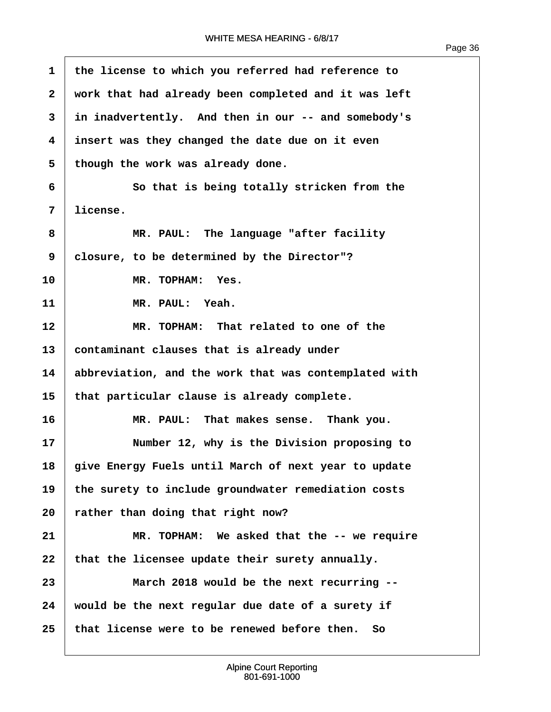| $\mathbf{1}$ | the license to which you referred had reference to    |
|--------------|-------------------------------------------------------|
| $\mathbf{2}$ | work that had already been completed and it was left  |
| 3            | in inadvertently. And then in our -- and somebody's   |
| 4            | insert was they changed the date due on it even       |
| 5            | though the work was already done.                     |
| 6            | So that is being totally stricken from the            |
| 7            | license.                                              |
| 8            | MR. PAUL: The language "after facility                |
| 9            | closure, to be determined by the Director"?           |
| 10           | MR. TOPHAM: Yes.                                      |
| 11           | MR. PAUL: Yeah.                                       |
| $12 \,$      | MR. TOPHAM: That related to one of the                |
| 13           | contaminant clauses that is already under             |
| 14           | abbreviation, and the work that was contemplated with |
| 15           | that particular clause is already complete.           |
| 16           | MR. PAUL: That makes sense. Thank you.                |
| 17           | Number 12, why is the Division proposing to           |
| 18           | give Energy Fuels until March of next year to update  |
| 19           | the surety to include groundwater remediation costs   |
| 20           | rather than doing that right now?                     |
| 21           | MR. TOPHAM: We asked that the -- we require           |
| 22           | that the licensee update their surety annually.       |
| 23           | March 2018 would be the next recurring --             |
| 24           | would be the next regular due date of a surety if     |
| 25           | that license were to be renewed before then.<br>So    |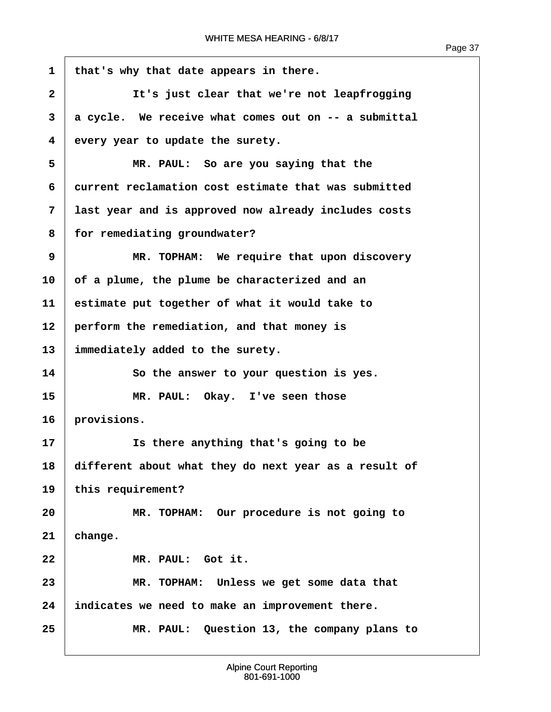1 | that's why that date appears in there. **·2· · · · · · It's just clear that we're not leapfrogging ·3· ·a cycle.· We receive what comes out on -- a submittal ·4· ·every year to update the surety. ·5· · · · · · MR. PAUL:· So are you saying that the ·6· ·current reclamation cost estimate that was submitted ·7· ·last year and is approved now already includes costs ·8· ·for remediating groundwater? ·9· · · · · · MR. TOPHAM:· We require that upon discovery 10· ·of a plume, the plume be characterized and an 11· ·estimate put together of what it would take to 12· ·perform the remediation, and that money is** 13 | immediately added to the surety. **14· · · · · · So the answer to your question is yes.** 15 **\* 15** MR. PAUL: Okay. I've seen those 16 provisions. **17· · · · · · Is there anything that's going to be 18· ·different about what they do next year as a result of** 19 this requirement? **20· · · · · · MR. TOPHAM:· Our procedure is not going to**  $21$  change. 22 MR. PAUL: Got it. **23· · · · · · MR. TOPHAM:· Unless we get some data that 24· ·indicates we need to make an improvement there. 25· · · · · · MR. PAUL:· Question 13, the company plans to**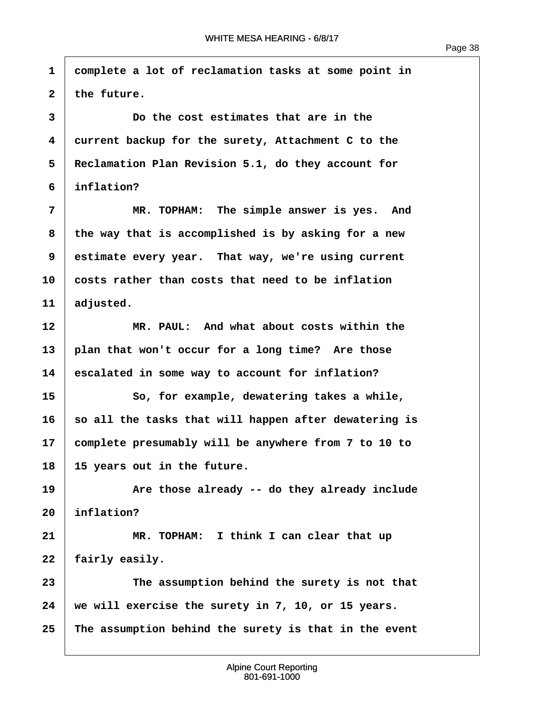**·1· ·complete a lot of reclamation tasks at some point in**  $2$  the future. **·3· · · · · · Do the cost estimates that are in the ·4· ·current backup for the surety, Attachment C to the ·5· ·Reclamation Plan Revision 5.1, do they account for ·6· ·inflation? ·7· · · · · · MR. TOPHAM:· The simple answer is yes.· And ·8· ·the way that is accomplished is by asking for a new 9** estimate every year. That way, we're using current **10· ·costs rather than costs that need to be inflation** 11 adjusted. **12· · · · · · MR. PAUL:· And what about costs within the** 13 plan that won't occur for a long time? Are those **14· ·escalated in some way to account for inflation? 15· · · · · · So, for example, dewatering takes a while, 16· ·so all the tasks that will happen after dewatering is 17· ·complete presumably will be anywhere from 7 to 10 to 18· ·15 years out in the future.** 19 **19** Are those already -- do they already include 20 *inflation?* **21** *I* **<b>MR.** TOPHAM: I think I can clear that up 22 | fairly easily. **23· · · · · · The assumption behind the surety is not that 24· ·we will exercise the surety in 7, 10, or 15 years. 25· ·The assumption behind the surety is that in the event**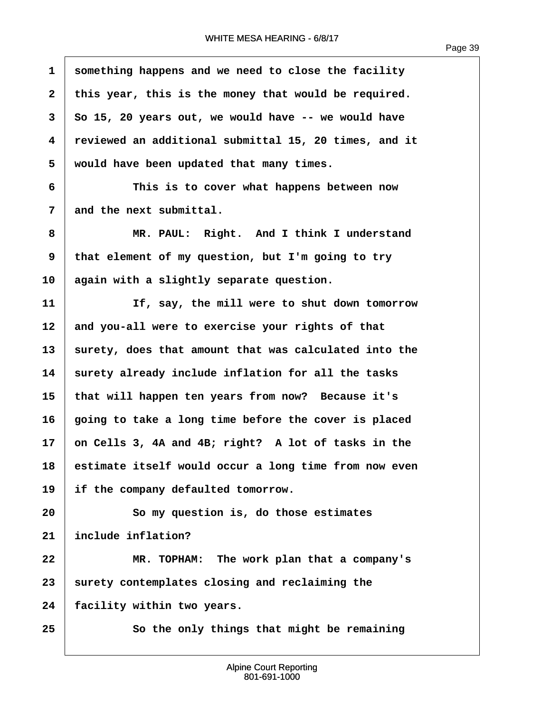$\overline{1}$ 

| $\mathbf{1}$ | something happens and we need to close the facility   |
|--------------|-------------------------------------------------------|
| $\mathbf{2}$ | this year, this is the money that would be required.  |
| 3            | So 15, 20 years out, we would have -- we would have   |
| 4            | reviewed an additional submittal 15, 20 times, and it |
| 5            | would have been updated that many times.              |
| 6            | This is to cover what happens between now             |
| 7            | and the next submittal.                               |
| 8            | MR. PAUL: Right. And I think I understand             |
| 9            | that element of my question, but I'm going to try     |
| 10           | again with a slightly separate question.              |
| 11           | If, say, the mill were to shut down tomorrow          |
| 12           | and you-all were to exercise your rights of that      |
| 13           | surety, does that amount that was calculated into the |
| 14           | surety already include inflation for all the tasks    |
| 15           | that will happen ten years from now? Because it's     |
| 16           | going to take a long time before the cover is placed  |
| 17           | on Cells 3, 4A and 4B; right? A lot of tasks in the   |
| 18           | estimate itself would occur a long time from now even |
| 19           | if the company defaulted tomorrow.                    |
| 20           | So my question is, do those estimates                 |
| 21           | include inflation?                                    |
| 22           | MR. TOPHAM: The work plan that a company's            |
| 23           | surety contemplates closing and reclaiming the        |
| 24           | facility within two years.                            |
| 25           | So the only things that might be remaining            |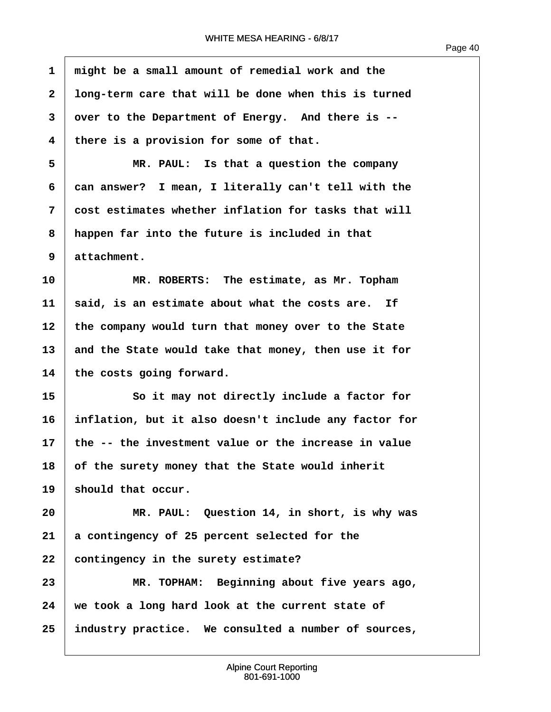| $\mathbf{1}$ | might be a small amount of remedial work and the      |
|--------------|-------------------------------------------------------|
| $\mathbf{2}$ | long-term care that will be done when this is turned  |
| 3            | over to the Department of Energy. And there is --     |
| 4            | there is a provision for some of that.                |
| 5            | MR. PAUL: Is that a question the company              |
| 6            | can answer? I mean, I literally can't tell with the   |
| 7            | cost estimates whether inflation for tasks that will  |
| 8            | happen far into the future is included in that        |
| 9            | attachment.                                           |
| 10           | MR. ROBERTS: The estimate, as Mr. Topham              |
| 11           | said, is an estimate about what the costs are. If     |
| 12           | the company would turn that money over to the State   |
| 13           | and the State would take that money, then use it for  |
| 14           | the costs going forward.                              |
| 15           | So it may not directly include a factor for           |
| 16           | inflation, but it also doesn't include any factor for |
| 17           | the -- the investment value or the increase in value  |
| 18           | of the surety money that the State would inherit      |
| 19           | should that occur.                                    |
| 20           | MR. PAUL: Question 14, in short, is why was           |
| 21           | a contingency of 25 percent selected for the          |
| 22           | contingency in the surety estimate?                   |
| 23           | MR. TOPHAM: Beginning about five years ago,           |
| 24           | we took a long hard look at the current state of      |
| 25           | industry practice. We consulted a number of sources,  |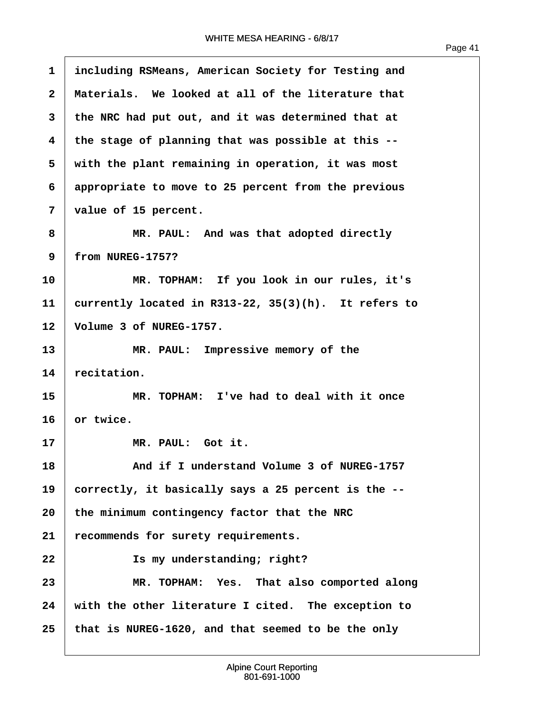| 1                       | including RSMeans, American Society for Testing and        |
|-------------------------|------------------------------------------------------------|
| $\overline{\mathbf{2}}$ | Materials. We looked at all of the literature that         |
| 3                       | the NRC had put out, and it was determined that at         |
| $\overline{\mathbf{4}}$ | the stage of planning that was possible at this --         |
| 5                       | with the plant remaining in operation, it was most         |
| 6                       | appropriate to move to 25 percent from the previous        |
| 7                       | value of 15 percent.                                       |
| 8                       | MR. PAUL: And was that adopted directly                    |
| 9                       | from NUREG-1757?                                           |
| 10                      | MR. TOPHAM: If you look in our rules, it's                 |
| 11                      | currently located in $R313-22$ , $35(3)(h)$ . It refers to |
| 12                      | Volume 3 of NUREG-1757.                                    |
| 13                      | MR. PAUL: Impressive memory of the                         |
| 14                      | recitation.                                                |
| 15                      | MR. TOPHAM: I've had to deal with it once                  |
| 16                      | or twice.                                                  |
| 17                      | MR. PAUL: Got it.                                          |
| 18                      | And if I understand Volume 3 of NUREG-1757                 |
| 19                      | correctly, it basically says a 25 percent is the --        |
| 20                      | the minimum contingency factor that the NRC                |
| 21                      | recommends for surety requirements.                        |
| 22                      | Is my understanding; right?                                |
| 23                      | MR. TOPHAM: Yes. That also comported along                 |
| 24                      | with the other literature I cited. The exception to        |
| 25                      | that is NUREG-1620, and that seemed to be the only         |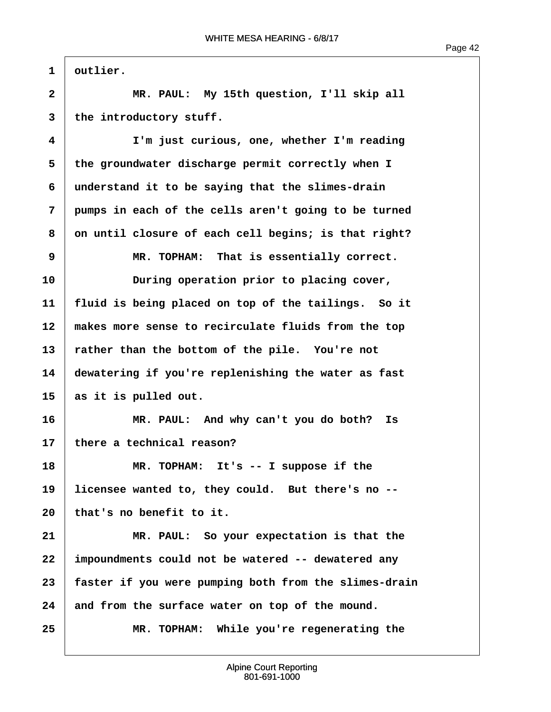Page 42

1 | outlier. **·2· · · · · · MR. PAUL:· My 15th question, I'll skip all** 3 the introductory stuff. **·4· · · · · · I'm just curious, one, whether I'm reading ·5· ·the groundwater discharge permit correctly when I ·6· ·understand it to be saying that the slimes-drain ·7· ·pumps in each of the cells aren't going to be turned ·8· ·on until closure of each cell begins; is that right? 9 1** MR. TOPHAM: That is essentially correct. **10· · · · · · During operation prior to placing cover, 11· ·fluid is being placed on top of the tailings.· So it** 12 makes more sense to recirculate fluids from the top 13 Tather than the bottom of the pile. You're not **14· ·dewatering if you're replenishing the water as fast 15· ·as it is pulled out. 16· · · · · · MR. PAUL:· And why can't you do both?· Is 17· ·there a technical reason?** 18 MR. TOPHAM: It's -- I suppose if the 19 Iicensee wanted to, they could. But there's no --**20· ·that's no benefit to it. 21· · · · · · MR. PAUL:· So your expectation is that the 22· ·impoundments could not be watered -- dewatered any 23· ·faster if you were pumping both from the slimes-drain** 24 and from the surface water on top of the mound. **25· · · · · · MR. TOPHAM:· While you're regenerating the**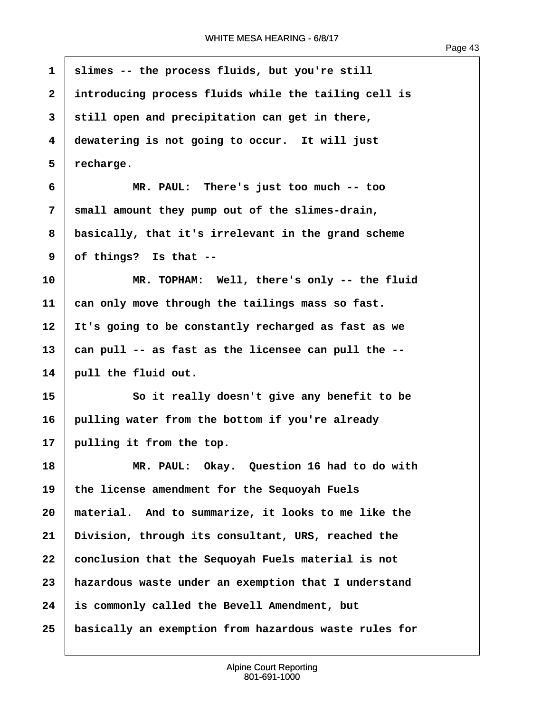$\overline{1}$ 

| 1            | slimes -- the process fluids, but you're still        |
|--------------|-------------------------------------------------------|
| $\mathbf{2}$ | introducing process fluids while the tailing cell is  |
| 3            | still open and precipitation can get in there,        |
| 4            | dewatering is not going to occur. It will just        |
| 5            | recharge.                                             |
| 6            | MR. PAUL: There's just too much -- too                |
| 7            | small amount they pump out of the slimes-drain,       |
| 8            | basically, that it's irrelevant in the grand scheme   |
| 9            | of things? Is that --                                 |
| 10           | MR. TOPHAM: Well, there's only -- the fluid           |
| 11           | can only move through the tailings mass so fast.      |
| 12           | It's going to be constantly recharged as fast as we   |
| 13           | can pull -- as fast as the licensee can pull the --   |
| 14           | pull the fluid out.                                   |
| 15           | So it really doesn't give any benefit to be           |
| 16           | pulling water from the bottom if you're already       |
| 17           | pulling it from the top.                              |
| 18           | MR. PAUL: Okay. Question 16 had to do with            |
| 19           | the license amendment for the Sequoyah Fuels          |
| 20           | material. And to summarize, it looks to me like the   |
| 21           | Division, through its consultant, URS, reached the    |
| 22           | conclusion that the Sequoyah Fuels material is not    |
| 23           | hazardous waste under an exemption that I understand  |
| 24           | is commonly called the Bevell Amendment, but          |
| 25           | basically an exemption from hazardous waste rules for |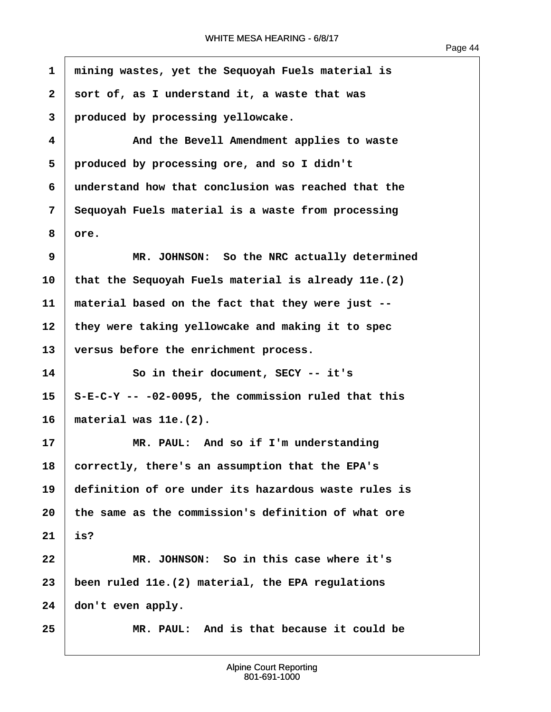$\sqrt{ }$ 

| $\mathbf{1}$ | mining wastes, yet the Sequoyah Fuels material is     |
|--------------|-------------------------------------------------------|
| $\mathbf{2}$ | sort of, as I understand it, a waste that was         |
| 3            | produced by processing yellowcake.                    |
| 4            | And the Bevell Amendment applies to waste             |
| 5            | produced by processing ore, and so I didn't           |
| 6            | understand how that conclusion was reached that the   |
| 7            | Sequoyah Fuels material is a waste from processing    |
| 8            | ore.                                                  |
| 9            | MR. JOHNSON: So the NRC actually determined           |
| 10           | that the Sequoyah Fuels material is already 11e. (2)  |
| 11           | material based on the fact that they were just --     |
| 12           | they were taking yellowcake and making it to spec     |
| 13           | versus before the enrichment process.                 |
| 14           | So in their document, SECY -- it's                    |
| 15           | $S-E-C-Y$ -- -02-0095, the commission ruled that this |
| 16           | material was 11e.(2).                                 |
| 17           | MR. PAUL: And so if I'm understanding                 |
| 18           | correctly, there's an assumption that the EPA's       |
| 19           | definition of ore under its hazardous waste rules is  |
| 20           | the same as the commission's definition of what ore   |
| 21           | is?                                                   |
| 22           | MR. JOHNSON: So in this case where it's               |
| 23           | been ruled 11e. (2) material, the EPA regulations     |
| 24           | don't even apply.                                     |
| 25           | MR. PAUL: And is that because it could be             |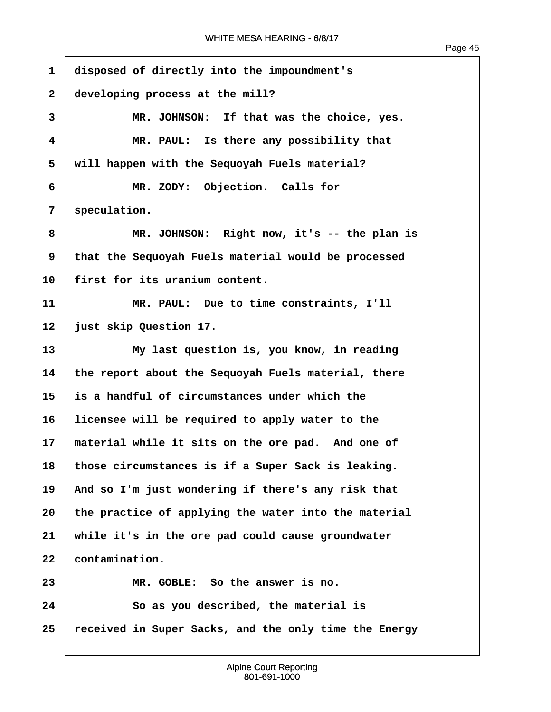$\overline{1}$ 

| 1            | disposed of directly into the impoundment's           |
|--------------|-------------------------------------------------------|
| $\mathbf{2}$ | developing process at the mill?                       |
| 3            | MR. JOHNSON: If that was the choice, yes.             |
| 4            | MR. PAUL: Is there any possibility that               |
| 5            | will happen with the Sequoyah Fuels material?         |
| 6            | MR. ZODY: Objection. Calls for                        |
| 7            | speculation.                                          |
| 8            | MR. JOHNSON: Right now, it's -- the plan is           |
| 9            | that the Sequoyah Fuels material would be processed   |
| 10           | first for its uranium content.                        |
| 11           | MR. PAUL: Due to time constraints, I'll               |
| 12           | just skip Question 17.                                |
| 13           | My last question is, you know, in reading             |
| 14           | the report about the Sequoyah Fuels material, there   |
| 15           | is a handful of circumstances under which the         |
| 16           | licensee will be required to apply water to the       |
| 17           | material while it sits on the ore pad. And one of     |
| 18           | those circumstances is if a Super Sack is leaking.    |
| 19           | And so I'm just wondering if there's any risk that    |
| 20           | the practice of applying the water into the material  |
| 21           | while it's in the ore pad could cause groundwater     |
| 22           | contamination.                                        |
| 23           | MR. GOBLE: So the answer is no.                       |
| 24           | So as you described, the material is                  |
| 25           | received in Super Sacks, and the only time the Energy |
|              |                                                       |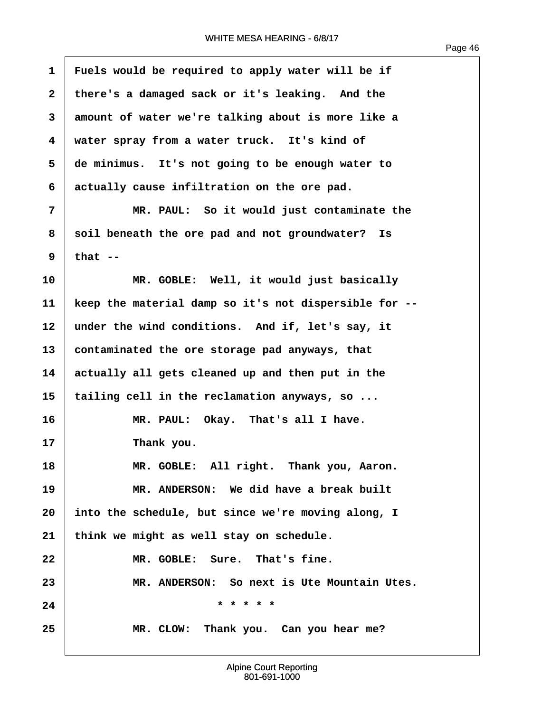| $\mathbf{1}$ | Fuels would be required to apply water will be if     |
|--------------|-------------------------------------------------------|
| $\mathbf{2}$ | there's a damaged sack or it's leaking. And the       |
| 3            | amount of water we're talking about is more like a    |
| 4            | water spray from a water truck. It's kind of          |
| 5            | de minimus. It's not going to be enough water to      |
| 6            | actually cause infiltration on the ore pad.           |
| 7            | MR. PAUL: So it would just contaminate the            |
| 8            | soil beneath the ore pad and not groundwater? Is      |
| 9            | that $--$                                             |
| 10           | MR. GOBLE: Well, it would just basically              |
| 11           | keep the material damp so it's not dispersible for -- |
| 12           | under the wind conditions. And if, let's say, it      |
| 13           | contaminated the ore storage pad anyways, that        |
| 14           | actually all gets cleaned up and then put in the      |
| 15           | tailing cell in the reclamation anyways, so           |
| 16           | MR. PAUL: Okay. That's all I have.                    |
| 17           | Thank you.                                            |
| 18           | MR. GOBLE: All right. Thank you, Aaron.               |
| 19           | MR. ANDERSON: We did have a break built               |
| 20           | into the schedule, but since we're moving along, I    |
| 21           | think we might as well stay on schedule.              |
| 22           | MR. GOBLE: Sure. That's fine.                         |
| 23           | MR. ANDERSON: So next is Ute Mountain Utes.           |
| 24           | * * * * *                                             |
| 25           | MR. CLOW: Thank you. Can you hear me?                 |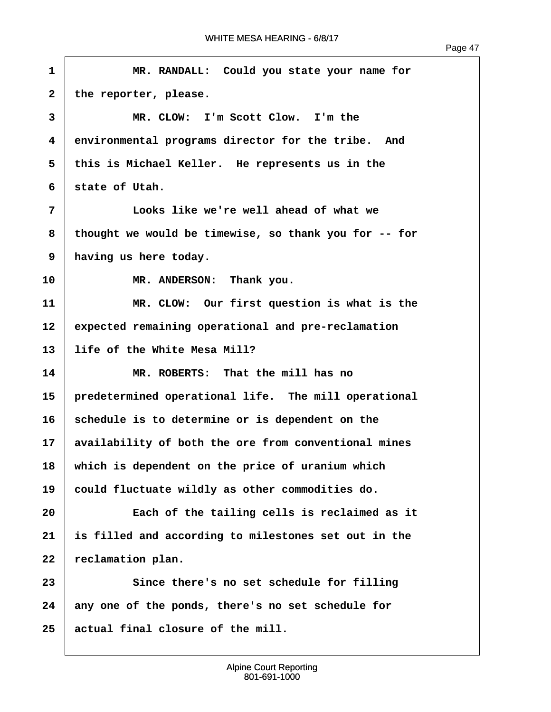| Ω<br>ı<br>Ξ |  |
|-------------|--|
|             |  |

```
·1· · · · · · MR. RANDALL:· Could you state your name for
2 the reporter, please.
 ·3· · · · · · MR. CLOW:· I'm Scott Clow.· I'm the
 ·4· ·environmental programs director for the tribe.· And
 ·5· ·this is Michael Keller.· He represents us in the
 ·6· ·state of Utah.
 ·7· · · · · · Looks like we're well ahead of what we
 ·8· ·thought we would be timewise, so thank you for -- for
·9· ·having us here today.
10 MR. ANDERSON: Thank you.
11 11 MR. CLOW: Our first question is what is the
12 expected remaining operational and pre-reclamation
13· ·life of the White Mesa Mill?
14· · · · · · MR. ROBERTS:· That the mill has no
15· ·predetermined operational life.· The mill operational
16 Schedule is to determine or is dependent on the
17· ·availability of both the ore from conventional mines
18· ·which is dependent on the price of uranium which
19 could fluctuate wildly as other commodities do.
20· · · · · · Each of the tailing cells is reclaimed as it
21· ·is filled and according to milestones set out in the
22 reclamation plan.
23· · · · · · Since there's no set schedule for filling
24· ·any one of the ponds, there's no set schedule for
25· ·actual final closure of the mill.
```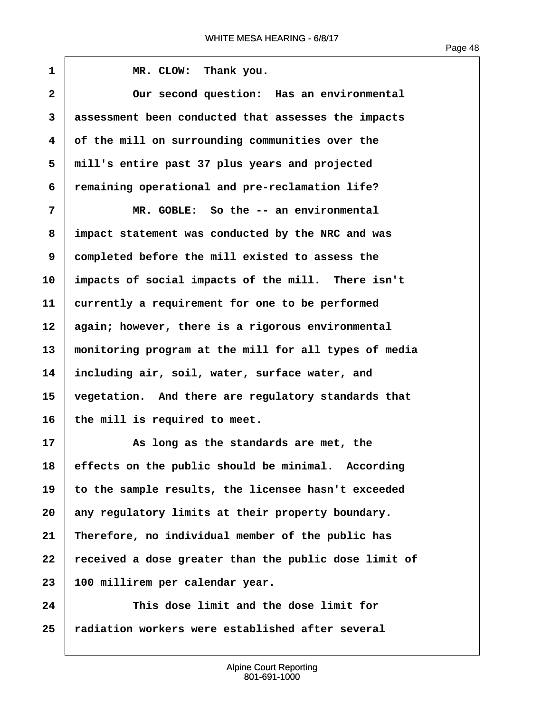$\sqrt{ }$ 

| 1              | MR. CLOW: Thank you.                                  |
|----------------|-------------------------------------------------------|
| $\overline{2}$ | Our second question: Has an environmental             |
| 3              | assessment been conducted that assesses the impacts   |
| 4              | of the mill on surrounding communities over the       |
| 5              | mill's entire past 37 plus years and projected        |
| 6              | remaining operational and pre-reclamation life?       |
| 7              | MR. GOBLE: So the -- an environmental                 |
| 8              | impact statement was conducted by the NRC and was     |
| 9              | completed before the mill existed to assess the       |
| 10             | impacts of social impacts of the mill. There isn't    |
| 11             | currently a requirement for one to be performed       |
| 12             | again; however, there is a rigorous environmental     |
| 13             | monitoring program at the mill for all types of media |
| 14             | including air, soil, water, surface water, and        |
| 15             | vegetation. And there are regulatory standards that   |
| 16             | the mill is required to meet.                         |
| 17             | As long as the standards are met, the                 |
| 18             | effects on the public should be minimal. According    |
| 19             | to the sample results, the licensee hasn't exceeded   |
| 20             | any regulatory limits at their property boundary.     |
| 21             | Therefore, no individual member of the public has     |
| 22             | received a dose greater than the public dose limit of |
| 23             | 100 millirem per calendar year.                       |
| 24             | This dose limit and the dose limit for                |
| 25             | radiation workers were established after several      |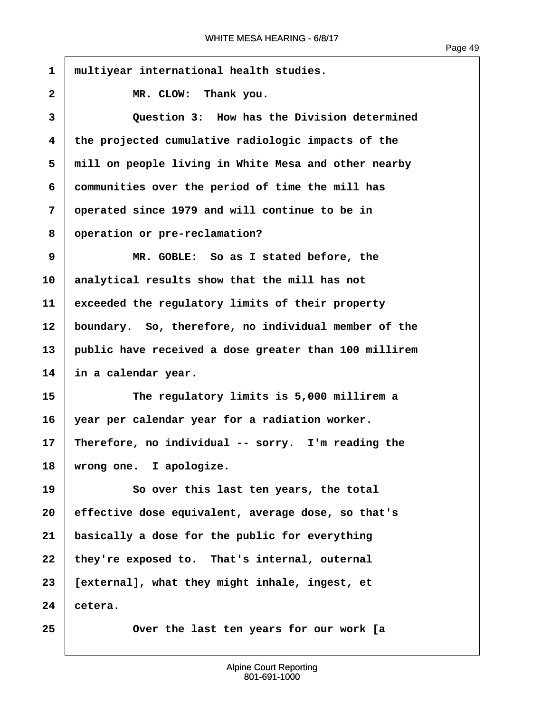1 multiyear international health studies. 2 **IDER. CLOW: Thank you. ·3· · · · · · Question 3:· How has the Division determined ·4· ·the projected cumulative radiologic impacts of the ·5· ·mill on people living in White Mesa and other nearby ·6· ·communities over the period of time the mill has ·7· ·operated since 1979 and will continue to be in ·8· ·operation or pre-reclamation? ·9· · · · · · MR. GOBLE:· So as I stated before, the 10· ·analytical results show that the mill has not 11· ·exceeded the regulatory limits of their property** 12 **boundary.** So, therefore, no individual member of the **13· ·public have received a dose greater than 100 millirem 14· ·in a calendar year. 15· · · · · · The regulatory limits is 5,000 millirem a 16· ·year per calendar year for a radiation worker. 17· ·Therefore, no individual -- sorry.· I'm reading the** 18 | wrong one. I apologize. **19** *So over this last ten years, the total* **20· ·effective dose equivalent, average dose, so that's 21· ·basically a dose for the public for everything** 22 they're exposed to. That's internal, outernal **23· ·[external], what they might inhale, ingest, et**  $24$  cetera. **25· · · · · · Over the last ten years for our work [a**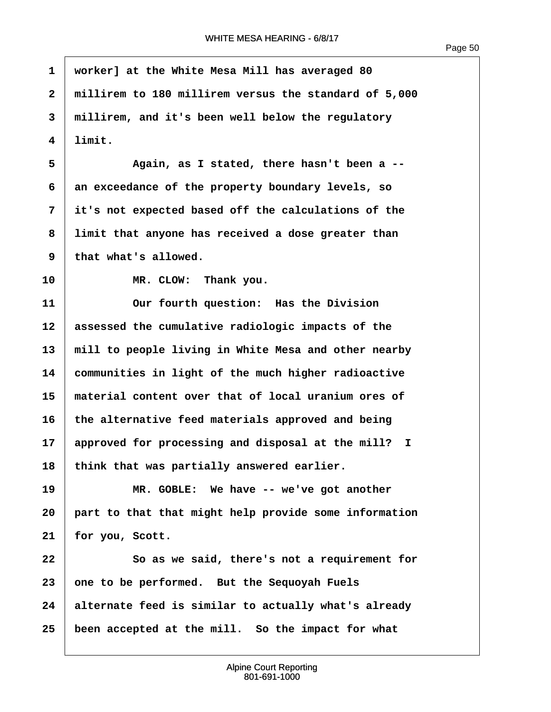$\sqrt{ }$ 

| $\mathbf{1}$ | worker] at the White Mesa Mill has averaged 80        |
|--------------|-------------------------------------------------------|
| $\mathbf{2}$ | millirem to 180 millirem versus the standard of 5,000 |
| 3            | millirem, and it's been well below the regulatory     |
| 4            | limit.                                                |
| 5            | Again, as I stated, there hasn't been a --            |
| 6            | an exceedance of the property boundary levels, so     |
| 7            | it's not expected based off the calculations of the   |
| 8            | limit that anyone has received a dose greater than    |
| 9            | that what's allowed.                                  |
| 10           | MR. CLOW: Thank you.                                  |
| 11           | Our fourth question: Has the Division                 |
| 12           | assessed the cumulative radiologic impacts of the     |
| 13           | mill to people living in White Mesa and other nearby  |
| 14           | communities in light of the much higher radioactive   |
| 15           | material content over that of local uranium ores of   |
| 16           | the alternative feed materials approved and being     |
| 17           | approved for processing and disposal at the mill? I   |
| 18           | think that was partially answered earlier.            |
| 19           | MR. GOBLE: We have -- we've got another               |
| 20           | part to that that might help provide some information |
| 21           | for you, Scott.                                       |
| 22           | So as we said, there's not a requirement for          |
| 23           | one to be performed. But the Sequoyah Fuels           |
| 24           | alternate feed is similar to actually what's already  |
| 25           | been accepted at the mill. So the impact for what     |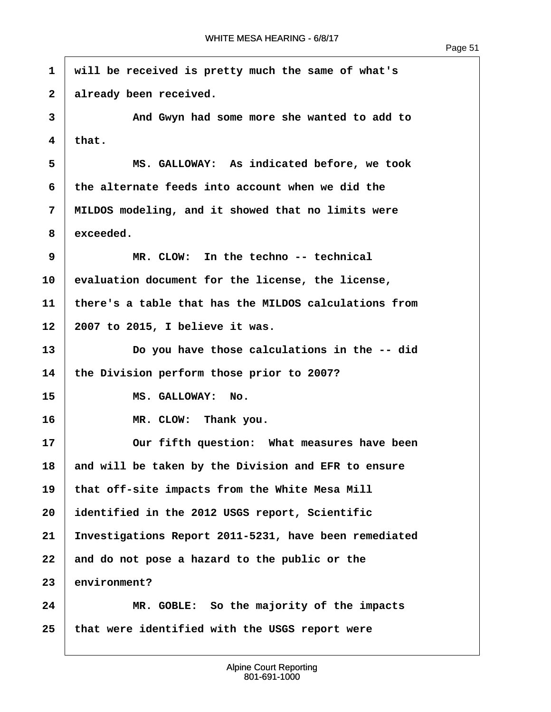$\overline{1}$ 

| $\mathbf{1}$ | will be received is pretty much the same of what's    |
|--------------|-------------------------------------------------------|
| $\mathbf{2}$ | already been received.                                |
| 3            | And Gwyn had some more she wanted to add to           |
| 4            | that.                                                 |
| 5            | MS. GALLOWAY: As indicated before, we took            |
| 6            | the alternate feeds into account when we did the      |
| 7            | MILDOS modeling, and it showed that no limits were    |
| 8            | exceeded.                                             |
| 9            | MR. CLOW: In the techno -- technical                  |
| 10           | evaluation document for the license, the license,     |
| 11           | there's a table that has the MILDOS calculations from |
| 12           | 2007 to 2015, I believe it was.                       |
| 13           | Do you have those calculations in the -- did          |
| 14           | the Division perform those prior to 2007?             |
| 15           | MS. GALLOWAY: No.                                     |
| 16           | MR. CLOW: Thank you.                                  |
| 17           | Our fifth question: What measures have been           |
| 18           | and will be taken by the Division and EFR to ensure   |
| 19           | that off-site impacts from the White Mesa Mill        |
| 20           | identified in the 2012 USGS report, Scientific        |
| 21           | Investigations Report 2011-5231, have been remediated |
| 22           | and do not pose a hazard to the public or the         |
| 23           | environment?                                          |
| 24           | MR. GOBLE: So the majority of the impacts             |
| 25           | that were identified with the USGS report were        |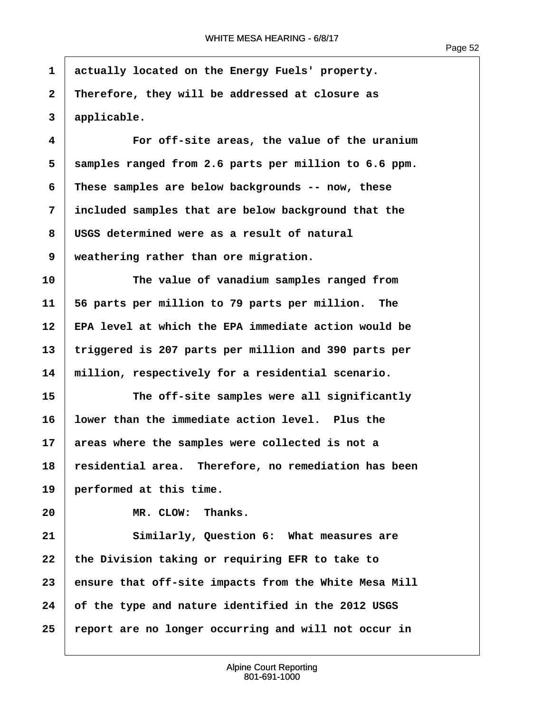**·1· ·actually located on the Energy Fuels' property. ·2· ·Therefore, they will be addressed at closure as ·3· ·applicable.**

**·4· · · · · · For off-site areas, the value of the uranium ·5· ·samples ranged from 2.6 parts per million to 6.6 ppm. ·6· ·These samples are below backgrounds -- now, these ·7· ·included samples that are below background that the ·8· ·USGS determined were as a result of natural 9** | weathering rather than ore migration.

**10· · · · · · The value of vanadium samples ranged from 11· ·56 parts per million to 79 parts per million.· The 12· ·EPA level at which the EPA immediate action would be 13· ·triggered is 207 parts per million and 390 parts per 14· ·million, respectively for a residential scenario.**

**15· · · · · · The off-site samples were all significantly 16· ·lower than the immediate action level.· Plus the** 17 areas where the samples were collected is not a **18· ·residential area.· Therefore, no remediation has been 19· ·performed at this time.**

20 **IDENET IN MR. CLOW: Thanks.** 

**21· · · · · · Similarly, Question 6:· What measures are** 22 the Division taking or requiring EFR to take to **23· ·ensure that off-site impacts from the White Mesa Mill 24· ·of the type and nature identified in the 2012 USGS 25· ·report are no longer occurring and will not occur in**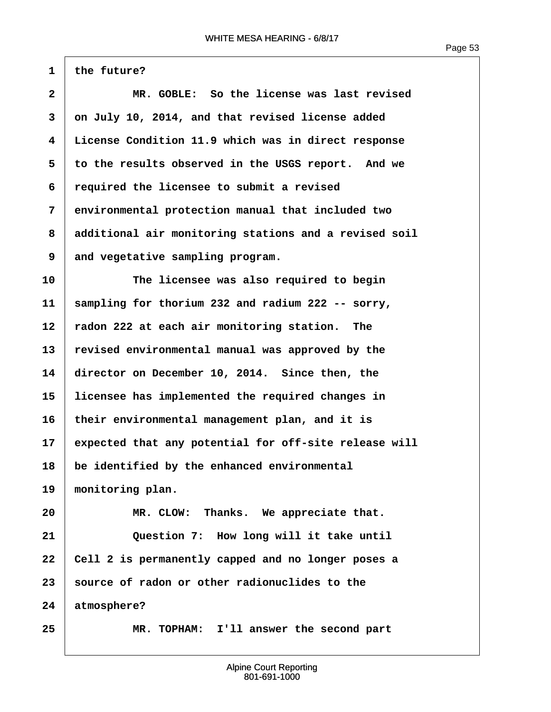$1$  the future?

| $\overline{2}$ | MR. GOBLE: So the license was last revised            |
|----------------|-------------------------------------------------------|
| 3              | on July 10, 2014, and that revised license added      |
| 4              | License Condition 11.9 which was in direct response   |
| 5              | to the results observed in the USGS report. And we    |
| 6              | required the licensee to submit a revised             |
| 7              | environmental protection manual that included two     |
| 8              | additional air monitoring stations and a revised soil |
| 9              | and vegetative sampling program.                      |
| 10             | The licensee was also required to begin               |
| 11             | sampling for thorium 232 and radium 222 -- sorry,     |
| 12             | radon 222 at each air monitoring station. The         |
| 13             | revised environmental manual was approved by the      |
| 14             | director on December 10, 2014. Since then, the        |
| 15             | licensee has implemented the required changes in      |
| 16             | their environmental management plan, and it is        |
| 17             | expected that any potential for off-site release will |
| 18             | be identified by the enhanced environmental           |
| 19             | monitoring plan.                                      |
| 20             | MR. CLOW: Thanks. We appreciate that.                 |
| 21             | Question 7: How long will it take until               |
| 22             | Cell 2 is permanently capped and no longer poses a    |
| 23             | source of radon or other radionuclides to the         |
| 24             | atmosphere?                                           |
| 25             | MR. TOPHAM: I'll answer the second part               |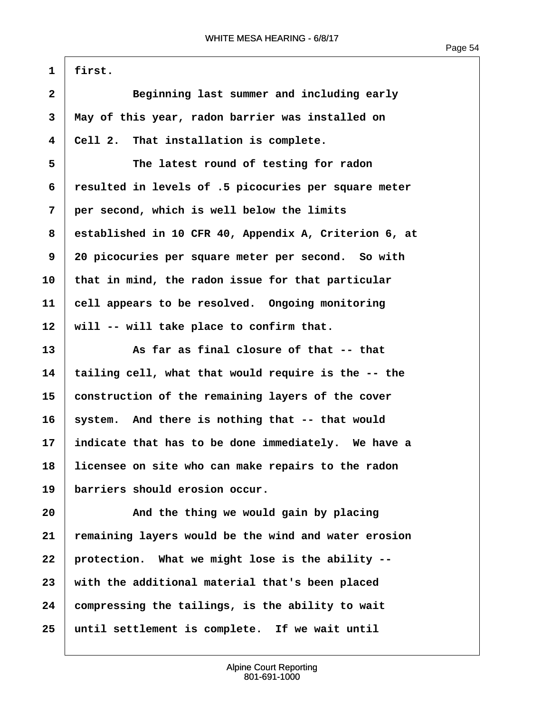Page 54

 $1$  | first.

| $\overline{\mathbf{2}}$ | Beginning last summer and including early             |
|-------------------------|-------------------------------------------------------|
| 3                       | May of this year, radon barrier was installed on      |
| 4                       | Cell 2. That installation is complete.                |
| 5                       | The latest round of testing for radon                 |
| 6                       | resulted in levels of .5 picocuries per square meter  |
| 7                       | per second, which is well below the limits            |
| 8                       | established in 10 CFR 40, Appendix A, Criterion 6, at |
| 9                       | 20 picocuries per square meter per second. So with    |
| 10                      | that in mind, the radon issue for that particular     |
| 11                      | cell appears to be resolved. Ongoing monitoring       |
| 12                      | will -- will take place to confirm that.              |
| 13                      | As far as final closure of that -- that               |
| 14                      | tailing cell, what that would require is the -- the   |
| 15                      | construction of the remaining layers of the cover     |
| 16                      | system. And there is nothing that -- that would       |
| 17                      | indicate that has to be done immediately. We have a   |
| 18                      | licensee on site who can make repairs to the radon    |
| 19                      | barriers should erosion occur.                        |
| 20                      | And the thing we would gain by placing                |
| 21                      | remaining layers would be the wind and water erosion  |
| 22                      | protection. What we might lose is the ability --      |
| 23                      | with the additional material that's been placed       |
| 24                      | compressing the tailings, is the ability to wait      |
| 25                      | until settlement is complete. If we wait until        |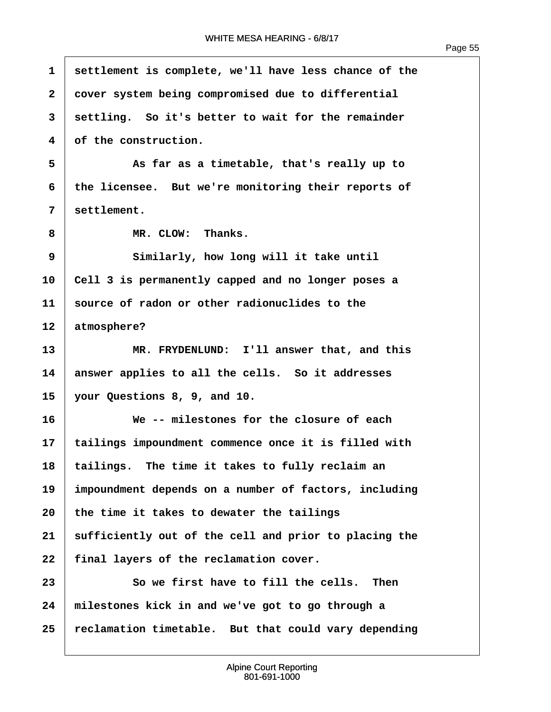ľ

| $\mathbf{1}$            | settlement is complete, we'll have less chance of the |
|-------------------------|-------------------------------------------------------|
| $\overline{\mathbf{2}}$ | cover system being compromised due to differential    |
| 3                       | settling. So it's better to wait for the remainder    |
| $\overline{\mathbf{4}}$ | of the construction.                                  |
| 5                       | As far as a timetable, that's really up to            |
| 6                       | the licensee. But we're monitoring their reports of   |
| 7                       | settlement.                                           |
| 8                       | MR. CLOW: Thanks.                                     |
| 9                       | Similarly, how long will it take until                |
| 10                      | Cell 3 is permanently capped and no longer poses a    |
| 11                      | source of radon or other radionuclides to the         |
| 12                      | atmosphere?                                           |
| 13                      | MR. FRYDENLUND: I'll answer that, and this            |
| 14                      | answer applies to all the cells. So it addresses      |
| 15                      | your Questions 8, 9, and 10.                          |
| 16                      | We -- milestones for the closure of each              |
| 17                      | tailings impoundment commence once it is filled with  |
| 18                      | tailings. The time it takes to fully reclaim an       |
| 19                      | impoundment depends on a number of factors, including |
| 20                      | the time it takes to dewater the tailings             |
| 21                      | sufficiently out of the cell and prior to placing the |
| 22                      | final layers of the reclamation cover.                |
| 23                      | So we first have to fill the cells. Then              |
| 24                      | milestones kick in and we've got to go through a      |
| 25                      | reclamation timetable. But that could vary depending  |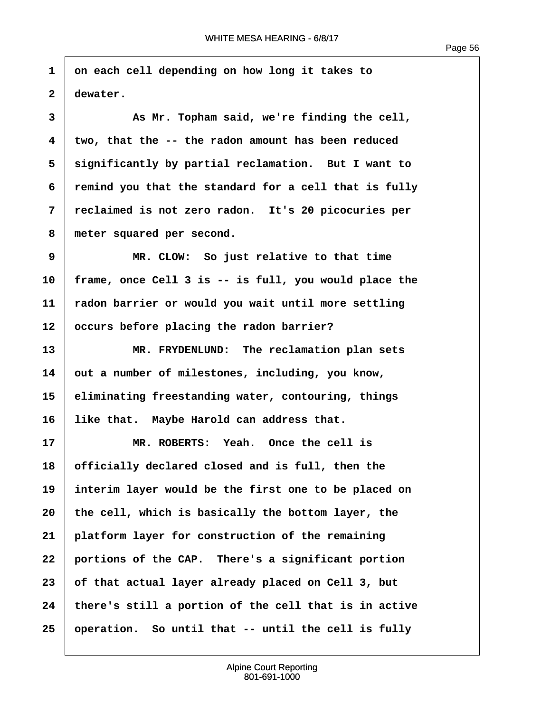Page 56

**·1· ·on each cell depending on how long it takes to**  $2 \mid$  dewater.

**·3· · · · · · As Mr. Topham said, we're finding the cell, ·4· ·two, that the -- the radon amount has been reduced ·5· ·significantly by partial reclamation.· But I want to ·6· ·remind you that the standard for a cell that is fully ·7· ·reclaimed is not zero radon.· It's 20 picocuries per** 8 meter squared per second.

**·9· · · · · · MR. CLOW:· So just relative to that time 10· ·frame, once Cell 3 is -- is full, you would place the 11· ·radon barrier or would you wait until more settling** 12 | occurs before placing the radon barrier?

**13· · · · · · MR. FRYDENLUND:· The reclamation plan sets** 14 out a number of milestones, including, you know, **15· ·eliminating freestanding water, contouring, things** 16 Iike that. Maybe Harold can address that.

**17· · · · · · MR. ROBERTS:· Yeah.· Once the cell is 18· ·officially declared closed and is full, then the 19· ·interim layer would be the first one to be placed on** 20 the cell, which is basically the bottom layer, the **21· ·platform layer for construction of the remaining 22· ·portions of the CAP.· There's a significant portion 23· ·of that actual layer already placed on Cell 3, but 24· ·there's still a portion of the cell that is in active 25· ·operation.· So until that -- until the cell is fully**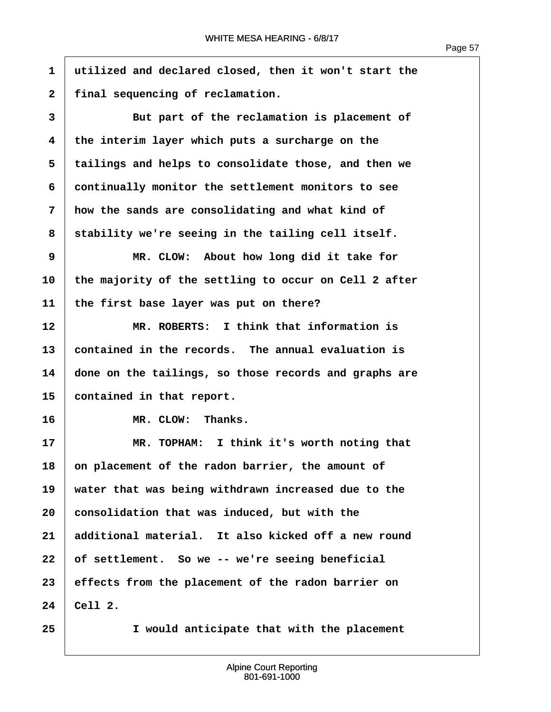**·1· ·utilized and declared closed, then it won't start the** 2 | final sequencing of reclamation. **·3· · · · · · But part of the reclamation is placement of ·4· ·the interim layer which puts a surcharge on the ·5· ·tailings and helps to consolidate those, and then we ·6· ·continually monitor the settlement monitors to see ·7· ·how the sands are consolidating and what kind of ·8· ·stability we're seeing in the tailing cell itself. ·9· · · · · · MR. CLOW:· About how long did it take for 10· ·the majority of the settling to occur on Cell 2 after** 11 | the first base layer was put on there? **12· · · · · · MR. ROBERTS:· I think that information is 13· ·contained in the records.· The annual evaluation is 14· ·done on the tailings, so those records and graphs are** 15 **contained in that report.** 16 **In Section MR. CLOW: Thanks. 17· · · · · · MR. TOPHAM:· I think it's worth noting that 18· ·on placement of the radon barrier, the amount of** 19 | water that was being withdrawn increased due to the **20· ·consolidation that was induced, but with the 21· ·additional material.· It also kicked off a new round** 22 of settlement. So we -- we're seeing beneficial **23· ·effects from the placement of the radon barrier on**  $24$  Cell 2. **25· · · · · · I would anticipate that with the placement**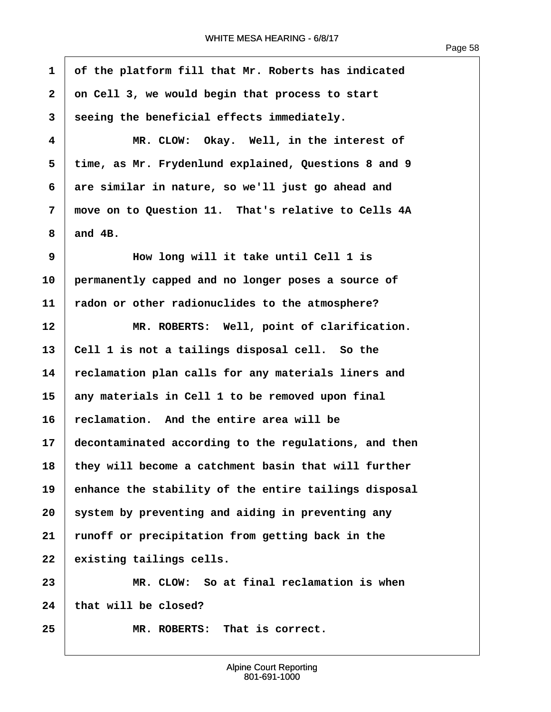**·1· ·of the platform fill that Mr. Roberts has indicated ·2· ·on Cell 3, we would begin that process to start ·3· ·seeing the beneficial effects immediately. ·4· · · · · · MR. CLOW:· Okay.· Well, in the interest of ·5· ·time, as Mr. Frydenlund explained, Questions 8 and 9 ·6· ·are similar in nature, so we'll just go ahead and ·7· ·move on to Question 11.· That's relative to Cells 4A**  $8 \parallel$  and  $4B$ . **·9· · · · · · How long will it take until Cell 1 is 10· ·permanently capped and no longer poses a source of 11· ·radon or other radionuclides to the atmosphere?** 12 WR. ROBERTS: Well, point of clarification. 13 | Cell 1 is not a tailings disposal cell. So the **14· ·reclamation plan calls for any materials liners and 15· ·any materials in Cell 1 to be removed upon final 16· ·reclamation.· And the entire area will be 17· ·decontaminated according to the regulations, and then 18· ·they will become a catchment basin that will further 19· ·enhance the stability of the entire tailings disposal 20· ·system by preventing and aiding in preventing any 21· ·runoff or precipitation from getting back in the** 22 existing tailings cells. **23· · · · · · MR. CLOW:· So at final reclamation is when** 24 that will be closed? **25· · · · · · MR. ROBERTS:· That is correct.**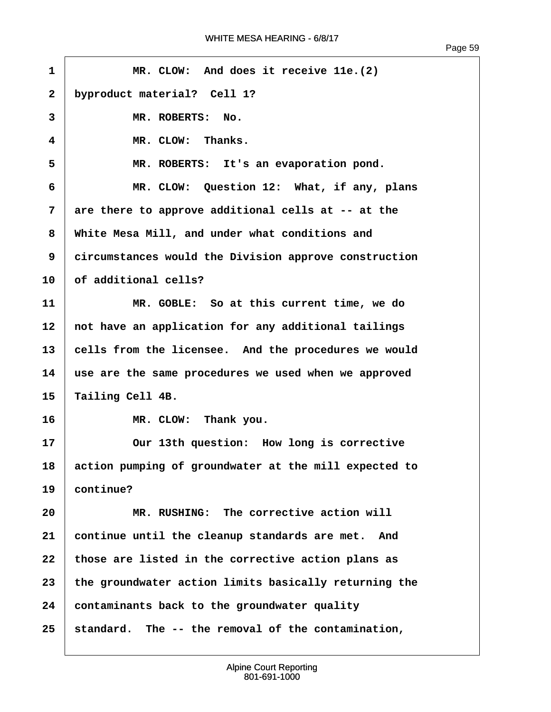| 1            | MR. CLOW: And does it receive 11e. (2)                |
|--------------|-------------------------------------------------------|
| $\mathbf{2}$ | byproduct material? Cell 1?                           |
| 3            | MR. ROBERTS: No.                                      |
| 4            | MR. CLOW: Thanks.                                     |
| 5            | MR. ROBERTS: It's an evaporation pond.                |
| 6            | MR. CLOW: Question 12: What, if any, plans            |
| 7            | are there to approve additional cells at -- at the    |
| 8            | White Mesa Mill, and under what conditions and        |
| 9            | circumstances would the Division approve construction |
| 10           | of additional cells?                                  |
| 11           | MR. GOBLE: So at this current time, we do             |
| 12           | not have an application for any additional tailings   |
| 13           | cells from the licensee. And the procedures we would  |
| 14           | use are the same procedures we used when we approved  |
| 15           | Tailing Cell 4B.                                      |
| 16           | MR. CLOW: Thank you.                                  |
| 17           | Our 13th question: How long is corrective             |
| 18           | action pumping of groundwater at the mill expected to |
| 19           | continue?                                             |
| 20           | MR. RUSHING: The corrective action will               |
| 21           | continue until the cleanup standards are met. And     |
| 22           | those are listed in the corrective action plans as    |
| 23           | the groundwater action limits basically returning the |
| 24           | contaminants back to the groundwater quality          |
| 25           | standard. The -- the removal of the contamination,    |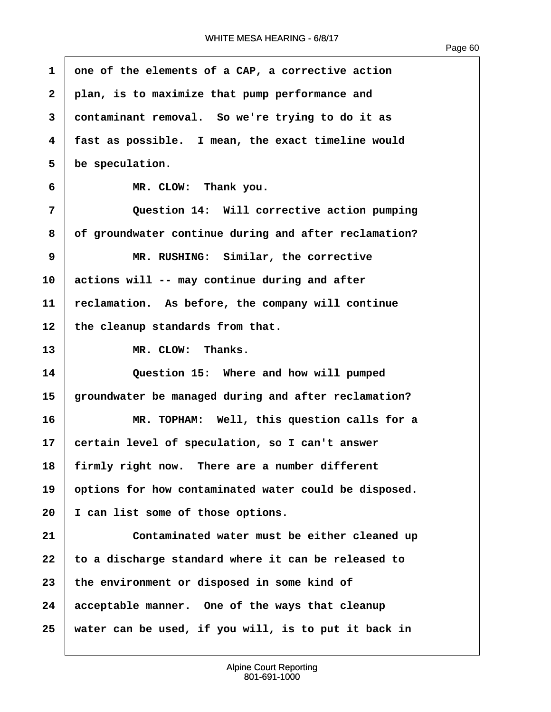| 1  | one of the elements of a CAP, a corrective action     |
|----|-------------------------------------------------------|
| 2  | plan, is to maximize that pump performance and        |
| 3  | contaminant removal. So we're trying to do it as      |
| 4  | fast as possible. I mean, the exact timeline would    |
| 5  | be speculation.                                       |
| 6  | MR. CLOW: Thank you.                                  |
| 7  | Question 14: Will corrective action pumping           |
| 8  | of groundwater continue during and after reclamation? |
| 9  | MR. RUSHING: Similar, the corrective                  |
| 10 | actions will -- may continue during and after         |
| 11 | reclamation. As before, the company will continue     |
| 12 | the cleanup standards from that.                      |
| 13 | MR. CLOW: Thanks.                                     |
| 14 | Question 15: Where and how will pumped                |
| 15 | groundwater be managed during and after reclamation?  |
| 16 | MR. TOPHAM: Well, this question calls for a           |
| 17 | certain level of speculation, so I can't answer       |
| 18 | firmly right now. There are a number different        |
| 19 | options for how contaminated water could be disposed. |
| 20 | I can list some of those options.                     |
| 21 | Contaminated water must be either cleaned up          |
| 22 | to a discharge standard where it can be released to   |
| 23 | the environment or disposed in some kind of           |
| 24 | acceptable manner. One of the ways that cleanup       |
| 25 | water can be used, if you will, is to put it back in  |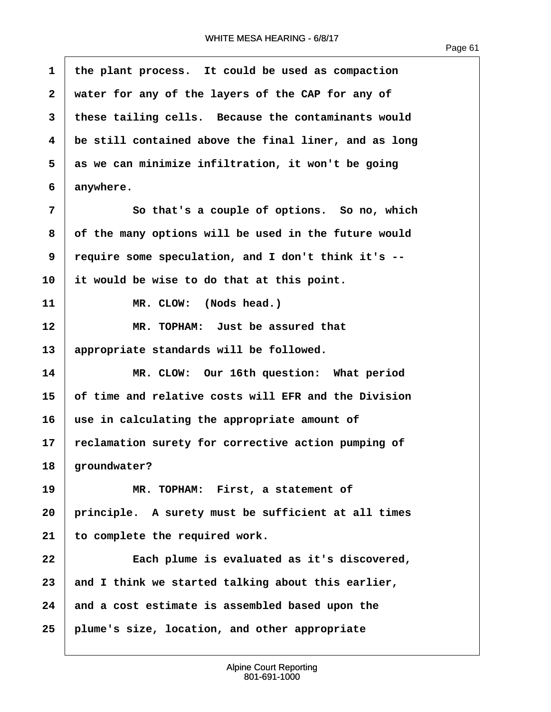$\overline{1}$ 

| 1            | the plant process. It could be used as compaction     |
|--------------|-------------------------------------------------------|
| $\mathbf{2}$ | water for any of the layers of the CAP for any of     |
| 3            | these tailing cells. Because the contaminants would   |
| 4            | be still contained above the final liner, and as long |
| 5            | as we can minimize infiltration, it won't be going    |
| 6            | anywhere.                                             |
| 7            | So that's a couple of options. So no, which           |
| 8            | of the many options will be used in the future would  |
| 9            | require some speculation, and I don't think it's --   |
| 10           | it would be wise to do that at this point.            |
| 11           | MR. CLOW: (Nods head.)                                |
| 12           | MR. TOPHAM: Just be assured that                      |
| 13           | appropriate standards will be followed.               |
| 14           | MR. CLOW: Our 16th question: What period              |
| 15           | of time and relative costs will EFR and the Division  |
| 16           | use in calculating the appropriate amount of          |
| 17           | reclamation surety for corrective action pumping of   |
| 18           | groundwater?                                          |
| 19           | MR. TOPHAM: First, a statement of                     |
| 20           | principle. A surety must be sufficient at all times   |
| 21           | to complete the required work.                        |
| 22           | Each plume is evaluated as it's discovered,           |
| 23           | and I think we started talking about this earlier,    |
| 24           | and a cost estimate is assembled based upon the       |
| 25           | plume's size, location, and other appropriate         |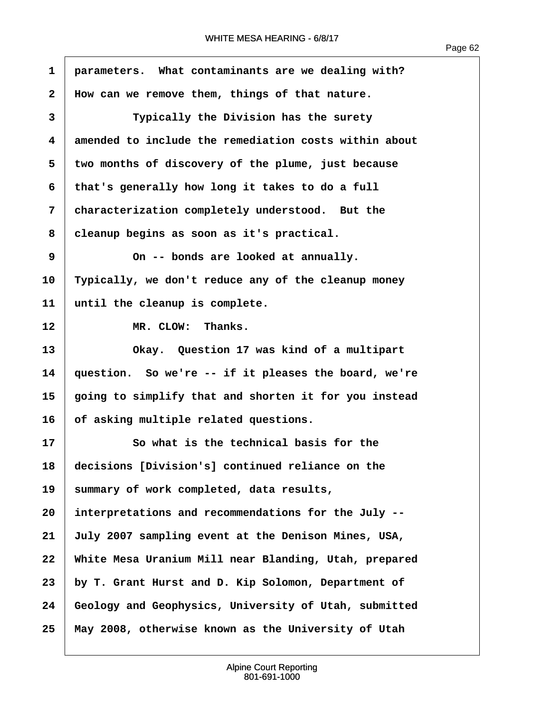$\sqrt{ }$ 

| $\mathbf{1}$      | parameters. What contaminants are we dealing with?    |
|-------------------|-------------------------------------------------------|
| $\mathbf{2}$      | How can we remove them, things of that nature.        |
| 3                 | Typically the Division has the surety                 |
| 4                 | amended to include the remediation costs within about |
| 5                 | two months of discovery of the plume, just because    |
| 6                 | that's generally how long it takes to do a full       |
| 7                 | characterization completely understood. But the       |
| 8                 | cleanup begins as soon as it's practical.             |
| 9                 | On -- bonds are looked at annually.                   |
| 10                | Typically, we don't reduce any of the cleanup money   |
| 11                | until the cleanup is complete.                        |
| $12 \overline{ }$ | MR. CLOW: Thanks.                                     |
| 13                | Okay. Question 17 was kind of a multipart             |
| 14                | question. So we're -- if it pleases the board, we're  |
| 15                | going to simplify that and shorten it for you instead |
| 16                | of asking multiple related questions.                 |
| 17                | So what is the technical basis for the                |
| 18                | decisions [Division's] continued reliance on the      |
| 19                | summary of work completed, data results,              |
| 20                | interpretations and recommendations for the July --   |
| 21                | July 2007 sampling event at the Denison Mines, USA,   |
| 22                | White Mesa Uranium Mill near Blanding, Utah, prepared |
| 23                | by T. Grant Hurst and D. Kip Solomon, Department of   |
| 24                | Geology and Geophysics, University of Utah, submitted |
| 25                | May 2008, otherwise known as the University of Utah   |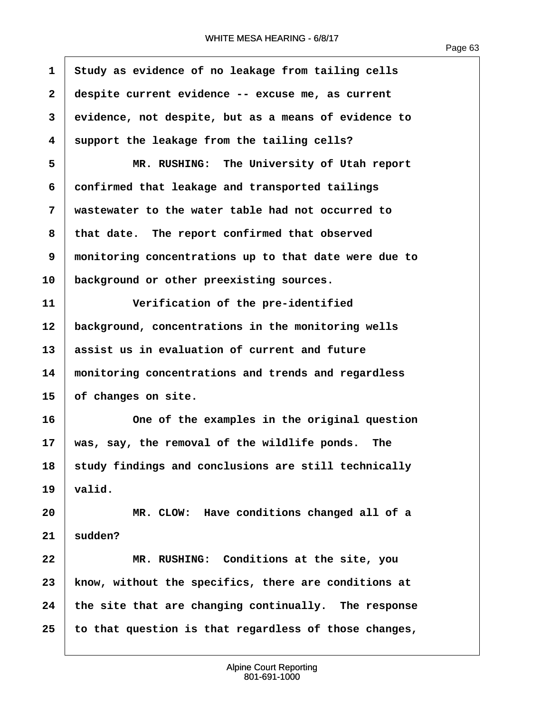| $\mathbf 1$             | Study as evidence of no leakage from tailing cells    |
|-------------------------|-------------------------------------------------------|
| $\overline{\mathbf{2}}$ | despite current evidence -- excuse me, as current     |
| 3                       | evidence, not despite, but as a means of evidence to  |
| 4                       | support the leakage from the tailing cells?           |
| 5                       | MR. RUSHING: The University of Utah report            |
| 6                       | confirmed that leakage and transported tailings       |
| 7                       | wastewater to the water table had not occurred to     |
| 8                       | that date. The report confirmed that observed         |
| 9                       | monitoring concentrations up to that date were due to |
| 10                      | background or other preexisting sources.              |
| 11                      | Verification of the pre-identified                    |
| 12                      | background, concentrations in the monitoring wells    |
| 13                      | assist us in evaluation of current and future         |
| 14                      | monitoring concentrations and trends and regardless   |
| 15                      | of changes on site.                                   |
| 16                      | One of the examples in the original question          |
| 17                      | was, say, the removal of the wildlife ponds. The      |
| 18                      | study findings and conclusions are still technically  |
| 19                      | valid.                                                |
| 20                      | MR. CLOW: Have conditions changed all of a            |
| 21                      | sudden?                                               |
| 22                      | MR. RUSHING: Conditions at the site, you              |
| 23                      | know, without the specifics, there are conditions at  |
| 24                      | the site that are changing continually. The response  |
| 25                      | to that question is that regardless of those changes, |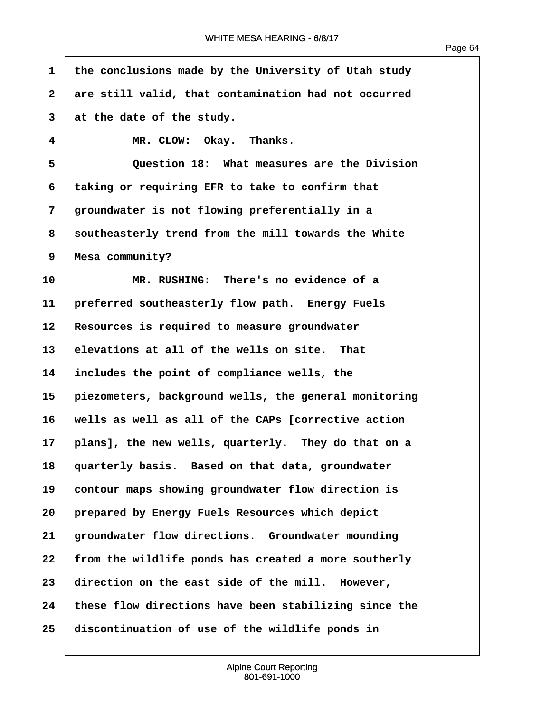$\sqrt{ }$ 

| $\mathbf{1}$ | the conclusions made by the University of Utah study  |
|--------------|-------------------------------------------------------|
| $\mathbf{2}$ | are still valid, that contamination had not occurred  |
| 3            | at the date of the study.                             |
| 4            | MR. CLOW: Okay. Thanks.                               |
| 5            | Question 18: What measures are the Division           |
| 6            | taking or requiring EFR to take to confirm that       |
| 7            | groundwater is not flowing preferentially in a        |
| 8            | southeasterly trend from the mill towards the White   |
| 9            | Mesa community?                                       |
| 10           | MR. RUSHING: There's no evidence of a                 |
| 11           | preferred southeasterly flow path. Energy Fuels       |
| 12           | Resources is required to measure groundwater          |
| 13           | elevations at all of the wells on site. That          |
| 14           | includes the point of compliance wells, the           |
| 15           | piezometers, background wells, the general monitoring |
| 16           | wells as well as all of the CAPs [corrective action   |
| 17           | plans], the new wells, quarterly. They do that on a   |
| 18           | quarterly basis. Based on that data, groundwater      |
| 19           | contour maps showing groundwater flow direction is    |
| 20           | prepared by Energy Fuels Resources which depict       |
| 21           | groundwater flow directions. Groundwater mounding     |
| 22           | from the wildlife ponds has created a more southerly  |
| 23           | direction on the east side of the mill. However,      |
| 24           | these flow directions have been stabilizing since the |
| 25           | discontinuation of use of the wildlife ponds in       |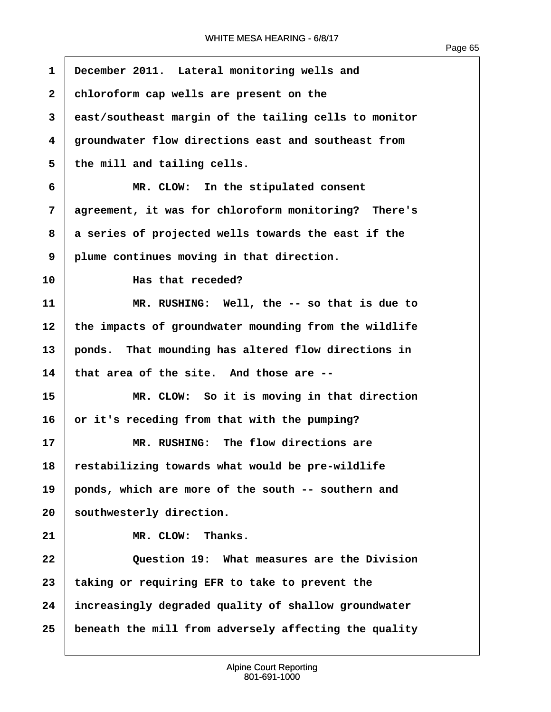| $\mathbf{1}$ | December 2011. Lateral monitoring wells and           |
|--------------|-------------------------------------------------------|
| $\mathbf{2}$ | chloroform cap wells are present on the               |
| 3            | east/southeast margin of the tailing cells to monitor |
| 4            | groundwater flow directions east and southeast from   |
| 5            | the mill and tailing cells.                           |
| 6            | MR. CLOW: In the stipulated consent                   |
| 7            | agreement, it was for chloroform monitoring? There's  |
| 8            | a series of projected wells towards the east if the   |
| 9            | plume continues moving in that direction.             |
| 10           | Has that receded?                                     |
| 11           | MR. RUSHING: Well, the -- so that is due to           |
| 12           | the impacts of groundwater mounding from the wildlife |
| 13           | ponds. That mounding has altered flow directions in   |
| 14           | that area of the site. And those are --               |
| 15           | MR. CLOW: So it is moving in that direction           |
| 16           | or it's receding from that with the pumping?          |
| 17           | MR. RUSHING: The flow directions are                  |
| 18           | restabilizing towards what would be pre-wildlife      |
| 19           | ponds, which are more of the south -- southern and    |
| 20           | southwesterly direction.                              |
| 21           | MR. CLOW:<br>Thanks.                                  |
| 22           | Question 19: What measures are the Division           |
| 23           | taking or requiring EFR to take to prevent the        |
| 24           | increasingly degraded quality of shallow groundwater  |
| 25           | beneath the mill from adversely affecting the quality |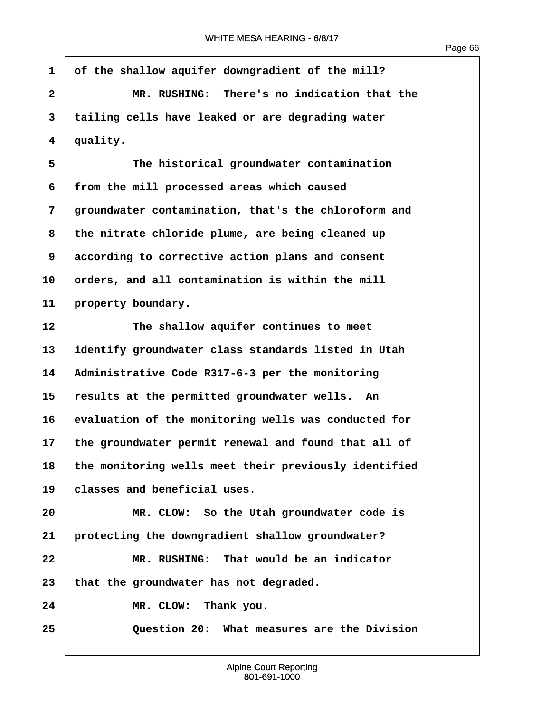Page 66

**·1· ·of the shallow aquifer downgradient of the mill? ·2· · · · · · MR. RUSHING:· There's no indication that the ·3· ·tailing cells have leaked or are degrading water ·4· ·quality. ·5· · · · · · The historical groundwater contamination ·6· ·from the mill processed areas which caused ·7· ·groundwater contamination, that's the chloroform and ·8· ·the nitrate chloride plume, are being cleaned up ·9· ·according to corrective action plans and consent** 10 **orders, and all contamination is within the mill** 11 property boundary. 12 The shallow aquifer continues to meet **13· ·identify groundwater class standards listed in Utah 14· ·Administrative Code R317-6-3 per the monitoring 15· ·results at the permitted groundwater wells.· An 16· ·evaluation of the monitoring wells was conducted for 17· ·the groundwater permit renewal and found that all of 18· ·the monitoring wells meet their previously identified 19· ·classes and beneficial uses. 20· · · · · · MR. CLOW:· So the Utah groundwater code is 21· ·protecting the downgradient shallow groundwater? 22· · · · · · MR. RUSHING:· That would be an indicator** 23 that the groundwater has not degraded. 24 MR. CLOW: Thank you. **25· · · · · · Question 20:· What measures are the Division**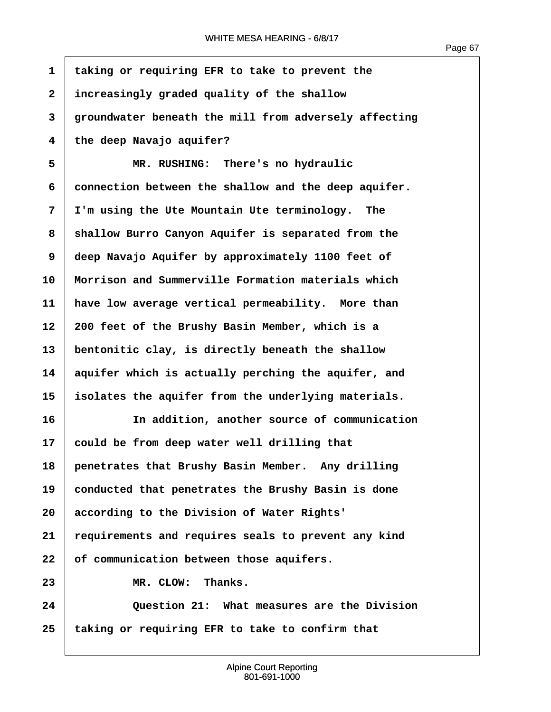| $\mathbf{1}$   | taking or requiring EFR to take to prevent the        |
|----------------|-------------------------------------------------------|
| $\overline{2}$ | increasingly graded quality of the shallow            |
| 3              | groundwater beneath the mill from adversely affecting |
| 4              | the deep Navajo aquifer?                              |
| 5              | MR. RUSHING: There's no hydraulic                     |
| 6              | connection between the shallow and the deep aquifer.  |
| 7              | I'm using the Ute Mountain Ute terminology. The       |
| 8              | shallow Burro Canyon Aquifer is separated from the    |
| 9              | deep Navajo Aquifer by approximately 1100 feet of     |
| 10             | Morrison and Summerville Formation materials which    |
| 11             | have low average vertical permeability. More than     |
| 12             | 200 feet of the Brushy Basin Member, which is a       |
| 13             | bentonitic clay, is directly beneath the shallow      |
| 14             | aquifer which is actually perching the aquifer, and   |
| 15             | isolates the aquifer from the underlying materials.   |
| 16             | In addition, another source of communication          |
| 17             | could be from deep water well drilling that           |
| 18             | penetrates that Brushy Basin Member. Any drilling     |
| 19             | conducted that penetrates the Brushy Basin is done    |
| 20             | according to the Division of Water Rights'            |
| 21             | requirements and requires seals to prevent any kind   |
| 22             | of communication between those aquifers.              |
| 23             | MR. CLOW: Thanks.                                     |
| 24             | Question 21: What measures are the Division           |
| 25             | taking or requiring EFR to take to confirm that       |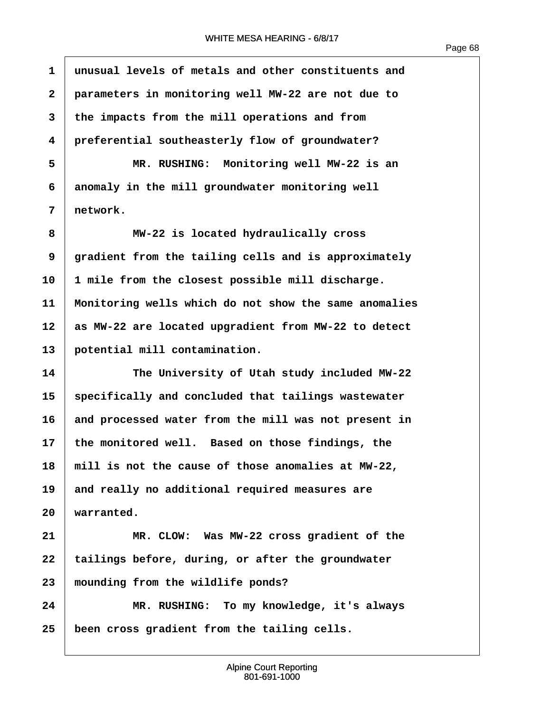Page 68

**·1· ·unusual levels of metals and other constituents and ·2· ·parameters in monitoring well MW-22 are not due to ·3· ·the impacts from the mill operations and from ·4· ·preferential southeasterly flow of groundwater? ·5· · · · · · MR. RUSHING:· Monitoring well MW-22 is an ·6· ·anomaly in the mill groundwater monitoring well ·7· ·network. ·8· · · · · · MW-22 is located hydraulically cross ·9· ·gradient from the tailing cells and is approximately 10· ·1 mile from the closest possible mill discharge. 11· ·Monitoring wells which do not show the same anomalies 12· ·as MW-22 are located upgradient from MW-22 to detect** 13 | potential mill contamination. **14· · · · · · The University of Utah study included MW-22 15· ·specifically and concluded that tailings wastewater 16· ·and processed water from the mill was not present in** 17 bhe monitored well. Based on those findings, the **18· ·mill is not the cause of those anomalies at MW-22,** 19 and really no additional required measures are  $20$  warranted. **21· · · · · · MR. CLOW:· Was MW-22 cross gradient of the** 22 | tailings before, during, or after the groundwater **23· ·mounding from the wildlife ponds? 24· · · · · · MR. RUSHING:· To my knowledge, it's always 25· ·been cross gradient from the tailing cells.**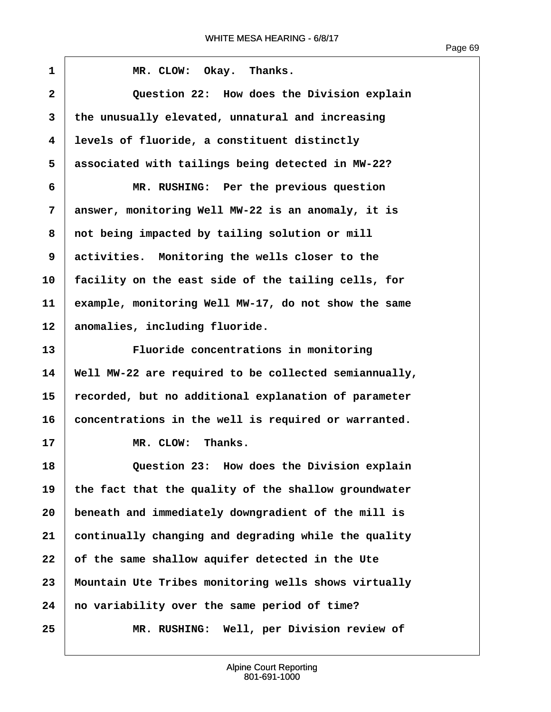ľ

| $\mathbf{1}$ | MR. CLOW: Okay. Thanks.                               |
|--------------|-------------------------------------------------------|
| $\mathbf{2}$ | Question 22: How does the Division explain            |
| 3            | the unusually elevated, unnatural and increasing      |
| 4            | levels of fluoride, a constituent distinctly          |
| 5            | associated with tailings being detected in MW-22?     |
| 6            | MR. RUSHING: Per the previous question                |
| 7            | answer, monitoring Well MW-22 is an anomaly, it is    |
| 8            | not being impacted by tailing solution or mill        |
| 9            | activities. Monitoring the wells closer to the        |
| 10           | facility on the east side of the tailing cells, for   |
| 11           | example, monitoring Well MW-17, do not show the same  |
| 12           | anomalies, including fluoride.                        |
| 13           | Fluoride concentrations in monitoring                 |
| 14           | Well MW-22 are required to be collected semiannually, |
| 15           | recorded, but no additional explanation of parameter  |
| 16           | concentrations in the well is required or warranted.  |
| 17           | MR. CLOW: Thanks.                                     |
| 18           | Question 23: How does the Division explain            |
| 19           | the fact that the quality of the shallow groundwater  |
| 20           | beneath and immediately downgradient of the mill is   |
| 21           | continually changing and degrading while the quality  |
| 22           | of the same shallow aquifer detected in the Ute       |
| 23           | Mountain Ute Tribes monitoring wells shows virtually  |
| 24           | no variability over the same period of time?          |
| 25           | MR. RUSHING: Well, per Division review of             |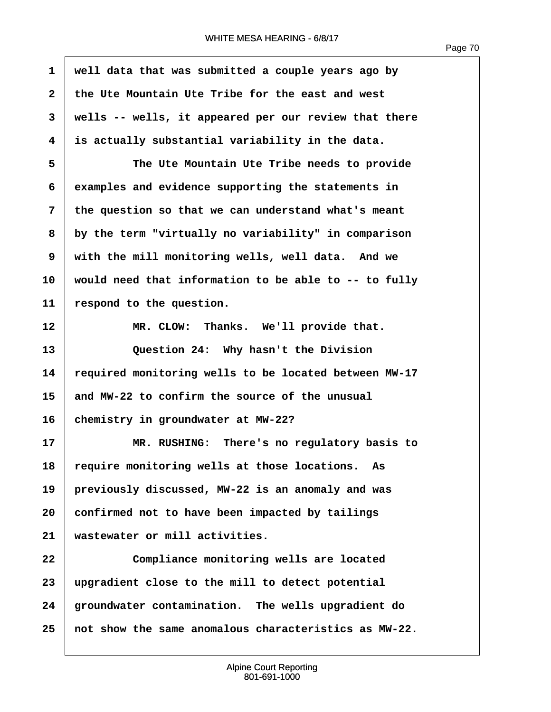| 1            | well data that was submitted a couple years ago by    |
|--------------|-------------------------------------------------------|
| $\mathbf{2}$ | the Ute Mountain Ute Tribe for the east and west      |
| 3            | wells -- wells, it appeared per our review that there |
| 4            | is actually substantial variability in the data.      |
| 5            | The Ute Mountain Ute Tribe needs to provide           |
| 6            | examples and evidence supporting the statements in    |
| 7            | the question so that we can understand what's meant   |
| 8            | by the term "virtually no variability" in comparison  |
| 9            | with the mill monitoring wells, well data. And we     |
| 10           | would need that information to be able to -- to fully |
| 11           | respond to the question.                              |
| 12           | Thanks. We'll provide that.<br>MR. CLOW:              |
| 13           | Question 24: Why hasn't the Division                  |
| 14           | required monitoring wells to be located between MW-17 |
| 15           | and MW-22 to confirm the source of the unusual        |
| 16           | chemistry in groundwater at MW-22?                    |
| 17           | MR. RUSHING: There's no regulatory basis to           |
| 18           | require monitoring wells at those locations.<br>As    |
| 19           | previously discussed, MW-22 is an anomaly and was     |
| 20           | confirmed not to have been impacted by tailings       |
| 21           | wastewater or mill activities.                        |
| 22           | Compliance monitoring wells are located               |
| 23           | upgradient close to the mill to detect potential      |
| 24           | groundwater contamination. The wells upgradient do    |
| 25           | not show the same anomalous characteristics as MW-22. |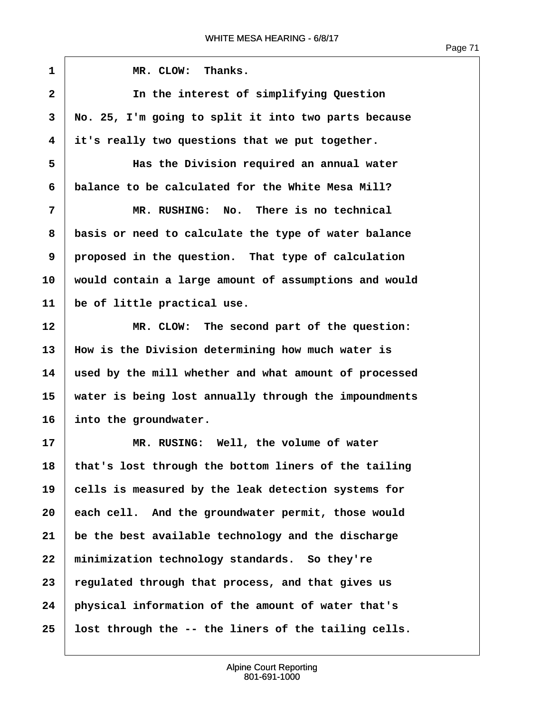$\sqrt{ }$ 

| 1              | MR. CLOW:<br>Thanks.                                  |
|----------------|-------------------------------------------------------|
| $\overline{2}$ | In the interest of simplifying Question               |
| 3              | No. 25, I'm going to split it into two parts because  |
| 4              | it's really two questions that we put together.       |
| 5              | Has the Division required an annual water             |
| 6              | balance to be calculated for the White Mesa Mill?     |
| 7              | MR. RUSHING: No. There is no technical                |
| 8              | basis or need to calculate the type of water balance  |
| 9              | proposed in the question. That type of calculation    |
| 10             | would contain a large amount of assumptions and would |
| 11             | be of little practical use.                           |
| 12             | MR. CLOW: The second part of the question:            |
| 13             | How is the Division determining how much water is     |
| 14             | used by the mill whether and what amount of processed |
| 15             | water is being lost annually through the impoundments |
| 16             | into the groundwater.                                 |
| 17             | MR. RUSING: Well, the volume of water                 |
| 18             | that's lost through the bottom liners of the tailing  |
| 19             | cells is measured by the leak detection systems for   |
| 20             | each cell. And the groundwater permit, those would    |
| 21             | be the best available technology and the discharge    |
| 22             | minimization technology standards. So they're         |
| 23             | regulated through that process, and that gives us     |
| 24             | physical information of the amount of water that's    |
| 25             | lost through the -- the liners of the tailing cells.  |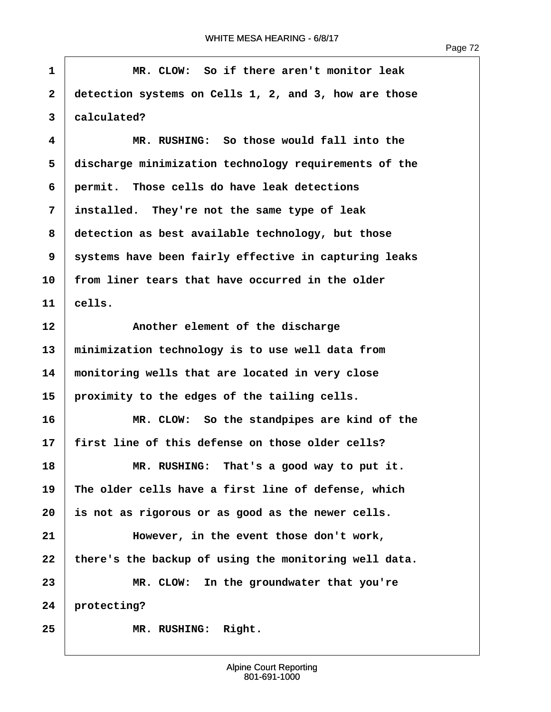**·1· · · · · · MR. CLOW:· So if there aren't monitor leak ·2· ·detection systems on Cells 1, 2, and 3, how are those ·3· ·calculated? ·4· · · · · · MR. RUSHING:· So those would fall into the ·5· ·discharge minimization technology requirements of the ·6· ·permit.· Those cells do have leak detections ·7· ·installed.· They're not the same type of leak ·8· ·detection as best available technology, but those ·9· ·systems have been fairly effective in capturing leaks** 10 **from liner tears that have occurred in the older**  $11$  cells. 12 **Another element of the discharge 13· ·minimization technology is to use well data from 14· ·monitoring wells that are located in very close 15· ·proximity to the edges of the tailing cells. 16· · · · · · MR. CLOW:· So the standpipes are kind of the 17· ·first line of this defense on those older cells?** 18 **8 18 MR. RUSHING:** That's a good way to put it. **19· ·The older cells have a first line of defense, which 20· ·is not as rigorous or as good as the newer cells. 21· · · · · · However, in the event those don't work,** 22 there's the backup of using the monitoring well data. **23· · · · · · MR. CLOW:· In the groundwater that you're** 24 protecting? 25 **MR. RUSHING: Right.**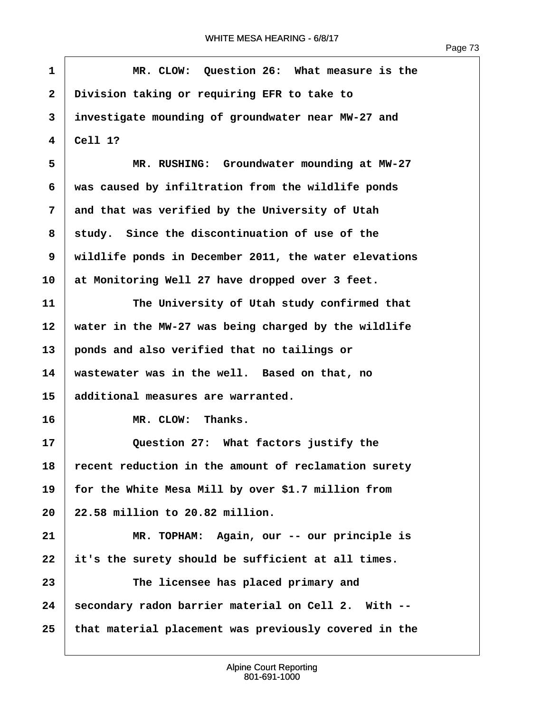Г

| $\mathbf{1}$            | MR. CLOW: Question 26: What measure is the            |
|-------------------------|-------------------------------------------------------|
| $\overline{\mathbf{2}}$ | Division taking or requiring EFR to take to           |
| 3                       | investigate mounding of groundwater near MW-27 and    |
| 4                       | Cell 1?                                               |
| 5                       | MR. RUSHING: Groundwater mounding at MW-27            |
| 6                       | was caused by infiltration from the wildlife ponds    |
| 7                       | and that was verified by the University of Utah       |
| 8                       | study. Since the discontinuation of use of the        |
| 9                       | wildlife ponds in December 2011, the water elevations |
| 10                      | at Monitoring Well 27 have dropped over 3 feet.       |
| 11                      | The University of Utah study confirmed that           |
| 12                      | water in the MW-27 was being charged by the wildlife  |
| 13                      | ponds and also verified that no tailings or           |
| 14                      | wastewater was in the well. Based on that, no         |
| 15                      | additional measures are warranted.                    |
| 16                      | MR. CLOW: Thanks.                                     |
| 17                      | Question 27: What factors justify the                 |
| 18                      | recent reduction in the amount of reclamation surety  |
| 19                      | for the White Mesa Mill by over \$1.7 million from    |
| 20                      | 22.58 million to 20.82 million.                       |
| 21                      | MR. TOPHAM: Again, our -- our principle is            |
| 22                      | it's the surety should be sufficient at all times.    |
| 23                      | The licensee has placed primary and                   |
| 24                      | secondary radon barrier material on Cell 2. With --   |
| 25                      | that material placement was previously covered in the |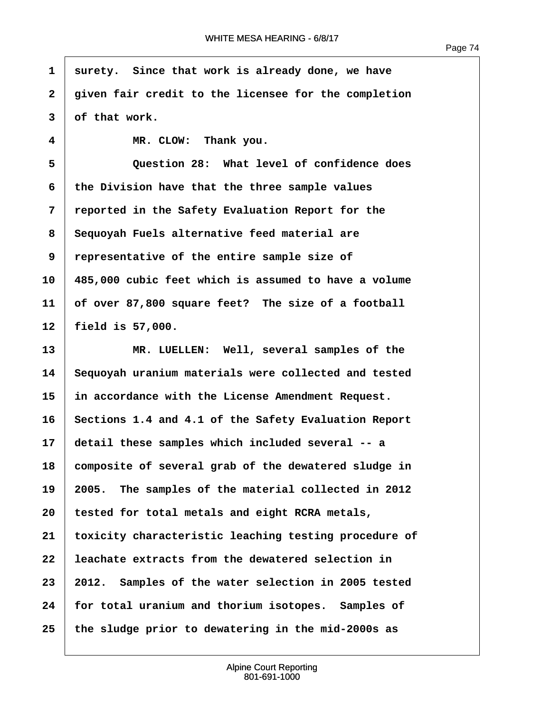$\overline{1}$ 

| $\mathbf{1}$ | surety. Since that work is already done, we have      |
|--------------|-------------------------------------------------------|
| $\mathbf{2}$ | given fair credit to the licensee for the completion  |
| 3            | of that work.                                         |
| 4            | MR. CLOW: Thank you.                                  |
| 5            | Question 28: What level of confidence does            |
| 6            | the Division have that the three sample values        |
| 7            | reported in the Safety Evaluation Report for the      |
| 8            | Sequoyah Fuels alternative feed material are          |
| 9            | representative of the entire sample size of           |
| 10           | 485,000 cubic feet which is assumed to have a volume  |
| 11           | of over 87,800 square feet? The size of a football    |
| 12           | field is $57,000$ .                                   |
| 13           | MR. LUELLEN: Well, several samples of the             |
| 14           | Sequoyah uranium materials were collected and tested  |
| 15           | in accordance with the License Amendment Request.     |
| 16           | Sections 1.4 and 4.1 of the Safety Evaluation Report  |
| 17           | detail these samples which included several -- a      |
| 18           | composite of several grab of the dewatered sludge in  |
| 19           | 2005. The samples of the material collected in 2012   |
| 20           | tested for total metals and eight RCRA metals,        |
| 21           | toxicity characteristic leaching testing procedure of |
| 22           | leachate extracts from the dewatered selection in     |
| 23           | 2012. Samples of the water selection in 2005 tested   |
| 24           | for total uranium and thorium isotopes. Samples of    |
| 25           | the sludge prior to dewatering in the mid-2000s as    |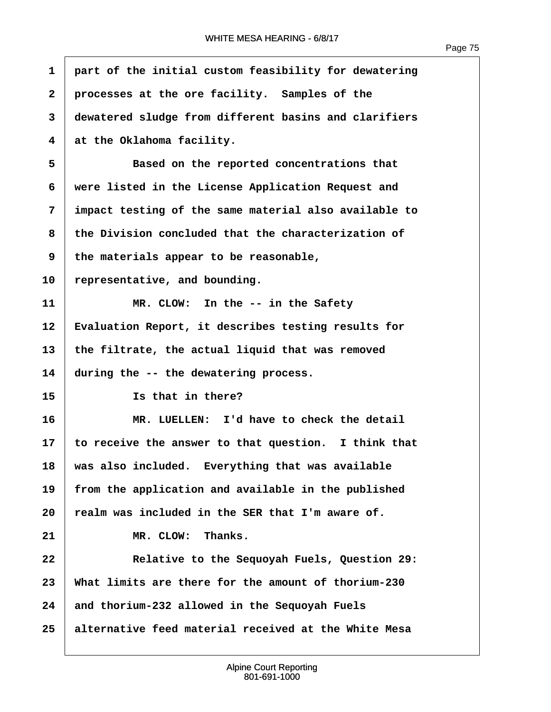| $\mathbf{1}$ | part of the initial custom feasibility for dewatering |
|--------------|-------------------------------------------------------|
| $\mathbf{2}$ | processes at the ore facility. Samples of the         |
| 3            | dewatered sludge from different basins and clarifiers |
| 4            | at the Oklahoma facility.                             |
| 5            | Based on the reported concentrations that             |
| 6            | were listed in the License Application Request and    |
| 7            | impact testing of the same material also available to |
| 8            | the Division concluded that the characterization of   |
| 9            | the materials appear to be reasonable,                |
| 10           | representative, and bounding.                         |
| 11           | MR. CLOW: In the -- in the Safety                     |
| 12           | Evaluation Report, it describes testing results for   |
| 13           | the filtrate, the actual liquid that was removed      |
| 14           | during the -- the dewatering process.                 |
| 15           | Is that in there?                                     |
| 16           | MR. LUELLEN: I'd have to check the detail             |
| 17           | to receive the answer to that question. I think that  |
| 18           | was also included. Everything that was available      |
| 19           | from the application and available in the published   |
| 20           | realm was included in the SER that I'm aware of.      |
| 21           | MR. CLOW:<br>Thanks.                                  |
| 22           | Relative to the Sequoyah Fuels, Question 29:          |
| 23           | What limits are there for the amount of thorium-230   |
| 24           | and thorium-232 allowed in the Sequoyah Fuels         |
| 25           | alternative feed material received at the White Mesa  |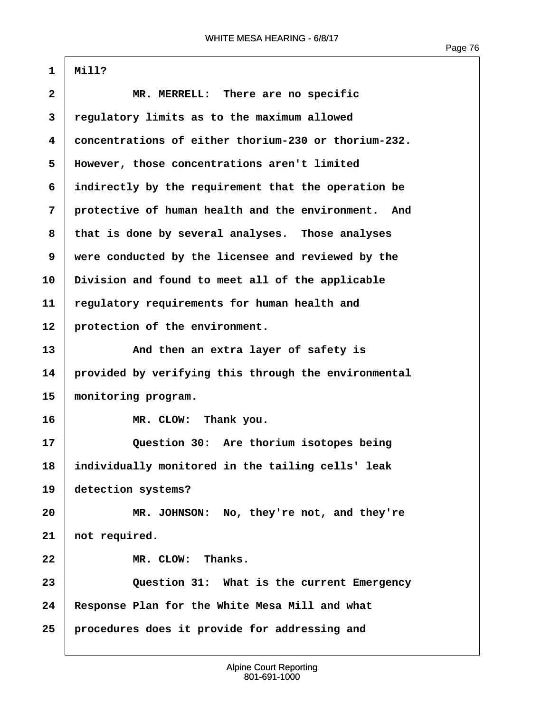1 | Mill?

| $\overline{\mathbf{2}}$ | MR. MERRELL: There are no specific                   |
|-------------------------|------------------------------------------------------|
| 3                       | regulatory limits as to the maximum allowed          |
| 4                       | concentrations of either thorium-230 or thorium-232. |
| 5                       | However, those concentrations aren't limited         |
| 6                       | indirectly by the requirement that the operation be  |
| 7                       | protective of human health and the environment. And  |
| 8                       | that is done by several analyses. Those analyses     |
| 9                       | were conducted by the licensee and reviewed by the   |
| 10                      | Division and found to meet all of the applicable     |
| 11                      | regulatory requirements for human health and         |
| 12                      | protection of the environment.                       |
| 13                      | And then an extra layer of safety is                 |
| 14                      | provided by verifying this through the environmental |
| 15                      | monitoring program.                                  |
| 16                      | MR. CLOW: Thank you.                                 |
| 17                      | Question 30: Are thorium isotopes being              |
| 18                      | individually monitored in the tailing cells' leak    |
| 19                      | detection systems?                                   |
| 20                      | MR. JOHNSON: No, they're not, and they're            |
| 21                      | not required.                                        |
| 22                      | MR. CLOW: Thanks.                                    |
| 23                      | Question 31: What is the current Emergency           |
| 24                      | Response Plan for the White Mesa Mill and what       |
| 25                      | procedures does it provide for addressing and        |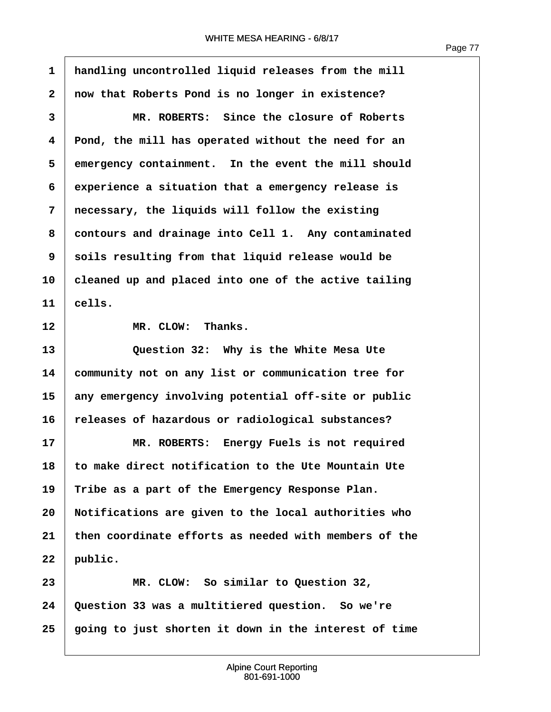ľ

| $\mathbf{1}$            | handling uncontrolled liquid releases from the mill   |
|-------------------------|-------------------------------------------------------|
| $\mathbf{2}$            | now that Roberts Pond is no longer in existence?      |
| 3                       | MR. ROBERTS: Since the closure of Roberts             |
| $\overline{\mathbf{4}}$ | Pond, the mill has operated without the need for an   |
| 5                       | emergency containment. In the event the mill should   |
| 6                       | experience a situation that a emergency release is    |
| 7                       | necessary, the liquids will follow the existing       |
| 8                       | contours and drainage into Cell 1. Any contaminated   |
| 9                       | soils resulting from that liquid release would be     |
| 10                      | cleaned up and placed into one of the active tailing  |
| 11                      | cells.                                                |
| 12                      | MR. CLOW: Thanks.                                     |
| 13                      | Question 32: Why is the White Mesa Ute                |
| 14                      | community not on any list or communication tree for   |
| 15                      | any emergency involving potential off-site or public  |
| 16                      | releases of hazardous or radiological substances?     |
| 17                      | MR. ROBERTS: Energy Fuels is not required             |
| 18                      | to make direct notification to the Ute Mountain Ute   |
| 19                      | Tribe as a part of the Emergency Response Plan.       |
| 20                      | Notifications are given to the local authorities who  |
| 21                      | then coordinate efforts as needed with members of the |
| 22                      | public.                                               |
| 23                      | MR. CLOW: So similar to Question 32,                  |
| 24                      | Question 33 was a multitiered question. So we're      |
| 25                      | going to just shorten it down in the interest of time |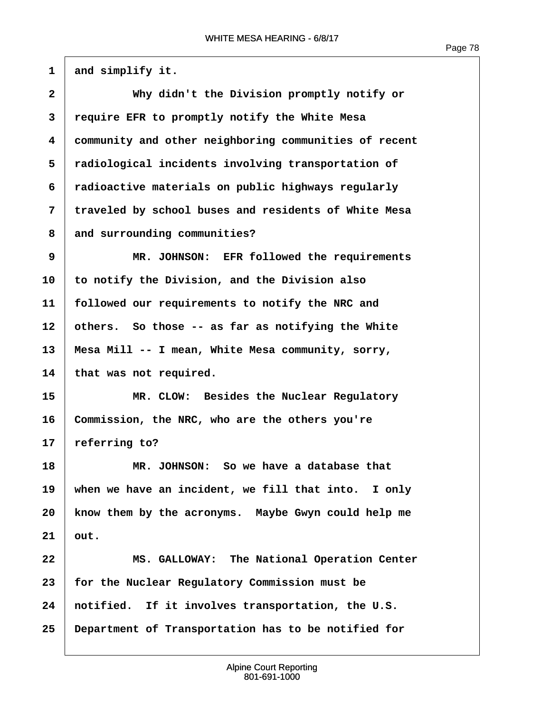$1 \mid$  and simplify it.

| $\overline{\mathbf{2}}$ | Why didn't the Division promptly notify or            |
|-------------------------|-------------------------------------------------------|
| 3                       | require EFR to promptly notify the White Mesa         |
| 4                       | community and other neighboring communities of recent |
| 5                       | radiological incidents involving transportation of    |
| 6                       | radioactive materials on public highways regularly    |
| 7                       | traveled by school buses and residents of White Mesa  |
| 8                       | and surrounding communities?                          |
| 9                       | MR. JOHNSON: EFR followed the requirements            |
| 10                      | to notify the Division, and the Division also         |
| 11                      | followed our requirements to notify the NRC and       |
| 12                      | others. So those -- as far as notifying the White     |
| 13                      | Mesa Mill -- I mean, White Mesa community, sorry,     |
| 14                      | that was not required.                                |
| 15                      | MR. CLOW: Besides the Nuclear Regulatory              |
| 16                      | Commission, the NRC, who are the others you're        |
| 17                      | referring to?                                         |
| 18                      | MR. JOHNSON: So we have a database that               |
| 19                      | when we have an incident, we fill that into. I only   |
| 20                      | know them by the acronyms. Maybe Gwyn could help me   |
| 21                      | out.                                                  |
| 22                      | MS. GALLOWAY: The National Operation Center           |
| 23                      | for the Nuclear Regulatory Commission must be         |
| 24                      | notified. If it involves transportation, the U.S.     |
| 25                      | Department of Transportation has to be notified for   |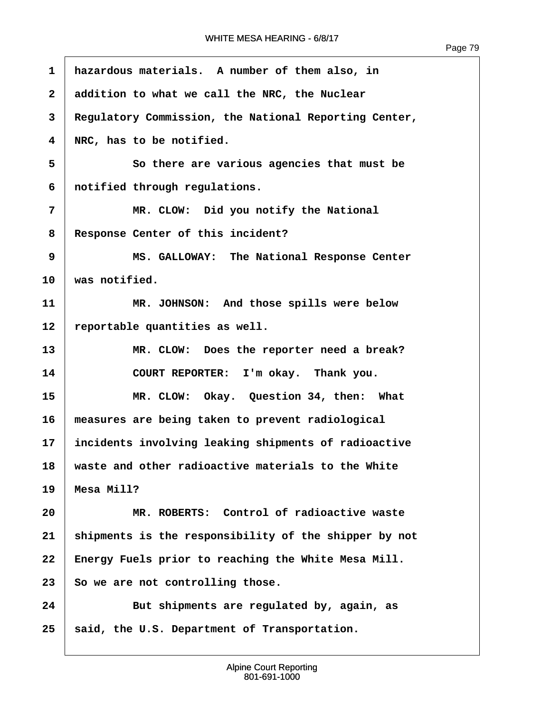ľ

| $\mathbf{1}$ | hazardous materials. A number of them also, in        |
|--------------|-------------------------------------------------------|
| $\mathbf{2}$ | addition to what we call the NRC, the Nuclear         |
| 3            | Regulatory Commission, the National Reporting Center, |
| 4            | NRC, has to be notified.                              |
| 5            | So there are various agencies that must be            |
| 6            | notified through regulations.                         |
| 7            | MR. CLOW: Did you notify the National                 |
| 8            | Response Center of this incident?                     |
| 9            | MS. GALLOWAY: The National Response Center            |
| 10           | was notified.                                         |
| 11           | MR. JOHNSON: And those spills were below              |
| 12           | reportable quantities as well.                        |
| 13           | MR. CLOW: Does the reporter need a break?             |
| 14           | COURT REPORTER: I'm okay. Thank you.                  |
| 15           | MR. CLOW: Okay. Question 34, then: What               |
| 16           | measures are being taken to prevent radiological      |
| 17           | incidents involving leaking shipments of radioactive  |
| 18           | waste and other radioactive materials to the White    |
| 19           | Mesa Mill?                                            |
| 20           | MR. ROBERTS: Control of radioactive waste             |
| 21           | shipments is the responsibility of the shipper by not |
| 22           | Energy Fuels prior to reaching the White Mesa Mill.   |
| 23           | So we are not controlling those.                      |
| 24           | But shipments are regulated by, again, as             |
| 25           | said, the U.S. Department of Transportation.          |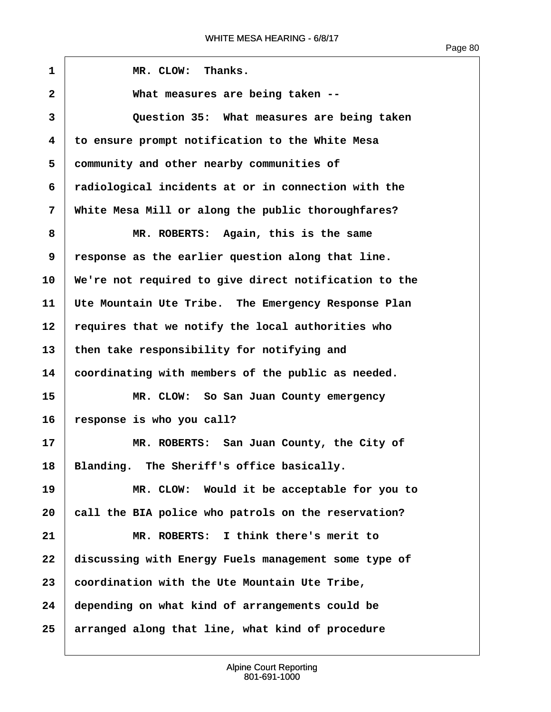$\sqrt{ }$ 

| 1            | MR. CLOW: Thanks.                                     |
|--------------|-------------------------------------------------------|
| $\mathbf{2}$ | What measures are being taken --                      |
| 3            | Question 35: What measures are being taken            |
| 4            | to ensure prompt notification to the White Mesa       |
| 5            | community and other nearby communities of             |
| 6            | radiological incidents at or in connection with the   |
| 7            | White Mesa Mill or along the public thoroughfares?    |
| 8            | MR. ROBERTS: Again, this is the same                  |
| 9            | response as the earlier question along that line.     |
| 10           | We're not required to give direct notification to the |
| 11           | Ute Mountain Ute Tribe. The Emergency Response Plan   |
| 12           | requires that we notify the local authorities who     |
| 13           | then take responsibility for notifying and            |
| 14           | coordinating with members of the public as needed.    |
| 15           | MR. CLOW: So San Juan County emergency                |
| 16           | response is who you call?                             |
| 17           | MR. ROBERTS: San Juan County, the City of             |
| 18           | Blanding. The Sheriff's office basically.             |
| 19           | MR. CLOW: Would it be acceptable for you to           |
| 20           | call the BIA police who patrols on the reservation?   |
| 21           | MR. ROBERTS: I think there's merit to                 |
| 22           | discussing with Energy Fuels management some type of  |
| 23           | coordination with the Ute Mountain Ute Tribe,         |
| 24           | depending on what kind of arrangements could be       |
| 25           | arranged along that line, what kind of procedure      |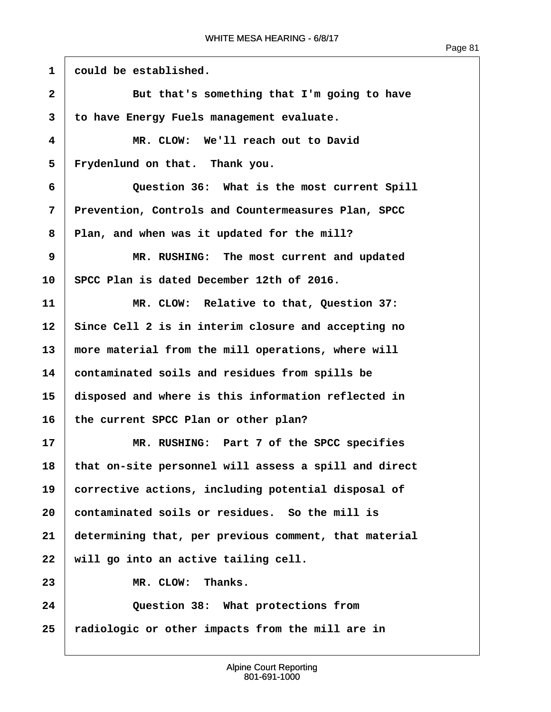1 could be established. **2** But that's something that I'm going to have **·3· ·to have Energy Fuels management evaluate. ·4· · · · · · MR. CLOW:· We'll reach out to David** 5 Frydenlund on that. Thank you. **·6· · · · · · Question 36:· What is the most current Spill ·7· ·Prevention, Controls and Countermeasures Plan, SPCC ·8· ·Plan, and when was it updated for the mill? ·9· · · · · · MR. RUSHING:· The most current and updated 10· ·SPCC Plan is dated December 12th of 2016. 11** *MR. CLOW:* **Relative to that, Question 37:** 12 Since Cell 2 is in interim closure and accepting no 13 more material from the mill operations, where will **14· ·contaminated soils and residues from spills be 15· ·disposed and where is this information reflected in** 16 the current SPCC Plan or other plan? **17· · · · · · MR. RUSHING:· Part 7 of the SPCC specifies 18· ·that on-site personnel will assess a spill and direct** 19 **corrective actions, including potential disposal of 20· ·contaminated soils or residues.· So the mill is 21· ·determining that, per previous comment, that material** 22 | will go into an active tailing cell. 23 MR. CLOW: Thanks. **24· · · · · · Question 38:· What protections from 25· ·radiologic or other impacts from the mill are in**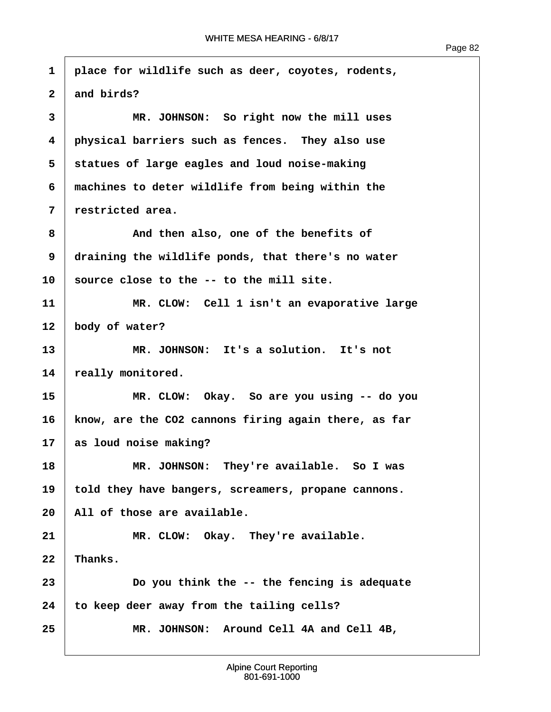| 1                       | place for wildlife such as deer, coyotes, rodents,   |
|-------------------------|------------------------------------------------------|
| $\overline{\mathbf{2}}$ | and birds?                                           |
| 3                       | MR. JOHNSON: So right now the mill uses              |
| $\overline{\mathbf{4}}$ | physical barriers such as fences. They also use      |
| 5                       | statues of large eagles and loud noise-making        |
| 6                       | machines to deter wildlife from being within the     |
| 7                       | restricted area.                                     |
| 8                       | And then also, one of the benefits of                |
| 9                       | draining the wildlife ponds, that there's no water   |
| 10                      | source close to the -- to the mill site.             |
| 11                      | MR. CLOW: Cell 1 isn't an evaporative large          |
| 12                      | body of water?                                       |
| 13                      | MR. JOHNSON: It's a solution. It's not               |
| 14                      | really monitored.                                    |
| 15                      | MR. CLOW: Okay. So are you using -- do you           |
| 16                      | know, are the CO2 cannons firing again there, as far |
| 17                      | as loud noise making?                                |
| 18                      | They're available. So I was<br>MR. JOHNSON:          |
| 19                      | told they have bangers, screamers, propane cannons.  |
| 20                      | All of those are available.                          |
| 21                      | MR. CLOW: Okay. They're available.                   |
| 22                      | Thanks.                                              |
| 23                      | Do you think the -- the fencing is adequate          |
| 24                      | to keep deer away from the tailing cells?            |
| 25                      | MR. JOHNSON: Around Cell 4A and Cell 4B,             |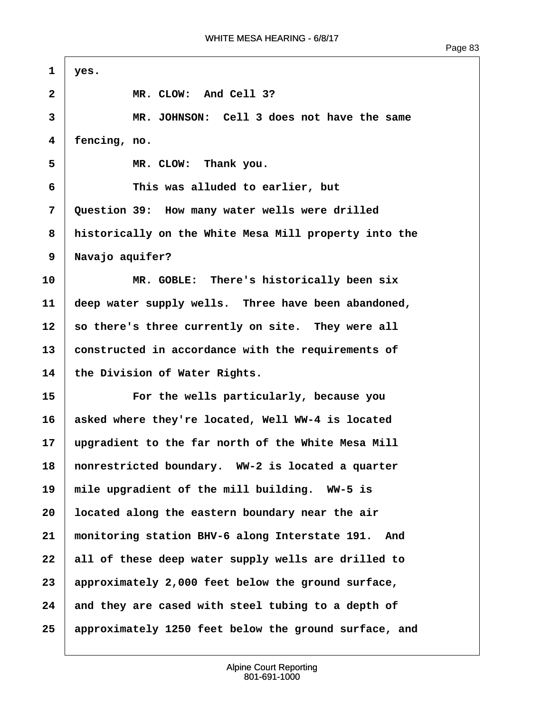| $\mathbf{1}$ | yes.                                                  |
|--------------|-------------------------------------------------------|
| $\mathbf{2}$ | MR. CLOW: And Cell 3?                                 |
| 3            | MR. JOHNSON: Cell 3 does not have the same            |
| 4            | fencing, no.                                          |
| 5            | MR. CLOW: Thank you.                                  |
| 6            | This was alluded to earlier, but                      |
| 7            | Question 39: How many water wells were drilled        |
| 8            | historically on the White Mesa Mill property into the |
| 9            | Navajo aquifer?                                       |
| 10           | MR. GOBLE: There's historically been six              |
| 11           | deep water supply wells. Three have been abandoned,   |
| 12           | so there's three currently on site. They were all     |
| 13           | constructed in accordance with the requirements of    |
| 14           | the Division of Water Rights.                         |
| 15           | For the wells particularly, because you               |
| 16           | asked where they're located, Well WW-4 is located     |
| 17           | upgradient to the far north of the White Mesa Mill    |
| 18           | nonrestricted boundary. WW-2 is located a quarter     |
| 19           | mile upgradient of the mill building. WW-5 is         |
| 20           | located along the eastern boundary near the air       |
| 21           | monitoring station BHV-6 along Interstate 191. And    |
| 22           | all of these deep water supply wells are drilled to   |
| 23           | approximately 2,000 feet below the ground surface,    |
| 24           | and they are cased with steel tubing to a depth of    |
| 25           | approximately 1250 feet below the ground surface, and |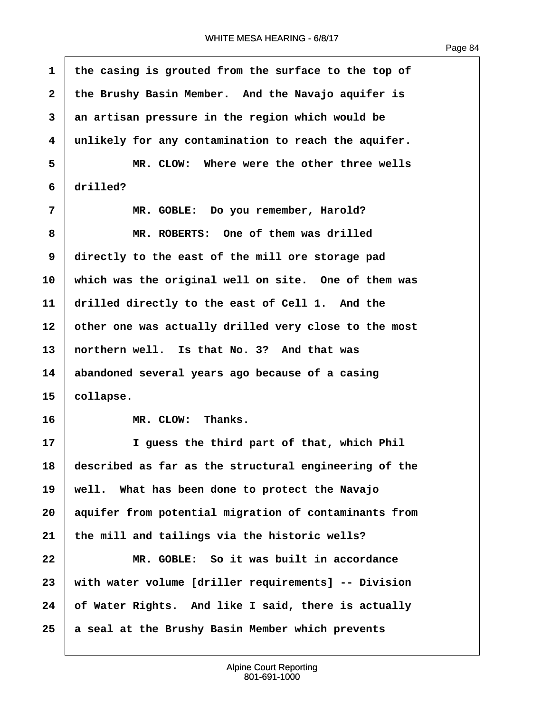ľ

| $\mathbf{1}$ | the casing is grouted from the surface to the top of  |
|--------------|-------------------------------------------------------|
| $\mathbf{2}$ | the Brushy Basin Member. And the Navajo aquifer is    |
| 3            | an artisan pressure in the region which would be      |
| 4            | unlikely for any contamination to reach the aquifer.  |
| 5            | MR. CLOW: Where were the other three wells            |
| 6            | drilled?                                              |
| 7            | MR. GOBLE: Do you remember, Harold?                   |
| 8            | MR. ROBERTS: One of them was drilled                  |
| 9            | directly to the east of the mill ore storage pad      |
| 10           | which was the original well on site. One of them was  |
| 11           | drilled directly to the east of Cell 1. And the       |
| 12           | other one was actually drilled very close to the most |
| 13           | northern well. Is that No. 3? And that was            |
| 14           | abandoned several years ago because of a casing       |
| 15           | collapse.                                             |
| 16           | Thanks.<br>MR. CLOW:                                  |
| 17           | I guess the third part of that, which Phil            |
| 18           | described as far as the structural engineering of the |
| 19           | well. What has been done to protect the Navajo        |
| 20           | aquifer from potential migration of contaminants from |
| 21           | the mill and tailings via the historic wells?         |
| 22           | MR. GOBLE: So it was built in accordance              |
| 23           | with water volume [driller requirements] -- Division  |
| 24           | of Water Rights. And like I said, there is actually   |
| 25           | a seal at the Brushy Basin Member which prevents      |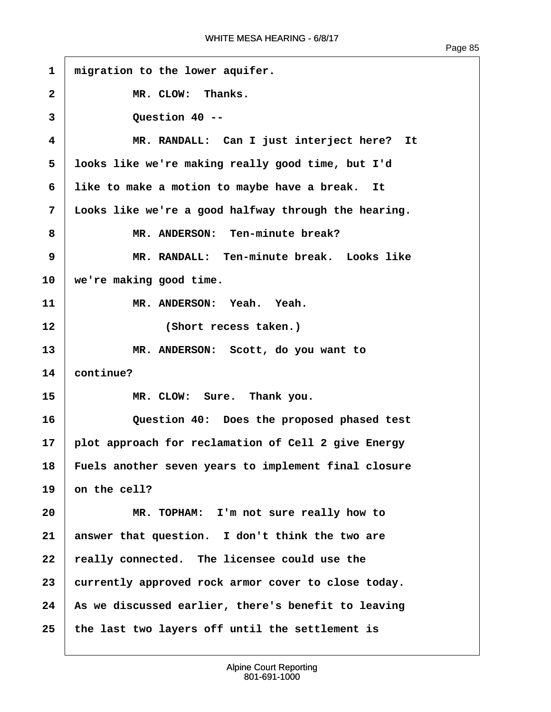$\overline{1}$ 

| $\mathbf{1}$ | migration to the lower aquifer.                      |
|--------------|------------------------------------------------------|
| $\mathbf{2}$ | MR. CLOW: Thanks.                                    |
| 3            | Question 40 --                                       |
| 4            | MR. RANDALL: Can I just interject here? It           |
| 5            | looks like we're making really good time, but I'd    |
| 6            | like to make a motion to maybe have a break. It      |
| 7            | Looks like we're a good halfway through the hearing. |
| 8            | MR. ANDERSON: Ten-minute break?                      |
| 9            | MR. RANDALL: Ten-minute break. Looks like            |
| 10           | we're making good time.                              |
| 11           | MR. ANDERSON: Yeah. Yeah.                            |
| 12           | (Short recess taken.)                                |
| 13           | MR. ANDERSON: Scott, do you want to                  |
| 14           | continue?                                            |
| 15           | MR. CLOW: Sure. Thank you.                           |
| 16           | Question 40: Does the proposed phased test           |
| 17           | plot approach for reclamation of Cell 2 give Energy  |
| 18           | Fuels another seven years to implement final closure |
| 19           | on the cell?                                         |
| 20           | MR. TOPHAM: I'm not sure really how to               |
| 21           | answer that question. I don't think the two are      |
| 22           | really connected. The licensee could use the         |
| 23           | currently approved rock armor cover to close today.  |
| 24           | As we discussed earlier, there's benefit to leaving  |
| 25           | the last two layers off until the settlement is      |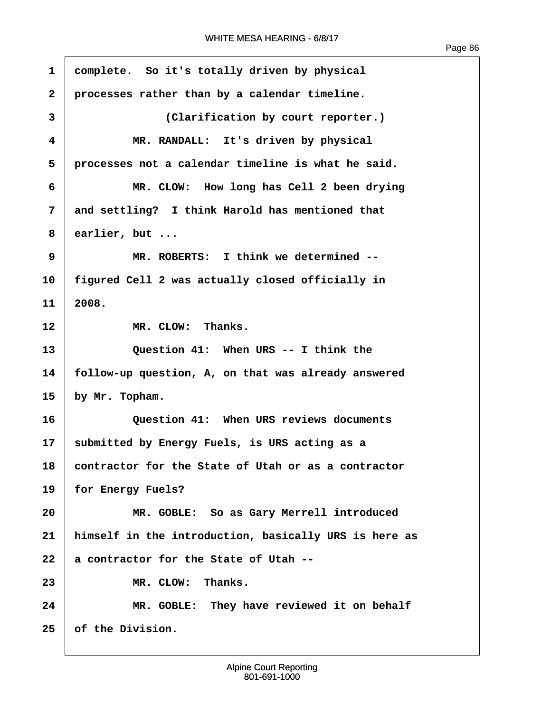$\overline{1}$ 

| $\mathbf{1}$ | complete. So it's totally driven by physical          |
|--------------|-------------------------------------------------------|
| $\mathbf{2}$ | processes rather than by a calendar timeline.         |
| 3            | (Clarification by court reporter.)                    |
| 4            | MR. RANDALL: It's driven by physical                  |
| 5            | processes not a calendar timeline is what he said.    |
| 6            | MR. CLOW: How long has Cell 2 been drying             |
| 7            | and settling? I think Harold has mentioned that       |
| 8            | earlier, but $\ldots$                                 |
| 9            | MR. ROBERTS: I think we determined --                 |
| 10           | figured Cell 2 was actually closed officially in      |
| 11           | 2008.                                                 |
| 12           | MR. CLOW: Thanks.                                     |
| 13           | Question 41: When URS -- I think the                  |
| 14           | follow-up question, A, on that was already answered   |
| 15           | by Mr. Topham.                                        |
| 16           | Question 41: When URS reviews documents               |
| 17           | submitted by Energy Fuels, is URS acting as a         |
| 18           | contractor for the State of Utah or as a contractor   |
| 19           | for Energy Fuels?                                     |
| 20           | MR. GOBLE: So as Gary Merrell introduced              |
| 21           | himself in the introduction, basically URS is here as |
| 22           | a contractor for the State of Utah --                 |
| 23           | MR. CLOW:<br>Thanks.                                  |
| 24           | MR. GOBLE: They have reviewed it on behalf            |
| 25           | of the Division.                                      |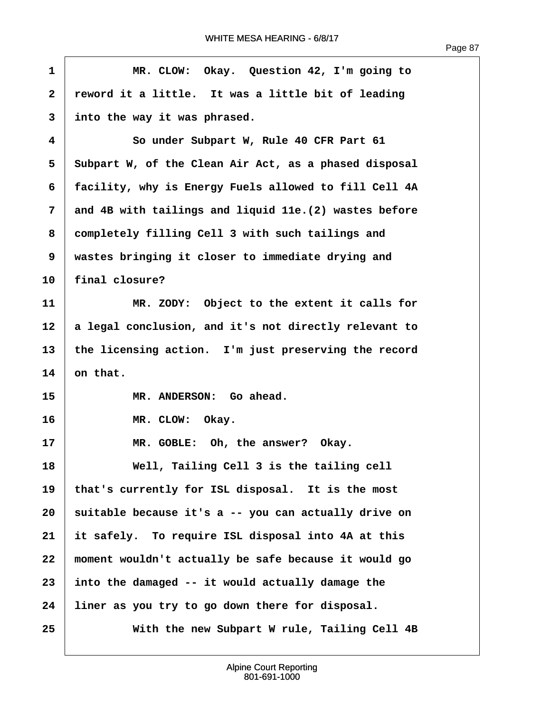| $\mathbf{1}$ | MR. CLOW: Okay. Question 42, I'm going to              |
|--------------|--------------------------------------------------------|
| $\mathbf{2}$ | reword it a little. It was a little bit of leading     |
| 3            | into the way it was phrased.                           |
| 4            | So under Subpart W, Rule 40 CFR Part 61                |
| 5            | Subpart W, of the Clean Air Act, as a phased disposal  |
| 6            | facility, why is Energy Fuels allowed to fill Cell 4A  |
| 7            | and 4B with tailings and liquid 11e. (2) wastes before |
| 8            | completely filling Cell 3 with such tailings and       |
| 9            | wastes bringing it closer to immediate drying and      |
| 10           | final closure?                                         |
| 11           | MR. ZODY: Object to the extent it calls for            |
| 12           | a legal conclusion, and it's not directly relevant to  |
| 13           | the licensing action. I'm just preserving the record   |
| 14           | on that.                                               |
| 15           | MR. ANDERSON: Go ahead.                                |
| 16           | MR. CLOW: Okay.                                        |
| 17           | MR. GOBLE: Oh, the answer? Okay.                       |
| 18           | Well, Tailing Cell 3 is the tailing cell               |
| 19           | that's currently for ISL disposal. It is the most      |
| 20           | suitable because it's a -- you can actually drive on   |
| 21           | it safely. To require ISL disposal into 4A at this     |
| 22           | moment wouldn't actually be safe because it would go   |
| 23           | into the damaged -- it would actually damage the       |
| 24           | liner as you try to go down there for disposal.        |
| 25           | With the new Subpart W rule, Tailing Cell 4B           |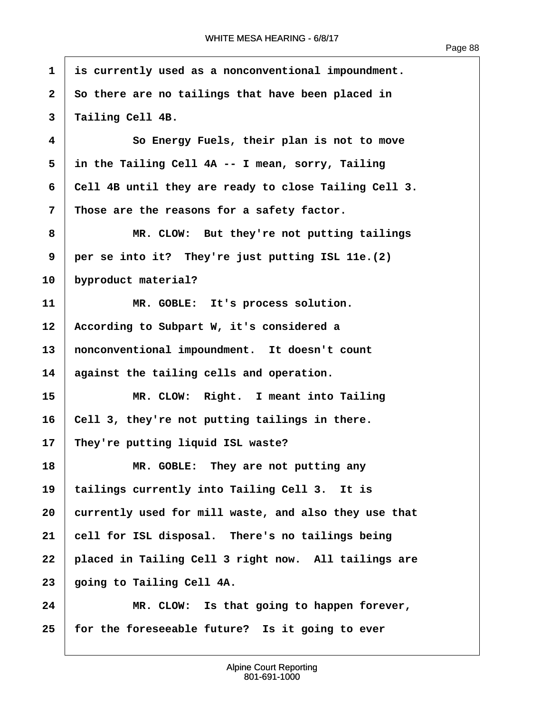$\overline{1}$ 

| $\mathbf{1}$ | is currently used as a nonconventional impoundment.   |
|--------------|-------------------------------------------------------|
| $\mathbf{2}$ | So there are no tailings that have been placed in     |
| 3            | Tailing Cell 4B.                                      |
| 4            | So Energy Fuels, their plan is not to move            |
| 5            | in the Tailing Cell 4A -- I mean, sorry, Tailing      |
| 6            | Cell 4B until they are ready to close Tailing Cell 3. |
| 7            | Those are the reasons for a safety factor.            |
| 8            | MR. CLOW: But they're not putting tailings            |
| 9            | per se into it? They're just putting ISL 11e.(2)      |
| 10           | byproduct material?                                   |
| 11           | MR. GOBLE: It's process solution.                     |
| 12           | According to Subpart W, it's considered a             |
| 13           | nonconventional impoundment. It doesn't count         |
| 14           | against the tailing cells and operation.              |
| 15           | MR. CLOW: Right. I meant into Tailing                 |
| 16           | Cell 3, they're not putting tailings in there.        |
| 17           | They're putting liquid ISL waste?                     |
| 18           | MR. GOBLE: They are not putting any                   |
| 19           | tailings currently into Tailing Cell 3. It is         |
| 20           | currently used for mill waste, and also they use that |
| 21           | cell for ISL disposal. There's no tailings being      |
| 22           | placed in Tailing Cell 3 right now. All tailings are  |
| 23           | going to Tailing Cell 4A.                             |
| 24           | MR. CLOW: Is that going to happen forever,            |
| 25           | for the foreseeable future? Is it going to ever       |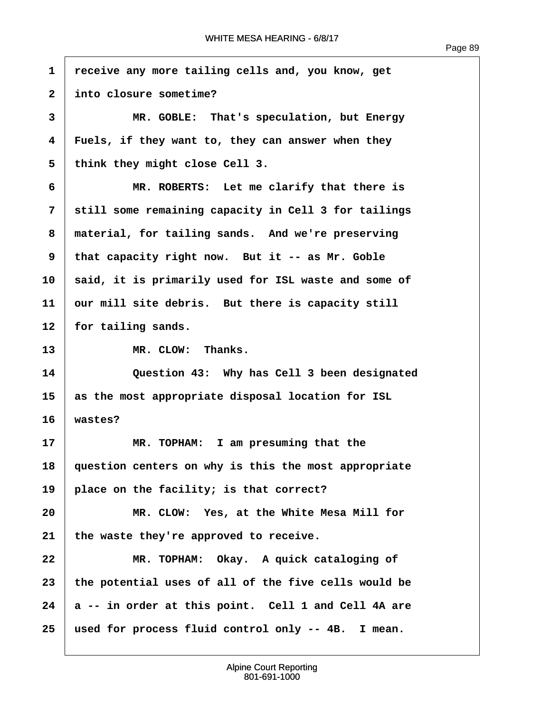| $\mathbf{1}$   | receive any more tailing cells and, you know, get    |
|----------------|------------------------------------------------------|
| $\overline{2}$ | into closure sometime?                               |
| 3              | MR. GOBLE: That's speculation, but Energy            |
| 4              | Fuels, if they want to, they can answer when they    |
| 5              | think they might close Cell 3.                       |
| 6              | MR. ROBERTS: Let me clarify that there is            |
| 7              | still some remaining capacity in Cell 3 for tailings |
| 8              | material, for tailing sands. And we're preserving    |
| 9              | that capacity right now. But it -- as Mr. Goble      |
| 10             | said, it is primarily used for ISL waste and some of |
| 11             | our mill site debris. But there is capacity still    |
| 12             | for tailing sands.                                   |
| 13             | MR. CLOW: Thanks.                                    |
| 14             | Question 43: Why has Cell 3 been designated          |
| 15             | as the most appropriate disposal location for ISL    |
| 16             | wastes?                                              |
| 17             | MR. TOPHAM: I am presuming that the                  |
| 18             | question centers on why is this the most appropriate |
| 19             | place on the facility; is that correct?              |
| 20             | MR. CLOW: Yes, at the White Mesa Mill for            |
| 21             | the waste they're approved to receive.               |
| 22             | MR. TOPHAM: Okay. A quick cataloging of              |
| 23             | the potential uses of all of the five cells would be |
| 24             | a -- in order at this point. Cell 1 and Cell 4A are  |
| 25             | used for process fluid control only -- 4B. I mean.   |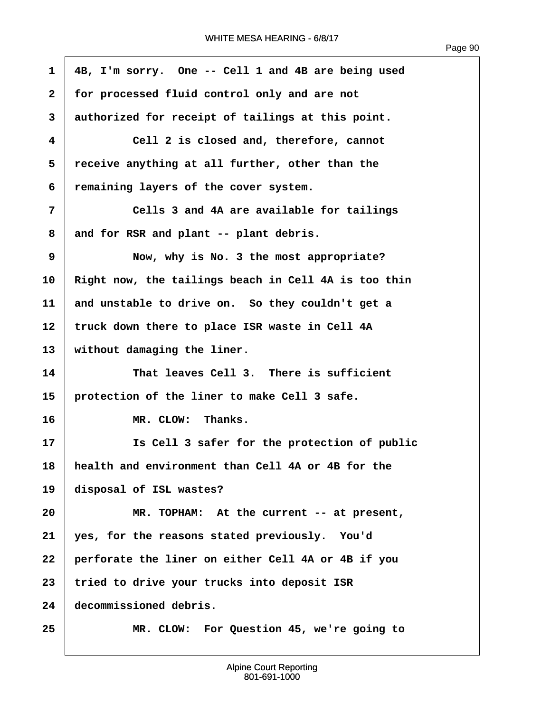| $\mathbf{1}$   | 4B, I'm sorry. One -- Cell 1 and 4B are being used   |
|----------------|------------------------------------------------------|
| $\overline{2}$ | for processed fluid control only and are not         |
| 3              | authorized for receipt of tailings at this point.    |
| 4              | Cell 2 is closed and, therefore, cannot              |
| 5              | receive anything at all further, other than the      |
| 6              | remaining layers of the cover system.                |
| 7              | Cells 3 and 4A are available for tailings            |
| 8              | and for RSR and plant -- plant debris.               |
| 9              | Now, why is No. 3 the most appropriate?              |
| 10             | Right now, the tailings beach in Cell 4A is too thin |
| 11             | and unstable to drive on. So they couldn't get a     |
| 12             | truck down there to place ISR waste in Cell 4A       |
| 13             | without damaging the liner.                          |
| 14             | That leaves Cell 3. There is sufficient              |
| 15             | protection of the liner to make Cell 3 safe.         |
| 16             | MR. CLOW: Thanks.                                    |
| 17             | Is Cell 3 safer for the protection of public         |
| 18             | health and environment than Cell 4A or 4B for the    |
| 19             | disposal of ISL wastes?                              |
| 20             | MR. TOPHAM: At the current -- at present,            |
| 21             | yes, for the reasons stated previously. You'd        |
| 22             | perforate the liner on either Cell 4A or 4B if you   |
| 23             | tried to drive your trucks into deposit ISR          |
| 24             | decommissioned debris.                               |
| 25             | MR. CLOW: For Question 45, we're going to            |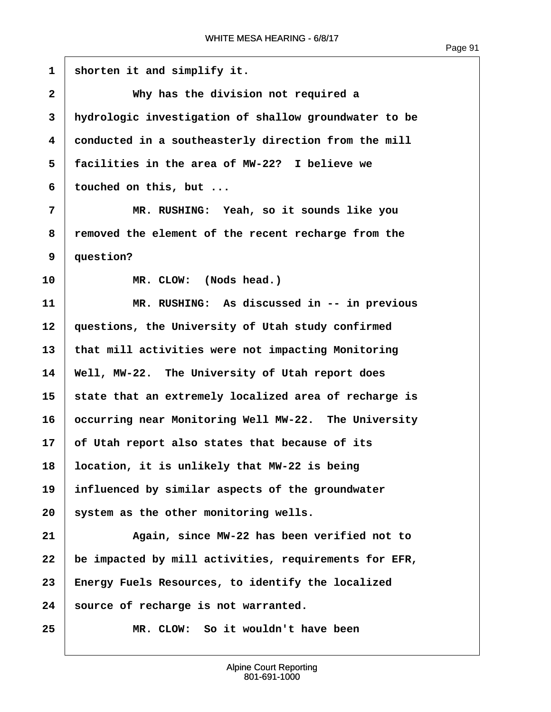| $\mathbf{1}$ | shorten it and simplify it.                           |
|--------------|-------------------------------------------------------|
| 2            | Why has the division not required a                   |
| 3            | hydrologic investigation of shallow groundwater to be |
| 4            | conducted in a southeasterly direction from the mill  |
| 5            | facilities in the area of MW-22? I believe we         |
| 6            | touched on this, but                                  |
| 7            | MR. RUSHING: Yeah, so it sounds like you              |
| 8            | removed the element of the recent recharge from the   |
| 9            | question?                                             |
| 10           | MR. CLOW: (Nods head.)                                |
| 11           | MR. RUSHING: As discussed in -- in previous           |
| 12           | questions, the University of Utah study confirmed     |
| 13           | that mill activities were not impacting Monitoring    |
| 14           | Well, MW-22. The University of Utah report does       |
| 15           | state that an extremely localized area of recharge is |
| 16           | occurring near Monitoring Well MW-22. The University  |
| 17           | of Utah report also states that because of its        |
| 18           | location, it is unlikely that MW-22 is being          |
| 19           | influenced by similar aspects of the groundwater      |
| 20           | system as the other monitoring wells.                 |
| 21           | Again, since MW-22 has been verified not to           |
| 22           | be impacted by mill activities, requirements for EFR, |
| 23           | Energy Fuels Resources, to identify the localized     |
| 24           | source of recharge is not warranted.                  |
| 25           | MR. CLOW: So it wouldn't have been                    |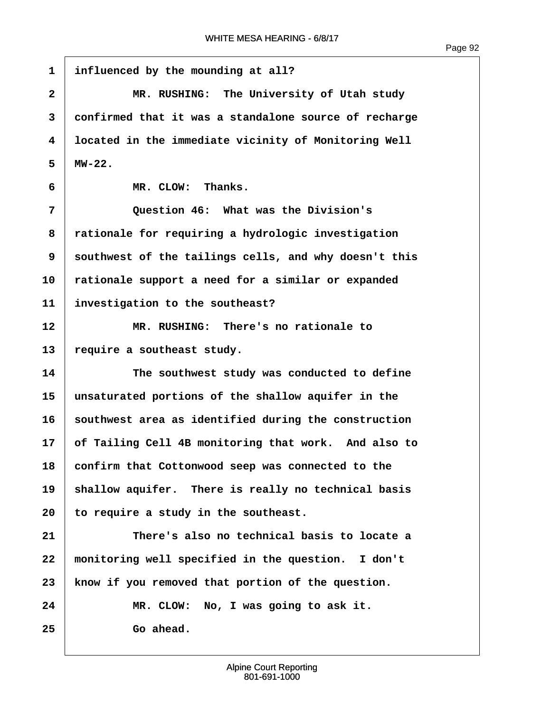| $\mathbf{1}$            | influenced by the mounding at all?                    |
|-------------------------|-------------------------------------------------------|
| $\overline{\mathbf{2}}$ | MR. RUSHING: The University of Utah study             |
| 3                       | confirmed that it was a standalone source of recharge |
| 4                       | located in the immediate vicinity of Monitoring Well  |
| 5                       | $MW-22$ .                                             |
| 6                       | MR. CLOW: Thanks.                                     |
| 7                       | Question 46: What was the Division's                  |
| 8                       | rationale for requiring a hydrologic investigation    |
| 9                       | southwest of the tailings cells, and why doesn't this |
| 10                      | rationale support a need for a similar or expanded    |
| 11                      | investigation to the southeast?                       |
| 12                      | MR. RUSHING: There's no rationale to                  |
| 13                      | require a southeast study.                            |
| 14                      | The southwest study was conducted to define           |
| 15                      | unsaturated portions of the shallow aquifer in the    |
| 16                      | southwest area as identified during the construction  |
| 17                      | of Tailing Cell 4B monitoring that work. And also to  |
| 18                      | confirm that Cottonwood seep was connected to the     |
| 19                      | shallow aquifer. There is really no technical basis   |
| 20                      | to require a study in the southeast.                  |
| 21                      | There's also no technical basis to locate a           |
| 22                      | monitoring well specified in the question. I don't    |
| 23                      | know if you removed that portion of the question.     |
| 24                      | MR. CLOW: No, I was going to ask it.                  |
| 25                      | Go ahead.                                             |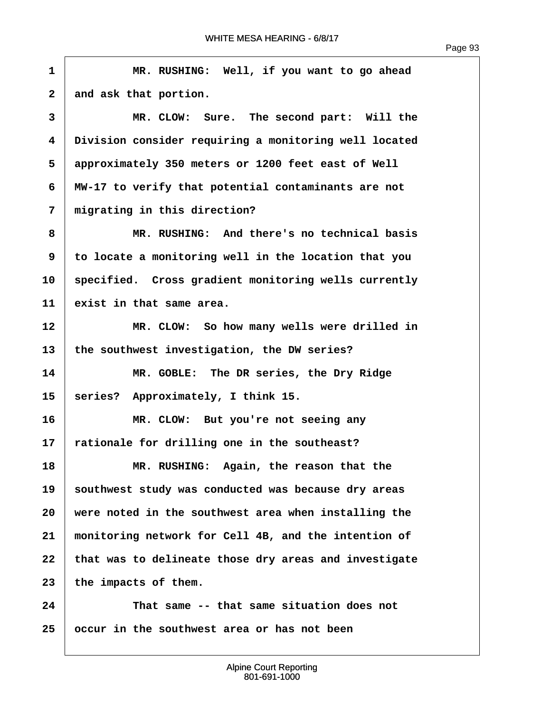$\overline{1}$ 

| $\mathbf{1}$            | MR. RUSHING: Well, if you want to go ahead            |
|-------------------------|-------------------------------------------------------|
| $\mathbf{2}$            | and ask that portion.                                 |
| 3                       | MR. CLOW: Sure. The second part: Will the             |
| $\overline{\mathbf{4}}$ | Division consider requiring a monitoring well located |
| 5                       | approximately 350 meters or 1200 feet east of Well    |
| 6                       | MW-17 to verify that potential contaminants are not   |
| 7                       | migrating in this direction?                          |
| 8                       | MR. RUSHING: And there's no technical basis           |
| 9                       | to locate a monitoring well in the location that you  |
| 10                      | specified. Cross gradient monitoring wells currently  |
| 11                      | exist in that same area.                              |
| 12                      | MR. CLOW: So how many wells were drilled in           |
| 13                      | the southwest investigation, the DW series?           |
| 14                      | MR. GOBLE: The DR series, the Dry Ridge               |
| 15                      | series? Approximately, I think 15.                    |
| 16                      | MR. CLOW: But you're not seeing any                   |
| 17                      | rationale for drilling one in the southeast?          |
| 18                      | MR. RUSHING: Again, the reason that the               |
| 19                      | southwest study was conducted was because dry areas   |
| 20                      | were noted in the southwest area when installing the  |
| 21                      | monitoring network for Cell 4B, and the intention of  |
| 22                      | that was to delineate those dry areas and investigate |
| 23                      | the impacts of them.                                  |
| 24                      | That same -- that same situation does not             |
| 25                      | occur in the southwest area or has not been           |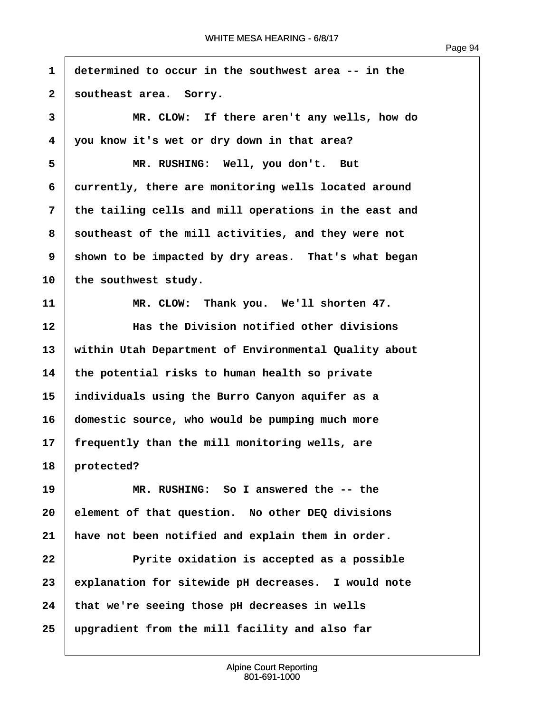Page 94

**·1· ·determined to occur in the southwest area -- in the** 2 | southeast area. Sorry. **·3· · · · · · MR. CLOW:· If there aren't any wells, how do ·4· ·you know it's wet or dry down in that area?** 5 | MR. RUSHING: Well, you don't. But **·6· ·currently, there are monitoring wells located around ·7· ·the tailing cells and mill operations in the east and ·8· ·southeast of the mill activities, and they were not 9** shown to be impacted by dry areas. That's what began 10 the southwest study. **11· · · · · · MR. CLOW:· Thank you.· We'll shorten 47. 12· · · · · · Has the Division notified other divisions 13· ·within Utah Department of Environmental Quality about 14· ·the potential risks to human health so private 15· ·individuals using the Burro Canyon aquifer as a 16· ·domestic source, who would be pumping much more 17· ·frequently than the mill monitoring wells, are** 18 **protected? 19· · · · · · MR. RUSHING:· So I answered the -- the 20· ·element of that question.· No other DEQ divisions** 21 **have not been notified and explain them in order. 22· · · · · · Pyrite oxidation is accepted as a possible 23· ·explanation for sitewide pH decreases.· I would note 24· ·that we're seeing those pH decreases in wells 25· ·upgradient from the mill facility and also far**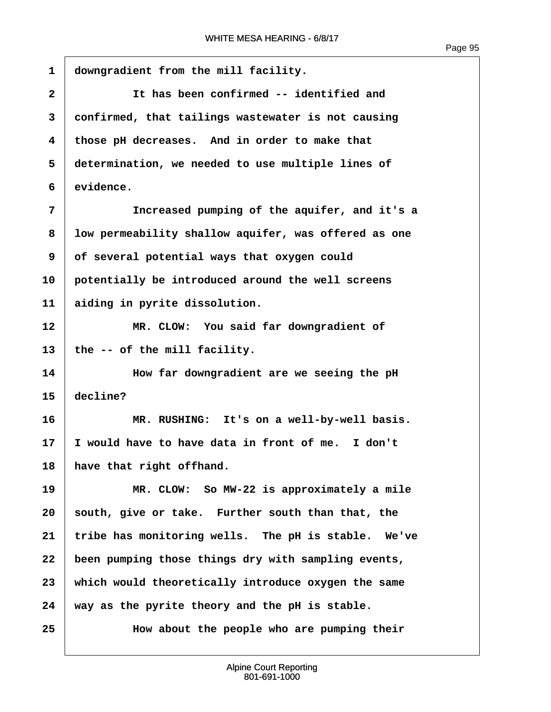| $\mathbf 1$  | downgradient from the mill facility.                 |
|--------------|------------------------------------------------------|
| $\mathbf{2}$ | It has been confirmed -- identified and              |
| 3            | confirmed, that tailings wastewater is not causing   |
| 4            | those pH decreases. And in order to make that        |
| 5            | determination, we needed to use multiple lines of    |
| 6            | evidence.                                            |
| 7            | Increased pumping of the aquifer, and it's a         |
| 8            | low permeability shallow aquifer, was offered as one |
| 9            | of several potential ways that oxygen could          |
| 10           | potentially be introduced around the well screens    |
| 11           | aiding in pyrite dissolution.                        |
| 12           | MR. CLOW: You said far downgradient of               |
| 13           | the -- of the mill facility.                         |
| 14           | How far downgradient are we seeing the pH            |
| 15           | decline?                                             |
| 16           | MR. RUSHING: It's on a well-by-well basis.           |
| 17           | I would have to have data in front of me. I don't    |
| 18           | have that right offhand.                             |
| 19           | MR. CLOW: So MW-22 is approximately a mile           |
| 20           | south, give or take. Further south than that, the    |
| 21           | tribe has monitoring wells. The pH is stable. We've  |
| 22           | been pumping those things dry with sampling events,  |
| 23           | which would theoretically introduce oxygen the same  |
| 24           | way as the pyrite theory and the pH is stable.       |
| 25           | How about the people who are pumping their           |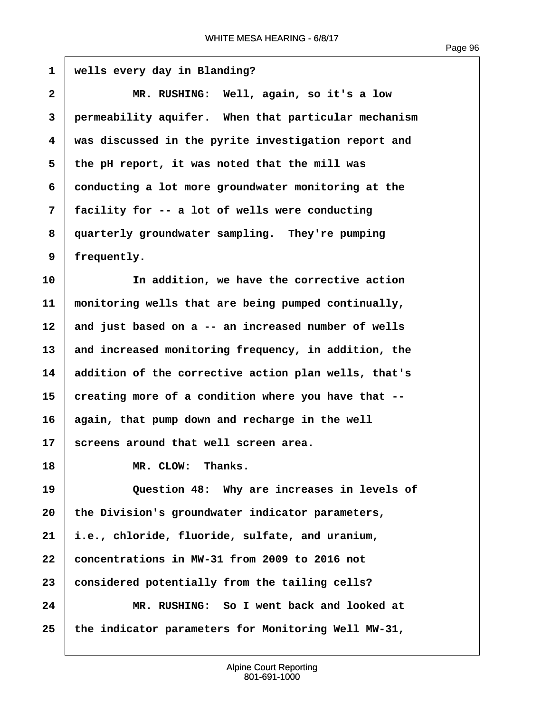1 | wells every day in Blanding? **·2· · · · · · MR. RUSHING:· Well, again, so it's a low ·3· ·permeability aquifer.· When that particular mechanism ·4· ·was discussed in the pyrite investigation report and ·5· ·the pH report, it was noted that the mill was ·6· ·conducting a lot more groundwater monitoring at the ·7· ·facility for -- a lot of wells were conducting ·8· ·quarterly groundwater sampling.· They're pumping ·9· ·frequently. 10· · · · · · In addition, we have the corrective action 11· ·monitoring wells that are being pumped continually,** 12 | and just based on a -- an increased number of wells **13· ·and increased monitoring frequency, in addition, the 14· ·addition of the corrective action plan wells, that's 15· ·creating more of a condition where you have that -- 16· ·again, that pump down and recharge in the well** 17 Screens around that well screen area. 18 **III.** MR. CLOW: Thanks. **19· · · · · · Question 48:· Why are increases in levels of** 20 the Division's groundwater indicator parameters, **21· ·i.e., chloride, fluoride, sulfate, and uranium, 22· ·concentrations in MW-31 from 2009 to 2016 not** 23 **considered potentially from the tailing cells? 24· · · · · · MR. RUSHING:· So I went back and looked at 25· ·the indicator parameters for Monitoring Well MW-31,**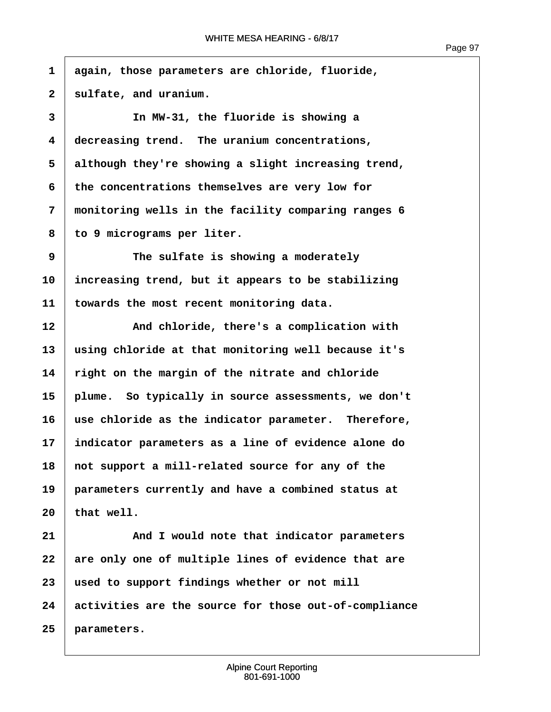**·1· ·again, those parameters are chloride, fluoride,** 2 | sulfate, and uranium. **·3· · · · · · In MW-31, the fluoride is showing a ·4· ·decreasing trend.· The uranium concentrations, ·5· ·although they're showing a slight increasing trend, ·6· ·the concentrations themselves are very low for ·7· ·monitoring wells in the facility comparing ranges 6 ·8· ·to 9 micrograms per liter. ·9· · · · · · The sulfate is showing a moderately 10· ·increasing trend, but it appears to be stabilizing 11· ·towards the most recent monitoring data.** 12 **And chloride, there's a complication with 13· ·using chloride at that monitoring well because it's 14· ·right on the margin of the nitrate and chloride 15· ·plume.· So typically in source assessments, we don't 16· ·use chloride as the indicator parameter.· Therefore, 17· ·indicator parameters as a line of evidence alone do** 18 not support a mill-related source for any of the **19· ·parameters currently and have a combined status at**  $20$  that well. **21· · · · · · And I would note that indicator parameters** 22 are only one of multiple lines of evidence that are **23· ·used to support findings whether or not mill 24· ·activities are the source for those out-of-compliance 25· ·parameters.**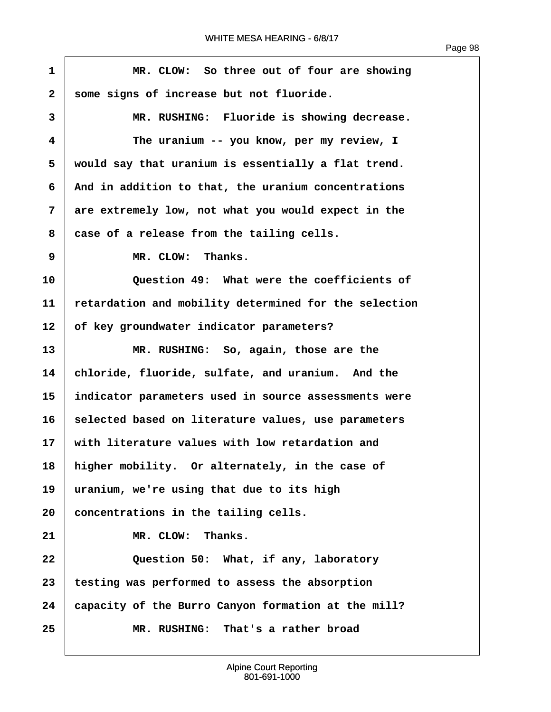| $\mathbf 1$  | MR. CLOW: So three out of four are showing            |
|--------------|-------------------------------------------------------|
| $\mathbf{2}$ | some signs of increase but not fluoride.              |
| 3            | MR. RUSHING: Fluoride is showing decrease.            |
| 4            | The uranium -- you know, per my review, I             |
| 5            | would say that uranium is essentially a flat trend.   |
| 6            | And in addition to that, the uranium concentrations   |
| 7            | are extremely low, not what you would expect in the   |
| 8            | case of a release from the tailing cells.             |
| 9            | MR. CLOW: Thanks.                                     |
| 10           | Question 49: What were the coefficients of            |
| 11           | retardation and mobility determined for the selection |
| 12           | of key groundwater indicator parameters?              |
| 13           | MR. RUSHING: So, again, those are the                 |
| 14           | chloride, fluoride, sulfate, and uranium. And the     |
| 15           | indicator parameters used in source assessments were  |
| 16           | selected based on literature values, use parameters   |
| $17 \,$      | with literature values with low retardation and       |
| 18           | higher mobility. Or alternately, in the case of       |
| 19           | uranium, we're using that due to its high             |
| 20           | concentrations in the tailing cells.                  |
| 21           | MR. CLOW:<br>Thanks.                                  |
| 22           | Question 50: What, if any, laboratory                 |
| 23           | testing was performed to assess the absorption        |
| 24           | capacity of the Burro Canyon formation at the mill?   |
| 25           | MR. RUSHING: That's a rather broad                    |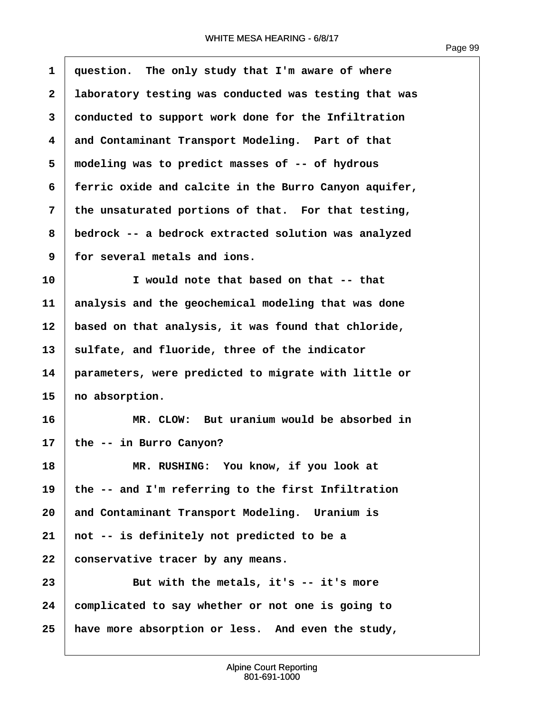$\overline{1}$ 

| $\mathbf{1}$            | question. The only study that I'm aware of where      |
|-------------------------|-------------------------------------------------------|
| $\overline{\mathbf{2}}$ | laboratory testing was conducted was testing that was |
| 3                       | conducted to support work done for the Infiltration   |
| 4                       | and Contaminant Transport Modeling. Part of that      |
| 5                       | modeling was to predict masses of -- of hydrous       |
| 6                       | ferric oxide and calcite in the Burro Canyon aquifer, |
| $\overline{7}$          | the unsaturated portions of that. For that testing,   |
| 8                       | bedrock -- a bedrock extracted solution was analyzed  |
| 9                       | for several metals and ions.                          |
| 10                      | I would note that based on that -- that               |
| 11                      | analysis and the geochemical modeling that was done   |
| 12                      | based on that analysis, it was found that chloride,   |
| 13                      | sulfate, and fluoride, three of the indicator         |
| 14                      | parameters, were predicted to migrate with little or  |
| 15                      | no absorption.                                        |
| 16                      | MR. CLOW: But uranium would be absorbed in            |
| 17                      | the -- in Burro Canyon?                               |
| 18                      | MR. RUSHING: You know, if you look at                 |
| 19                      | the -- and I'm referring to the first Infiltration    |
| 20                      | and Contaminant Transport Modeling. Uranium is        |
| 21                      | not -- is definitely not predicted to be a            |
| 22                      | conservative tracer by any means.                     |
| 23                      | But with the metals, it's -- it's more                |
| 24                      | complicated to say whether or not one is going to     |
| 25                      | have more absorption or less. And even the study,     |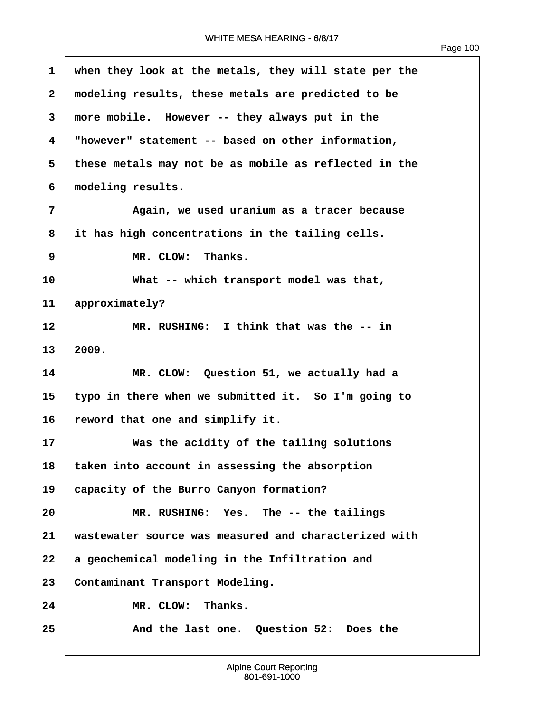| $\mathbf{1}$ | when they look at the metals, they will state per the |
|--------------|-------------------------------------------------------|
| 2            | modeling results, these metals are predicted to be    |
| 3            | more mobile. However -- they always put in the        |
| 4            | "however" statement -- based on other information,    |
| 5            | these metals may not be as mobile as reflected in the |
| 6            | modeling results.                                     |
| 7            | Again, we used uranium as a tracer because            |
| 8            | it has high concentrations in the tailing cells.      |
| 9            | MR. CLOW: Thanks.                                     |
| 10           | What -- which transport model was that,               |
| 11           | approximately?                                        |
| 12           | MR. RUSHING: I think that was the -- in               |
| 13           | 2009.                                                 |
| 14           | MR. CLOW: Question 51, we actually had a              |
| 15           | typo in there when we submitted it. So I'm going to   |
| 16           | reword that one and simplify it.                      |
| 17           | Was the acidity of the tailing solutions              |
| 18           | taken into account in assessing the absorption        |
| 19           | capacity of the Burro Canyon formation?               |
| 20           | MR. RUSHING: Yes. The -- the tailings                 |
| 21           | wastewater source was measured and characterized with |
| 22           | a geochemical modeling in the Infiltration and        |
| 23           | Contaminant Transport Modeling.                       |
| 24           | Thanks.<br>MR. CLOW:                                  |
| 25           | And the last one. Question 52: Does the               |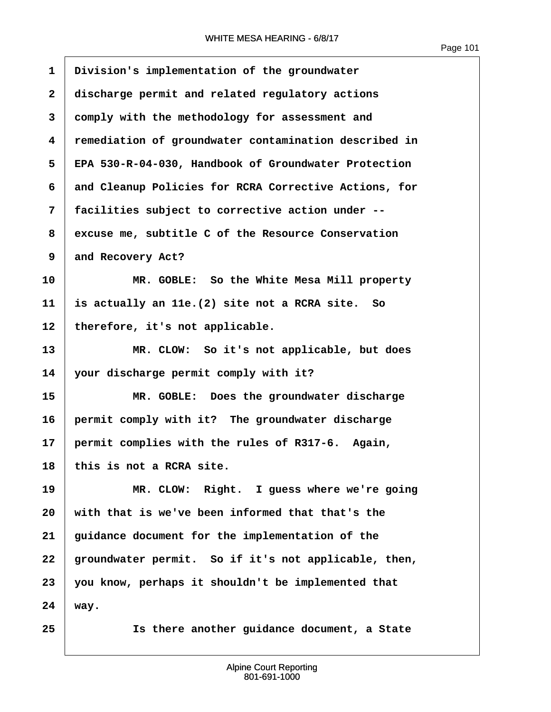| $\mathbf 1$  | Division's implementation of the groundwater          |
|--------------|-------------------------------------------------------|
| $\mathbf{2}$ | discharge permit and related regulatory actions       |
| 3            | comply with the methodology for assessment and        |
| 4            | remediation of groundwater contamination described in |
| 5            | EPA 530-R-04-030, Handbook of Groundwater Protection  |
| 6            | and Cleanup Policies for RCRA Corrective Actions, for |
| 7            | facilities subject to corrective action under --      |
| 8            | excuse me, subtitle C of the Resource Conservation    |
| 9            | and Recovery Act?                                     |
| 10           | MR. GOBLE: So the White Mesa Mill property            |
| 11           | is actually an 11e. (2) site not a RCRA site. So      |
| 12           | therefore, it's not applicable.                       |
| 13           | MR. CLOW: So it's not applicable, but does            |
| 14           | your discharge permit comply with it?                 |
| 15           | MR. GOBLE: Does the groundwater discharge             |
| 16           | permit comply with it? The groundwater discharge      |
| 17           | permit complies with the rules of R317-6. Again,      |
| 18           | this is not a RCRA site.                              |
| 19           | MR. CLOW: Right. I guess where we're going            |
| 20           | with that is we've been informed that that's the      |
| 21           | guidance document for the implementation of the       |
| 22           | groundwater permit. So if it's not applicable, then,  |
| 23           | you know, perhaps it shouldn't be implemented that    |
| 24           | way.                                                  |
| 25           | Is there another guidance document, a State           |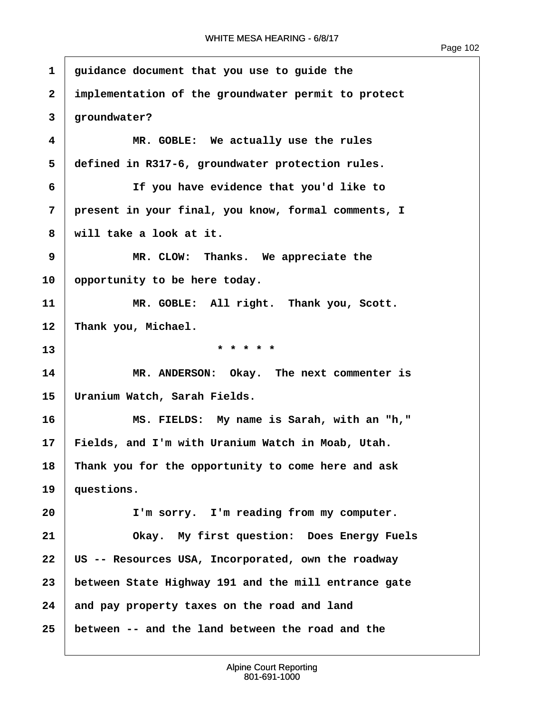| 1            | guidance document that you use to guide the          |
|--------------|------------------------------------------------------|
| $\mathbf{2}$ | implementation of the groundwater permit to protect  |
| 3            | groundwater?                                         |
| 4            | MR. GOBLE: We actually use the rules                 |
| 5            | defined in R317-6, groundwater protection rules.     |
| 6            | If you have evidence that you'd like to              |
| 7            | present in your final, you know, formal comments, I  |
| 8            | will take a look at it.                              |
| 9            | MR. CLOW: Thanks. We appreciate the                  |
| 10           | opportunity to be here today.                        |
| 11           | MR. GOBLE: All right. Thank you, Scott.              |
| 12           | Thank you, Michael.                                  |
| 13           | * * * * *                                            |
| 14           | MR. ANDERSON: Okay. The next commenter is            |
| 15           | Uranium Watch, Sarah Fields.                         |
| 16           | MS. FIELDS: My name is Sarah, with an "h,"           |
| 17           | Fields, and I'm with Uranium Watch in Moab, Utah.    |
| 18           | Thank you for the opportunity to come here and ask   |
| 19           | questions.                                           |
| 20           | I'm sorry. I'm reading from my computer.             |
| 21           | Okay. My first question: Does Energy Fuels           |
| 22           | US -- Resources USA, Incorporated, own the roadway   |
| 23           | between State Highway 191 and the mill entrance gate |
| 24           | and pay property taxes on the road and land          |
| 25           | between -- and the land between the road and the     |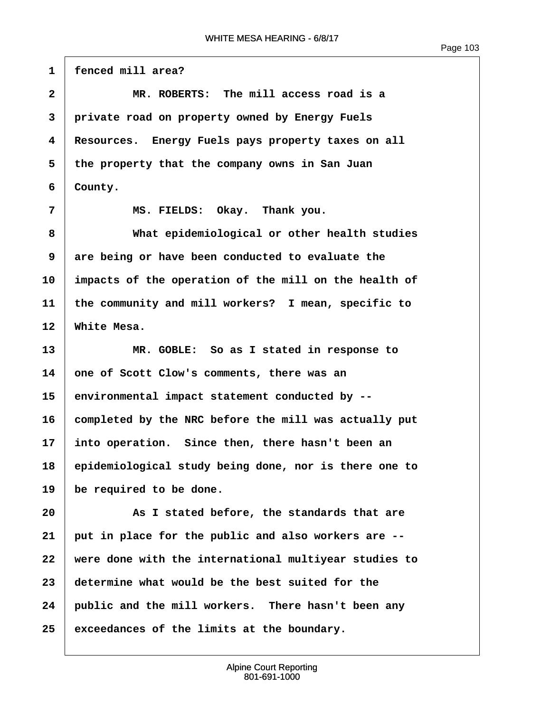1 **fenced mill area? ·2· · · · · · MR. ROBERTS:· The mill access road is a ·3· ·private road on property owned by Energy Fuels ·4· ·Resources.· Energy Fuels pays property taxes on all ·5· ·the property that the company owns in San Juan**  $6 \mid$  County. **·7· · · · · · MS. FIELDS:· Okay.· Thank you. ·8· · · · · · What epidemiological or other health studies 9** are being or have been conducted to evaluate the **10· ·impacts of the operation of the mill on the health of 11· ·the community and mill workers?· I mean, specific to** 12 White Mesa. **13· · · · · · MR. GOBLE:· So as I stated in response to 14· ·one of Scott Clow's comments, there was an 15· ·environmental impact statement conducted by -- 16· ·completed by the NRC before the mill was actually put 17· ·into operation.· Since then, there hasn't been an 18· ·epidemiological study being done, nor is there one to 19· ·be required to be done. 20· · · · · · As I stated before, the standards that are 21· ·put in place for the public and also workers are -- 22· ·were done with the international multiyear studies to 23· ·determine what would be the best suited for the 24· ·public and the mill workers.· There hasn't been any 25· ·exceedances of the limits at the boundary.**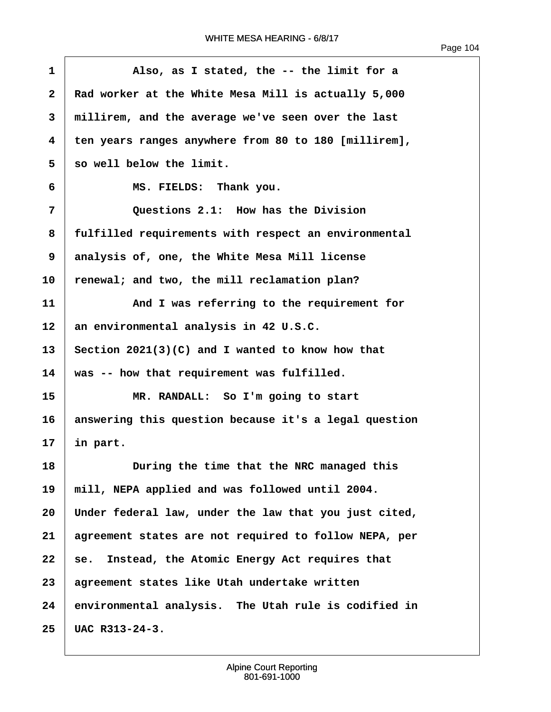| $\mathbf{1}$ | Also, as I stated, the -- the limit for a             |
|--------------|-------------------------------------------------------|
| $\mathbf{2}$ | Rad worker at the White Mesa Mill is actually 5,000   |
| 3            | millirem, and the average we've seen over the last    |
| 4            | ten years ranges anywhere from 80 to 180 [millirem],  |
| 5            | so well below the limit.                              |
| 6            | MS. FIELDS: Thank you.                                |
| 7            | Questions 2.1: How has the Division                   |
| 8            | fulfilled requirements with respect an environmental  |
| 9            | analysis of, one, the White Mesa Mill license         |
| 10           | renewal; and two, the mill reclamation plan?          |
| 11           | And I was referring to the requirement for            |
| 12           | an environmental analysis in 42 U.S.C.                |
| 13           | Section $2021(3)(C)$ and I wanted to know how that    |
| 14           | was -- how that requirement was fulfilled.            |
| 15           | MR. RANDALL: So I'm going to start                    |
| 16           | answering this question because it's a legal question |
| 17           | in part.                                              |
| 18           | During the time that the NRC managed this             |
| 19           | mill, NEPA applied and was followed until 2004.       |
| 20           | Under federal law, under the law that you just cited, |
| 21           | agreement states are not required to follow NEPA, per |
| 22           | Instead, the Atomic Energy Act requires that<br>se.   |
| 23           | agreement states like Utah undertake written          |
| 24           | environmental analysis. The Utah rule is codified in  |
| 25           | UAC R313-24-3.                                        |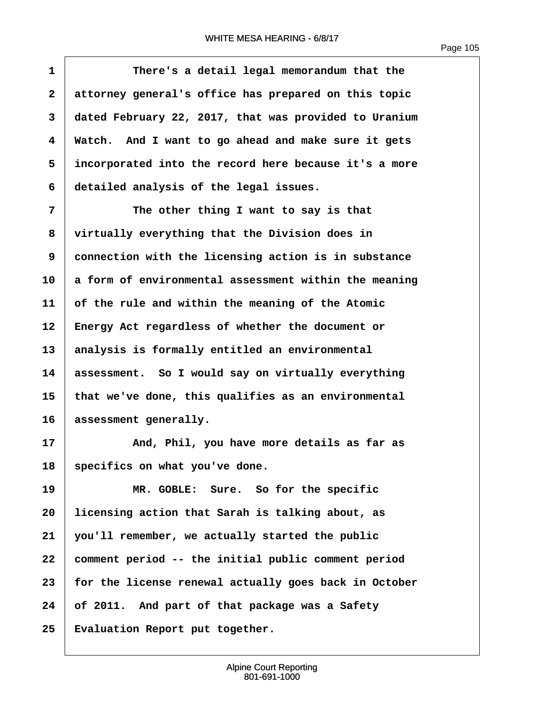Page 105

**1 i 1 ·· ··· There's a detail legal memorandum that the ·2· ·attorney general's office has prepared on this topic ·3· ·dated February 22, 2017, that was provided to Uranium ·4· ·Watch.· And I want to go ahead and make sure it gets ·5· ·incorporated into the record here because it's a more ·6· ·detailed analysis of the legal issues. ·7· · · · · · The other thing I want to say is that ·8· ·virtually everything that the Division does in ·9· ·connection with the licensing action is in substance 10· ·a form of environmental assessment within the meaning 11· ·of the rule and within the meaning of the Atomic** 12 **Energy Act regardless of whether the document or** 13 analysis is formally entitled an environmental **14· ·assessment.· So I would say on virtually everything 15· ·that we've done, this qualifies as an environmental** 16 assessment generally. **17· · · · · · And, Phil, you have more details as far as** 18 specifics on what you've done. **19 19 MR. GOBLE:** Sure. So for the specific **20· ·licensing action that Sarah is talking about, as 21· ·you'll remember, we actually started the public 22· ·comment period -- the initial public comment period 23· ·for the license renewal actually goes back in October 24· ·of 2011.· And part of that package was a Safety** 25 | Evaluation Report put together.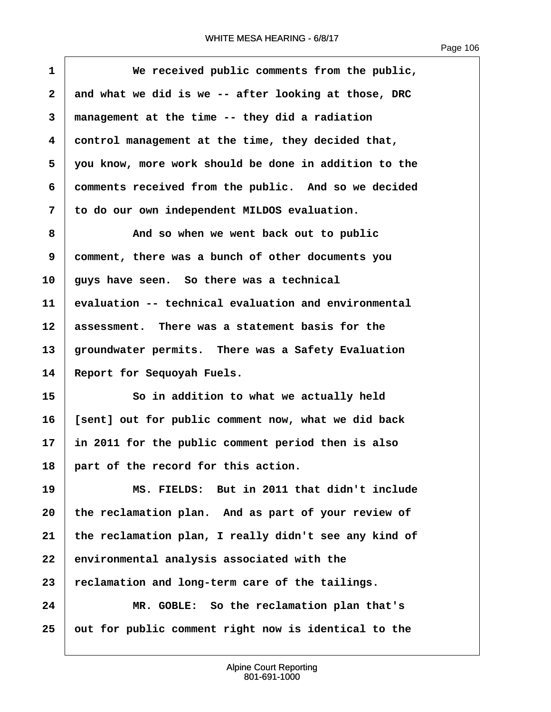| $\mathbf{1}$ | We received public comments from the public,          |
|--------------|-------------------------------------------------------|
| $\mathbf{2}$ | and what we did is we -- after looking at those, DRC  |
| 3            | management at the time -- they did a radiation        |
| 4            | control management at the time, they decided that,    |
| 5            | you know, more work should be done in addition to the |
| 6            | comments received from the public. And so we decided  |
| 7            | to do our own independent MILDOS evaluation.          |
| 8            | And so when we went back out to public                |
| 9            | comment, there was a bunch of other documents you     |
| 10           | guys have seen. So there was a technical              |
| 11           | evaluation -- technical evaluation and environmental  |
| 12           | assessment. There was a statement basis for the       |
| 13           | groundwater permits. There was a Safety Evaluation    |
| 14           | Report for Sequoyah Fuels.                            |
| 15           | So in addition to what we actually held               |
| 16           | [sent] out for public comment now, what we did back   |
| 17           | in 2011 for the public comment period then is also    |
| 18           | part of the record for this action.                   |
| 19           | MS. FIELDS: But in 2011 that didn't include           |
| 20           | the reclamation plan. And as part of your review of   |
| 21           | the reclamation plan, I really didn't see any kind of |
| 22           | environmental analysis associated with the            |
| 23           | reclamation and long-term care of the tailings.       |
| 24           | MR. GOBLE: So the reclamation plan that's             |
| 25           | out for public comment right now is identical to the  |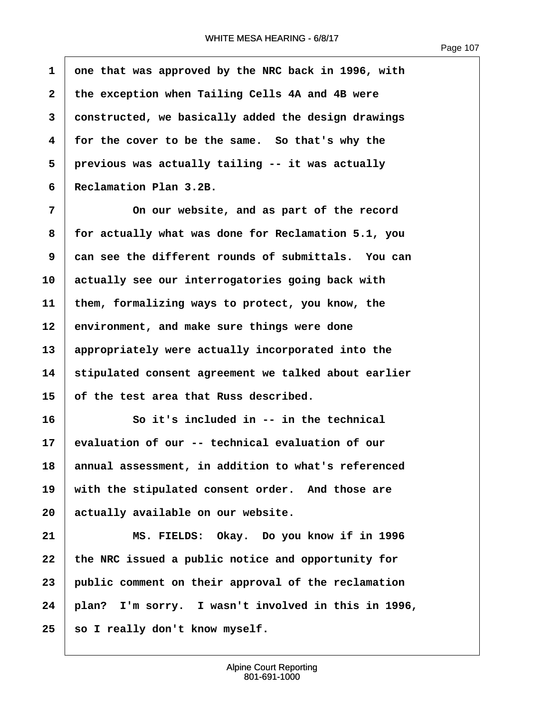**·1· ·one that was approved by the NRC back in 1996, with ·2· ·the exception when Tailing Cells 4A and 4B were ·3· ·constructed, we basically added the design drawings 4** for the cover to be the same. So that's why the **·5· ·previous was actually tailing -- it was actually ·6· ·Reclamation Plan 3.2B.**

**·7· · · · · · On our website, and as part of the record ·8· ·for actually what was done for Reclamation 5.1, you ·9· ·can see the different rounds of submittals.· You can 10· ·actually see our interrogatories going back with** 11 them, formalizing ways to protect, you know, the 12 environment, and make sure things were done 13 | appropriately were actually incorporated into the **14· ·stipulated consent agreement we talked about earlier 15· ·of the test area that Russ described.**

**16· · · · · · So it's included in -- in the technical 17· ·evaluation of our -- technical evaluation of our 18· ·annual assessment, in addition to what's referenced** 19 | with the stipulated consent order. And those are 20 **actually available on our website.** 

**21· · · · · · MS. FIELDS:· Okay.· Do you know if in 1996** 22 the NRC issued a public notice and opportunity for **23· ·public comment on their approval of the reclamation 24· ·plan?· I'm sorry.· I wasn't involved in this in 1996,** 25 so I really don't know myself.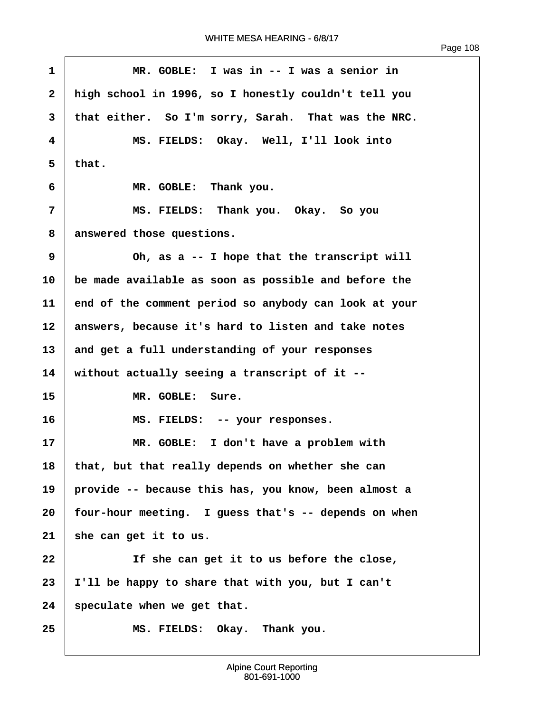| $\mathbf{1}$ | MR. GOBLE: I was in -- I was a senior in              |
|--------------|-------------------------------------------------------|
| $\mathbf{2}$ | high school in 1996, so I honestly couldn't tell you  |
| 3            | that either. So I'm sorry, Sarah. That was the NRC.   |
| 4            | MS. FIELDS: Okay. Well, I'll look into                |
| 5            | that.                                                 |
| 6            | MR. GOBLE: Thank you.                                 |
| 7            | MS. FIELDS: Thank you. Okay. So you                   |
| 8            | answered those questions.                             |
| 9            | Oh, as a -- I hope that the transcript will           |
| 10           | be made available as soon as possible and before the  |
| 11           | end of the comment period so anybody can look at your |
| 12           | answers, because it's hard to listen and take notes   |
| 13           | and get a full understanding of your responses        |
| 14           | without actually seeing a transcript of it --         |
| 15           | MR. GOBLE: Sure.                                      |
| 16           | MS. FIELDS: -- your responses.                        |
| 17           | MR. GOBLE: I don't have a problem with                |
| 18           | that, but that really depends on whether she can      |
| 19           | provide -- because this has, you know, been almost a  |
| 20           | four-hour meeting. I guess that's -- depends on when  |
| 21           | she can get it to us.                                 |
| 22           | If she can get it to us before the close,             |
| 23           | I'll be happy to share that with you, but I can't     |
| 24           | speculate when we get that.                           |
| 25           | MS. FIELDS: Okay. Thank you.                          |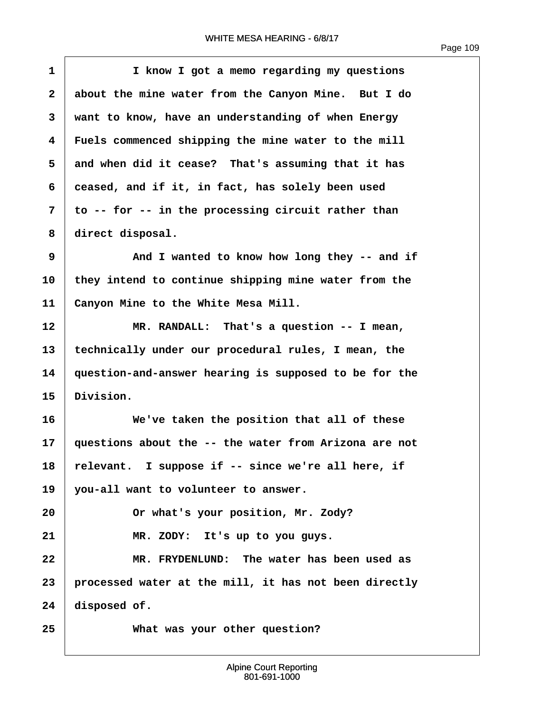$\overline{1}$ 

| $\mathbf 1$             | I know I got a memo regarding my questions            |
|-------------------------|-------------------------------------------------------|
| $\mathbf{2}$            | about the mine water from the Canyon Mine. But I do   |
| 3                       | want to know, have an understanding of when Energy    |
| $\overline{\mathbf{4}}$ | Fuels commenced shipping the mine water to the mill   |
| 5                       | and when did it cease? That's assuming that it has    |
| 6                       | ceased, and if it, in fact, has solely been used      |
| 7                       | to -- for -- in the processing circuit rather than    |
| 8                       | direct disposal.                                      |
| 9                       | And I wanted to know how long they -- and if          |
| 10                      | they intend to continue shipping mine water from the  |
| 11                      | Canyon Mine to the White Mesa Mill.                   |
| 12                      | MR. RANDALL: That's a question -- I mean,             |
| 13                      | technically under our procedural rules, I mean, the   |
| 14                      | question-and-answer hearing is supposed to be for the |
| 15                      | Division.                                             |
| 16                      | We've taken the position that all of these            |
| 17                      | questions about the -- the water from Arizona are not |
| 18                      | relevant. I suppose if -- since we're all here, if    |
| 19                      | you-all want to volunteer to answer.                  |
| 20                      | Or what's your position, Mr. Zody?                    |
| 21                      | MR. ZODY: It's up to you guys.                        |
| 22                      | MR. FRYDENLUND: The water has been used as            |
| 23                      | processed water at the mill, it has not been directly |
| 24                      | disposed of.                                          |
| 25                      | What was your other question?                         |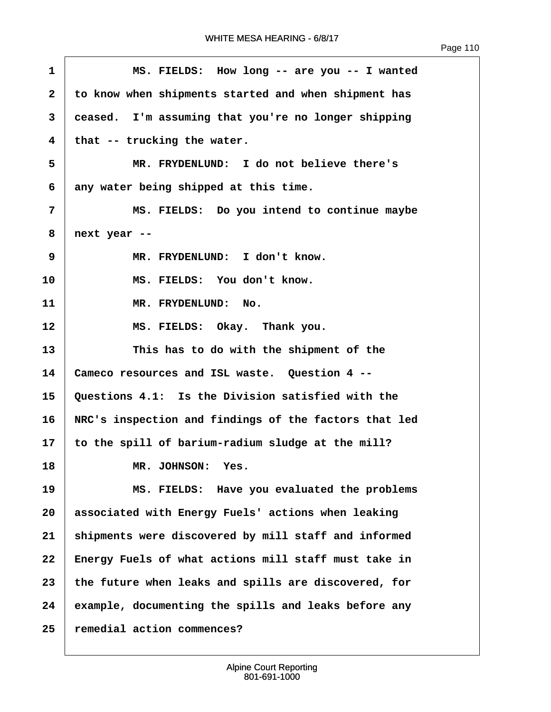| $\mathbf 1$             | MS. FIELDS: How long -- are you -- I wanted           |
|-------------------------|-------------------------------------------------------|
| $\mathbf{2}$            | to know when shipments started and when shipment has  |
| 3                       | ceased. I'm assuming that you're no longer shipping   |
| $\overline{\mathbf{4}}$ | that -- trucking the water.                           |
| 5                       | MR. FRYDENLUND: I do not believe there's              |
| 6                       | any water being shipped at this time.                 |
| 7                       | MS. FIELDS: Do you intend to continue maybe           |
| 8                       | next year --                                          |
| 9                       | MR. FRYDENLUND: I don't know.                         |
| 10                      | MS. FIELDS: You don't know.                           |
| 11                      | MR. FRYDENLUND: No.                                   |
| 12                      | MS. FIELDS: Okay. Thank you.                          |
| 13                      | This has to do with the shipment of the               |
| 14                      | Cameco resources and ISL waste. Question 4 --         |
| 15                      | Questions 4.1: Is the Division satisfied with the     |
| 16                      | NRC's inspection and findings of the factors that led |
| 17                      | to the spill of barium-radium sludge at the mill?     |
| 18                      | MR. JOHNSON:<br>Yes.                                  |
| 19                      | MS. FIELDS: Have you evaluated the problems           |
| 20                      | associated with Energy Fuels' actions when leaking    |
| 21                      | shipments were discovered by mill staff and informed  |
| 22                      | Energy Fuels of what actions mill staff must take in  |
| 23                      | the future when leaks and spills are discovered, for  |
| 24                      | example, documenting the spills and leaks before any  |
| 25                      | remedial action commences?                            |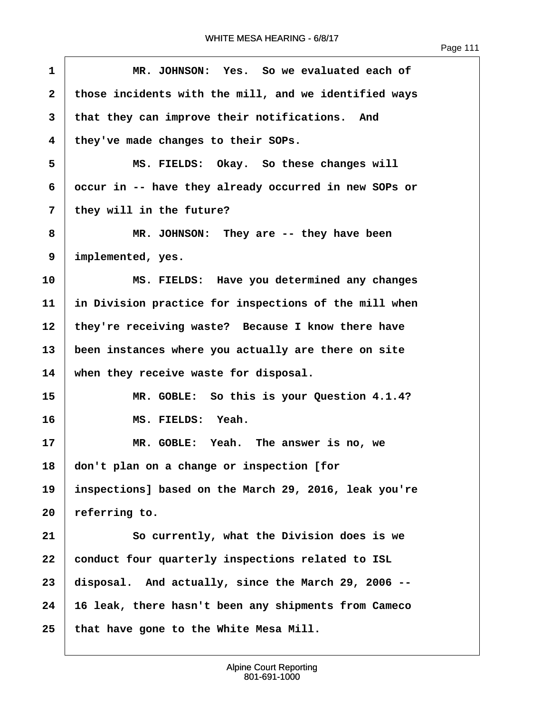| $\mathbf{1}$   | MR. JOHNSON: Yes. So we evaluated each of             |
|----------------|-------------------------------------------------------|
| $\mathbf{2}$   | those incidents with the mill, and we identified ways |
| 3              | that they can improve their notifications. And        |
| 4              | they've made changes to their SOPs.                   |
| 5              | MS. FIELDS: Okay. So these changes will               |
| 6              | occur in -- have they already occurred in new SOPs or |
| $\overline{7}$ | they will in the future?                              |
| 8              | MR. JOHNSON: They are -- they have been               |
| 9              | implemented, yes.                                     |
| 10             | MS. FIELDS: Have you determined any changes           |
| 11             | in Division practice for inspections of the mill when |
| 12             | they're receiving waste? Because I know there have    |
| 13             | been instances where you actually are there on site   |
| 14             | when they receive waste for disposal.                 |
| 15             | MR. GOBLE: So this is your Question 4.1.4?            |
| 16             | MS. FIELDS: Yeah.                                     |
| 17             | MR. GOBLE: Yeah. The answer is no, we                 |
| 18             | don't plan on a change or inspection [for             |
| 19             | inspections] based on the March 29, 2016, leak you're |
| 20             | referring to.                                         |
| 21             | So currently, what the Division does is we            |
| 22             | conduct four quarterly inspections related to ISL     |
| 23             | disposal. And actually, since the March 29, 2006 --   |
| 24             | 16 leak, there hasn't been any shipments from Cameco  |
| 25             | that have gone to the White Mesa Mill.                |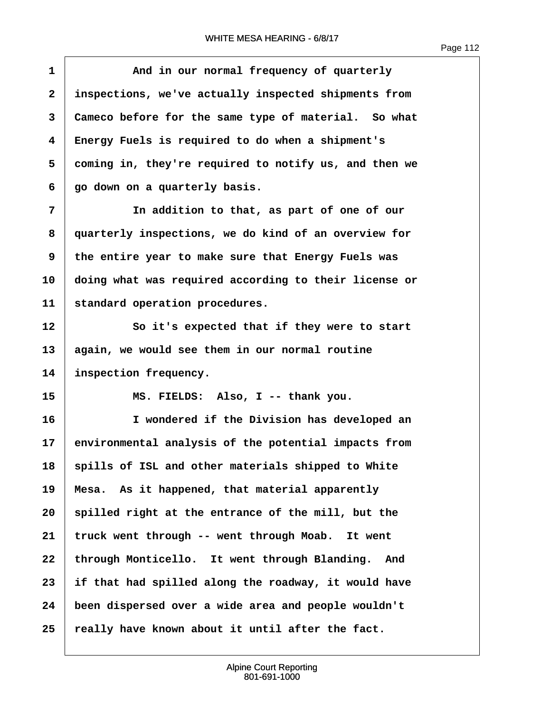**·1· · · · · · And in our normal frequency of quarterly ·2· ·inspections, we've actually inspected shipments from ·3· ·Cameco before for the same type of material.· So what ·4· ·Energy Fuels is required to do when a shipment's ·5· ·coming in, they're required to notify us, and then we ·6· ·go down on a quarterly basis. ·7· · · · · · In addition to that, as part of one of our ·8· ·quarterly inspections, we do kind of an overview for ·9· ·the entire year to make sure that Energy Fuels was 10· ·doing what was required according to their license or** 11 standard operation procedures. 12 **So it's expected that if they were to start 13· ·again, we would see them in our normal routine** 14 inspection frequency. **15· · · · · · MS. FIELDS:· Also, I -- thank you. 16· · · · · · I wondered if the Division has developed an 17· ·environmental analysis of the potential impacts from 18· ·spills of ISL and other materials shipped to White** 19 | Mesa. As it happened, that material apparently 20 **spilled right at the entrance of the mill, but the 21· ·truck went through -- went through Moab.· It went** 22 through Monticello. It went through Blanding. And **23· ·if that had spilled along the roadway, it would have 24· ·been dispersed over a wide area and people wouldn't 25· ·really have known about it until after the fact.**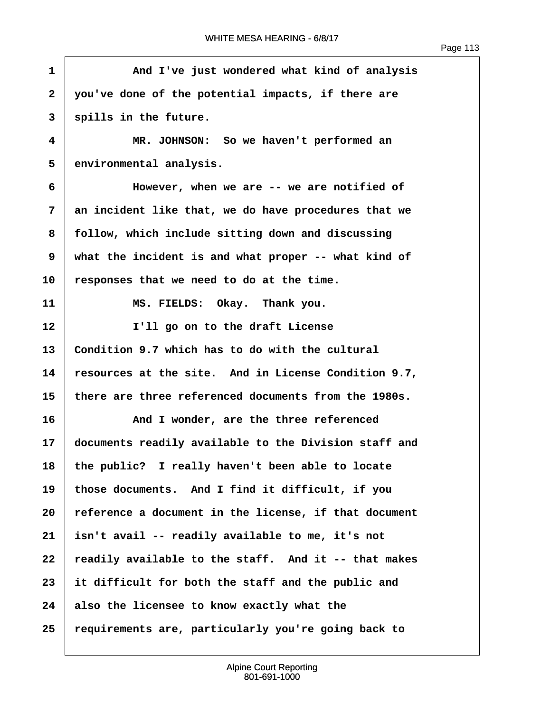$\sqrt{ }$ 

| $\mathbf{1}$ | And I've just wondered what kind of analysis          |
|--------------|-------------------------------------------------------|
| $\mathbf{2}$ | you've done of the potential impacts, if there are    |
| 3            | spills in the future.                                 |
| 4            | MR. JOHNSON: So we haven't performed an               |
| 5            | environmental analysis.                               |
| 6            | However, when we are -- we are notified of            |
| 7            | an incident like that, we do have procedures that we  |
| 8            | follow, which include sitting down and discussing     |
| 9            | what the incident is and what proper -- what kind of  |
| 10           | responses that we need to do at the time.             |
| 11           | MS. FIELDS: Okay. Thank you.                          |
| 12           | I'll go on to the draft License                       |
| 13           | Condition 9.7 which has to do with the cultural       |
| 14           | resources at the site. And in License Condition 9.7,  |
| 15           | there are three referenced documents from the 1980s.  |
| 16           | And I wonder, are the three referenced                |
| 17           | documents readily available to the Division staff and |
| 18           | the public? I really haven't been able to locate      |
| 19           | those documents. And I find it difficult, if you      |
| 20           | reference a document in the license, if that document |
| 21           | isn't avail -- readily available to me, it's not      |
| 22           | readily available to the staff. And it -- that makes  |
| 23           | it difficult for both the staff and the public and    |
| 24           | also the licensee to know exactly what the            |
| 25           | requirements are, particularly you're going back to   |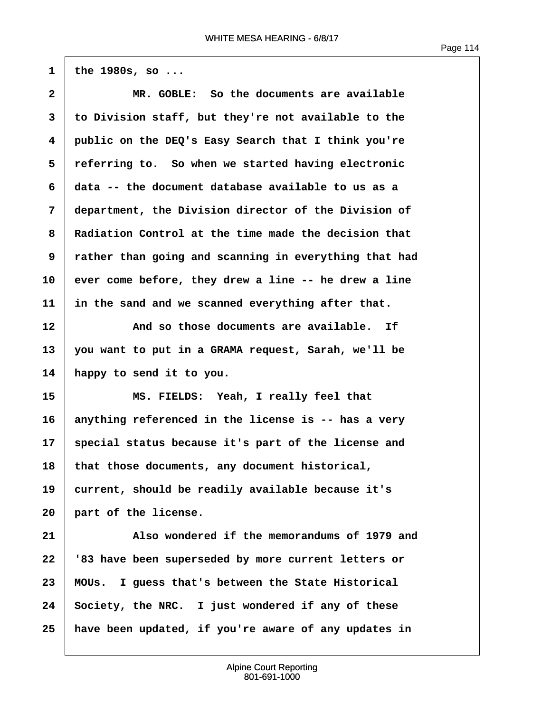$1$  the 1980s, so ...

| $\mathbf{2}$ | MR. GOBLE: So the documents are available             |
|--------------|-------------------------------------------------------|
| 3            | to Division staff, but they're not available to the   |
| 4            | public on the DEQ's Easy Search that I think you're   |
| 5            | referring to. So when we started having electronic    |
| 6            | data -- the document database available to us as a    |
| 7            | department, the Division director of the Division of  |
| 8            | Radiation Control at the time made the decision that  |
| 9            | rather than going and scanning in everything that had |
| 10           | ever come before, they drew a line -- he drew a line  |
| 11           | in the sand and we scanned everything after that.     |
| 12           | And so those documents are available. If              |
| 13           | you want to put in a GRAMA request, Sarah, we'll be   |
| 14           | happy to send it to you.                              |
| 15           | MS. FIELDS: Yeah, I really feel that                  |
| 16           | anything referenced in the license is -- has a very   |
| 17           | special status because it's part of the license and   |
| 18           | that those documents, any document historical,        |
| 19           | current, should be readily available because it's     |
| 20           | part of the license.                                  |
| 21           | Also wondered if the memorandums of 1979 and          |
| 22           | '83 have been superseded by more current letters or   |
| 23           | MOUs. I guess that's between the State Historical     |
| 24           | Society, the NRC. I just wondered if any of these     |
| 25           | have been updated, if you're aware of any updates in  |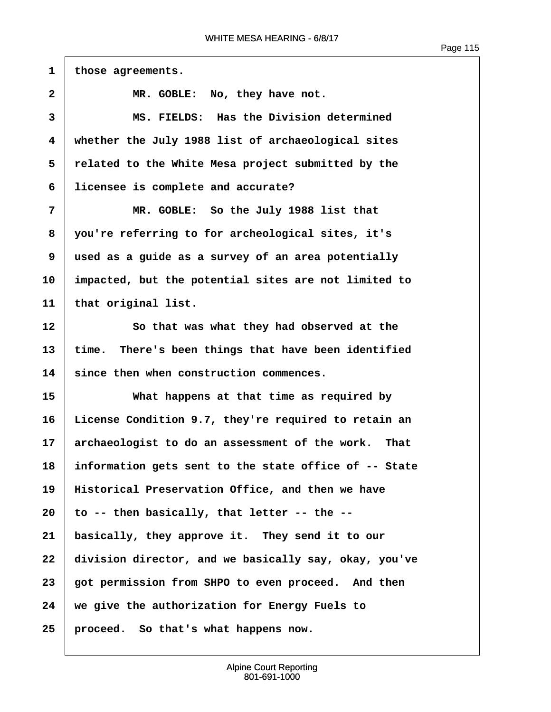$\overline{\phantom{a}}$ 

| $\mathbf{1}$ | those agreements.                                      |
|--------------|--------------------------------------------------------|
| $\mathbf{2}$ | MR. GOBLE: No, they have not.                          |
| 3            | MS. FIELDS: Has the Division determined                |
| 4            | whether the July 1988 list of archaeological sites     |
| 5            | related to the White Mesa project submitted by the     |
| 6            | licensee is complete and accurate?                     |
| 7            | MR. GOBLE: So the July 1988 list that                  |
| 8            | you're referring to for archeological sites, it's      |
| 9            | used as a guide as a survey of an area potentially     |
| 10           | impacted, but the potential sites are not limited to   |
| 11           | that original list.                                    |
| 12           | So that was what they had observed at the              |
| 13           | There's been things that have been identified<br>time. |
| 14           | since then when construction commences.                |
| 15           | What happens at that time as required by               |
| 16           | License Condition 9.7, they're required to retain an   |
| 17           | archaeologist to do an assessment of the work.<br>That |
| 18           | information gets sent to the state office of -- State  |
| 19           | Historical Preservation Office, and then we have       |
| 20           | to -- then basically, that letter -- the --            |
| 21           | basically, they approve it. They send it to our        |
| 22           | division director, and we basically say, okay, you've  |
| 23           | got permission from SHPO to even proceed. And then     |
| 24           | we give the authorization for Energy Fuels to          |
| 25           | proceed. So that's what happens now.                   |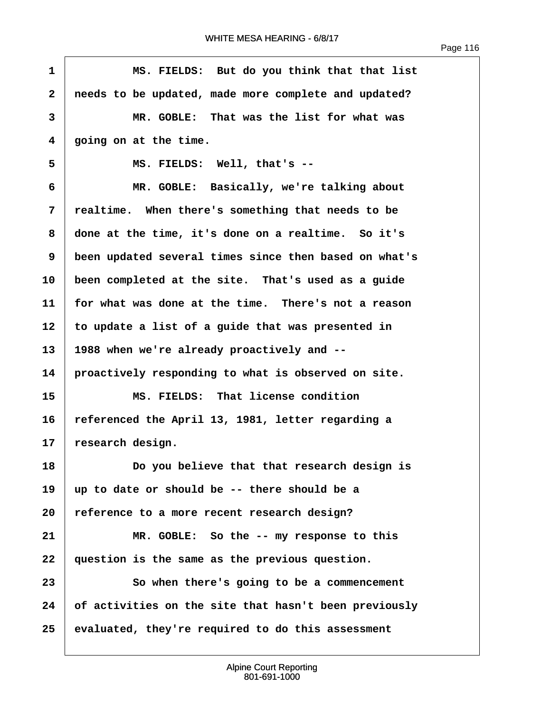| $\mathbf{1}$ | MS. FIELDS: But do you think that that list           |
|--------------|-------------------------------------------------------|
| $\mathbf{2}$ | needs to be updated, made more complete and updated?  |
| 3            | MR. GOBLE: That was the list for what was             |
| 4            | going on at the time.                                 |
| 5            | MS. FIELDS: Well, that's --                           |
| 6            | MR. GOBLE: Basically, we're talking about             |
| 7            | realtime. When there's something that needs to be     |
| 8            | done at the time, it's done on a realtime. So it's    |
| 9            | been updated several times since then based on what's |
| 10           | been completed at the site. That's used as a guide    |
| 11           | for what was done at the time. There's not a reason   |
| 12           | to update a list of a guide that was presented in     |
| 13           | 1988 when we're already proactively and --            |
| 14           | proactively responding to what is observed on site.   |
| 15           | MS. FIELDS: That license condition                    |
| 16           | referenced the April 13, 1981, letter regarding a     |
| 17           | research design.                                      |
| 18           | Do you believe that that research design is           |
| 19           | up to date or should be -- there should be a          |
| 20           | reference to a more recent research design?           |
| 21           | MR. GOBLE: So the -- my response to this              |
| 22           | question is the same as the previous question.        |
| 23           | So when there's going to be a commencement            |
| 24           | of activities on the site that hasn't been previously |
| 25           | evaluated, they're required to do this assessment     |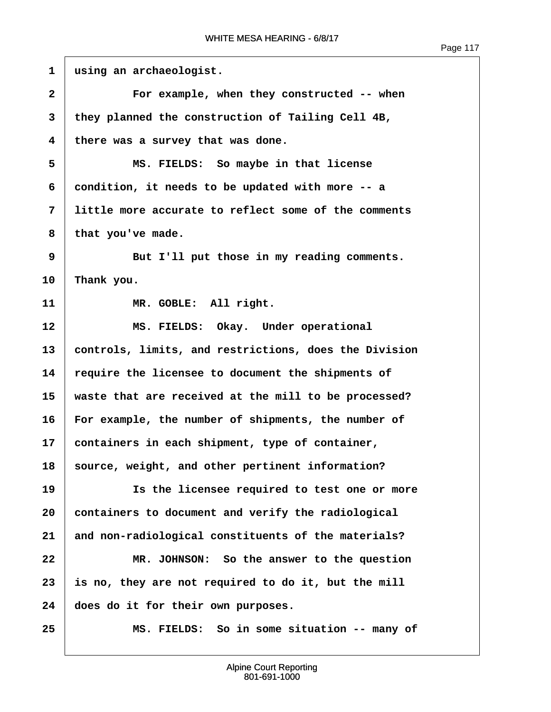| $\mathbf{1}$            | using an archaeologist.                               |
|-------------------------|-------------------------------------------------------|
| $\mathbf{2}$            | For example, when they constructed -- when            |
| 3                       | they planned the construction of Tailing Cell 4B,     |
| $\overline{\mathbf{4}}$ | there was a survey that was done.                     |
| 5                       | MS. FIELDS: So maybe in that license                  |
| 6                       | condition, it needs to be updated with more -- a      |
| 7                       | little more accurate to reflect some of the comments  |
| 8                       | that you've made.                                     |
| 9                       | But I'll put those in my reading comments.            |
| 10                      | Thank you.                                            |
| 11                      | MR. GOBLE: All right.                                 |
| 12                      | MS. FIELDS: Okay. Under operational                   |
| 13                      | controls, limits, and restrictions, does the Division |
| 14                      | require the licensee to document the shipments of     |
| 15                      | waste that are received at the mill to be processed?  |
| 16                      | For example, the number of shipments, the number of   |
| 17                      | containers in each shipment, type of container,       |
| 18                      | source, weight, and other pertinent information?      |
| 19                      | Is the licensee required to test one or more          |
| 20                      | containers to document and verify the radiological    |
| 21                      | and non-radiological constituents of the materials?   |
| 22                      | MR. JOHNSON: So the answer to the question            |
| 23                      | is no, they are not required to do it, but the mill   |
| 24                      | does do it for their own purposes.                    |
| 25                      | MS. FIELDS: So in some situation -- many of           |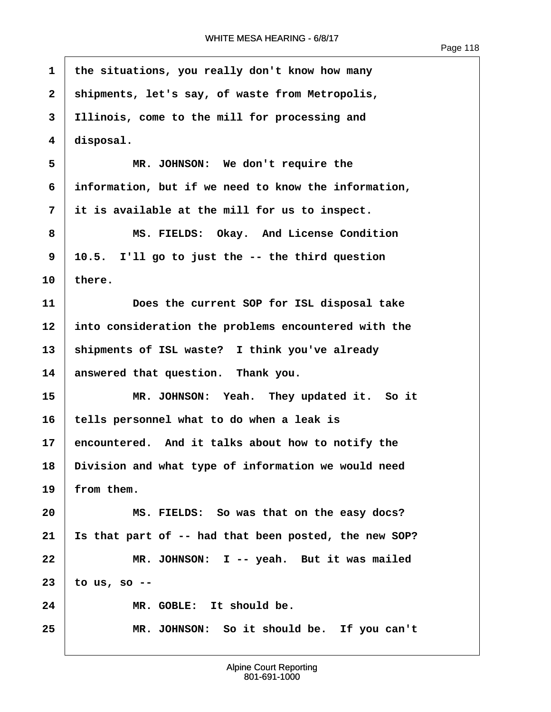$\sqrt{ }$ 

| $\mathbf 1$  | the situations, you really don't know how many        |
|--------------|-------------------------------------------------------|
| $\mathbf{2}$ | shipments, let's say, of waste from Metropolis,       |
| 3            | Illinois, come to the mill for processing and         |
| 4            | disposal.                                             |
| 5            | MR. JOHNSON: We don't require the                     |
| 6            | information, but if we need to know the information,  |
| 7            | it is available at the mill for us to inspect.        |
| 8            | MS. FIELDS: Okay. And License Condition               |
| 9            | 10.5. I'll go to just the -- the third question       |
| 10           | there.                                                |
| 11           | Does the current SOP for ISL disposal take            |
| 12           | into consideration the problems encountered with the  |
| 13           | shipments of ISL waste? I think you've already        |
| 14           | answered that question. Thank you.                    |
| 15           | MR. JOHNSON: Yeah. They updated it. So it             |
| 16           | tells personnel what to do when a leak is             |
| 17           | encountered. And it talks about how to notify the     |
| 18           | Division and what type of information we would need   |
| 19           | from them.                                            |
| 20           | MS. FIELDS: So was that on the easy docs?             |
| 21           | Is that part of -- had that been posted, the new SOP? |
| 22           | MR. JOHNSON: I -- yeah. But it was mailed             |
| 23           | to us, so $-$ -                                       |
| 24           | MR. GOBLE: It should be.                              |
| 25           | MR. JOHNSON: So it should be. If you can't            |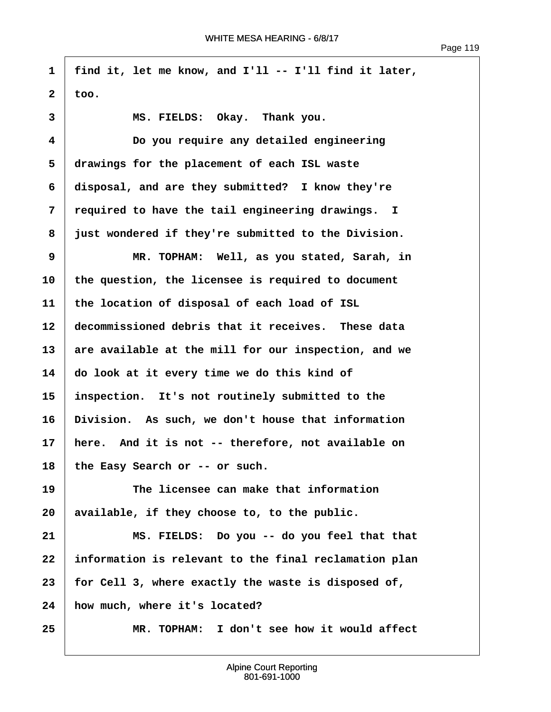**·1· ·find it, let me know, and I'll -- I'll find it later,**  $2 \mid \text{too.}$ 3 MS. FIELDS: Okay. Thank you. **·4· · · · · · Do you require any detailed engineering ·5· ·drawings for the placement of each ISL waste ·6· ·disposal, and are they submitted?· I know they're ·7· ·required to have the tail engineering drawings. I ·8· ·just wondered if they're submitted to the Division. ·9· · · · · · MR. TOPHAM:· Well, as you stated, Sarah, in 10· ·the question, the licensee is required to document 11· ·the location of disposal of each load of ISL** 12 **decommissioned debris that it receives.** These data 13 are available at the mill for our inspection, and we **14· ·do look at it every time we do this kind of 15· ·inspection.· It's not routinely submitted to the 16· ·Division.· As such, we don't house that information 17· ·here.· And it is not -- therefore, not available on** 18 the Easy Search or -- or such. **19· · · · · · The licensee can make that information** 20 available, if they choose to, to the public. **21· · · · · · MS. FIELDS:· Do you -- do you feel that that 22· ·information is relevant to the final reclamation plan 23· ·for Cell 3, where exactly the waste is disposed of,** 24 **how much, where it's located? 25· · · · · · MR. TOPHAM:· I don't see how it would affect**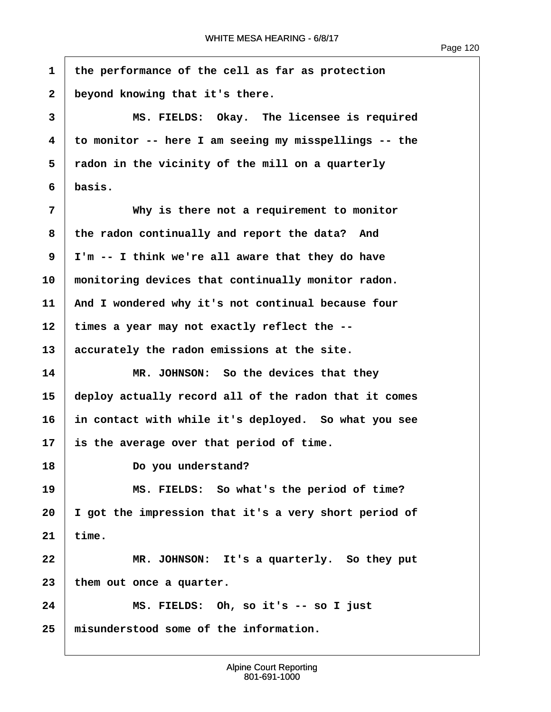**·1· ·the performance of the cell as far as protection** 2 beyond knowing that it's there. **·3· · · · · · MS. FIELDS:· Okay.· The licensee is required ·4· ·to monitor -- here I am seeing my misspellings -- the ·5· ·radon in the vicinity of the mill on a quarterly**  $6$   $\times$  basis. **·7· · · · · · Why is there not a requirement to monitor** 8 the radon continually and report the data? And **·9· ·I'm -- I think we're all aware that they do have** 10 monitoring devices that continually monitor radon. **11· ·And I wondered why it's not continual because four** 12 times a year may not exactly reflect the --13 accurately the radon emissions at the site. **14· · · · · · MR. JOHNSON:· So the devices that they 15· ·deploy actually record all of the radon that it comes 16· ·in contact with while it's deployed.· So what you see 17· ·is the average over that period of time.** 18 **Do you understand? 19· · · · · · MS. FIELDS:· So what's the period of time? 20· ·I got the impression that it's a very short period of**  $21$  time. 22 **MR. JOHNSON:** It's a quarterly. So they put 23 | them out once a quarter. **24· · · · · · MS. FIELDS:· Oh, so it's -- so I just 25· ·misunderstood some of the information.**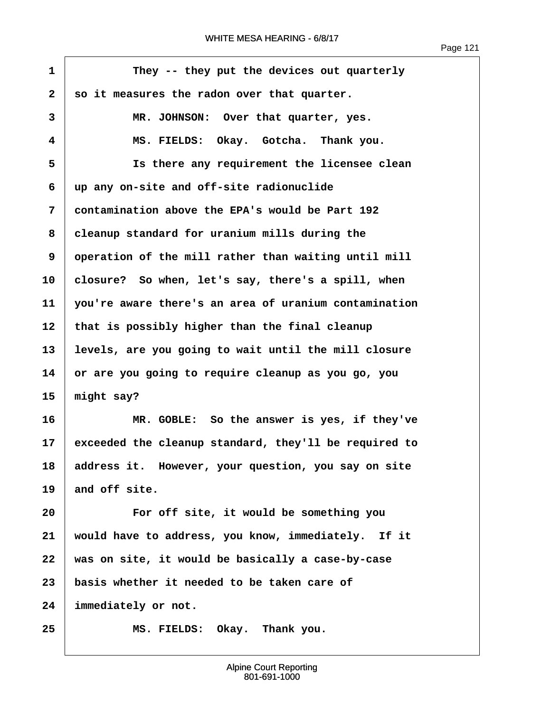$\overline{1}$ 

| $\mathbf{1}$ | They -- they put the devices out quarterly            |
|--------------|-------------------------------------------------------|
| $\mathbf{2}$ | so it measures the radon over that quarter.           |
| 3            | MR. JOHNSON: Over that quarter, yes.                  |
| 4            | MS. FIELDS: Okay. Gotcha. Thank you.                  |
| 5            | Is there any requirement the licensee clean           |
| 6            | up any on-site and off-site radionuclide              |
| 7            | contamination above the EPA's would be Part 192       |
| 8            | cleanup standard for uranium mills during the         |
| 9            | operation of the mill rather than waiting until mill  |
| 10           | closure? So when, let's say, there's a spill, when    |
| 11           | you're aware there's an area of uranium contamination |
| 12           | that is possibly higher than the final cleanup        |
| 13           | levels, are you going to wait until the mill closure  |
| 14           | or are you going to require cleanup as you go, you    |
| 15           | might say?                                            |
| 16           | MR. GOBLE: So the answer is yes, if they've           |
| 17           | exceeded the cleanup standard, they'll be required to |
| 18           | address it. However, your question, you say on site   |
| 19           | and off site.                                         |
| 20           | For off site, it would be something you               |
| 21           | would have to address, you know, immediately. If it   |
| 22           | was on site, it would be basically a case-by-case     |
| 23           | basis whether it needed to be taken care of           |
| 24           | immediately or not.                                   |
| 25           | MS. FIELDS: Okay. Thank you.                          |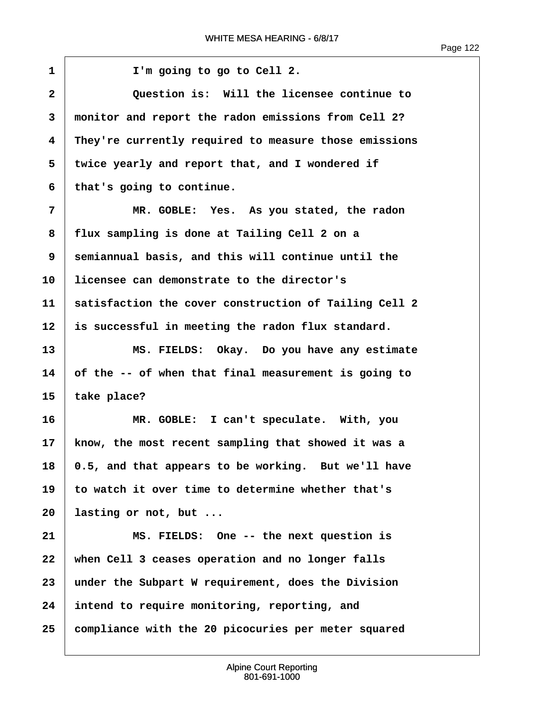$\sqrt{ }$ 

| $\mathbf{1}$ | I'm going to go to Cell 2.                            |
|--------------|-------------------------------------------------------|
| $\mathbf{2}$ | Question is: Will the licensee continue to            |
| 3            | monitor and report the radon emissions from Cell 2?   |
| 4            | They're currently required to measure those emissions |
| 5            | twice yearly and report that, and I wondered if       |
| 6            | that's going to continue.                             |
| 7            | MR. GOBLE: Yes. As you stated, the radon              |
| 8            | flux sampling is done at Tailing Cell 2 on a          |
| 9            | semiannual basis, and this will continue until the    |
| 10           | licensee can demonstrate to the director's            |
| 11           | satisfaction the cover construction of Tailing Cell 2 |
| 12           | is successful in meeting the radon flux standard.     |
| 13           | MS. FIELDS: Okay. Do you have any estimate            |
| 14           | of the -- of when that final measurement is going to  |
| 15           | take place?                                           |
| 16           | MR. GOBLE: I can't speculate. With, you               |
| 17           | know, the most recent sampling that showed it was a   |
| 18           | 0.5, and that appears to be working. But we'll have   |
| 19           | to watch it over time to determine whether that's     |
| 20           | lasting or not, but                                   |
| 21           | MS. FIELDS: One -- the next question is               |
| 22           | when Cell 3 ceases operation and no longer falls      |
| 23           | under the Subpart W requirement, does the Division    |
| 24           | intend to require monitoring, reporting, and          |
| 25           | compliance with the 20 picocuries per meter squared   |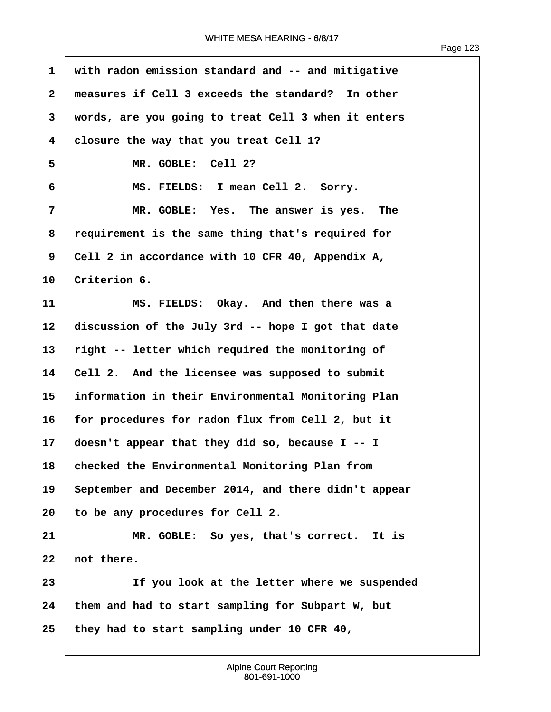| $\mathbf{1}$            | with radon emission standard and -- and mitigative   |
|-------------------------|------------------------------------------------------|
| $\overline{\mathbf{2}}$ | measures if Cell 3 exceeds the standard? In other    |
| 3                       | words, are you going to treat Cell 3 when it enters  |
| $\overline{\mathbf{4}}$ | closure the way that you treat Cell 1?               |
| 5                       | MR. GOBLE: Cell 2?                                   |
| 6                       | MS. FIELDS: I mean Cell 2. Sorry.                    |
| 7                       | MR. GOBLE: Yes. The answer is yes. The               |
| 8                       | requirement is the same thing that's required for    |
| 9                       | Cell 2 in accordance with 10 CFR 40, Appendix A,     |
| 10                      | Criterion 6.                                         |
| 11                      | MS. FIELDS: Okay. And then there was a               |
| 12                      | discussion of the July 3rd -- hope I got that date   |
| 13                      | right -- letter which required the monitoring of     |
| 14                      | Cell 2. And the licensee was supposed to submit      |
| 15                      | information in their Environmental Monitoring Plan   |
| 16                      | for procedures for radon flux from Cell 2, but it    |
| 17                      | doesn't appear that they did so, because $I - I$     |
| 18                      | checked the Environmental Monitoring Plan from       |
| 19                      | September and December 2014, and there didn't appear |
| 20                      | to be any procedures for Cell 2.                     |
| 21                      | MR. GOBLE: So yes, that's correct. It is             |
| 22                      | not there.                                           |
| 23                      | If you look at the letter where we suspended         |
| 24                      | them and had to start sampling for Subpart W, but    |
| 25                      | they had to start sampling under 10 CFR 40,          |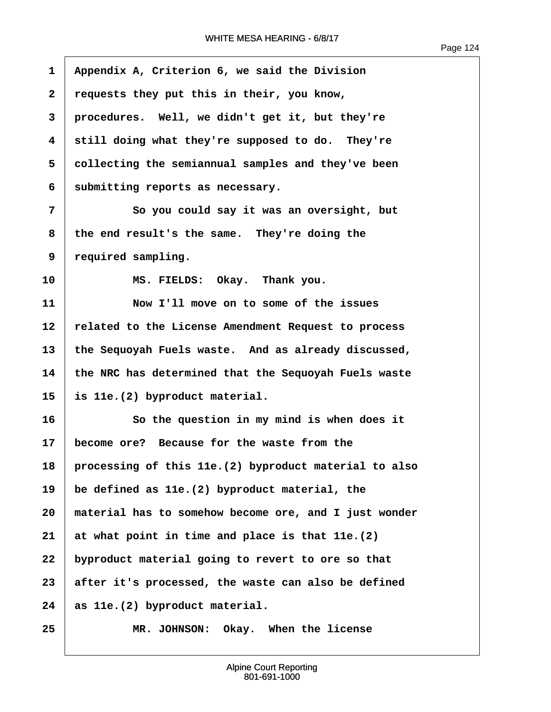| 1            | Appendix A, Criterion 6, we said the Division          |
|--------------|--------------------------------------------------------|
| $\mathbf{2}$ | requests they put this in their, you know,             |
| 3            | procedures. Well, we didn't get it, but they're        |
| 4            | still doing what they're supposed to do. They're       |
| 5            | collecting the semiannual samples and they've been     |
| 6            | submitting reports as necessary.                       |
| 7            | So you could say it was an oversight, but              |
| 8            | the end result's the same. They're doing the           |
| 9            | required sampling.                                     |
| 10           | MS. FIELDS: Okay. Thank you.                           |
| 11           | Now I'll move on to some of the issues                 |
| 12           | related to the License Amendment Request to process    |
| 13           | the Sequoyah Fuels waste. And as already discussed,    |
| 14           | the NRC has determined that the Sequoyah Fuels waste   |
| 15           | is 11e. (2) byproduct material.                        |
| 16           | So the question in my mind is when does it             |
| 17           | become ore? Because for the waste from the             |
| 18           | processing of this 11e. (2) byproduct material to also |
| 19           | be defined as 11e. (2) byproduct material, the         |
| 20           | material has to somehow become ore, and I just wonder  |
| 21           | at what point in time and place is that 11e. (2)       |
| 22           | byproduct material going to revert to ore so that      |
| 23           | after it's processed, the waste can also be defined    |
| 24           | as 11e. (2) byproduct material.                        |
| 25           | Okay. When the license<br>MR. JOHNSON:                 |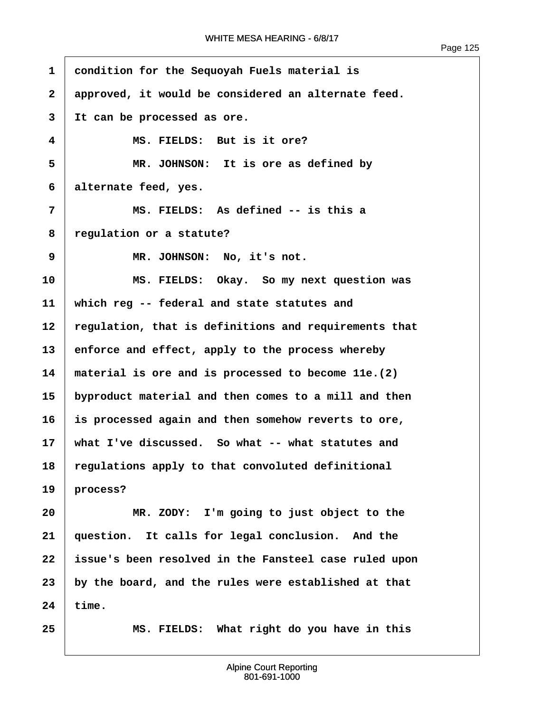ľ

| $\mathbf{1}$   | condition for the Sequoyah Fuels material is          |
|----------------|-------------------------------------------------------|
| $\overline{2}$ | approved, it would be considered an alternate feed.   |
| 3              | It can be processed as ore.                           |
| 4              | MS. FIELDS: But is it ore?                            |
| 5              | MR. JOHNSON: It is ore as defined by                  |
| 6              | alternate feed, yes.                                  |
| 7              | MS. FIELDS: As defined -- is this a                   |
| 8              | regulation or a statute?                              |
| 9              | MR. JOHNSON: No, it's not.                            |
| 10             | MS. FIELDS: Okay. So my next question was             |
| 11             | which reg -- federal and state statutes and           |
| $12 \,$        | regulation, that is definitions and requirements that |
| 13             | enforce and effect, apply to the process whereby      |
| 14             | material is ore and is processed to become 11e. (2)   |
| 15             | byproduct material and then comes to a mill and then  |
| 16             | is processed again and then somehow reverts to ore,   |
| $17 \,$        | what I've discussed. So what -- what statutes and     |
| 18             | regulations apply to that convoluted definitional     |
| 19             | process?                                              |
| 20             | MR. ZODY: I'm going to just object to the             |
| 21             | question. It calls for legal conclusion. And the      |
| 22             | issue's been resolved in the Fansteel case ruled upon |
| 23             | by the board, and the rules were established at that  |
| 24             | time.                                                 |
| 25             | MS. FIELDS: What right do you have in this            |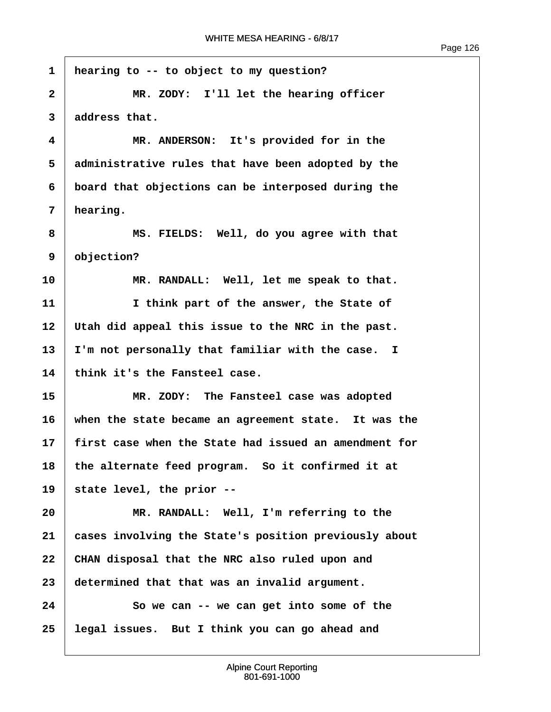**·1· ·hearing to -- to object to my question? 2 1** *MR. ZODY:* **I'll let the hearing officer ·3· ·address that. ·4· · · · · · MR. ANDERSON:· It's provided for in the ·5· ·administrative rules that have been adopted by the ·6· ·board that objections can be interposed during the ·7· ·hearing. ·8· · · · · · MS. FIELDS:· Well, do you agree with that ·9· ·objection?** 10 MR. RANDALL: Well, let me speak to that. **11· · · · · · I think part of the answer, the State of 12· ·Utah did appeal this issue to the NRC in the past.** 13 I'm not personally that familiar with the case. I **14· ·think it's the Fansteel case. 15· · · · · · MR. ZODY:· The Fansteel case was adopted 16· ·when the state became an agreement state.· It was the 17· ·first case when the State had issued an amendment for 18· ·the alternate feed program.· So it confirmed it at 19· ·state level, the prior -- 20· · · · · · MR. RANDALL:· Well, I'm referring to the 21· ·cases involving the State's position previously about 22· ·CHAN disposal that the NRC also ruled upon and 23· ·determined that that was an invalid argument. 24· · · · · · So we can -- we can get into some of the 25· ·legal issues.· But I think you can go ahead and**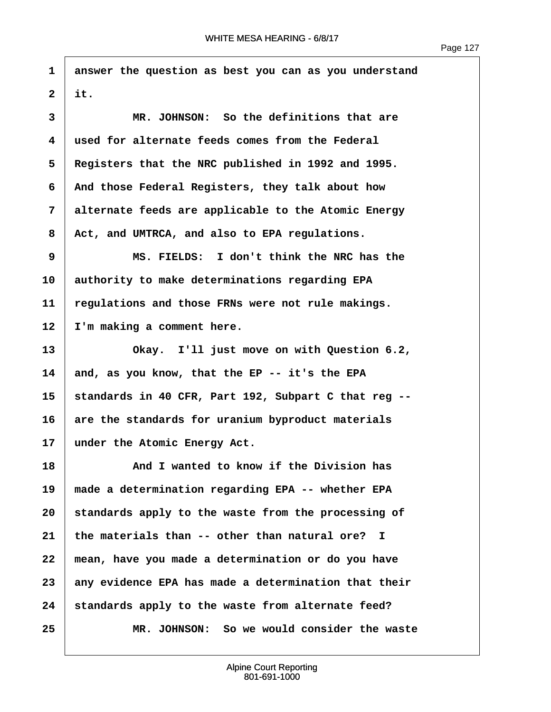**·1· ·answer the question as best you can as you understand**  $2$  it.

**·3· · · · · · MR. JOHNSON:· So the definitions that are ·4· ·used for alternate feeds comes from the Federal ·5· ·Registers that the NRC published in 1992 and 1995. ·6· ·And those Federal Registers, they talk about how ·7· ·alternate feeds are applicable to the Atomic Energy ·8· ·Act, and UMTRCA, and also to EPA regulations.**

**·9· · · · · · MS. FIELDS:· I don't think the NRC has the 10· ·authority to make determinations regarding EPA 11· ·regulations and those FRNs were not rule makings.** 12 T'm making a comment here.

**13· · · · · · Okay.· I'll just move on with Question 6.2, 14· ·and, as you know, that the EP -- it's the EPA 15· ·standards in 40 CFR, Part 192, Subpart C that reg --** 16 are the standards for uranium byproduct materials 17 under the Atomic Energy Act.

**18· · · · · · And I wanted to know if the Division has 19· ·made a determination regarding EPA -- whether EPA** 20 | standards apply to the waste from the processing of **21· ·the materials than -- other than natural ore? I 22· ·mean, have you made a determination or do you have 23· ·any evidence EPA has made a determination that their** 24 **Standards apply to the waste from alternate feed? 25· · · · · · MR. JOHNSON:· So we would consider the waste**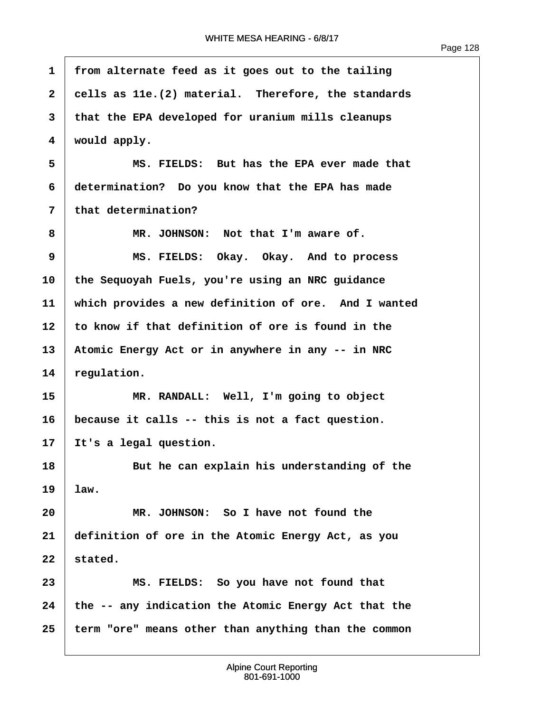ľ

| 1            | from alternate feed as it goes out to the tailing    |
|--------------|------------------------------------------------------|
| $\mathbf{2}$ | cells as 11e. (2) material. Therefore, the standards |
| 3            | that the EPA developed for uranium mills cleanups    |
| 4            | would apply.                                         |
| 5            | MS. FIELDS: But has the EPA ever made that           |
| 6            | determination? Do you know that the EPA has made     |
| 7            | that determination?                                  |
| 8            | MR. JOHNSON: Not that I'm aware of.                  |
| 9            | MS. FIELDS: Okay. Okay. And to process               |
| 10           | the Sequoyah Fuels, you're using an NRC guidance     |
| 11           | which provides a new definition of ore. And I wanted |
| 12           | to know if that definition of ore is found in the    |
| 13           | Atomic Energy Act or in anywhere in any -- in NRC    |
| 14           | regulation.                                          |
| 15           | MR. RANDALL: Well, I'm going to object               |
| 16           | because it calls -- this is not a fact question.     |
| 17           | It's a legal question.                               |
| 18           | But he can explain his understanding of the          |
| 19           | law.                                                 |
| 20           | MR. JOHNSON: So I have not found the                 |
| 21           | definition of ore in the Atomic Energy Act, as you   |
| 22           | stated.                                              |
| 23           | MS. FIELDS: So you have not found that               |
| 24           | the -- any indication the Atomic Energy Act that the |
| 25           | term "ore" means other than anything than the common |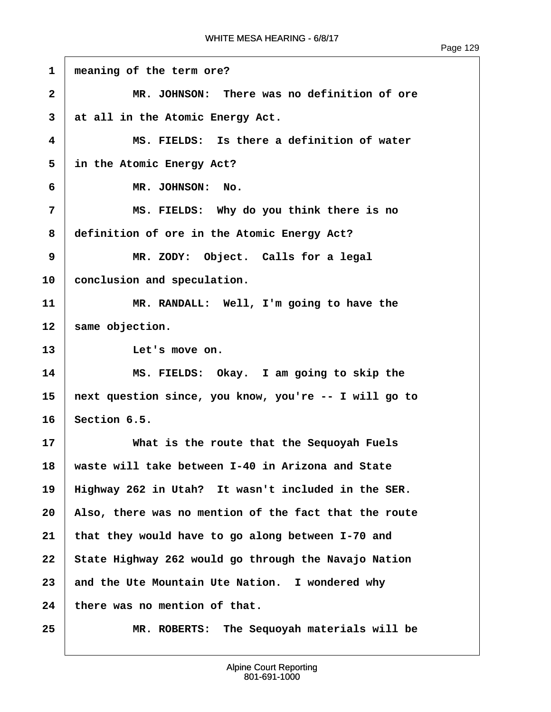$\sqrt{ }$ 

| $\mathbf{1}$            | meaning of the term ore?                              |
|-------------------------|-------------------------------------------------------|
| $\mathbf{2}$            | MR. JOHNSON: There was no definition of ore           |
| 3                       | at all in the Atomic Energy Act.                      |
| $\overline{\mathbf{4}}$ | MS. FIELDS: Is there a definition of water            |
| 5                       | in the Atomic Energy Act?                             |
| 6                       | MR. JOHNSON: No.                                      |
| 7                       | MS. FIELDS: Why do you think there is no              |
| 8                       | definition of ore in the Atomic Energy Act?           |
| 9                       | MR. ZODY: Object. Calls for a legal                   |
| 10                      | conclusion and speculation.                           |
| 11                      | MR. RANDALL: Well, I'm going to have the              |
| 12                      | same objection.                                       |
| 13                      | Let's move on.                                        |
| 14                      | MS. FIELDS: Okay. I am going to skip the              |
| 15                      | next question since, you know, you're -- I will go to |
| 16                      | Section 6.5.                                          |
| 17                      | What is the route that the Sequoyah Fuels             |
| 18                      | waste will take between I-40 in Arizona and State     |
| 19                      | Highway 262 in Utah? It wasn't included in the SER.   |
| 20                      | Also, there was no mention of the fact that the route |
| 21                      | that they would have to go along between I-70 and     |
| 22                      | State Highway 262 would go through the Navajo Nation  |
| 23                      | and the Ute Mountain Ute Nation. I wondered why       |
| 24                      | there was no mention of that.                         |
| 25                      | MR. ROBERTS: The Sequoyah materials will be           |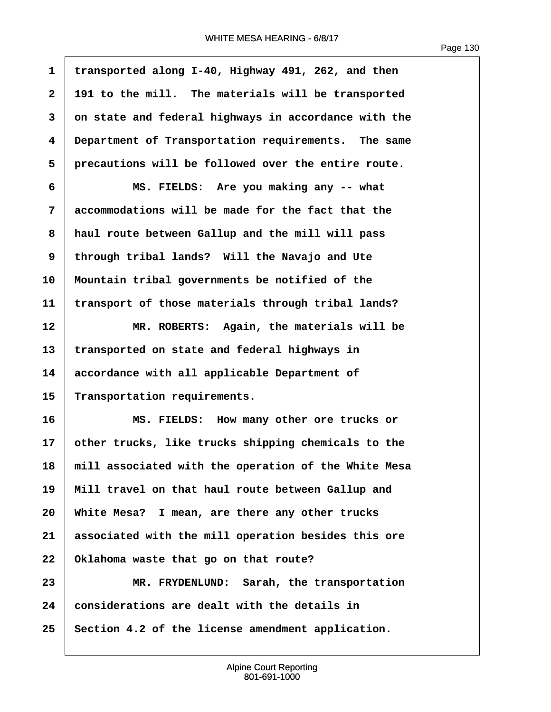| $\mathbf 1$  | transported along I-40, Highway 491, 262, and then   |
|--------------|------------------------------------------------------|
| $\mathbf{2}$ | 191 to the mill. The materials will be transported   |
| 3            | on state and federal highways in accordance with the |
| 4            | Department of Transportation requirements. The same  |
| 5            | precautions will be followed over the entire route.  |
| 6            | MS. FIELDS: Are you making any -- what               |
| 7            | accommodations will be made for the fact that the    |
| 8            | haul route between Gallup and the mill will pass     |
| 9            | through tribal lands? Will the Navajo and Ute        |
| 10           | Mountain tribal governments be notified of the       |
| 11           | transport of those materials through tribal lands?   |
| 12           | MR. ROBERTS: Again, the materials will be            |
| 13           | transported on state and federal highways in         |
| 14           | accordance with all applicable Department of         |
| 15           | Transportation requirements.                         |
| 16           | MS. FIELDS: How many other ore trucks or             |
| 17           | other trucks, like trucks shipping chemicals to the  |
| 18           | mill associated with the operation of the White Mesa |
| 19           | Mill travel on that haul route between Gallup and    |
| 20           | White Mesa? I mean, are there any other trucks       |
| 21           | associated with the mill operation besides this ore  |
| 22           | Oklahoma waste that go on that route?                |
| 23           | MR. FRYDENLUND: Sarah, the transportation            |
| 24           | considerations are dealt with the details in         |
| 25           | Section 4.2 of the license amendment application.    |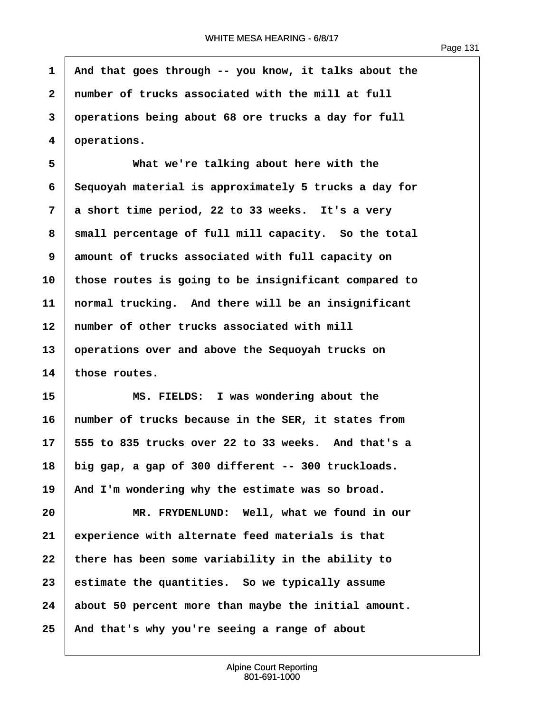1 | And that goes through -- you know, it talks about the **·2· ·number of trucks associated with the mill at full ·3· ·operations being about 68 ore trucks a day for full ·4· ·operations.**

**·5· · · · · · What we're talking about here with the ·6· ·Sequoyah material is approximately 5 trucks a day for ·7· ·a short time period, 22 to 33 weeks.· It's a very** 8 | small percentage of full mill capacity. So the total **·9· ·amount of trucks associated with full capacity on 10· ·those routes is going to be insignificant compared to 11· ·normal trucking.· And there will be an insignificant** 12 mumber of other trucks associated with mill **13· ·operations over and above the Sequoyah trucks on 14· ·those routes.**

**15· · · · · · MS. FIELDS:· I was wondering about the 16· ·number of trucks because in the SER, it states from 17· ·555 to 835 trucks over 22 to 33 weeks.· And that's a 18· ·big gap, a gap of 300 different -- 300 truckloads.** 19 And I'm wondering why the estimate was so broad.

**20· · · · · · MR. FRYDENLUND:· Well, what we found in our 21· ·experience with alternate feed materials is that 22· ·there has been some variability in the ability to 23· ·estimate the quantities.· So we typically assume 24· ·about 50 percent more than maybe the initial amount. 25· ·And that's why you're seeing a range of about**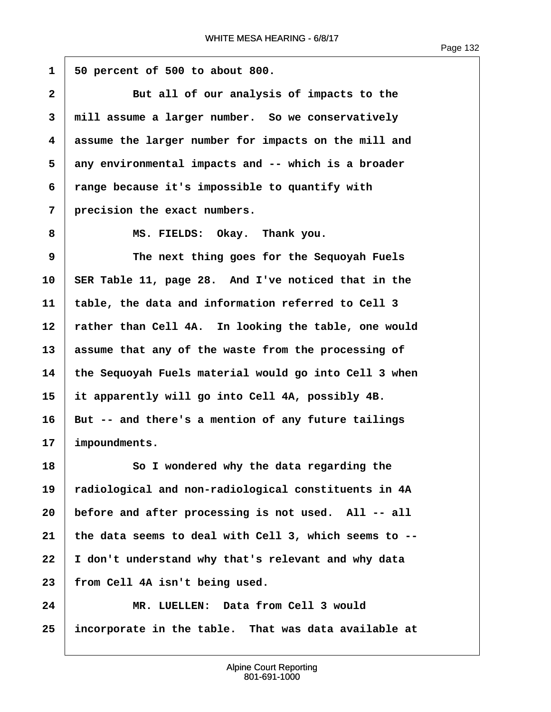**·1· ·50 percent of 500 to about 800. 2** But all of our analysis of impacts to the **·3· ·mill assume a larger number.· So we conservatively ·4· ·assume the larger number for impacts on the mill and ·5· ·any environmental impacts and -- which is a broader ·6· ·range because it's impossible to quantify with ·7· ·precision the exact numbers. ·8· · · · · · MS. FIELDS:· Okay.· Thank you. ·9· · · · · · The next thing goes for the Sequoyah Fuels** 10 SER Table 11, page 28. And I've noticed that in the **11· ·table, the data and information referred to Cell 3** 12 rather than Cell 4A. In looking the table, one would **13· ·assume that any of the waste from the processing of 14· ·the Sequoyah Fuels material would go into Cell 3 when 15· ·it apparently will go into Cell 4A, possibly 4B.** 16 But -- and there's a mention of any future tailings 17 | impoundments. **18· · · · · · So I wondered why the data regarding the 19· ·radiological and non-radiological constituents in 4A 20· ·before and after processing is not used.· All -- all 21· ·the data seems to deal with Cell 3, which seems to -- 22· ·I don't understand why that's relevant and why data 23· ·from Cell 4A isn't being used.**

**24· · · · · · MR. LUELLEN:· Data from Cell 3 would 25· ·incorporate in the table.· That was data available at**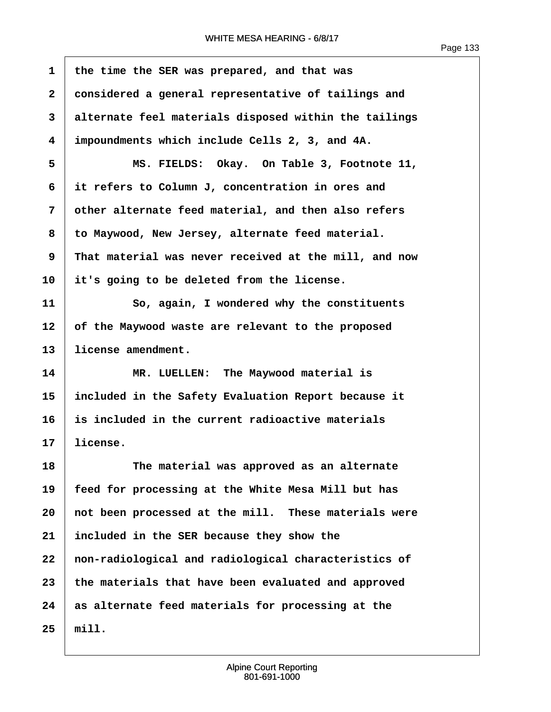$\overline{1}$ 

| $\mathbf{1}$ | the time the SER was prepared, and that was           |
|--------------|-------------------------------------------------------|
| $\mathbf{2}$ | considered a general representative of tailings and   |
| 3            | alternate feel materials disposed within the tailings |
| 4            | impoundments which include Cells 2, 3, and 4A.        |
| 5            | MS. FIELDS: Okay. On Table 3, Footnote 11,            |
| 6            | it refers to Column J, concentration in ores and      |
| 7            | other alternate feed material, and then also refers   |
| 8            | to Maywood, New Jersey, alternate feed material.      |
| 9            | That material was never received at the mill, and now |
| 10           | it's going to be deleted from the license.            |
| 11           | So, again, I wondered why the constituents            |
| 12           | of the Maywood waste are relevant to the proposed     |
| 13           | license amendment.                                    |
| 14           | MR. LUELLEN: The Maywood material is                  |
| 15           | included in the Safety Evaluation Report because it   |
| 16           | is included in the current radioactive materials      |
| 17           | license.                                              |
| 18           | The material was approved as an alternate             |
| 19           | feed for processing at the White Mesa Mill but has    |
| 20           | not been processed at the mill. These materials were  |
| 21           | included in the SER because they show the             |
| 22           | non-radiological and radiological characteristics of  |
| 23           | the materials that have been evaluated and approved   |
| 24           | as alternate feed materials for processing at the     |
| 25           | min.                                                  |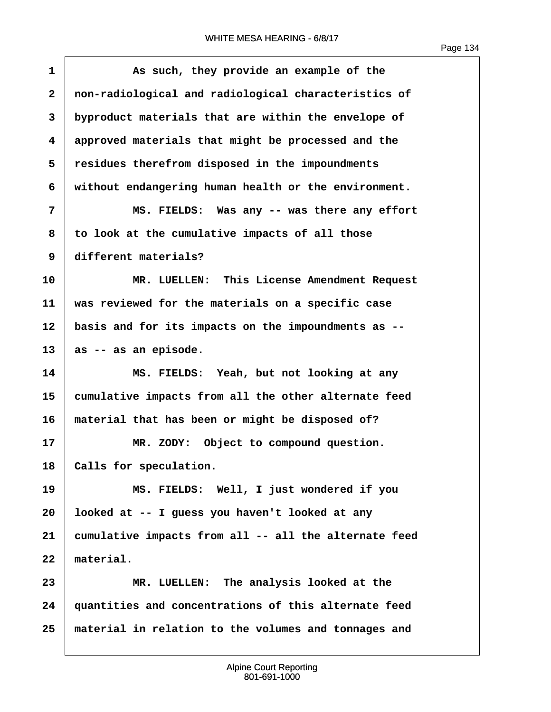| $\mathbf{1}$            | As such, they provide an example of the               |
|-------------------------|-------------------------------------------------------|
| $\overline{\mathbf{2}}$ | non-radiological and radiological characteristics of  |
| 3                       | byproduct materials that are within the envelope of   |
| 4                       | approved materials that might be processed and the    |
| 5                       | residues therefrom disposed in the impoundments       |
| 6                       | without endangering human health or the environment.  |
| 7                       | MS. FIELDS: Was any -- was there any effort           |
| 8                       | to look at the cumulative impacts of all those        |
| 9                       | different materials?                                  |
| 10                      | MR. LUELLEN: This License Amendment Request           |
| 11                      | was reviewed for the materials on a specific case     |
| 12                      | basis and for its impacts on the impoundments as --   |
| 13                      | as -- as an episode.                                  |
| 14                      | MS. FIELDS: Yeah, but not looking at any              |
| 15                      | cumulative impacts from all the other alternate feed  |
| 16                      | material that has been or might be disposed of?       |
| 17                      | MR. ZODY: Object to compound question.                |
| 18                      | Calls for speculation.                                |
| 19                      | MS. FIELDS: Well, I just wondered if you              |
| 20                      | looked at -- I guess you haven't looked at any        |
| 21                      | cumulative impacts from all -- all the alternate feed |
| 22                      | material.                                             |
| 23                      | MR. LUELLEN: The analysis looked at the               |
| 24                      | quantities and concentrations of this alternate feed  |
| 25                      | material in relation to the volumes and tonnages and  |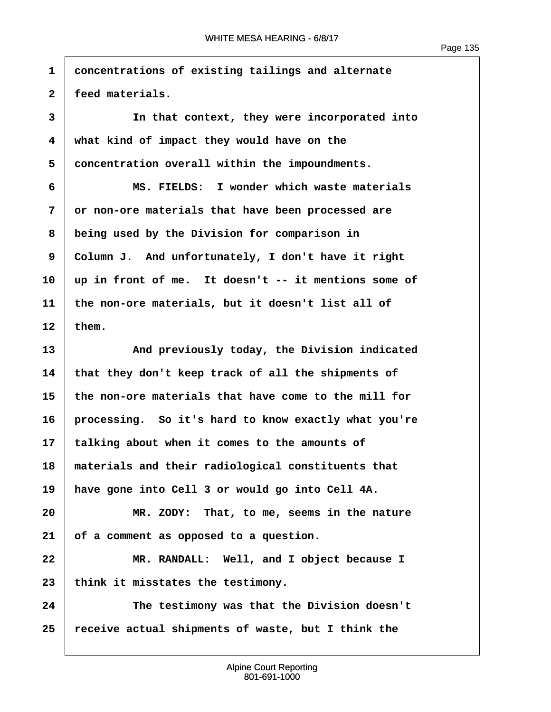**·1· ·concentrations of existing tailings and alternate** 2 feed materials. **·3· · · · · · In that context, they were incorporated into ·4· ·what kind of impact they would have on the ·5· ·concentration overall within the impoundments. ·6· · · · · · MS. FIELDS:· I wonder which waste materials ·7· ·or non-ore materials that have been processed are ·8· ·being used by the Division for comparison in ·9· ·Column J.· And unfortunately, I don't have it right 10· ·up in front of me.· It doesn't -- it mentions some of 11· ·the non-ore materials, but it doesn't list all of**  $12$  them. **13· · · · · · And previously today, the Division indicated 14· ·that they don't keep track of all the shipments of 15· ·the non-ore materials that have come to the mill for 16· ·processing.· So it's hard to know exactly what you're 17· ·talking about when it comes to the amounts of 18· ·materials and their radiological constituents that 19· ·have gone into Cell 3 or would go into Cell 4A. 20· · · · · · MR. ZODY:· That, to me, seems in the nature 21· ·of a comment as opposed to a question. 22· · · · · · MR. RANDALL:· Well, and I object because I** 23 | think it misstates the testimony. **24· · · · · · The testimony was that the Division doesn't 25· ·receive actual shipments of waste, but I think the**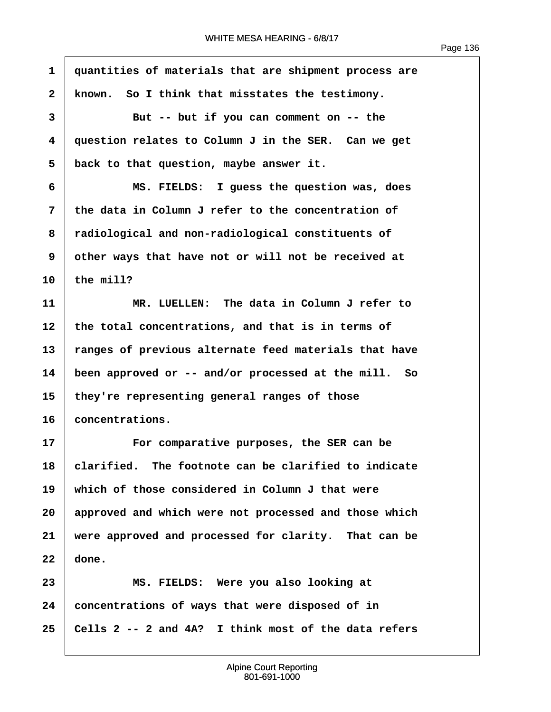**·1· ·quantities of materials that are shipment process are** 2 | known. So I think that misstates the testimony. **·3· · · · · · But -- but if you can comment on -- the ·4· ·question relates to Column J in the SER.· Can we get ·5· ·back to that question, maybe answer it. ·6· · · · · · MS. FIELDS:· I guess the question was, does ·7· ·the data in Column J refer to the concentration of ·8· ·radiological and non-radiological constituents of ·9· ·other ways that have not or will not be received at**  $10$  the mill? **11· · · · · · MR. LUELLEN:· The data in Column J refer to** 12 the total concentrations, and that is in terms of 13 Tanges of previous alternate feed materials that have **14· ·been approved or -- and/or processed at the mill.· So 15· ·they're representing general ranges of those** 16 **concentrations. 17· · · · · · For comparative purposes, the SER can be 18· ·clarified.· The footnote can be clarified to indicate 19· ·which of those considered in Column J that were 20· ·approved and which were not processed and those which** 21 **were approved and processed for clarity.** That can be  $22 \mid$  done. **23· · · · · · MS. FIELDS:· Were you also looking at 24· ·concentrations of ways that were disposed of in 25· ·Cells 2 -- 2 and 4A?· I think most of the data refers**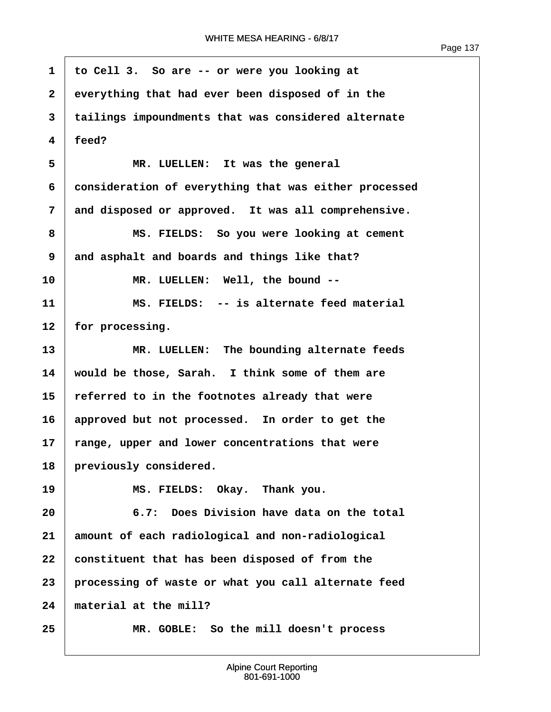$\sqrt{ }$ 

| 1                       | to Cell 3. So are -- or were you looking at           |
|-------------------------|-------------------------------------------------------|
| $\overline{\mathbf{2}}$ | everything that had ever been disposed of in the      |
| 3                       | tailings impoundments that was considered alternate   |
| 4                       | feed?                                                 |
| 5                       | MR. LUELLEN: It was the general                       |
| 6                       | consideration of everything that was either processed |
| 7                       | and disposed or approved. It was all comprehensive.   |
| 8                       | MS. FIELDS: So you were looking at cement             |
| 9                       | and asphalt and boards and things like that?          |
| 10                      | MR. LUELLEN: Well, the bound --                       |
| 11                      | MS. FIELDS: -- is alternate feed material             |
| 12                      | for processing.                                       |
| 13                      | MR. LUELLEN: The bounding alternate feeds             |
| 14                      | would be those, Sarah. I think some of them are       |
| 15                      | referred to in the footnotes already that were        |
| 16                      | approved but not processed. In order to get the       |
| 17                      | range, upper and lower concentrations that were       |
| 18                      | previously considered.                                |
| 19                      | MS. FIELDS: Okay. Thank you.                          |
| 20                      | 6.7: Does Division have data on the total             |
| 21                      | amount of each radiological and non-radiological      |
| 22                      | constituent that has been disposed of from the        |
| 23                      | processing of waste or what you call alternate feed   |
| 24                      | material at the mill?                                 |
| 25                      | MR. GOBLE: So the mill doesn't process                |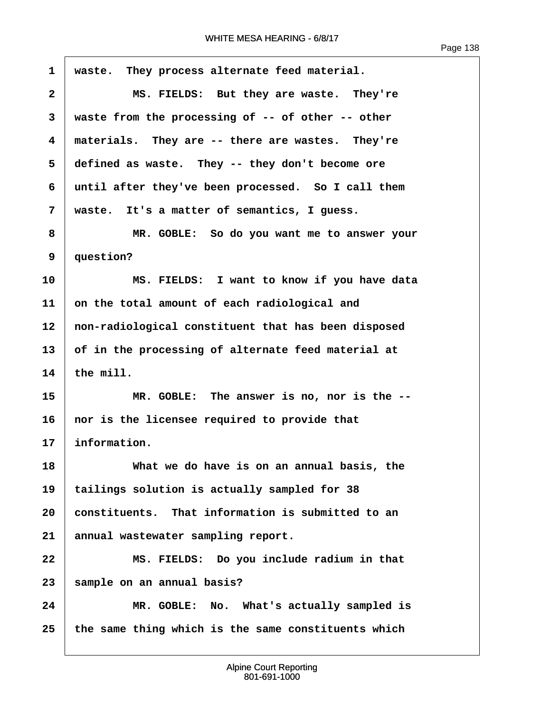$\sqrt{ }$ 

| $\mathbf{1}$            | waste. They process alternate feed material.        |
|-------------------------|-----------------------------------------------------|
| $\overline{\mathbf{2}}$ | MS. FIELDS: But they are waste. They're             |
| 3                       | waste from the processing of -- of other -- other   |
| 4                       | materials. They are -- there are wastes. They're    |
| 5                       | defined as waste. They -- they don't become ore     |
| 6                       | until after they've been processed. So I call them  |
| 7                       | waste. It's a matter of semantics, I guess.         |
| 8                       | MR. GOBLE: So do you want me to answer your         |
| 9                       | question?                                           |
| 10                      | MS. FIELDS: I want to know if you have data         |
| 11                      | on the total amount of each radiological and        |
| 12                      | non-radiological constituent that has been disposed |
| 13                      | of in the processing of alternate feed material at  |
| 14                      | the mill.                                           |
| 15                      | MR. GOBLE: The answer is no, nor is the --          |
| 16                      | nor is the licensee required to provide that        |
| 17                      | information.                                        |
| 18                      | What we do have is on an annual basis, the          |
| 19                      | tailings solution is actually sampled for 38        |
| 20                      | constituents. That information is submitted to an   |
| 21                      | annual wastewater sampling report.                  |
| 22                      | MS. FIELDS: Do you include radium in that           |
| 23                      | sample on an annual basis?                          |
| 24                      | MR. GOBLE: No. What's actually sampled is           |
| 25                      | the same thing which is the same constituents which |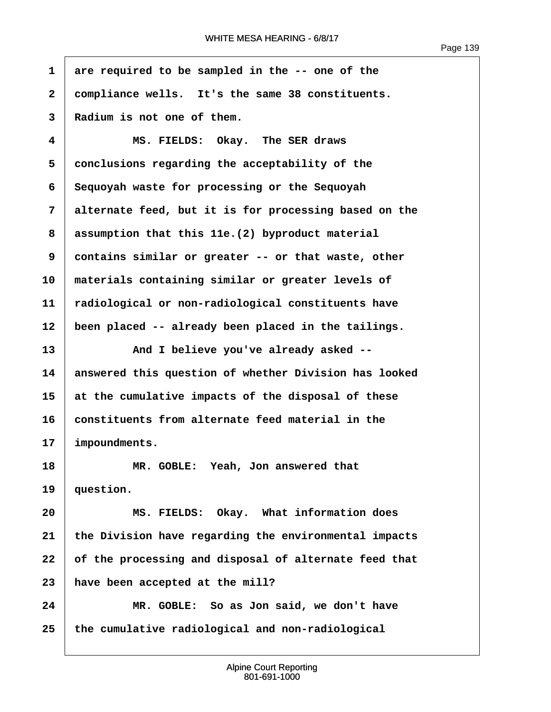Page 139

**·1· ·are required to be sampled in the -- one of the ·2· ·compliance wells.· It's the same 38 constituents. ·3· ·Radium is not one of them. ·4· · · · · · MS. FIELDS:· Okay.· The SER draws ·5· ·conclusions regarding the acceptability of the ·6· ·Sequoyah waste for processing or the Sequoyah ·7· ·alternate feed, but it is for processing based on the ·8· ·assumption that this 11e.(2) byproduct material ·9· ·contains similar or greater -- or that waste, other 10· ·materials containing similar or greater levels of 11· ·radiological or non-radiological constituents have** 12 | been placed -- already been placed in the tailings. 13 **13** And I believe you've already asked --**14· ·answered this question of whether Division has looked 15· ·at the cumulative impacts of the disposal of these** 16 **constituents from alternate feed material in the** 17 | impoundments. **18· · · · · · MR. GOBLE:· Yeah, Jon answered that** 19 | question. **20· · · · · · MS. FIELDS:· Okay.· What information does 21· ·the Division have regarding the environmental impacts** 22 of the processing and disposal of alternate feed that **23· ·have been accepted at the mill? 24· · · · · · MR. GOBLE:· So as Jon said, we don't have 25· ·the cumulative radiological and non-radiological**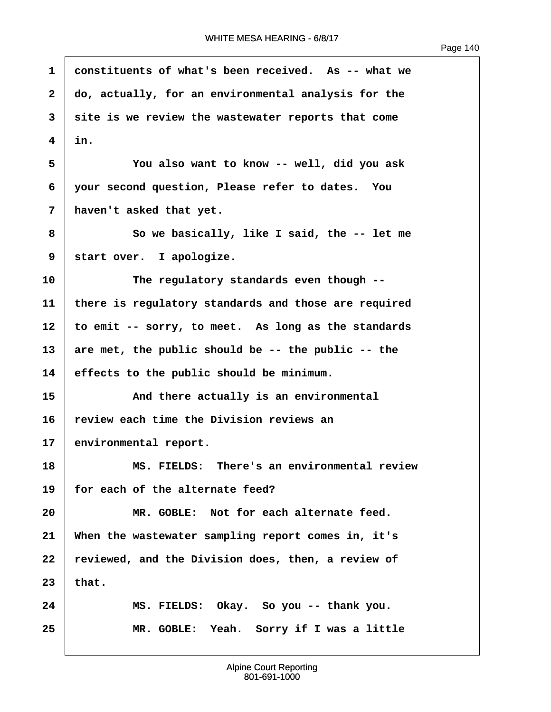| $\mathbf{1}$   | constituents of what's been received. As -- what we  |
|----------------|------------------------------------------------------|
| $\mathbf{2}$   | do, actually, for an environmental analysis for the  |
| 3              | site is we review the wastewater reports that come   |
| 4              | in.                                                  |
| 5              | You also want to know -- well, did you ask           |
| 6              | your second question, Please refer to dates. You     |
| $\overline{7}$ | haven't asked that yet.                              |
| 8              | So we basically, like I said, the -- let me          |
| 9              | start over. I apologize.                             |
| 10             | The regulatory standards even though --              |
| 11             | there is regulatory standards and those are required |
| 12             | to emit -- sorry, to meet. As long as the standards  |
| 13             | are met, the public should be -- the public -- the   |
| 14             | effects to the public should be minimum.             |
| 15             | And there actually is an environmental               |
| 16             | review each time the Division reviews an             |
| 17             | environmental report.                                |
| 18             | MS. FIELDS: There's an environmental review          |
| 19             | for each of the alternate feed?                      |
| 20             | MR. GOBLE: Not for each alternate feed.              |
| 21             | When the wastewater sampling report comes in, it's   |
| 22             | reviewed, and the Division does, then, a review of   |
| 23             | that.                                                |
| 24             | MS. FIELDS: Okay. So you -- thank you.               |
| 25             | MR. GOBLE: Yeah. Sorry if I was a little             |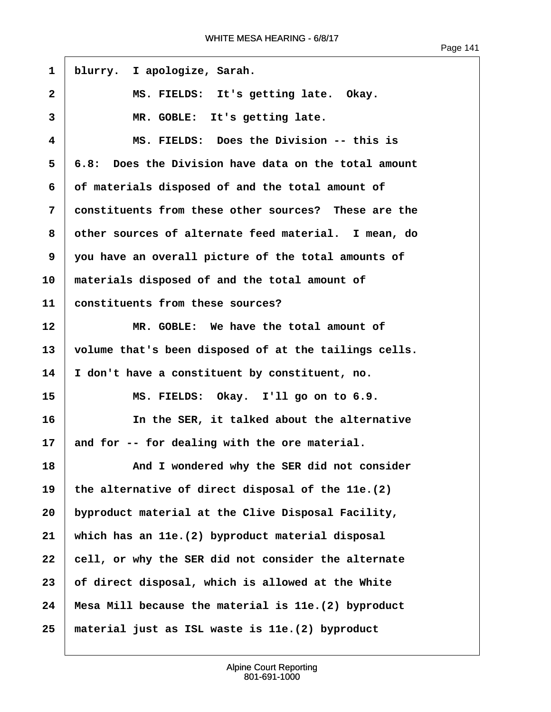1 | blurry. I apologize, Sarah. 2 | MS. FIELDS: It's getting late. Okay. 3 MR. GOBLE: It's getting late. **·4· · · · · · MS. FIELDS:· Does the Division -- this is ·5· ·6.8:· Does the Division have data on the total amount ·6· ·of materials disposed of and the total amount of ·7· ·constituents from these other sources?· These are the ·8· ·other sources of alternate feed material.· I mean, do ·9· ·you have an overall picture of the total amounts of 10· ·materials disposed of and the total amount of 11· ·constituents from these sources? 12· · · · · · MR. GOBLE:· We have the total amount of 13· ·volume that's been disposed of at the tailings cells. 14· ·I don't have a constituent by constituent, no. 15· · · · · · MS. FIELDS:· Okay.· I'll go on to 6.9. 16· · · · · · In the SER, it talked about the alternative** 17 and for -- for dealing with the ore material. **18· · · · · · And I wondered why the SER did not consider 19· ·the alternative of direct disposal of the 11e.(2) 20· ·byproduct material at the Clive Disposal Facility, 21· ·which has an 11e.(2) byproduct material disposal** 22 **cell, or why the SER did not consider the alternate 23· ·of direct disposal, which is allowed at the White 24· ·Mesa Mill because the material is 11e.(2) byproduct 25· ·material just as ISL waste is 11e.(2) byproduct**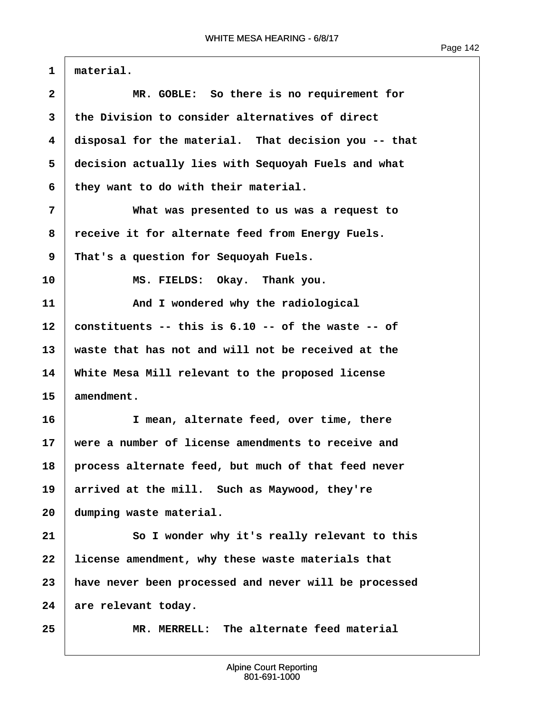1 material. **·2· · · · · · MR. GOBLE:· So there is no requirement for ·3· ·the Division to consider alternatives of direct ·4· ·disposal for the material.· That decision you -- that ·5· ·decision actually lies with Sequoyah Fuels and what ·6· ·they want to do with their material. ·7· · · · · · What was presented to us was a request to** 8 receive it for alternate feed from Energy Fuels. **·9· ·That's a question for Sequoyah Fuels.** 10 MS. FIELDS: Okay. Thank you. **11· · · · · · And I wondered why the radiological 12· ·constituents -- this is 6.10 -- of the waste -- of 13· ·waste that has not and will not be received at the 14· ·White Mesa Mill relevant to the proposed license** 15 amendment. **16· · · · · · I mean, alternate feed, over time, there 17· ·were a number of license amendments to receive and 18· ·process alternate feed, but much of that feed never** 19 arrived at the mill. Such as Maywood, they're 20 dumping waste material. **21· · · · · · So I wonder why it's really relevant to this** 22 Iicense amendment, why these waste materials that **23· ·have never been processed and never will be processed** 24 are relevant today. **25· · · · · · MR. MERRELL:· The alternate feed material**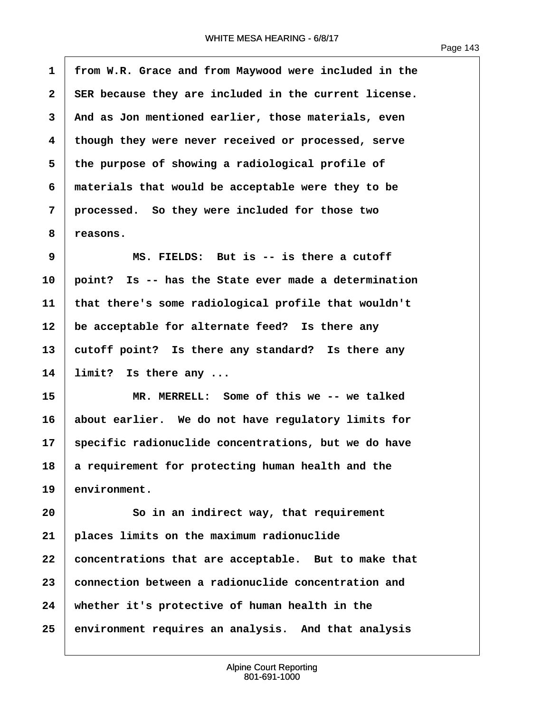Page 143

<span id="page-144-0"></span>**·1· ·from W.R. Grace and from Maywood were included in the ·2· ·SER because they are included in the current license. ·3· ·And as Jon mentioned earlier, those materials, even ·4· ·though they were never received or processed, serve ·5· ·the purpose of showing a radiological profile of ·6· ·materials that would be acceptable were they to be ·7· ·processed.· So they were included for those two ·8· ·reasons. ·9· · · · · · MS. FIELDS:· But is -- is there a cutoff 10· ·point?· Is -- has the State ever made a determination 11· ·that there's some radiological profile that wouldn't** 12 be acceptable for alternate feed? Is there any 13 cutoff point? Is there any standard? Is there any 14 Iimit? Is there any ... **15· · · · · · MR. MERRELL:· Some of this we -- we talked 16· ·about earlier.· We do not have regulatory limits for 17· ·specific radionuclide concentrations, but we do have 18· ·a requirement for protecting human health and the** 19 environment. **20· · · · · · So in an indirect way, that requirement 21· ·places limits on the maximum radionuclide 22· ·concentrations that are acceptable.· But to make that 23· ·connection between a radionuclide concentration and 24· ·whether it's protective of human health in the 25· ·environment requires an analysis.· And that analysis**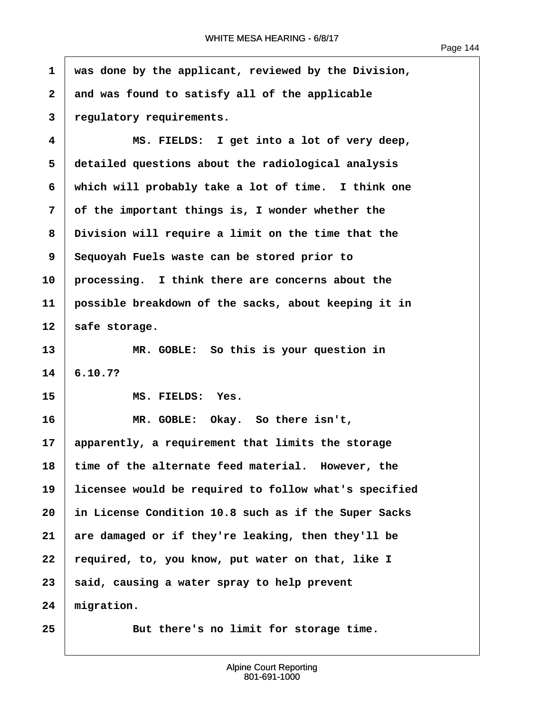ľ

<span id="page-145-0"></span>

| $\mathbf{1}$            | was done by the applicant, reviewed by the Division,  |
|-------------------------|-------------------------------------------------------|
| $\overline{\mathbf{2}}$ | and was found to satisfy all of the applicable        |
| 3                       | regulatory requirements.                              |
| 4                       | MS. FIELDS: I get into a lot of very deep,            |
| 5                       | detailed questions about the radiological analysis    |
| 6                       | which will probably take a lot of time. I think one   |
| 7                       | of the important things is, I wonder whether the      |
| 8                       | Division will require a limit on the time that the    |
| 9                       | Sequoyah Fuels waste can be stored prior to           |
| 10                      | processing. I think there are concerns about the      |
| 11                      | possible breakdown of the sacks, about keeping it in  |
| 12                      | safe storage.                                         |
| 13                      | MR. GOBLE: So this is your question in                |
| 14                      | 6.10.7?                                               |
| 15                      | MS. FIELDS:<br>Yes.                                   |
| 16                      | MR. GOBLE: Okay. So there isn't,                      |
| 17                      | apparently, a requirement that limits the storage     |
| 18                      | time of the alternate feed material. However, the     |
| 19                      | licensee would be required to follow what's specified |
| 20                      | in License Condition 10.8 such as if the Super Sacks  |
| 21                      | are damaged or if they're leaking, then they'll be    |
| 22                      | required, to, you know, put water on that, like I     |
| 23                      | said, causing a water spray to help prevent           |
| 24                      | migration.                                            |
| 25                      | But there's no limit for storage time.                |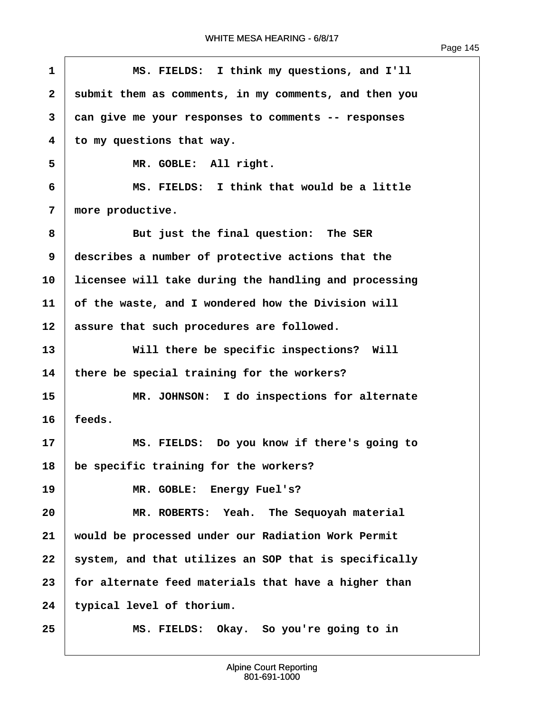<span id="page-146-0"></span>

| $\mathbf{1}$ | MS. FIELDS: I think my questions, and I'll            |
|--------------|-------------------------------------------------------|
| $\mathbf{2}$ | submit them as comments, in my comments, and then you |
| 3            | can give me your responses to comments -- responses   |
| 4            | to my questions that way.                             |
| 5            | MR. GOBLE: All right.                                 |
| 6            | MS. FIELDS: I think that would be a little            |
| 7            | more productive.                                      |
| 8            | But just the final question: The SER                  |
| 9            | describes a number of protective actions that the     |
| 10           | licensee will take during the handling and processing |
| 11           | of the waste, and I wondered how the Division will    |
| 12           | assure that such procedures are followed.             |
| 13           | Will there be specific inspections? Will              |
| 14           | there be special training for the workers?            |
| 15           | MR. JOHNSON: I do inspections for alternate           |
| 16           | feeds.                                                |
| 17           | MS. FIELDS: Do you know if there's going to           |
| 18           | be specific training for the workers?                 |
| 19           | MR. GOBLE: Energy Fuel's?                             |
| 20           | MR. ROBERTS: Yeah. The Sequoyah material              |
| 21           | would be processed under our Radiation Work Permit    |
| 22           | system, and that utilizes an SOP that is specifically |
| 23           | for alternate feed materials that have a higher than  |
| 24           | typical level of thorium.                             |
| 25           | MS. FIELDS: Okay. So you're going to in               |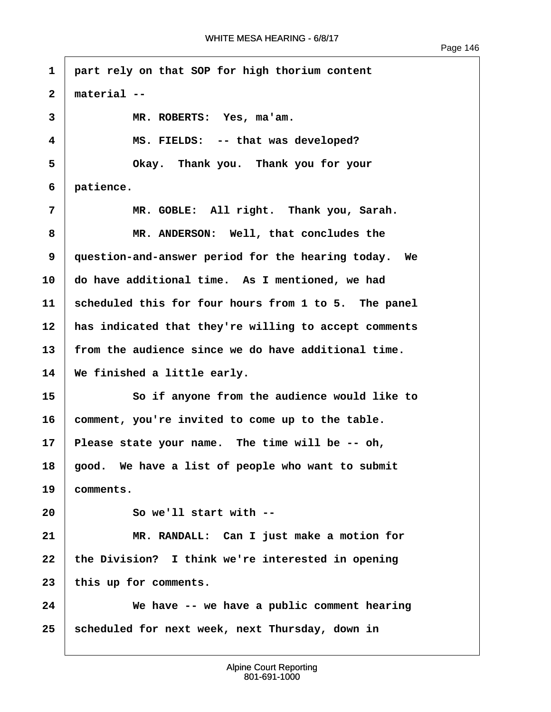```
·1· ·part rely on that SOP for high thorium content
 ·2· ·material --
 ·3· · · · · · MR. ROBERTS:· Yes, ma'am.
 ·4· · · · · · MS. FIELDS:· -- that was developed?
 ·5· · · · · · Okay.· Thank you.· Thank you for your
 ·6· ·patience.
 7 1 12.4 12.4 MR. GOBLE: All right. Thank you, Sarah.
 ·8· · · · · · MR. ANDERSON:· Well, that concludes the
9 | question-and-answer period for the hearing today. We
10 do have additional time. As I mentioned, we had
11· ·scheduled this for four hours from 1 to 5.· The panel
12 | has indicated that they're willing to accept comments
13· ·from the audience since we do have additional time.
14 We finished a little early.
15· · · · · · So if anyone from the audience would like to
16· ·comment, you're invited to come up to the table.
17 Please state your name. The time will be -- oh,
18· ·good.· We have a list of people who want to submit
19· ·comments.
20· · · · · · So we'll start with --
21· · · · · · MR. RANDALL:· Can I just make a motion for
22· ·the Division?· I think we're interested in opening
23 this up for comments.
24· · · · · · We have -- we have a public comment hearing
25 Scheduled for next week, next Thursday, down in
```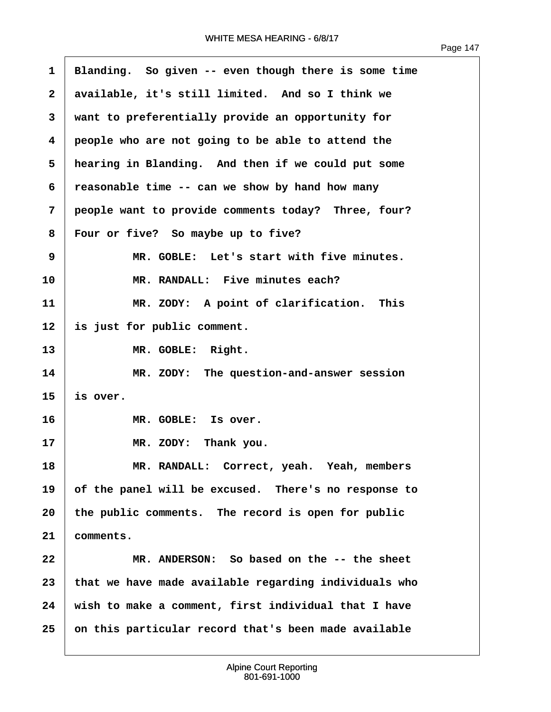<span id="page-148-0"></span>

| 1            | Blanding. So given -- even though there is some time  |
|--------------|-------------------------------------------------------|
| $\mathbf{2}$ | available, it's still limited. And so I think we      |
| 3            | want to preferentially provide an opportunity for     |
| 4            | people who are not going to be able to attend the     |
| 5            | hearing in Blanding. And then if we could put some    |
| 6            | reasonable time -- can we show by hand how many       |
| 7            | people want to provide comments today? Three, four?   |
| 8            | Four or five? So maybe up to five?                    |
| 9            | MR. GOBLE: Let's start with five minutes.             |
| 10           | MR. RANDALL: Five minutes each?                       |
| 11           | MR. ZODY: A point of clarification. This              |
| 12           | is just for public comment.                           |
| 13           | MR. GOBLE: Right.                                     |
| 14           | MR. ZODY: The question-and-answer session             |
| 15           | is over.                                              |
| 16           | MR. GOBLE: Is over.                                   |
| 17           | MR. ZODY: Thank you.                                  |
| 18           | MR. RANDALL: Correct, yeah. Yeah, members             |
| 19           | of the panel will be excused. There's no response to  |
| 20           | the public comments. The record is open for public    |
| 21           | comments.                                             |
| 22           | MR. ANDERSON: So based on the -- the sheet            |
| 23           | that we have made available regarding individuals who |
| 24           | wish to make a comment, first individual that I have  |
| 25           | on this particular record that's been made available  |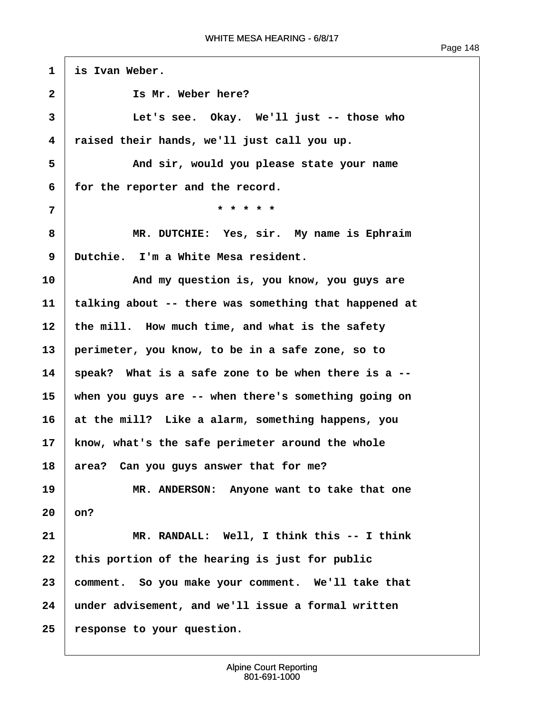| Page 1. | 48 |
|---------|----|
|---------|----|

<span id="page-149-0"></span>1 is Ivan Weber. **·2· · · · · · Is Mr. Weber here? ·3· · · · · · Let's see.· Okay.· We'll just -- those who ·4· ·raised their hands, we'll just call you up. ·5· · · · · · And sir, would you please state your name** 6 **for the reporter and the record. ·7· · · · · · · · · · · · ·\* \* \* \* \* ·8· · · · · · MR. DUTCHIE:· Yes, sir.· My name is Ephraim ·9· ·Dutchie.· I'm a White Mesa resident. 10· · · · · · And my question is, you know, you guys are 11· ·talking about -- there was something that happened at** 12 | the mill. How much time, and what is the safety **13· ·perimeter, you know, to be in a safe zone, so to 14· ·speak?· What is a safe zone to be when there is a -- 15· ·when you guys are -- when there's something going on 16· ·at the mill?· Like a alarm, something happens, you 17· ·know, what's the safe perimeter around the whole** 18 area? Can you guys answer that for me? **19** *I* **MR. ANDERSON: Anyone want to take that one**  $20 \mid$  on? **21· · · · · · MR. RANDALL:· Well, I think this -- I think** 22 | this portion of the hearing is just for public **23· ·comment.· So you make your comment.· We'll take that 24· ·under advisement, and we'll issue a formal written 25· ·response to your question.**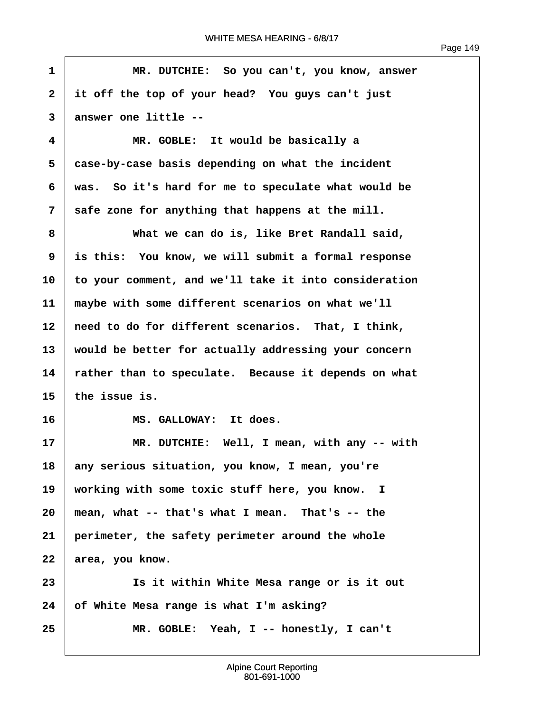$\overline{1}$ 

<span id="page-150-0"></span>

| $\mathbf{1}$ | MR. DUTCHIE: So you can't, you know, answer           |
|--------------|-------------------------------------------------------|
| $\mathbf{2}$ | it off the top of your head? You guys can't just      |
| 3            | answer one little --                                  |
| 4            | MR. GOBLE: It would be basically a                    |
| 5            | case-by-case basis depending on what the incident     |
| 6            | was. So it's hard for me to speculate what would be   |
| 7            | safe zone for anything that happens at the mill.      |
| 8            | What we can do is, like Bret Randall said,            |
| 9            | is this: You know, we will submit a formal response   |
| 10           | to your comment, and we'll take it into consideration |
| 11           | maybe with some different scenarios on what we'll     |
| 12           | need to do for different scenarios. That, I think,    |
| 13           | would be better for actually addressing your concern  |
| 14           | rather than to speculate. Because it depends on what  |
| 15           | the issue is.                                         |
| 16           | MS. GALLOWAY: It does.                                |
| 17           | MR. DUTCHIE: Well, I mean, with any -- with           |
| 18           | any serious situation, you know, I mean, you're       |
| 19           | working with some toxic stuff here, you know. I       |
| 20           | mean, what -- that's what I mean. That's -- the       |
| 21           | perimeter, the safety perimeter around the whole      |
| 22           | area, you know.                                       |
| 23           | Is it within White Mesa range or is it out            |
| 24           | of White Mesa range is what I'm asking?               |
| 25           | MR. GOBLE: Yeah, I -- honestly, I can't               |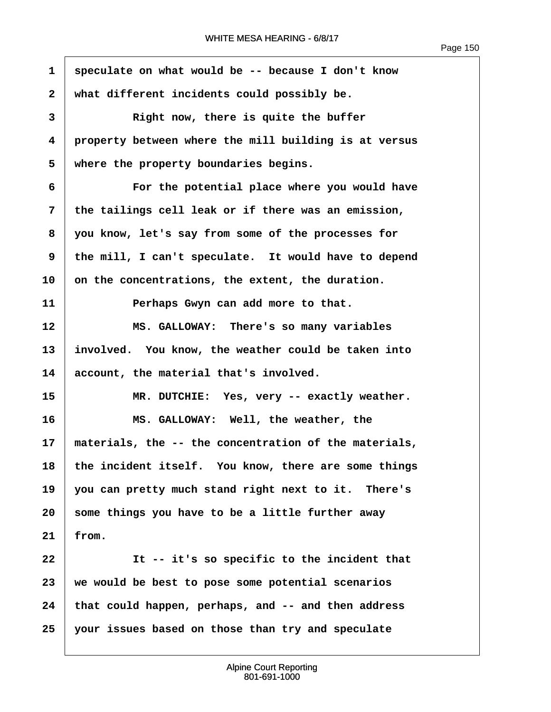$\sqrt{ }$ 

<span id="page-151-0"></span>

| $\mathbf{1}$ | speculate on what would be -- because I don't know    |
|--------------|-------------------------------------------------------|
| $\mathbf{2}$ | what different incidents could possibly be.           |
| 3            | Right now, there is quite the buffer                  |
| 4            | property between where the mill building is at versus |
| 5            | where the property boundaries begins.                 |
| 6            | For the potential place where you would have          |
| 7            | the tailings cell leak or if there was an emission,   |
| 8            | you know, let's say from some of the processes for    |
| 9            | the mill, I can't speculate. It would have to depend  |
| 10           | on the concentrations, the extent, the duration.      |
| 11           | Perhaps Gwyn can add more to that.                    |
| 12           | MS. GALLOWAY: There's so many variables               |
| 13           | involved. You know, the weather could be taken into   |
| 14           | account, the material that's involved.                |
| 15           | MR. DUTCHIE: Yes, very -- exactly weather.            |
| 16           | MS. GALLOWAY: Well, the weather, the                  |
| 17           | materials, the -- the concentration of the materials, |
| 18           | the incident itself. You know, there are some things  |
| 19           | you can pretty much stand right next to it. There's   |
| 20           | some things you have to be a little further away      |
| 21           | from.                                                 |
| 22           | It -- it's so specific to the incident that           |
| 23           | we would be best to pose some potential scenarios     |
| 24           | that could happen, perhaps, and -- and then address   |
| 25           | your issues based on those than try and speculate     |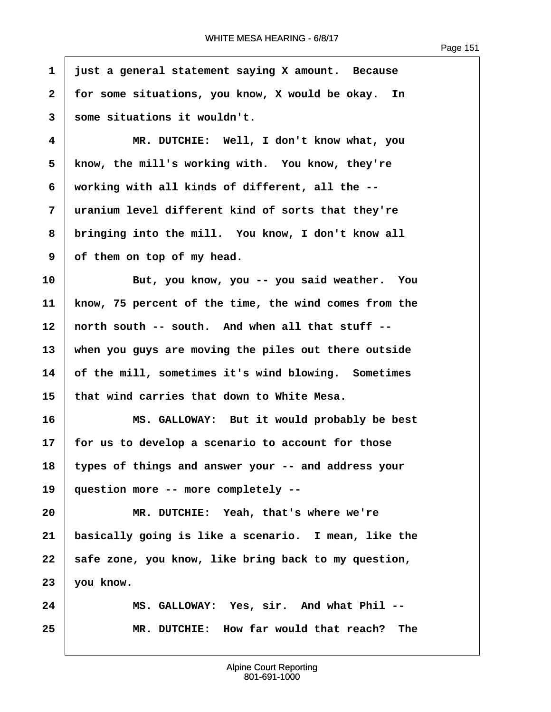Page 151

<span id="page-152-0"></span>**·1· ·just a general statement saying X amount.· Because 2** | for some situations, you know, X would be okay. In **·3· ·some situations it wouldn't. ·4· · · · · · MR. DUTCHIE:· Well, I don't know what, you ·5· ·know, the mill's working with.· You know, they're ·6· ·working with all kinds of different, all the -- ·7· ·uranium level different kind of sorts that they're ·8· ·bringing into the mill.· You know, I don't know all ·9· ·of them on top of my head. 10· · · · · · But, you know, you -- you said weather.· You 11· ·know, 75 percent of the time, the wind comes from the** 12 | north south -- south. And when all that stuff --**13· ·when you guys are moving the piles out there outside 14· ·of the mill, sometimes it's wind blowing.· Sometimes 15· ·that wind carries that down to White Mesa. 16· · · · · · MS. GALLOWAY:· But it would probably be best 17· ·for us to develop a scenario to account for those 18· ·types of things and answer your -- and address your 19· ·question more -- more completely -- 20· · · · · · MR. DUTCHIE:· Yeah, that's where we're 21· ·basically going is like a scenario.· I mean, like the** 22 | safe zone, you know, like bring back to my question, 23 **you know. 24· · · · · · MS. GALLOWAY:· Yes, sir.· And what Phil -- 25· · · · · · MR. DUTCHIE:· How far would that reach?· The**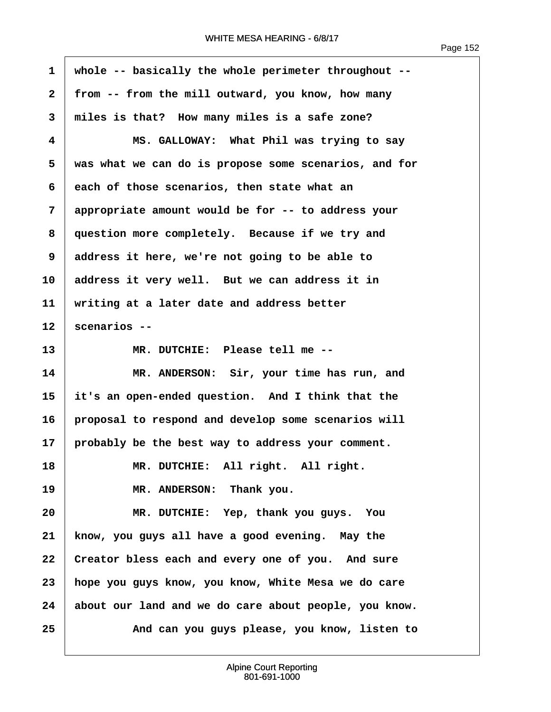ľ

<span id="page-153-0"></span>

| 1            | whole -- basically the whole perimeter throughout --  |
|--------------|-------------------------------------------------------|
| $\mathbf{2}$ | from -- from the mill outward, you know, how many     |
| 3            | miles is that? How many miles is a safe zone?         |
| 4            | MS. GALLOWAY: What Phil was trying to say             |
| 5            | was what we can do is propose some scenarios, and for |
| 6            | each of those scenarios, then state what an           |
| 7            | appropriate amount would be for -- to address your    |
| 8            | question more completely. Because if we try and       |
| 9            | address it here, we're not going to be able to        |
| 10           | address it very well. But we can address it in        |
| 11           | writing at a later date and address better            |
| 12           | scenarios --                                          |
| 13           | MR. DUTCHIE: Please tell me --                        |
| 14           | MR. ANDERSON: Sir, your time has run, and             |
| 15           | it's an open-ended question. And I think that the     |
| 16           | proposal to respond and develop some scenarios will   |
| 17           | probably be the best way to address your comment.     |
| 18           | MR. DUTCHIE: All right. All right.                    |
| 19           | MR. ANDERSON: Thank you.                              |
| 20           | MR. DUTCHIE: Yep, thank you guys. You                 |
| 21           | know, you guys all have a good evening. May the       |
| 22           | Creator bless each and every one of you. And sure     |
| 23           | hope you guys know, you know, White Mesa we do care   |
| 24           | about our land and we do care about people, you know. |
| 25           | And can you guys please, you know, listen to          |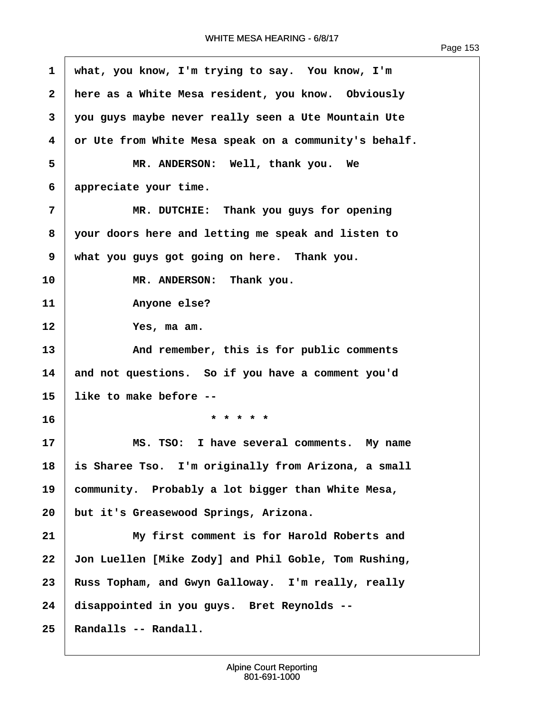<span id="page-154-0"></span>

| $\mathbf 1$  | what, you know, I'm trying to say. You know, I'm      |
|--------------|-------------------------------------------------------|
| $\mathbf{2}$ | here as a White Mesa resident, you know. Obviously    |
| 3            | you guys maybe never really seen a Ute Mountain Ute   |
| 4            | or Ute from White Mesa speak on a community's behalf. |
| 5            | MR. ANDERSON: Well, thank you. We                     |
| 6            | appreciate your time.                                 |
| 7            | MR. DUTCHIE: Thank you guys for opening               |
| 8            | your doors here and letting me speak and listen to    |
| 9            | what you guys got going on here. Thank you.           |
| 10           | MR. ANDERSON: Thank you.                              |
| 11           | Anyone else?                                          |
| 12           | Yes, ma am.                                           |
| 13           | And remember, this is for public comments             |
| 14           | and not questions. So if you have a comment you'd     |
| 15           | like to make before --                                |
| 16           | * * * * *                                             |
| 17           | MS. TSO: I have several comments. My name             |
| 18           | is Sharee Tso. I'm originally from Arizona, a small   |
| 19           | community. Probably a lot bigger than White Mesa,     |
| 20           | but it's Greasewood Springs, Arizona.                 |
| 21           | My first comment is for Harold Roberts and            |
| 22           | Jon Luellen [Mike Zody] and Phil Goble, Tom Rushing,  |
| 23           | Russ Topham, and Gwyn Galloway. I'm really, really    |
| 24           | disappointed in you guys. Bret Reynolds --            |
| 25           | Randalls -- Randall.                                  |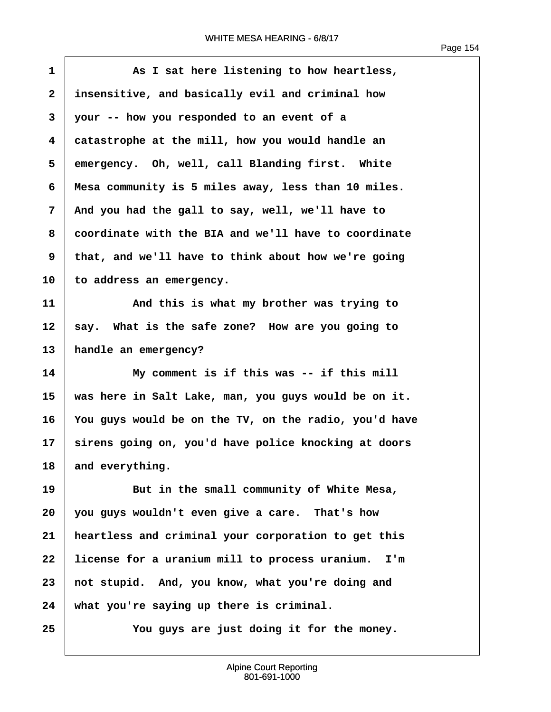Г

<span id="page-155-0"></span>

| $\mathbf{1}$   | As I sat here listening to how heartless,             |
|----------------|-------------------------------------------------------|
| $\mathbf{2}$   | insensitive, and basically evil and criminal how      |
| 3              | your -- how you responded to an event of a            |
| 4              | catastrophe at the mill, how you would handle an      |
| 5              | emergency. Oh, well, call Blanding first. White       |
| 6              | Mesa community is 5 miles away, less than 10 miles.   |
| $\overline{7}$ | And you had the gall to say, well, we'll have to      |
| 8              | coordinate with the BIA and we'll have to coordinate  |
| 9              | that, and we'll have to think about how we're going   |
| 10             | to address an emergency.                              |
| 11             | And this is what my brother was trying to             |
| 12             | say. What is the safe zone? How are you going to      |
| 13             | handle an emergency?                                  |
| 14             | My comment is if this was -- if this mill             |
| 15             | was here in Salt Lake, man, you guys would be on it.  |
| 16             | You guys would be on the TV, on the radio, you'd have |
| 17             | sirens going on, you'd have police knocking at doors  |
| 18             | and everything.                                       |
| 19             | But in the small community of White Mesa,             |
| 20             | you guys wouldn't even give a care. That's how        |
| 21             | heartless and criminal your corporation to get this   |
| 22             | license for a uranium mill to process uranium.<br>I'm |
| 23             | not stupid. And, you know, what you're doing and      |
| 24             | what you're saying up there is criminal.              |
| 25             | You guys are just doing it for the money.             |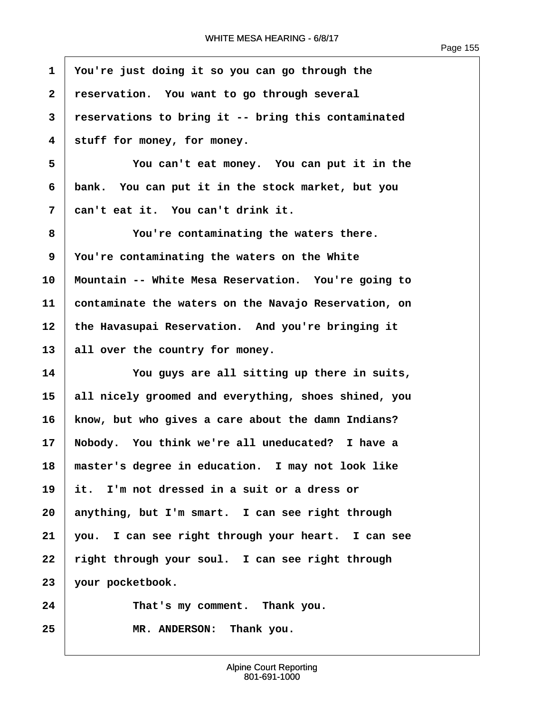Г

<span id="page-156-0"></span>

| $\mathbf{1}$ | You're just doing it so you can go through the       |
|--------------|------------------------------------------------------|
| $\mathbf{2}$ | reservation. You want to go through several          |
| 3            | reservations to bring it -- bring this contaminated  |
| 4            | stuff for money, for money.                          |
| 5            | You can't eat money. You can put it in the           |
| 6            | bank. You can put it in the stock market, but you    |
| 7            | can't eat it. You can't drink it.                    |
| 8            | You're contaminating the waters there.               |
| 9            | You're contaminating the waters on the White         |
| 10           | Mountain -- White Mesa Reservation. You're going to  |
| 11           | contaminate the waters on the Navajo Reservation, on |
| 12           | the Havasupai Reservation. And you're bringing it    |
| 13           | all over the country for money.                      |
| 14           | You guys are all sitting up there in suits,          |
| 15           | all nicely groomed and everything, shoes shined, you |
| 16           | know, but who gives a care about the damn Indians?   |
| 17           | Nobody. You think we're all uneducated? I have a     |
| 18           | master's degree in education. I may not look like    |
| 19           | it. I'm not dressed in a suit or a dress or          |
| 20           | anything, but I'm smart. I can see right through     |
| 21           | you. I can see right through your heart. I can see   |
| 22           | right through your soul. I can see right through     |
| 23           | your pocketbook.                                     |
| 24           | That's my comment. Thank you.                        |
| 25           | MR. ANDERSON: Thank you.                             |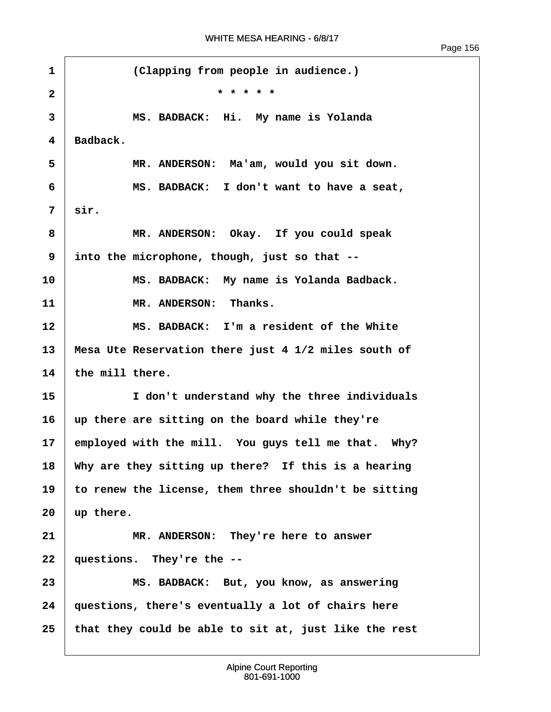<span id="page-157-0"></span>1 **Clapping from people in audience.**) **·2· · · · · · · · · · · · ·\* \* \* \* \* ·3· · · · · · MS. BADBACK:· Hi.· My name is Yolanda**  $4 \mid$  **Badback. ·5· · · · · · MR. ANDERSON:· Ma'am, would you sit down. ·6· · · · · · MS. BADBACK:· I don't want to have a seat, ·7· ·sir. ·8· · · · · · MR. ANDERSON:· Okay.· If you could speak ·9· ·into the microphone, though, just so that -- 10· · · · · · MS. BADBACK:· My name is Yolanda Badback. 11· · · · · · MR. ANDERSON:· Thanks. 12· · · · · · MS. BADBACK:· I'm a resident of the White 13· ·Mesa Ute Reservation there just 4 1/2 miles south of**  $14$   $\pm$  the mill there. **15· · · · · · I don't understand why the three individuals 16· ·up there are sitting on the board while they're** 17 employed with the mill. You guys tell me that. Why? 18 Why are they sitting up there? If this is a hearing **19· ·to renew the license, them three shouldn't be sitting**  $20 \mid \text{up there.}$ 21 **I MR. ANDERSON:** They're here to answer **22· ·questions.· They're the -- 23· · · · · · MS. BADBACK:· But, you know, as answering 24· ·questions, there's eventually a lot of chairs here 25· ·that they could be able to sit at, just like the rest**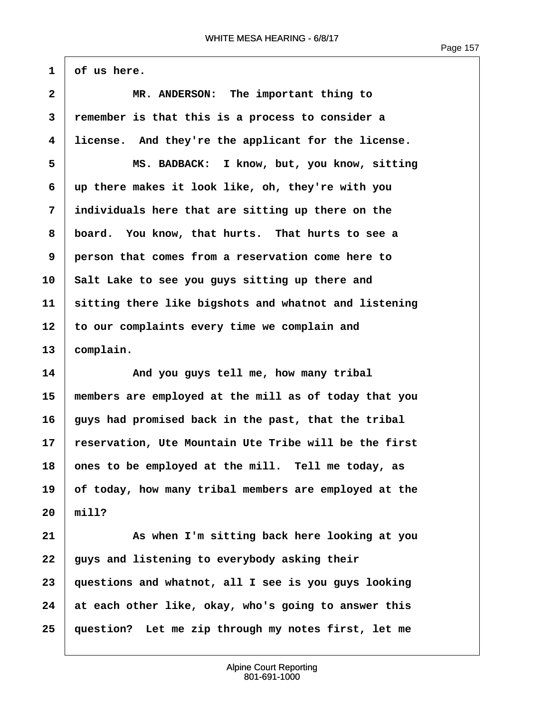Page 157

<span id="page-158-0"></span> $1 \mid \text{of us here.}$ 

| $\overline{2}$                   | MR. ANDERSON: The important thing to                  |
|----------------------------------|-------------------------------------------------------|
| 3                                | remember is that this is a process to consider a      |
| 4                                | license. And they're the applicant for the license.   |
| 5                                | MS. BADBACK: I know, but, you know, sitting           |
| 6                                | up there makes it look like, oh, they're with you     |
| 7                                | individuals here that are sitting up there on the     |
| 8                                | board. You know, that hurts. That hurts to see a      |
| 9                                | person that comes from a reservation come here to     |
| 10                               | Salt Lake to see you guys sitting up there and        |
| 11                               | sitting there like bigshots and whatnot and listening |
| 12                               | to our complaints every time we complain and          |
| 13                               | complain.                                             |
|                                  |                                                       |
|                                  | And you guys tell me, how many tribal                 |
|                                  | members are employed at the mill as of today that you |
|                                  | guys had promised back in the past, that the tribal   |
|                                  | reservation, Ute Mountain Ute Tribe will be the first |
|                                  | ones to be employed at the mill. Tell me today, as    |
| 14<br>15<br>16<br>17<br>18<br>19 | of today, how many tribal members are employed at the |
| 20                               | min1?                                                 |
| 21                               | As when I'm sitting back here looking at you          |
| 22                               | guys and listening to everybody asking their          |
| 23                               | questions and whatnot, all I see is you guys looking  |
| 24                               | at each other like, okay, who's going to answer this  |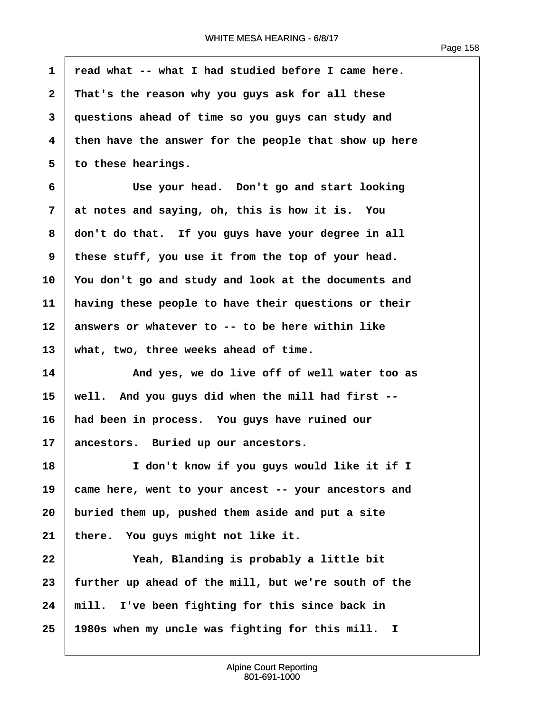<span id="page-159-0"></span>**·1· ·read what -- what I had studied before I came here. ·2· ·That's the reason why you guys ask for all these ·3· ·questions ahead of time so you guys can study and ·4· ·then have the answer for the people that show up here ·5· ·to these hearings. ·6· · · · · · Use your head.· Don't go and start looking ·7· ·at notes and saying, oh, this is how it is.· You ·8· ·don't do that.· If you guys have your degree in all ·9· ·these stuff, you use it from the top of your head. 10· ·You don't go and study and look at the documents and 11· ·having these people to have their questions or their 12· ·answers or whatever to -- to be here within like** 13 | what, two, three weeks ahead of time. **14· · · · · · And yes, we do live off of well water too as 15· ·well.· And you guys did when the mill had first -- 16· ·had been in process.· You guys have ruined our** 17 ancestors. Buried up our ancestors. **18· · · · · · I don't know if you guys would like it if I 19· ·came here, went to your ancest -- your ancestors and 20· ·buried them up, pushed them aside and put a site** 21 | there. You guys might not like it. 22 **Yeah, Blanding is probably a little bit 23· ·further up ahead of the mill, but we're south of the 24· ·mill.· I've been fighting for this since back in 25· ·1980s when my uncle was fighting for this mill. I**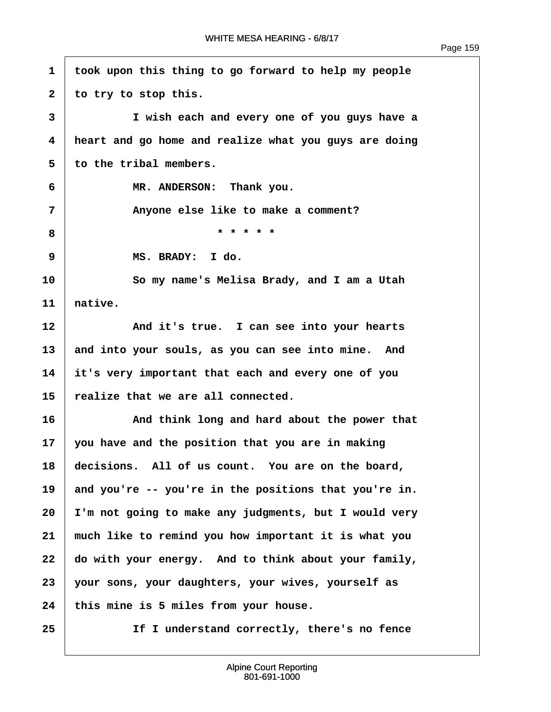<span id="page-160-0"></span>**·1· ·took upon this thing to go forward to help my people** 2 to try to stop this. **·3· · · · · · I wish each and every one of you guys have a ·4· ·heart and go home and realize what you guys are doing ·5· ·to the tribal members. ·6· · · · · · MR. ANDERSON:· Thank you. ·7· · · · · · Anyone else like to make a comment? ·8· · · · · · · · · · · · ·\* \* \* \* \* ·9· · · · · · MS. BRADY:· I do. 10· · · · · · So my name's Melisa Brady, and I am a Utah**  $11$  ative. 12 **And it's true.** I can see into your hearts 13 and into your souls, as you can see into mine. And **14· ·it's very important that each and every one of you 15· ·realize that we are all connected. 16· · · · · · And think long and hard about the power that 17· ·you have and the position that you are in making** 18 **decisions.** All of us count. You are on the board, 19 and you're -- you're in the positions that you're in. **20· ·I'm not going to make any judgments, but I would very 21· ·much like to remind you how important it is what you** 22 do with your energy. And to think about your family, **23· ·your sons, your daughters, your wives, yourself as** 24 this mine is 5 miles from your house. **25· · · · · · If I understand correctly, there's no fence**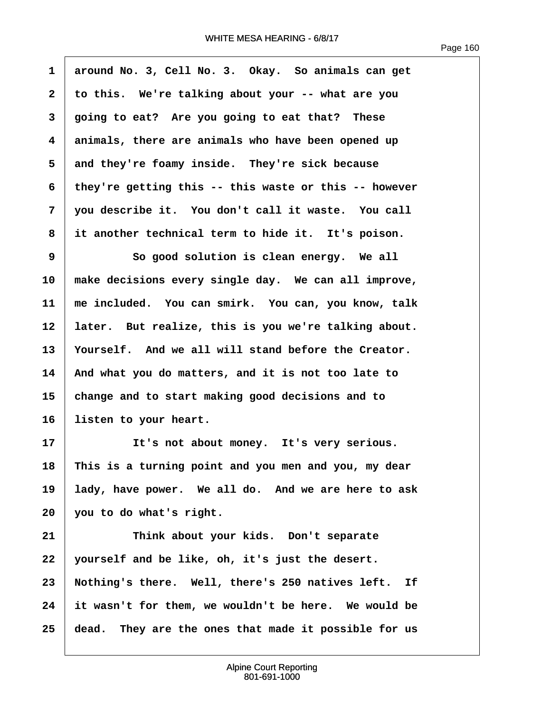<span id="page-161-0"></span>

| $\mathbf{1}$            | around No. 3, Cell No. 3. Okay. So animals can get    |
|-------------------------|-------------------------------------------------------|
| $\mathbf{2}$            | to this. We're talking about your -- what are you     |
| 3                       | going to eat? Are you going to eat that? These        |
| $\overline{\mathbf{4}}$ | animals, there are animals who have been opened up    |
| 5                       | and they're foamy inside. They're sick because        |
| 6                       | they're getting this -- this waste or this -- however |
| 7                       | you describe it. You don't call it waste. You call    |
| 8                       | it another technical term to hide it. It's poison.    |
| 9                       | So good solution is clean energy. We all              |
| 10                      | make decisions every single day. We can all improve,  |
| 11                      | me included. You can smirk. You can, you know, talk   |
| 12                      | later. But realize, this is you we're talking about.  |
| 13                      | Yourself. And we all will stand before the Creator.   |
| 14                      | And what you do matters, and it is not too late to    |
| 15                      | change and to start making good decisions and to      |
| 16                      | listen to your heart.                                 |
| 17                      | It's not about money. It's very serious.              |
| 18                      | This is a turning point and you men and you, my dear  |
| 19                      | lady, have power. We all do. And we are here to ask   |
| 20                      | you to do what's right.                               |
| 21                      | Think about your kids. Don't separate                 |
| 22                      | yourself and be like, oh, it's just the desert.       |
| 23                      | Nothing's there. Well, there's 250 natives left. If   |
| 24                      | it wasn't for them, we wouldn't be here. We would be  |
| 25                      | dead. They are the ones that made it possible for us  |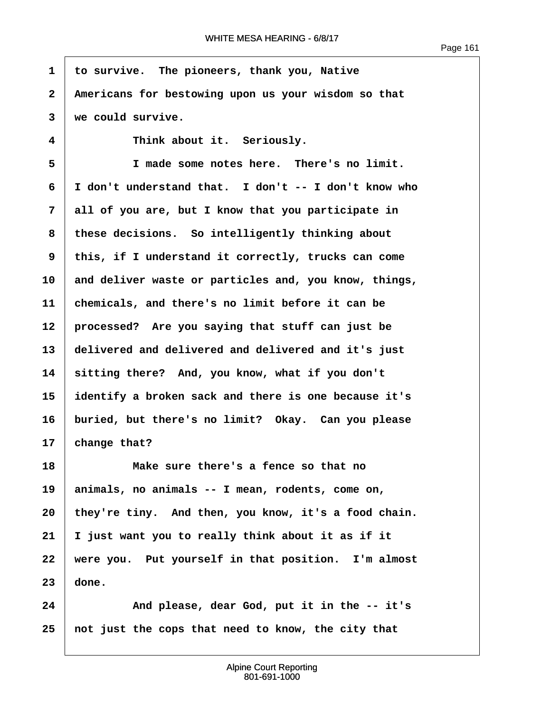$\overline{1}$ 

<span id="page-162-0"></span>

| 1            | to survive. The pioneers, thank you, Native           |  |  |  |
|--------------|-------------------------------------------------------|--|--|--|
| $\mathbf{2}$ | Americans for bestowing upon us your wisdom so that   |  |  |  |
| 3            | we could survive.                                     |  |  |  |
| 4            | Think about it. Seriously.                            |  |  |  |
| 5            | I made some notes here. There's no limit.             |  |  |  |
| 6            | I don't understand that. I don't -- I don't know who  |  |  |  |
| 7            | all of you are, but I know that you participate in    |  |  |  |
| 8            | these decisions. So intelligently thinking about      |  |  |  |
| 9            | this, if I understand it correctly, trucks can come   |  |  |  |
| 10           | and deliver waste or particles and, you know, things, |  |  |  |
| 11           | chemicals, and there's no limit before it can be      |  |  |  |
| 12           | processed? Are you saying that stuff can just be      |  |  |  |
| 13           | delivered and delivered and delivered and it's just   |  |  |  |
| 14           | sitting there? And, you know, what if you don't       |  |  |  |
| 15           | identify a broken sack and there is one because it's  |  |  |  |
| 16           | buried, but there's no limit? Okay. Can you please    |  |  |  |
| 17           | change that?                                          |  |  |  |
| 18           | Make sure there's a fence so that no                  |  |  |  |
| 19           | animals, no animals -- I mean, rodents, come on,      |  |  |  |
| 20           | they're tiny. And then, you know, it's a food chain.  |  |  |  |
| 21           | I just want you to really think about it as if it     |  |  |  |
| 22           | were you. Put yourself in that position. I'm almost   |  |  |  |
| 23           | done.                                                 |  |  |  |
| 24           | And please, dear God, put it in the -- it's           |  |  |  |
| 25           | not just the cops that need to know, the city that    |  |  |  |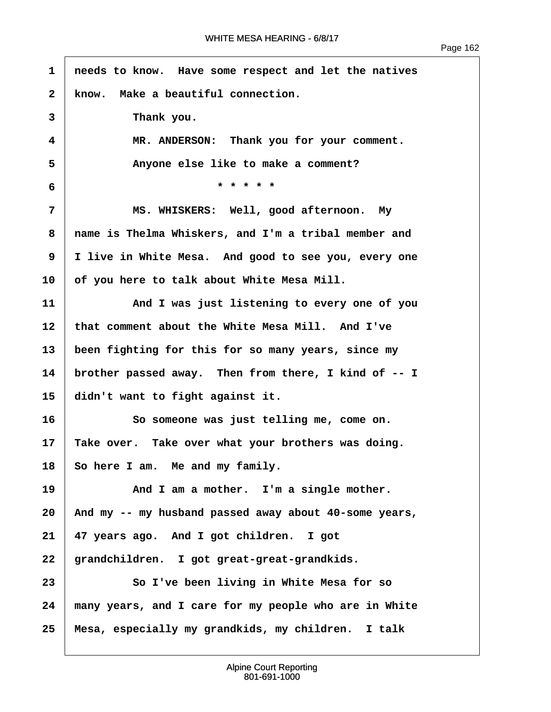$\overline{1}$ 

<span id="page-163-0"></span>

| $\mathbf{1}$ | needs to know. Have some respect and let the natives  |  |  |  |
|--------------|-------------------------------------------------------|--|--|--|
| 2            | know. Make a beautiful connection.                    |  |  |  |
| 3            | Thank you.                                            |  |  |  |
| 4            | MR. ANDERSON: Thank you for your comment.             |  |  |  |
| 5            | Anyone else like to make a comment?                   |  |  |  |
| 6            | * * * * *                                             |  |  |  |
| 7            | MS. WHISKERS: Well, good afternoon. My                |  |  |  |
| 8            | name is Thelma Whiskers, and I'm a tribal member and  |  |  |  |
| 9            | I live in White Mesa. And good to see you, every one  |  |  |  |
| 10           | of you here to talk about White Mesa Mill.            |  |  |  |
| 11           | And I was just listening to every one of you          |  |  |  |
| 12           | that comment about the White Mesa Mill. And I've      |  |  |  |
| 13           | been fighting for this for so many years, since my    |  |  |  |
| 14           | brother passed away. Then from there, I kind of -- I  |  |  |  |
| 15           | didn't want to fight against it.                      |  |  |  |
| 16           | So someone was just telling me, come on.              |  |  |  |
| 17           | Take over. Take over what your brothers was doing.    |  |  |  |
| 18           | So here I am. Me and my family.                       |  |  |  |
| 19           | And I am a mother. I'm a single mother.               |  |  |  |
| 20           | And my -- my husband passed away about 40-some years, |  |  |  |
| 21           | 47 years ago. And I got children. I got               |  |  |  |
| 22           | grandchildren. I got great-great-grandkids.           |  |  |  |
| 23           | So I've been living in White Mesa for so              |  |  |  |
| 24           | many years, and I care for my people who are in White |  |  |  |
| 25           | Mesa, especially my grandkids, my children. I talk    |  |  |  |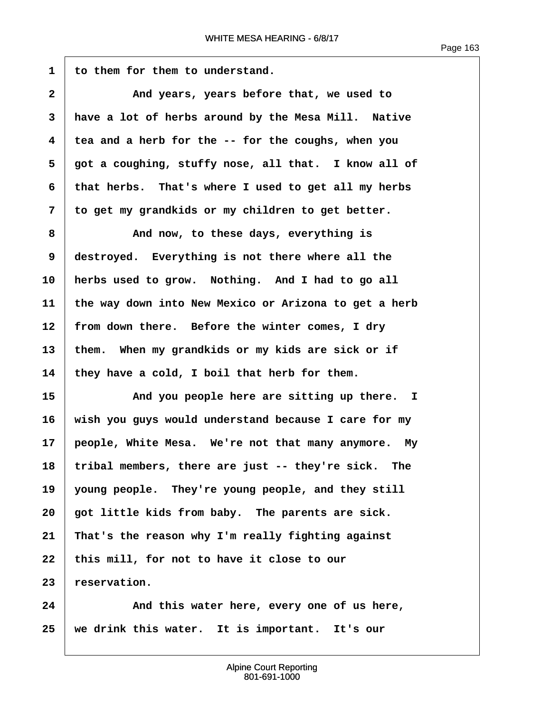<span id="page-164-0"></span>1 to them for them to understand. **2 a** *And years, years before that, we used to* **·3· ·have a lot of herbs around by the Mesa Mill.· Native ·4· ·tea and a herb for the -- for the coughs, when you ·5· ·got a coughing, stuffy nose, all that.· I know all of ·6· ·that herbs.· That's where I used to get all my herbs ·7· ·to get my grandkids or my children to get better. ·8· · · · · · And now, to these days, everything is ·9· ·destroyed.· Everything is not there where all the** 10 **herbs used to grow.** Nothing. And I had to go all **11· ·the way down into New Mexico or Arizona to get a herb** 12 | from down there. Before the winter comes, I dry 13 them. When my grandkids or my kids are sick or if **14· ·they have a cold, I boil that herb for them. 15· · · · · · And you people here are sitting up there. I 16· ·wish you guys would understand because I care for my** 17 **| people, White Mesa.** We're not that many anymore. My 18 tribal members, there are just -- they're sick. The 19 young people. They're young people, and they still 20 **qot little kids from baby.** The parents are sick. **21· ·That's the reason why I'm really fighting against** 22 this mill, for not to have it close to our 23 reservation.

**24· · · · · · And this water here, every one of us here,** 25 | we drink this water. It is important. It's our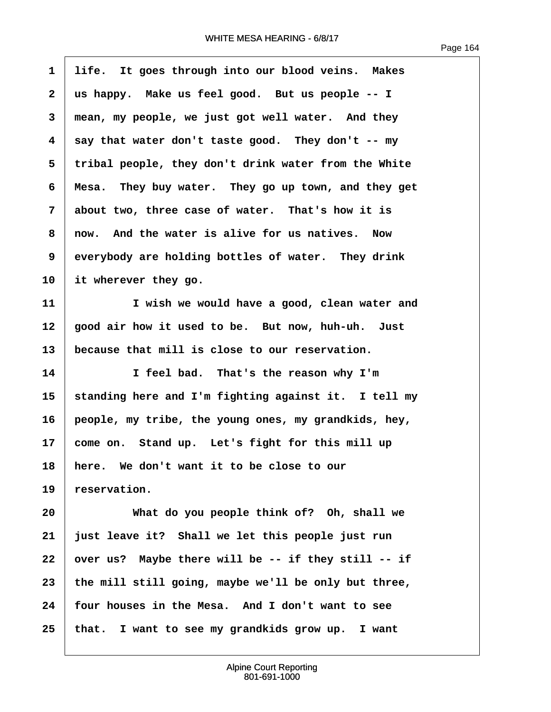$\overline{1}$ 

<span id="page-165-0"></span>

| $\mathbf{1}$ | life. It goes through into our blood veins. Makes      |
|--------------|--------------------------------------------------------|
| $\mathbf{2}$ | us happy. Make us feel good. But us people -- I        |
| 3            | mean, my people, we just got well water. And they      |
| 4            | say that water don't taste good. They don't -- my      |
| 5            | tribal people, they don't drink water from the White   |
| 6            | They buy water. They go up town, and they get<br>Mesa. |
| 7            | about two, three case of water. That's how it is       |
| 8            | now. And the water is alive for us natives. Now        |
| 9            | everybody are holding bottles of water. They drink     |
| 10           | it wherever they go.                                   |
| 11           | I wish we would have a good, clean water and           |
| 12           | good air how it used to be. But now, huh-uh. Just      |
| 13           | because that mill is close to our reservation.         |
| 14           | I feel bad. That's the reason why I'm                  |
| 15           | standing here and I'm fighting against it. I tell my   |
| 16           | people, my tribe, the young ones, my grandkids, hey,   |
| 17           | come on. Stand up. Let's fight for this mill up        |
| 18           | here. We don't want it to be close to our              |
| 19           | reservation.                                           |
| 20           | What do you people think of? Oh, shall we              |
| 21           | just leave it? Shall we let this people just run       |
| 22           | over us? Maybe there will be -- if they still -- if    |
| 23           | the mill still going, maybe we'll be only but three,   |
| 24           | four houses in the Mesa. And I don't want to see       |
| 25           | I want to see my grandkids grow up. I want<br>that.    |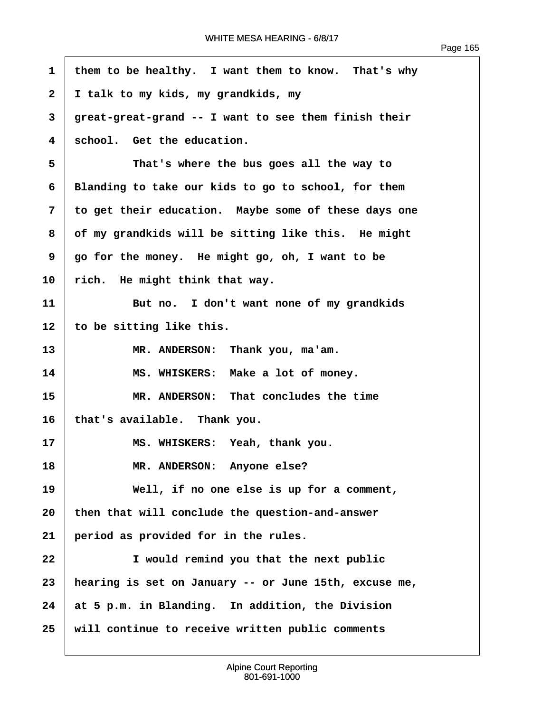<span id="page-166-0"></span>

| $\mathbf{1}$ | them to be healthy. I want them to know. That's why   |  |  |  |  |
|--------------|-------------------------------------------------------|--|--|--|--|
| $\mathbf{2}$ | I talk to my kids, my grandkids, my                   |  |  |  |  |
| 3            | great-great-grand -- I want to see them finish their  |  |  |  |  |
| 4            | school. Get the education.                            |  |  |  |  |
| 5            | That's where the bus goes all the way to              |  |  |  |  |
| 6            | Blanding to take our kids to go to school, for them   |  |  |  |  |
| 7            | to get their education. Maybe some of these days one  |  |  |  |  |
| 8            | of my grandkids will be sitting like this. He might   |  |  |  |  |
| 9            | go for the money. He might go, oh, I want to be       |  |  |  |  |
| 10           | rich. He might think that way.                        |  |  |  |  |
| 11           | But no. I don't want none of my grandkids             |  |  |  |  |
| 12           | to be sitting like this.                              |  |  |  |  |
| 13           | MR. ANDERSON: Thank you, ma'am.                       |  |  |  |  |
| 14           | MS. WHISKERS: Make a lot of money.                    |  |  |  |  |
| 15           | MR. ANDERSON: That concludes the time                 |  |  |  |  |
| 16           | that's available. Thank you.                          |  |  |  |  |
| 17           | MS. WHISKERS: Yeah, thank you.                        |  |  |  |  |
| 18           | MR. ANDERSON: Anyone else?                            |  |  |  |  |
| 19           | Well, if no one else is up for a comment,             |  |  |  |  |
| 20           | then that will conclude the question-and-answer       |  |  |  |  |
| 21           | period as provided for in the rules.                  |  |  |  |  |
| 22           | I would remind you that the next public               |  |  |  |  |
| 23           | hearing is set on January -- or June 15th, excuse me, |  |  |  |  |
| 24           | at 5 p.m. in Blanding. In addition, the Division      |  |  |  |  |
| 25           | will continue to receive written public comments      |  |  |  |  |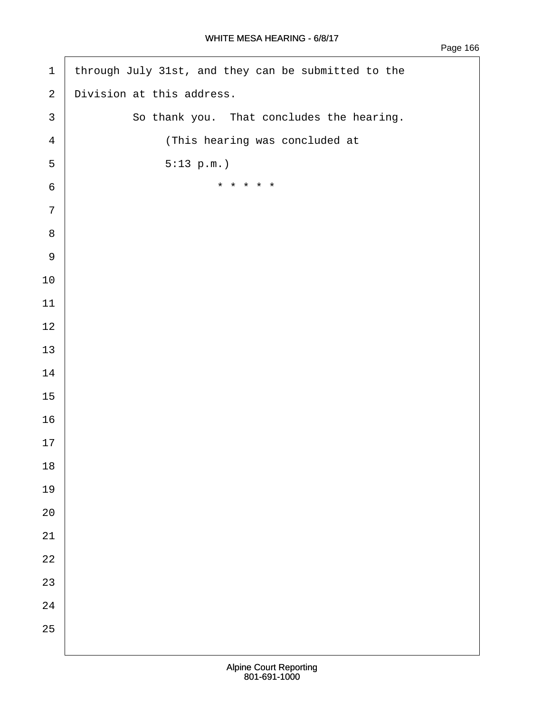| $\mathbf 1$    | through July 31st, and they can be submitted to the |
|----------------|-----------------------------------------------------|
| $\mathbf{2}$   | Division at this address.                           |
| $\mathsf{3}$   | So thank you. That concludes the hearing.           |
| $\overline{4}$ | (This hearing was concluded at                      |
| 5              | 5:13 p.m.                                           |
| $\epsilon$     | * * * * *                                           |
| $\overline{7}$ |                                                     |
| $\,8\,$        |                                                     |
| $\mathsf 9$    |                                                     |
| $10$           |                                                     |
| 11             |                                                     |
| $12$           |                                                     |
| 13             |                                                     |
| $14\,$         |                                                     |
| 15             |                                                     |
| 16             |                                                     |
| $17$           |                                                     |
| $18\,$         |                                                     |
| 19             |                                                     |
| $20\,$         |                                                     |
| $2\sqrt{1}$    |                                                     |
| $2\sqrt{2}$    |                                                     |
| 23             |                                                     |
| $2\sqrt{4}$    |                                                     |
| 25             |                                                     |
|                |                                                     |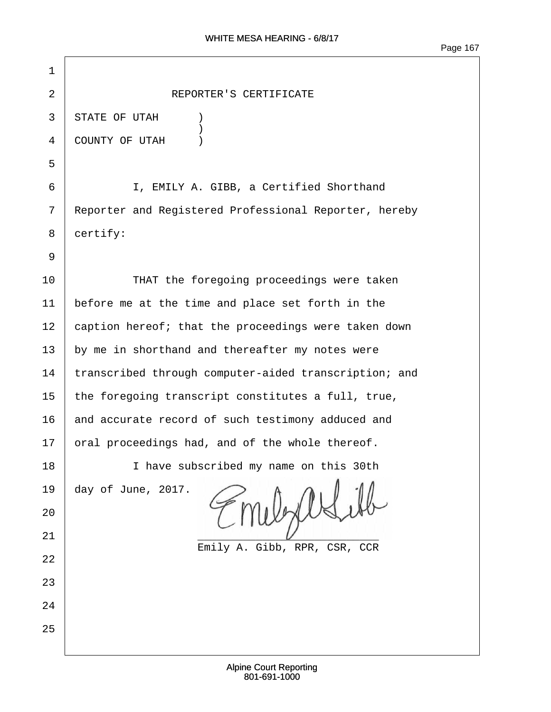| $\mathbf 1$    |                                                       |  |  |  |
|----------------|-------------------------------------------------------|--|--|--|
| $\overline{2}$ | REPORTER'S CERTIFICATE                                |  |  |  |
| 3              | STATE OF UTAH                                         |  |  |  |
| 4              | COUNTY OF UTAH                                        |  |  |  |
| 5              |                                                       |  |  |  |
| 6              | I, EMILY A. GIBB, a Certified Shorthand               |  |  |  |
| 7              | Reporter and Registered Professional Reporter, hereby |  |  |  |
| 8              | certify:                                              |  |  |  |
| 9              |                                                       |  |  |  |
| 10             | THAT the foregoing proceedings were taken             |  |  |  |
| 11             | before me at the time and place set forth in the      |  |  |  |
| 12             | caption hereof; that the proceedings were taken down  |  |  |  |
| 13             | by me in shorthand and thereafter my notes were       |  |  |  |
| 14             | transcribed through computer-aided transcription; and |  |  |  |
| 15             | the foregoing transcript constitutes a full, true,    |  |  |  |
| 16             | and accurate record of such testimony adduced and     |  |  |  |
| 17             | oral proceedings had, and of the whole thereof.       |  |  |  |
| 18             | I have subscribed my name on this 30th                |  |  |  |
| 19             | day of June, 2017.                                    |  |  |  |
| 20             |                                                       |  |  |  |
| 21             | Emily A. Gibb, RPR, CSR, CCR                          |  |  |  |
| 22             |                                                       |  |  |  |
| 23             |                                                       |  |  |  |
| 24             |                                                       |  |  |  |
| 25             |                                                       |  |  |  |
|                |                                                       |  |  |  |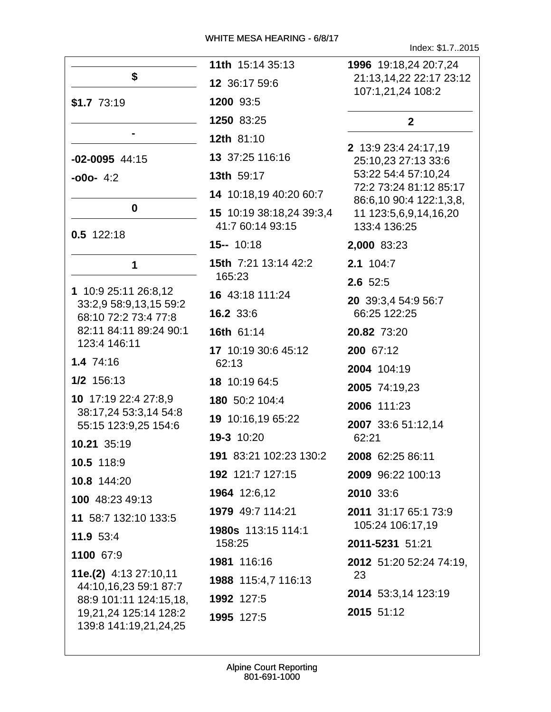Index: \$1.7..2015

|                                                | 11th 15:14 35:13          | 1996 19:18,24 20:7,24                             |
|------------------------------------------------|---------------------------|---------------------------------------------------|
| \$                                             | 12 36:17 59:6             | 21:13,14,22 22:17 23:12<br>107:1,21,24 108:2      |
| $$1.7$ 73:19                                   | 1200 93:5                 |                                                   |
|                                                | 1250 83:25                | $\mathbf{2}$                                      |
|                                                | 12th 81:10                |                                                   |
| $-02 - 0095$ 44:15                             | 13 37:25 116:16           | 2 13:9 23:4 24:17,19<br>25:10,23 27:13 33:6       |
| $-000 - 4:2$                                   | 13th 59:17                | 53:22 54:4 57:10,24                               |
|                                                | 14 10:18,19 40:20 60:7    | 72:2 73:24 81:12 85:17<br>86:6,10 90:4 122:1,3,8, |
| $\mathbf 0$                                    | 15 10:19 38:18,24 39:3,4  | 11 123:5,6,9,14,16,20                             |
| $0.5$ 122:18                                   | 41:7 60:14 93:15          | 133:4 136:25                                      |
|                                                | $15 - 10:18$              | 2,000 83:23                                       |
| 1                                              | 15th 7:21 13:14 42:2      | 2.1 104:7                                         |
|                                                | 165:23                    | $2.6$ 52:5                                        |
| 1 10:9 25:11 26:8,12<br>33:2,9 58:9,13,15 59:2 | 16 43:18 111:24           | 20 39:3,4 54:9 56:7                               |
| 68:10 72:2 73:4 77:8                           | 16.2 33:6                 | 66:25 122:25                                      |
| 82:11 84:11 89:24 90:1<br>123:4 146:11         | 16th 61:14                | 20.82 73:20                                       |
|                                                | 17 10:19 30:6 45:12       | 200 67:12                                         |
| 1.4 74:16                                      | 62:13                     | 2004 104:19                                       |
| 1/2 156:13                                     | 18 10:19 64:5             | 2005 74:19,23                                     |
| 10 17:19 22:4 27:8,9<br>38:17,24 53:3,14 54:8  | 180 50:2 104:4            | 2006 111:23                                       |
| 55:15 123:9,25 154:6                           | 19 10:16,19 65:22         | 2007 33:6 51:12,14                                |
| 10.21 35:19                                    | 19-3 10:20                | 62:21                                             |
| 10.5 118:9                                     | 191 83:21 102:23 130:2    | 2008 62:25 86:11                                  |
| 10.8 144:20                                    | 192 121:7 127:15          | 2009 96:22 100:13                                 |
| 100 48:23 49:13                                | 1964 12:6,12              | 2010 33:6                                         |
| 11 58:7 132:10 133:5                           | 1979 49:7 114:21          | 2011 31:17 65:1 73:9                              |
| 11.9 53:4                                      | <b>1980s</b> 113:15 114:1 | 105:24 106:17,19                                  |
| 1100 67:9                                      | 158:25                    | 2011-5231 51:21                                   |
| 11e.(2) 4:13 27:10,11                          | 1981 116:16               | 2012 51:20 52:24 74:19,                           |
| 44:10,16,23 59:1 87:7                          | 1988 115:4,7 116:13       | 23                                                |
| 88:9 101:11 124:15,18,                         | 1992 127:5                | 2014 53:3,14 123:19                               |
| 19,21,24 125:14 128:2<br>139:8 141:19,21,24,25 | 1995 127:5                | 2015 51:12                                        |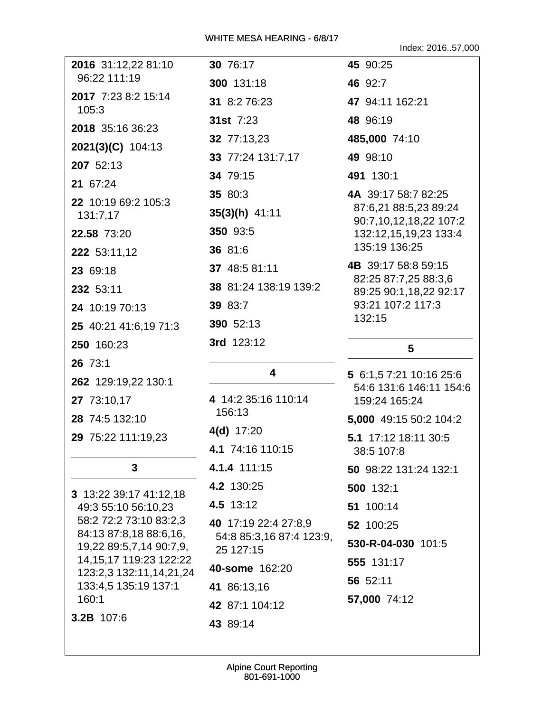Index: 2016..57,000

| 2016 31:12,22 81:10                                   | 30 76:17                              | 45 90:25                                           |
|-------------------------------------------------------|---------------------------------------|----------------------------------------------------|
| 96:22 111:19                                          | 300 131:18                            | 46 92:7                                            |
| 2017 7:23 8:2 15:14<br>105:3                          | 31 8:2 76:23                          | 47 94:11 162:21                                    |
| 2018 35:16 36:23                                      | 31st 7:23                             | 48 96:19                                           |
| $2021(3)(C)$ 104:13                                   | 32 77:13,23                           | 485,000 74:10                                      |
| 207 52:13                                             | 33 77:24 131:7,17                     | 49 98:10                                           |
| 21 67:24                                              | 34 79:15                              | 491 130:1                                          |
| 22 10:19 69:2 105:3                                   | 35 80:3                               | 4A 39:17 58:7 82:25                                |
| 131:7,17                                              | $35(3)(h)$ 41:11                      | 87:6,21 88:5,23 89:24<br>90:7,10,12,18,22 107:2    |
| 22.58 73:20                                           | 350 93:5                              | 132:12,15,19,23 133:4                              |
| 222 53:11,12                                          | 36 81:6                               | 135:19 136:25                                      |
| 23 69:18                                              | 37 48:5 81:11                         | 4B 39:17 58:8 59:15                                |
| 232 53:11                                             | 38 81:24 138:19 139:2                 | 82:25 87:7,25 88:3,6<br>89:25 90:1,18,22 92:17     |
| 24 10:19 70:13                                        | 39 83:7                               | 93:21 107:2 117:3                                  |
| 25 40:21 41:6,19 71:3                                 | 390 52:13                             | 132:15                                             |
| 250 160:23                                            | 3rd 123:12                            | 5                                                  |
| 26 73:1                                               |                                       |                                                    |
| 262 129:19,22 130:1                                   | 4                                     | 5 6:1,5 7:21 10:16 25:6<br>54:6 131:6 146:11 154:6 |
| 27 73:10,17                                           | 4 14:2 35:16 110:14                   | 159:24 165:24                                      |
| 28 74:5 132:10                                        | 156:13                                | 5,000 49:15 50:2 104:2                             |
| 29 75:22 111:19,23                                    | $4(d)$ 17:20                          | 5.1 17:12 18:11 30:5                               |
|                                                       | 4.1 74:16 110:15                      | 38:5 107:8                                         |
| 3                                                     | 4.1.4 111:15                          | 50 98:22 131:24 132:1                              |
| 3 13:22 39:17 41:12,18                                | 4.2 130:25                            | 500 132:1                                          |
| 49:3 55:10 56:10,23                                   | 4.5 13:12                             | 51 100:14                                          |
| 58:2 72:2 73:10 83:2,3<br>84:13 87:8,18 88:6,16,      | 40 17:19 22:4 27:8,9                  | 52 100:25                                          |
| 19,22 89:5,7,14 90:7,9,                               | 54:8 85:3,16 87:4 123:9,<br>25 127:15 | 530-R-04-030 101:5                                 |
| 14, 15, 17 119: 23 122: 22<br>123:2,3 132:11,14,21,24 | 40-some 162:20                        | 555 131:17                                         |
| 133:4,5 135:19 137:1                                  | 41 86:13,16                           | 56 52:11                                           |
| 160:1                                                 | 42 87:1 104:12                        | 57,000 74:12                                       |
| 3.2B 107:6                                            | 43 89:14                              |                                                    |
|                                                       |                                       |                                                    |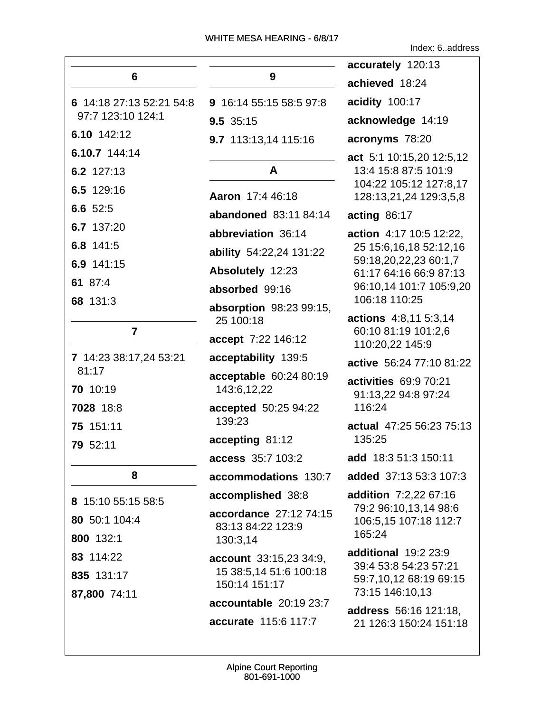Index: 6..address

|                          |                                       | accurately 120:13                               |
|--------------------------|---------------------------------------|-------------------------------------------------|
| 6                        | 9                                     | achieved 18:24                                  |
| 6 14:18 27:13 52:21 54:8 | 9 16:14 55:15 58:5 97:8               | acidity 100:17                                  |
| 97:7 123:10 124:1        | 9.5 35:15                             | acknowledge 14:19                               |
| 6.10 142:12              | 9.7 113:13,14 115:16                  | acronyms 78:20                                  |
| 6.10.7 144:14            |                                       | act 5:1 10:15,20 12:5,12                        |
| 6.2 127:13               | A                                     | 13:4 15:8 87:5 101:9<br>104:22 105:12 127:8.17  |
| 6.5 129:16               | Aaron 17:4 46:18                      | 128:13,21,24 129:3,5,8                          |
| 6.6 52:5                 | abandoned 83:11 84:14                 | acting 86:17                                    |
| 6.7 137:20               | abbreviation 36:14                    | action 4:17 10:5 12:22,                         |
| 6.8 141:5                | ability 54:22,24 131:22               | 25 15:6, 16, 18 52: 12, 16                      |
| 6.9 141:15               | Absolutely 12:23                      | 59:18,20,22,23 60:1,7<br>61:17 64:16 66:9 87:13 |
| 61 87:4                  | absorbed 99:16                        | 96:10,14 101:7 105:9,20                         |
| 68 131:3                 | absorption 98:23 99:15,               | 106:18 110:25                                   |
| $\overline{7}$           | 25 100:18                             | actions 4:8,11 5:3,14                           |
|                          | accept 7:22 146:12                    | 60:10 81:19 101:2,6<br>110:20,22 145:9          |
| 7 14:23 38:17,24 53:21   | acceptability 139:5                   | active 56:24 77:10 81:22                        |
| 81:17<br>70 10:19        | acceptable 60:24 80:19<br>143:6,12,22 | activities 69:9 70:21<br>91:13,22 94:8 97:24    |
| 7028 18:8                | accepted 50:25 94:22                  | 116:24                                          |
| 75 151:11                | 139:23                                | actual 47:25 56:23 75:13                        |
| 79 52:11                 | accepting 81:12                       | 135:25                                          |
|                          | access 35:7 103:2                     | add 18:3 51:3 150:11                            |
| 8                        | accommodations 130:7                  | added 37:13 53:3 107:3                          |
| 8 15:10 55:15 58:5       | accomplished 38:8                     | <b>addition</b> 7:2,22 67:16                    |
| 80 50:1 104:4            | accordance 27:12 74:15                | 79:2 96:10,13,14 98:6<br>106:5,15 107:18 112:7  |
| 800 132:1                | 83:13 84:22 123:9<br>130:3,14         | 165:24                                          |
| 83 114:22                | account 33:15,23 34:9,                | <b>additional</b> 19:2 23:9                     |
| 835 131:17               | 15 38:5,14 51:6 100:18                | 39:4 53:8 54:23 57:21<br>59:7,10,12 68:19 69:15 |
| 87,800 74:11             | 150:14 151:17                         | 73:15 146:10,13                                 |
|                          | accountable 20:19 23:7                | <b>address</b> 56:16 121:18,                    |
|                          | accurate 115:6 117:7                  | 21 126:3 150:24 151:18                          |
|                          |                                       |                                                 |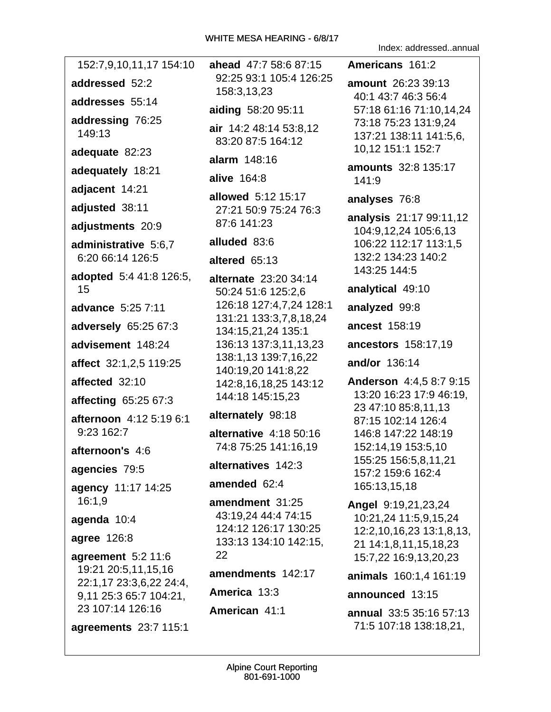|                                                |                                                   | Index: addressedannual                            |
|------------------------------------------------|---------------------------------------------------|---------------------------------------------------|
| 152:7,9,10,11,17 154:10                        | ahead 47:7 58:6 87:15                             | Americans 161:2                                   |
| addressed 52:2                                 | 92:25 93:1 105:4 126:25<br>158:3,13,23            | <b>amount</b> 26:23 39:13                         |
| addresses 55:14                                |                                                   | 40:1 43:7 46:3 56:4<br>57:18 61:16 71:10,14,24    |
| addressing 76:25                               | aiding 58:20 95:11                                | 73:18 75:23 131:9,24                              |
| 149:13                                         | air 14:2 48:14 53:8,12<br>83:20 87:5 164:12       | 137:21 138:11 141:5,6,                            |
| adequate 82:23                                 | alarm 148:16                                      | 10,12 151:1 152:7                                 |
| adequately 18:21                               | alive 164:8                                       | <b>amounts</b> 32:8 135:17                        |
| adjacent 14:21                                 | allowed 5:12 15:17                                | 141:9                                             |
| adjusted 38:11                                 | 27:21 50:9 75:24 76:3                             | analyses 76:8                                     |
| adjustments 20:9                               | 87:6 141:23                                       | analysis 21:17 99:11,12<br>104:9,12,24 105:6,13   |
| administrative 5:6,7                           | alluded 83:6                                      | 106:22 112:17 113:1,5                             |
| 6:20 66:14 126:5                               | altered 65:13                                     | 132:2 134:23 140:2                                |
| adopted 5:4 41:8 126:5,                        | alternate 23:20 34:14                             | 143:25 144:5                                      |
| 15                                             | 50:24 51:6 125:2,6                                | analytical 49:10                                  |
| advance 5:25 7:11                              | 126:18 127:4,7,24 128:1<br>131:21 133:3,7,8,18,24 | analyzed 99:8                                     |
| adversely 65:25 67:3                           | 134:15,21,24 135:1                                | ancest 158:19                                     |
| advisement 148:24                              | 136:13 137:3,11,13,23                             | ancestors 158:17,19                               |
| affect 32:1,2,5 119:25                         | 138:1,13 139:7,16,22<br>140:19,20 141:8,22        | and/or 136:14                                     |
| affected 32:10                                 | 142:8,16,18,25 143:12                             | Anderson 4:4,5 8:7 9:15                           |
| affecting 65:25 67:3                           | 144:18 145:15,23                                  | 13:20 16:23 17:9 46:19,<br>23 47:10 85:8,11,13    |
| afternoon 4:12 5:19 6:1                        | alternately 98:18                                 | 87:15 102:14 126:4                                |
| 9:23 162:7                                     | alternative 4:18 50:16                            | 146:8 147:22 148:19                               |
| afternoon's 4:6                                | 74:8 75:25 141:16,19                              | 152:14,19 153:5,10<br>155:25 156:5,8,11,21        |
| agencies 79:5                                  | alternatives 142:3                                | 157:2 159:6 162:4                                 |
| agency 11:17 14:25                             | amended 62:4                                      | 165:13,15,18                                      |
| 16:1.9                                         | amendment 31:25                                   | Angel 9:19,21,23,24                               |
| agenda 10:4                                    | 43:19.24 44:4 74:15<br>124:12 126:17 130:25       | 10:21,24 11:5,9,15,24                             |
| agree 126:8                                    | 133:13 134:10 142:15,                             | 12:2,10,16,23 13:1,8,13,<br>21 14:1,8,11,15,18,23 |
| agreement 5:2 11:6                             | 22                                                | 15:7,22 16:9,13,20,23                             |
| 19:21 20:5,11,15,16<br>22:1,17 23:3,6,22 24:4, | amendments 142:17                                 | animals 160:1,4 161:19                            |
| 9,11 25:3 65:7 104:21,                         | America 13:3                                      | announced 13:15                                   |
| 23 107:14 126:16                               | American 41:1                                     | annual 33:5 35:16 57:13<br>71:5 107:18 138:18,21, |
| agreements 23:7 115:1                          |                                                   |                                                   |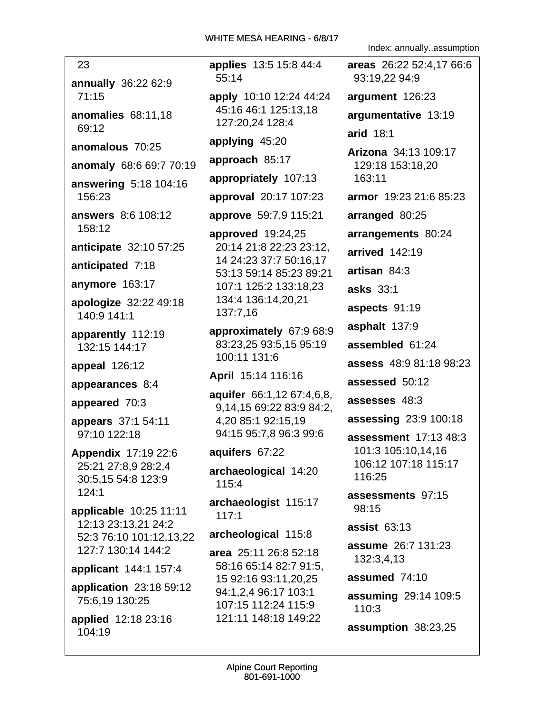23 annually 36:22 62:9  $71:15$ anomalies 68:11.18 69:12 anomalous 70:25 anomaly 68:6 69:7 70:19 answering 5:18 104:16 156:23 answers 8:6 108:12 158:12 anticipate 32:10 57:25 anticipated 7:18 anymore 163:17 apologize 32:22 49:18 140:9 141:1 apparently 112:19 132:15 144:17 appeal 126:12 appearances 8:4 appeared 70:3 appears 37:1 54:11 97:10 122:18 **Appendix 17:19 22:6** 25:21 27:8,9 28:2,4 30:5,15 54:8 123:9  $124:1$ applicable 10:25 11:11 12:13 23:13,21 24:2 52:3 76:10 101:12,13,22 127:7 130:14 144:2 applicant 144:1 157:4 application 23:18 59:12 75:6,19 130:25

applied 12:18 23:16 104:19

applies 13:5 15:8 44:4  $55:14$ apply 10:10 12:24 44:24 45:16 46:1 125:13.18 127:20,24 128:4 applying 45:20 approach 85:17 appropriately 107:13 approval 20:17 107:23 approve 59:7,9 115:21 approved  $19:24,25$ 20:14 21:8 22:23 23:12, 14 24:23 37:7 50:16,17 53:13 59:14 85:23 89:21 107:1 125:2 133:18.23 134:4 136:14,20,21 137:7.16 approximately 67:9 68:9 83:23,25 93:5,15 95:19 100:11 131:6 April 15:14 116:16 aquifer 66:1,12 67:4,6,8, 9,14,15 69:22 83:9 84:2, 4,20 85:1 92:15,19 94:15 95:7,8 96:3 99:6 aquifers 67:22

archaeological 14:20 115:4

archaeologist 115:17  $117:1$ 

archeological 115:8

area 25:11 26:8 52:18 58:16 65:14 82:7 91:5, 15 92:16 93:11,20,25 94:1,2,4 96:17 103:1 107:15 112:24 115:9 121:11 148:18 149:22

Index: annually..assumption

areas 26:22 52:4.17 66:6 93:19.22 94:9 argument 126:23 argumentative 13:19 arid 18:1 Arizona 34:13 109:17 129:18 153:18,20 163:11 armor 19:23 21:6 85:23 arranged 80:25 arrangements 80:24 arrived 142:19 artisan 84:3 **asks** 33:1 aspects 91:19 asphalt 137:9 assembled 61:24 assess 48:9 81:18 98:23 assessed 50:12 assesses 48:3 assessing 23:9 100:18 **assessment** 17:13 48:3 101:3 105:10,14,16 106:12 107:18 115:17 116:25 assessments 97:15 98:15 assist  $63:13$ **assume** 26:7 131:23 132:3.4.13 assumed 74:10 assuming 29:14 109:5 110:3 assumption 38:23,25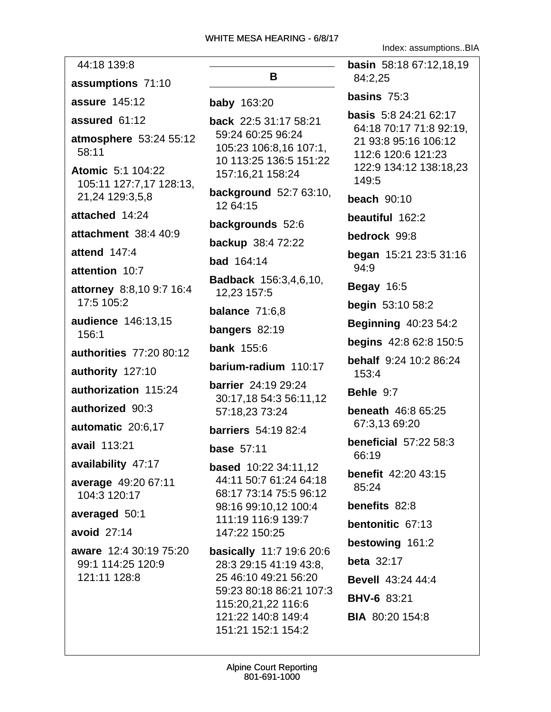44:18 139:8 assumptions 71:10 **assure 145:12** assured 61:12 atmosphere 53:24 55:12  $58:11$ **Atomic** 5:1 104:22 105:11 127:7.17 128:13. 21,24 129:3,5,8 attached 14:24 attachment 38:4 40:9 attend  $147:4$ attention 10:7 attorney 8:8,10 9:7 16:4 17:5 105:2 audience 146:13,15  $156:1$ authorities 77:20 80:12 authority 127:10 authorization 115:24 authorized 90:3 automatic 20:6,17 avail 113:21 availability 47:17 average 49:20 67:11 104:3 120:17 averaged 50:1 avoid  $27:14$ aware 12:4 30:19 75:20 99:1 114:25 120:9 121:11 128:8

# R.

**baby** 163:20

**back** 22:5 31:17 58:21 59:24 60:25 96:24 105:23 106:8,16 107:1, 10 113:25 136:5 151:22 157:16.21 158:24

background 52:7 63:10, 12 64:15

backgrounds 52:6

backup 38:4 72:22

**bad** 164:14

Badback 156:3,4,6,10, 12.23 157:5

balance  $71:6.8$ 

**bangers**  $82:19$ 

**bank** 155:6

barium-radium 110:17

**barrier** 24:19 29:24 30:17,18 54:3 56:11,12 57:18.23 73:24

**barriers** 54:19 82:4

base  $57:11$ 

**based** 10:22 34:11,12 44:11 50:7 61:24 64:18 68:17 73:14 75:5 96:12 98:16 99:10.12 100:4 111:19 116:9 139:7 147:22 150:25

basically 11:7 19:6 20:6 28:3 29:15 41:19 43:8. 25 46:10 49:21 56:20 59:23 80:18 86:21 107:3 115:20,21,22 116:6 121:22 140:8 149:4 151:21 152:1 154:2

Index: assumptions..BIA

basin 58:18 67:12.18.19 84:2.25 basins  $75:3$ basis 5:8 24:21 62:17 64:18 70:17 71:8 92:19. 21 93:8 95:16 106:12 112:6 120:6 121:23 122:9 134:12 138:18,23 149:5 beach  $90:10$ beautiful 162:2 bedrock 99:8 began 15:21 23:5 31:16 94:9 **Begay 16:5 begin** 53:10 58:2 **Beginning 40:23 54:2 begins** 42:8 62:8 150:5 **behalf** 9:24 10:2 86:24 153:4 Behle 9:7 **beneath** 46:8 65:25 67:3,13 69:20 **beneficial 57:22 58:3** 66:19 benefit 42:20 43:15  $85:24$ benefits 82:8 bentonitic 67:13 bestowing 161:2 **beta** 32:17 **Bevell** 43:24 44:4 **BHV-6 83:21 BIA** 80:20 154:8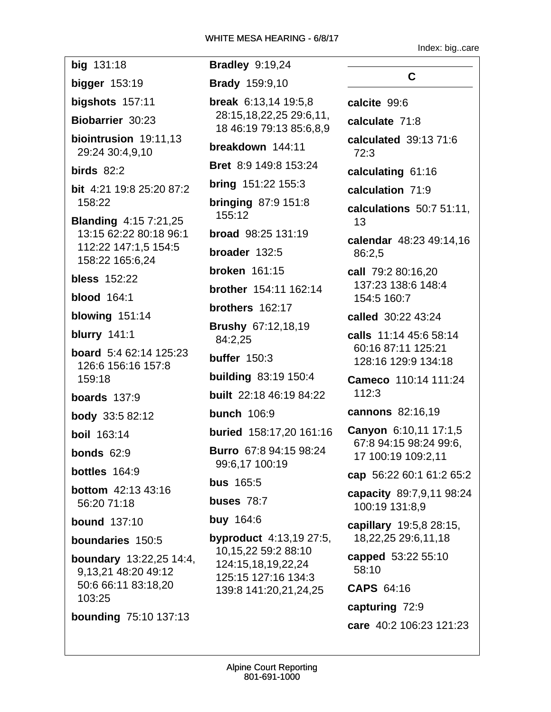Index: big..care

big 131:18 bigger  $153:19$ bigshots  $157:11$ Biobarrier 30:23 biointrusion 19:11,13 29:24 30:4,9,10 birds  $82:2$ bit 4:21 19:8 25:20 87:2 158:22 **Blanding 4:15 7:21,25** 13:15 62:22 80:18 96:1 112:22 147:1,5 154:5 158:22 165:6,24 **bless** 152:22 **blood** 164:1 blowing 151:14 **blurry** 141:1 **board** 5:4 62:14 125:23 126:6 156:16 157:8 159:18 boards  $137:9$ **body** 33:5 82:12 **boil** 163:14 bonds  $62:9$ **bottles**  $164:9$ **bottom** 42:13 43:16 56:20 71:18 **bound 137:10** boundaries 150:5 **boundary** 13:22,25 14:4, 9,13,21 48:20 49:12 50:6 66:11 83:18,20 103:25 **bounding 75:10 137:13** 

**Bradley 9:19,24 Brady** 159:9,10 **break**  $6:13,14$  19:5,8 28:15.18.22.25 29:6.11. 18 46:19 79:13 85:6,8,9 breakdown 144:11 **Bret** 8:9 149:8 153:24 **bring**  $151:22$   $155:3$ **bringing 87:9 151:8** 155:12 **broad** 98:25 131:19 broader 132:5 **broken** 161:15 **brother** 154:11 162:14 brothers 162:17 **Brushy 67:12,18,19** 84:2.25 buffer  $150:3$ **building 83:19 150:4** built 22:18 46:19 84:22 **bunch** 106:9 **buried** 158:17,20 161:16 **Burro** 67:8 94:15 98:24 99:6,17 100:19 **bus** 165:5 buses 78:7 **buy 164:6 byproduct** 4:13,19 27:5, 10,15,22 59:2 88:10 124:15.18.19.22.24 125:15 127:16 134:3 139:8 141:20,21,24,25

 $\mathbf C$ calcite 99:6 calculate 71:8 calculated  $39:1371:6$ calculating 61:16 calculation 71:9 calculations 50:7 51:11. calendar 48:23 49:14,16 call 79:2 80:16,20 137:23 138:6 148:4 154:5 160:7 called 30:22 43:24

 $72:3$ 

13

86:2.5

calls 11:14 45:6 58:14 60:16 87:11 125:21 128:16 129:9 134:18

Cameco 110:14 111:24  $112:3$ 

cannons 82:16,19

Canyon 6:10,11 17:1,5 67:8 94:15 98:24 99:6, 17 100:19 109:2,11

cap 56:22 60:1 61:2 65:2

capacity 89:7,9,11 98:24 100:19 131:8,9

capillary 19:5.8 28:15. 18,22,25 29:6,11,18

capped 53:22 55:10  $58:10$ 

CAPS 64:16

capturing 72:9 care 40:2 106:23 121:23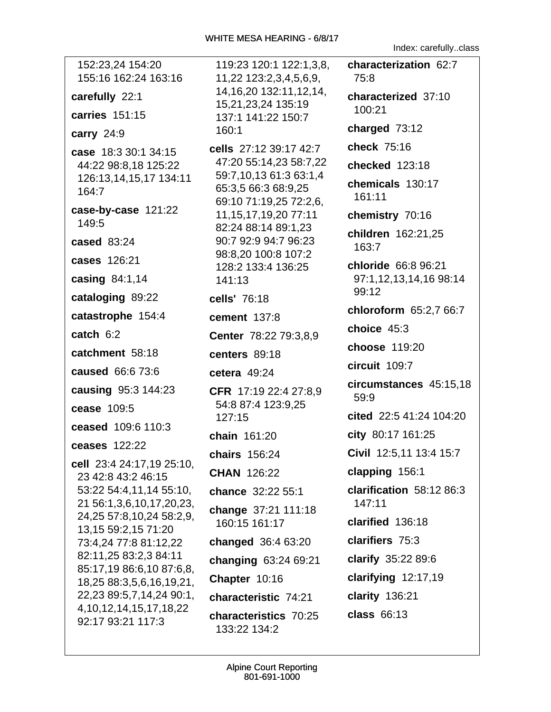| 152:23,24 154:20<br>155:16 162:24 163:16             | 119:23 120:1 122:1,3,8,                                | characterization 62:7    |
|------------------------------------------------------|--------------------------------------------------------|--------------------------|
|                                                      | 11,22 123:2,3,4,5,6,9,<br>14, 16, 20 13 2: 11, 12, 14, | 75:8                     |
| carefully 22:1                                       | 15,21,23,24 135:19                                     | characterized 37:10      |
| carries 151:15                                       | 137:1 141:22 150:7                                     | 100:21                   |
| carry $24:9$                                         | 160:1                                                  | charged 73:12            |
| case 18:3 30:1 34:15                                 | cells 27:12 39:17 42:7                                 | check 75:16              |
| 44:22 98:8,18 125:22                                 | 47:20 55:14,23 58:7,22                                 | checked 123:18           |
| 126:13,14,15,17 134:11                               | 59:7,10,13 61:3 63:1,4                                 | chemicals 130:17         |
| 164:7                                                | 65:3,5 66:3 68:9,25<br>69:10 71:19,25 72:2,6,          | 161:11                   |
| case-by-case 121:22                                  | 11, 15, 17, 19, 20 77: 11                              | chemistry 70:16          |
| 149:5                                                | 82:24 88:14 89:1,23                                    | children 162:21,25       |
| cased 83:24                                          | 90:7 92:9 94:7 96:23                                   | 163:7                    |
| cases 126:21                                         | 98:8,20 100:8 107:2<br>128:2 133:4 136:25              | chloride 66:8 96:21      |
| casing 84:1,14                                       | 141:13                                                 | 97:1,12,13,14,16 98:14   |
| cataloging 89:22                                     | cells' 76:18                                           | 99:12                    |
| catastrophe 154:4                                    | cement 137:8                                           | chloroform 65:2,7 66:7   |
| catch $6:2$                                          | Center 78:22 79:3,8,9                                  | choice 45:3              |
|                                                      |                                                        | choose 119:20            |
| catchment 58:18                                      | centers 89:18                                          | circuit 109:7            |
| caused 66:6 73:6                                     | cetera $49:24$                                         | circumstances 45:15,18   |
| causing 95:3 144:23                                  | CFR 17:19 22:4 27:8,9                                  | 59:9                     |
| cease 109:5                                          | 54:8 87:4 123:9,25<br>127:15                           | cited 22:5 41:24 104:20  |
| ceased 109:6 110:3                                   |                                                        | city 80:17 161:25        |
| ceases 122:22                                        | chain 161:20                                           |                          |
| cell 23:4 24:17,19 25:10,                            | chairs 156:24                                          | Civil 12:5,11 13:4 15:7  |
| 23 42:8 43:2 46:15                                   | <b>CHAN 126:22</b>                                     | clapping 156:1           |
| 53:22 54:4,11,14 55:10,                              | chance 32:22 55:1                                      | clarification 58:12 86:3 |
| 21 56:1,3,6,10,17,20,23,                             | change 37:21 111:18                                    | 147:11                   |
| 24,25 57:8,10,24 58:2,9,<br>13, 15 59: 2, 15 71: 20  | 160:15 161:17                                          | clarified 136:18         |
| 73:4,24 77:8 81:12,22                                | changed 36:4 63:20                                     | clarifiers 75:3          |
| 82:11,25 83:2,3 84:11                                | changing 63:24 69:21                                   | clarify 35:22 89:6       |
| 85:17,19 86:6,10 87:6,8,<br>18,25 88:3,5,6,16,19,21, | Chapter 10:16                                          | clarifying $12:17,19$    |
| 22,23 89:5,7,14,24 90:1,                             | characteristic 74:21                                   | clarity 136:21           |
| 4, 10, 12, 14, 15, 17, 18, 22<br>92:17 93:21 117:3   | characteristics 70:25                                  | class 66:13              |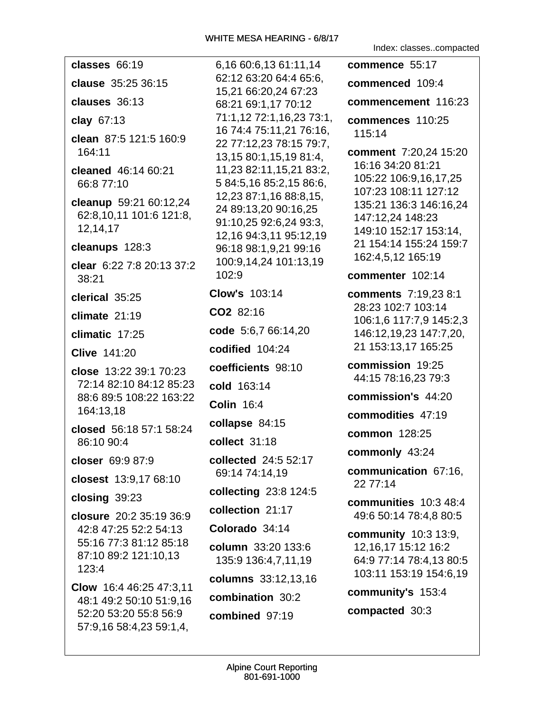| classes 66:19                                                 | 6,16 60:6,13 61:11,14                                                                              | commence 55:17                                                      |
|---------------------------------------------------------------|----------------------------------------------------------------------------------------------------|---------------------------------------------------------------------|
| clause 35:25 36:15                                            | 62:12 63:20 64:4 65:6,<br>15,21 66:20,24 67:23                                                     | commenced 109:4                                                     |
| clauses 36:13                                                 | 68:21 69:1,17 70:12                                                                                | commencement 116:23                                                 |
| clay 67:13                                                    | 71:1,12 72:1,16,23 73:1,                                                                           | commences 110:25                                                    |
| clean 87:5 121:5 160:9<br>164:11                              | 16 74:4 75:11,21 76:16,<br>22 77:12,23 78:15 79:7,<br>13,15 80:1,15,19 81:4,                       | 115:14<br>comment 7:20,24 15:20                                     |
| cleaned 46:14 60:21<br>66:8 77:10                             | 11,23 82:11,15,21 83:2,<br>5 84:5,16 85:2,15 86:6,                                                 | 16:16 34:20 81:21<br>105:22 106:9,16,17,25<br>107:23 108:11 127:12  |
| cleanup 59:21 60:12,24<br>62:8,10,11 101:6 121:8,<br>12,14,17 | 12,23 87:1,16 88:8,15,<br>24 89:13,20 90:16,25<br>91:10,25 92:6,24 93:3,<br>12,16 94:3,11 95:12,19 | 135:21 136:3 146:16,24<br>147:12,24 148:23<br>149:10 152:17 153:14, |
| cleanups 128:3                                                | 96:18 98:1,9,21 99:16                                                                              | 21 154:14 155:24 159:7<br>162:4,5,12 165:19                         |
| clear 6:22 7:8 20:13 37:2<br>38:21                            | 100:9,14,24 101:13,19<br>102:9                                                                     | commenter 102:14                                                    |
| clerical 35:25                                                | <b>Clow's 103:14</b>                                                                               | <b>comments</b> 7:19,23 8:1                                         |
| climate 21:19                                                 | CO2 82:16                                                                                          | 28:23 102:7 103:14<br>106:1,6 117:7,9 145:2,3                       |
| climatic 17:25                                                | code 5:6,7 66:14,20                                                                                | 146:12,19,23 147:7,20,                                              |
| <b>Clive 141:20</b>                                           | codified 104:24                                                                                    | 21 153:13,17 165:25                                                 |
| close 13:22 39:1 70:23                                        | coefficients 98:10                                                                                 | commission 19:25<br>44:15 78:16,23 79:3                             |
| 72:14 82:10 84:12 85:23                                       | cold 163:14                                                                                        | commission's 44:20                                                  |
| 88:6 89:5 108:22 163:22<br>164:13,18                          | <b>Colin 16:4</b>                                                                                  |                                                                     |
| closed 56:18 57:1 58:24                                       | collapse 84:15                                                                                     | commodities 47:19                                                   |
| 86:10 90:4                                                    | collect 31:18                                                                                      | common 128:25                                                       |
| closer 69:9 87:9                                              | collected 24:5 52:17                                                                               | commonly 43:24                                                      |
| closest 13:9,17 68:10                                         | 69:14 74:14,19                                                                                     | communication 67:16,<br>22 77:14                                    |
| closing $39:23$                                               | collecting 23:8 124:5                                                                              | communities 10:3 48:4                                               |
| closure 20:2 35:19 36:9                                       | collection 21:17                                                                                   | 49:6 50:14 78:4,8 80:5                                              |
| 42:8 47:25 52:2 54:13                                         | Colorado 34:14                                                                                     | <b>community</b> 10:3 13:9,                                         |
| 55:16 77:3 81:12 85:18<br>87:10 89:2 121:10,13<br>123:4       | column 33:20 133:6<br>135:9 136:4,7,11,19                                                          | 12, 16, 17 15: 12 16: 2<br>64:9 77:14 78:4,13 80:5                  |
| Clow 16:4 46:25 47:3,11                                       | columns 33:12,13,16                                                                                | 103:11 153:19 154:6,19                                              |
| 48:1 49:2 50:10 51:9,16                                       | combination 30:2                                                                                   | community's 153:4                                                   |
| 52:20 53:20 55:8 56:9<br>57:9,16 58:4,23 59:1,4,              | combined 97:19                                                                                     | compacted 30:3                                                      |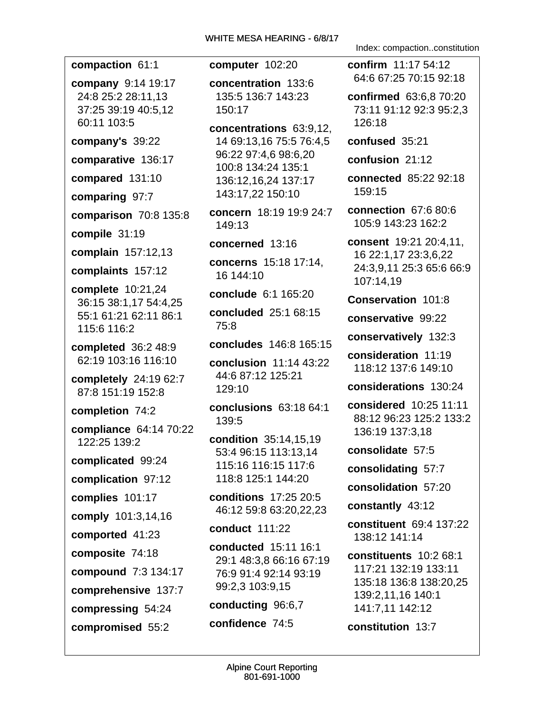compaction 61:1

company 9:14 19:17 24:8 25:2 28:11.13 37:25 39:19 40:5.12 60:11 103:5

company's 39:22

comparative 136:17

compared 131:10

comparing 97:7

**comparison 70:8 135:8** 

compile 31:19

complain 157:12,13

complaints 157:12

complete 10:21,24 36:15 38:1,17 54:4,25 55:1 61:21 62:11 86:1 115:6 116:2

completed  $36:248:9$ 62:19 103:16 116:10

completely 24:19 62:7 87:8 151:19 152:8

completion 74:2

compliance 64:14 70:22 122:25 139:2

complicated 99:24

complication 97:12

complies 101:17

comply 101:3,14,16

comported 41:23

composite 74:18

**compound** 7:3 134:17

comprehensive 137:7

compressing 54:24

compromised 55:2

computer 102:20

concentration 133:6 135:5 136:7 143:23 150:17

concentrations 63:9,12, 14 69:13,16 75:5 76:4,5 96:22 97:4,6 98:6,20 100:8 134:24 135:1 136:12,16,24 137:17 143:17.22 150:10

concern 18:19 19:9 24:7 149:13

concerned 13:16

concerns 15:18 17:14, 16 144:10

conclude 6:1 165:20

concluded 25:1 68:15  $75:8$ 

concludes 146:8 165:15

**conclusion** 11:14 43:22 44:6 87:12 125:21 129:10

conclusions 63:18 64:1 139:5

condition 35:14,15,19 53:4 96:15 113:13.14 115:16 116:15 117:6 118:8 125:1 144:20

**conditions** 17:25 20:5 46:12 59:8 63:20,22,23

**conduct 111:22** 

conducted 15:11 16:1 29:1 48:3.8 66:16 67:19 76:9 91:4 92:14 93:19 99:2,3 103:9,15 conducting 96:6,7

confidence 74:5

Index: compaction..constitution

confirm 11:17 54:12 64:6 67:25 70:15 92:18

**confirmed** 63:6.8 70:20 73:11 91:12 92:3 95:2.3 126:18

confused 35:21

confusion 21:12

connected 85:22 92:18 159:15

connection 67:6 80:6 105:9 143:23 162:2

consent 19:21 20:4.11. 16 22:1.17 23:3.6.22 24:3.9.11 25:3 65:6 66:9 107:14,19

**Conservation 101:8** 

conservative 99:22

conservatively 132:3

consideration 11:19 118:12 137:6 149:10

considerations 130:24

considered 10:25 11:11 88:12 96:23 125:2 133:2 136:19 137:3.18

consolidate 57:5

consolidating 57:7

consolidation 57:20

constantly 43:12

constituent 69:4 137:22 138:12 141:14

constituents 10:2 68:1 117:21 132:19 133:11 135:18 136:8 138:20,25 139:2,11,16 140:1 141:7,11 142:12

constitution 13:7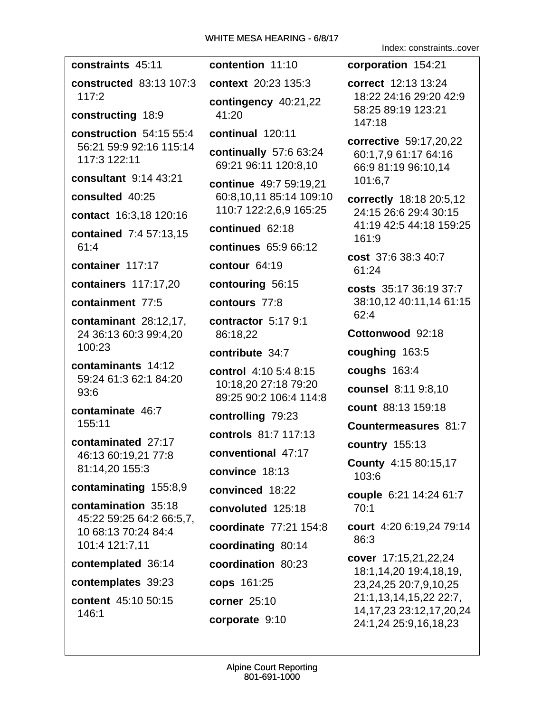constraints 45:11 contention 11:10 **constructed** 83:13 107:3 context 20:23 135:3  $117:2$ contingency  $40:21,22$ constructing 18:9 41:20 construction 54:15 55:4 continual 120:11 56:21 59:9 92:16 115:14 continually 57:6 63:24 117:3 122:11 69:21 96:11 120:8.10 consultant 9:14 43:21 continue 49:7 59:19.21 consulted 40:25 60:8,10,11 85:14 109:10 110:7 122:2,6,9 165:25 contact 16:3.18 120:16 continued 62:18 **contained** 7:4 57:13.15 continues 65:9 66:12  $61:4$ container 117:17 contour 64:19 **containers** 117:17.20 contouring 56:15 containment 77:5 contours 77:8 contractor 5:17 9:1 contaminant 28:12,17, 24 36:13 60:3 99:4,20 86:18.22  $100:23$ contribute 34:7 contaminants 14:12 control 4:10 5:4 8:15 59:24 61:3 62:1 84:20 10:18,20 27:18 79:20  $93:6$ 89:25 90:2 106:4 114:8 contaminate 46:7 controlling 79:23 155:11 controls 81:7 117:13 contaminated 27:17 conventional 47:17 46:13 60:19,21 77:8 81:14,20 155:3 convince 18:13 contaminating 155:8,9 convinced 18:22 contamination 35:18 convoluted 125:18 45:22 59:25 64:2 66:5.7. coordinate  $77:21$  154:8 10 68:13 70:24 84:4 101:4 121:7.11 coordinating 80:14 contemplated 36:14 coordination 80:23 contemplates 39:23 cops 161:25 content 45:10 50:15 corner 25:10 146:1 corporate 9:10

Index: constraints..cover corporation 154:21 correct 12:13 13:24 18:22 24:16 29:20 42:9 58:25 89:19 123:21 147:18 corrective 59:17,20,22 60:1,7,9 61:17 64:16 66:9 81:19 96:10,14 101:6,7 correctly 18:18 20:5,12 24:15 26:6 29:4 30:15 41:19 42:5 44:18 159:25  $161:9$ cost 37:6 38:3 40:7  $61:24$ costs 35:17 36:19 37:7 38:10.12 40:11.14 61:15  $62:4$ Cottonwood 92:18 coughing 163:5 coughs  $163:4$ **counsel** 8:11 9:8,10 count 88:13 159:18 **Countermeasures 81:7** country 155:13 **County 4:15 80:15,17**  $103:6$ couple 6:21 14:24 61:7  $70:1$ court 4:20 6:19.24 79:14 86:3 cover 17:15,21,22,24 18:1,14,20 19:4,18,19, 23,24,25 20:7,9,10,25 21:1,13,14,15,22 22:7, 14, 17, 23 23: 12, 17, 20, 24 24:1,24 25:9,16,18,23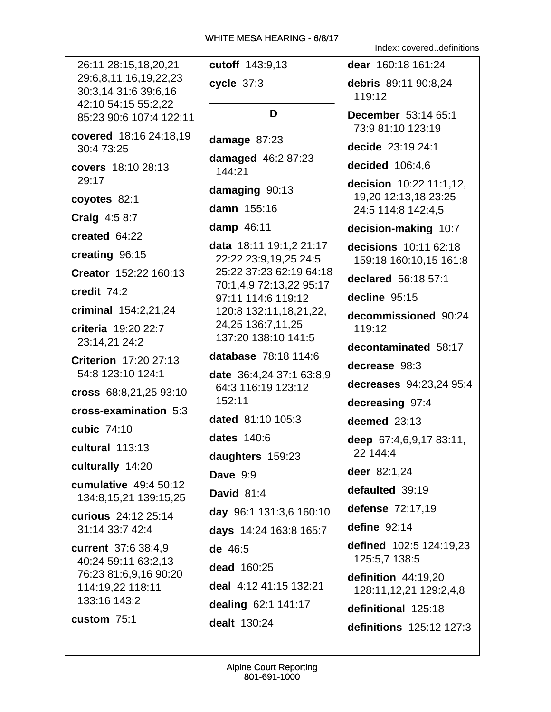26:11 28:15,18,20,21 29:6,8,11,16,19,22,23 30:3,14 31:6 39:6,16 42:10 54:15 55:2.22 85:23 90:6 107:4 122:11 covered 18:16 24:18,19 30:4 73:25 covers 18:10 28:13 29:17 coyotes 82:1 **Craig**  $4:58:7$ created 64:22 creating 96:15 Creator 152:22 160:13 credit 74:2 criminal 154:2,21,24 criteria 19:20 22:7 23:14,21 24:2 Criterion 17:20 27:13 54:8 123:10 124:1 cross 68:8,21,25 93:10 cross-examination 5:3 cubic 74:10 cultural 113:13 culturally 14:20 cumulative 49:4 50:12 134:8,15,21 139:15,25 curious 24:12 25:14 31:14 33:7 42:4 current 37:6 38:4,9 40:24 59:11 63:2.13 76:23 81:6,9,16 90:20 114:19,22 118:11 133:16 143:2 custom  $75:1$ 

cutoff 143:9,13 cycle 37:3 D damage  $87:23$ **damaged** 46:2 87:23 144:21 damaging 90:13 damn 155:16 damp 46:11 data 18:11 19:1,2 21:17 22:22 23:9,19,25 24:5 25:22 37:23 62:19 64:18 70:1.4.9 72:13.22 95:17 97:11 114:6 119:12 120:8 132:11, 18, 21, 22, 24,25 136:7,11,25 137:20 138:10 141:5 database 78:18 114:6 **date** 36:4,24 37:1 63:8,9 64:3 116:19 123:12 152:11 dated 81:10 105:3 **dates** 140:6 daughters 159:23 Dave  $9:9$ David 81:4 day 96:1 131:3,6 160:10 days 14:24 163:8 165:7 de 46:5 dead  $160:25$ deal 4:12 41:15 132:21 dealing 62:1 141:17 dealt 130:24

Index: covered..definitions

dear 160:18 161:24 debris 89:11 90:8,24 119:12 December 53:14 65:1 73:9 81:10 123:19 decide 23:19 24:1 decided  $106:4.6$ decision 10:22 11:1,12, 19,20 12:13,18 23:25 24:5 114:8 142:4,5 decision-making 10:7 decisions 10:11 62:18 159:18 160:10.15 161:8 declared 56:18 57:1 decline 95:15 decommissioned 90:24  $119:12$ decontaminated 58:17 decrease 98:3 decreases 94:23,24 95:4 decreasing 97:4 deemed  $23:13$ deep 67:4,6,9,17 83:11, 22 144:4 deer 82:1.24 defaulted 39:19 defense 72:17,19 define  $92:14$ defined 102:5 124:19.23 125:5.7 138:5 definition 44:19.20 128:11,12,21 129:2,4,8 definitional 125:18 definitions 125:12 127:3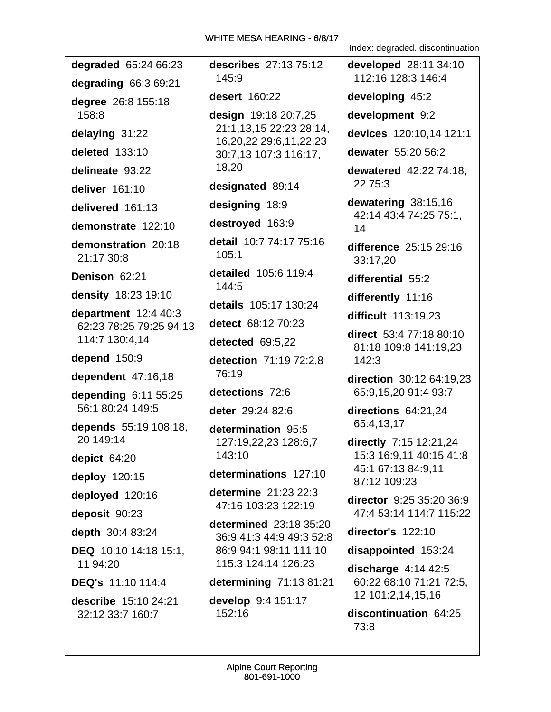degraded 65:24 66:23 degrading 66:3 69:21 degree 26:8 155:18  $158:8$ delaying 31:22 deleted 133:10 delineate 93:22 deliver 161:10 delivered 161:13 demonstrate 122:10 demonstration 20:18 21:17 30:8 Denison 62:21 density 18:23 19:10 department  $12:440:3$ 62:23 78:25 79:25 94:13 114:7 130:4,14 depend  $150:9$ dependent 47:16.18 depending  $6:11$  55:25 56:1 80:24 149:5 depends 55:19 108:18, 20 149:14 depict  $64:20$ deploy 120:15 deployed 120:16 deposit 90:23 depth 30:4 83:24 DEQ 10:10 14:18 15:1, 11 94:20 **DEQ's** 11:10 114:4 describe 15:10 24:21 32:12 33:7 160:7

describes 27:13 75:12 145:9 **desert** 160:22 design 19:18 20:7,25 21:1,13,15 22:23 28:14, 16, 20, 22 29: 6, 11, 22, 23 30:7.13 107:3 116:17. 18,20 designated 89:14 designing 18:9 destroyed 163:9 detail 10:7 74:17 75:16  $105:1$ **detailed** 105:6 119:4 144:5 details 105:17 130:24 detect 68:12 70:23 detected 69:5.22 detection 71:19 72:2.8 76:19 detections 72:6 deter 29:24 82:6 determination 95:5 127:19,22,23 128:6,7 143:10 determinations 127:10 determine  $21:23$   $22:3$ 47:16 103:23 122:19 determined 23:18 35:20 36:9 41:3 44:9 49:3 52:8 86:9 94:1 98:11 111:10 115:3 124:14 126:23 determining 71:13 81:21 develop 9:4 151:17 152:16

Index: degraded..discontinuation

developed 28:11 34:10 112:16 128:3 146:4 developing 45:2 development 9:2 devices 120:10,14 121:1 dewater 55:20 56:2 **dewatered** 42:22 74:18. 22 75:3 dewatering 38:15,16 42:14 43:4 74:25 75:1, 14 difference 25:15 29:16 33:17.20 differential 55:2 differently 11:16 difficult 113:19,23 direct 53:4 77:18 80:10 81:18 109:8 141:19,23  $142:3$ direction 30:12 64:19,23 65:9,15,20 91:4 93:7 directions  $64:21,24$ 65:4,13,17 directly 7:15 12:21,24 15:3 16:9.11 40:15 41:8 45:1 67:13 84:9,11 87:12 109:23 director 9:25 35:20 36:9 47:4 53:14 114:7 115:22 director's  $122:10$ disappointed 153:24 discharge  $4:14$   $42:5$ 60:22 68:10 71:21 72:5, 12 101:2,14,15,16 discontinuation 64:25 73:8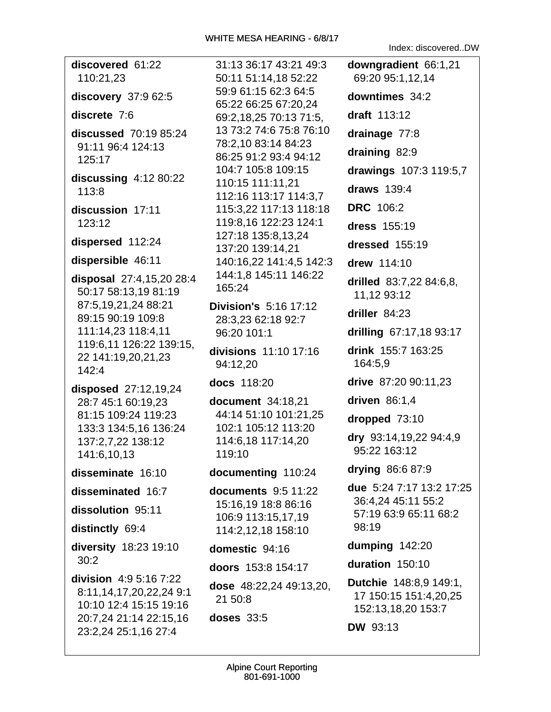Index: discovered..DW

| discovered 61:22<br>110:21,23                                               | 31:13 36:17 43:21 49:3<br>50:11 51:14,18 52:22  | downgradient 66:1,21<br>69:20 95:1,12,14                                     |
|-----------------------------------------------------------------------------|-------------------------------------------------|------------------------------------------------------------------------------|
| discovery 37:9 62:5                                                         | 59:9 61:15 62:3 64:5<br>65:22 66:25 67:20,24    | downtimes 34:2                                                               |
| discrete 7:6                                                                | 69:2,18,25 70:13 71:5,                          | draft 113:12                                                                 |
| discussed 70:19 85:24                                                       | 13 73:2 74:6 75:8 76:10                         | drainage 77:8                                                                |
| 91:11 96:4 124:13                                                           | 78:2,10 83:14 84:23<br>86:25 91:2 93:4 94:12    | draining 82:9                                                                |
| 125:17                                                                      | 104:7 105:8 109:15                              | drawings 107:3 119:5,7                                                       |
| discussing $4:1280:22$<br>113:8                                             | 110:15 111:11,21                                | draws 139:4                                                                  |
|                                                                             | 112:16 113:17 114:3,7                           | <b>DRC</b> 106:2                                                             |
| discussion 17:11<br>123:12                                                  | 115:3,22 117:13 118:18<br>119:8,16 122:23 124:1 |                                                                              |
|                                                                             | 127:18 135:8,13,24                              | dress 155:19                                                                 |
| dispersed 112:24                                                            | 137:20 139:14,21                                | dressed 155:19                                                               |
| dispersible 46:11                                                           | 140:16,22 141:4,5 142:3                         | drew 114:10                                                                  |
| disposal 27:4,15,20 28:4<br>50:17 58:13,19 81:19                            | 144:1,8 145:11 146:22<br>165:24                 | drilled 83:7,22 84:6,8,<br>11,12 93:12                                       |
| 87:5,19,21,24 88:21<br>89:15 90:19 109:8                                    | <b>Division's 5:16 17:12</b>                    | driller $84:23$                                                              |
| 111:14,23 118:4,11                                                          | 28:3,23 62:18 92:7<br>96:20 101:1               | drilling 67:17,18 93:17                                                      |
| 119:6,11 126:22 139:15,<br>22 141:19,20,21,23<br>142:4                      | divisions 11:10 17:16<br>94:12,20               | drink 155:7 163:25<br>164:5,9                                                |
| disposed 27:12,19,24                                                        | docs 118:20                                     | drive 87:20 90:11,23                                                         |
| 28:7 45:1 60:19,23                                                          | document 34:18,21                               | driven 86:1,4                                                                |
| 81:15 109:24 119:23                                                         | 44:14 51:10 101:21,25                           | dropped 73:10                                                                |
| 133:3 134:5,16 136:24<br>137:2,7,22 138:12                                  | 102:1 105:12 113:20<br>114:6,18 117:14,20       | dry 93:14,19,22 94:4,9                                                       |
| 141:6,10,13                                                                 | 119:10                                          | 95:22 163:12                                                                 |
| disseminate 16:10                                                           | documenting 110:24                              | drying 86:6 87:9                                                             |
| disseminated 16:7                                                           | <b>documents</b> 9:5 11:22                      | due 5:24 7:17 13:2 17:25                                                     |
| dissolution 95:11                                                           | 15:16,19 18:8 86:16                             | 36:4,24 45:11 55:2<br>57:19 63:9 65:11 68:2                                  |
| distinctly 69:4                                                             | 106:9 113:15,17,19<br>114:2,12,18 158:10        | 98:19                                                                        |
| diversity 18:23 19:10                                                       | domestic 94:16                                  | dumping 142:20                                                               |
| 30:2                                                                        | doors 153:8 154:17                              | duration 150:10                                                              |
| division 4:9 5:16 7:22<br>8:11,14,17,20,22,24 9:1<br>10:10 12:4 15:15 19:16 | dose 48:22,24 49:13,20,<br>21 50:8              | <b>Dutchie</b> 148:8,9 149:1,<br>17 150:15 151:4,20,25<br>152:13,18,20 153:7 |
| 20:7,24 21:14 22:15,16                                                      | <b>doses</b> 33:5                               | <b>DW 93:13</b>                                                              |
| 23:2,24 25:1,16 27:4                                                        |                                                 |                                                                              |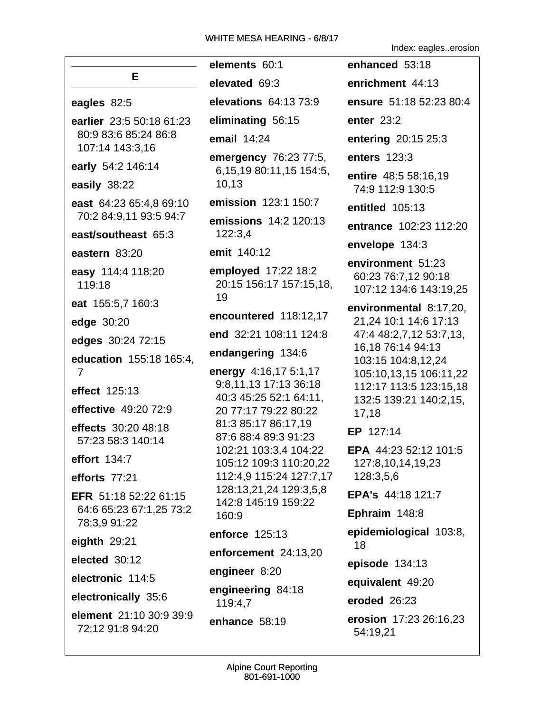Index: eagles..erosion

|                                                                     | elements 60:1                                                                                    | enhanced 53:18                                                                      |
|---------------------------------------------------------------------|--------------------------------------------------------------------------------------------------|-------------------------------------------------------------------------------------|
| Е.                                                                  | elevated 69:3                                                                                    | enrichment 44:13                                                                    |
| eagles 82:5                                                         | <b>elevations</b> 64:13 73:9                                                                     | ensure 51:18 52:23 80:4                                                             |
| earlier 23:5 50:18 61:23<br>80:9 83:6 85:24 86:8<br>107:14 143:3,16 | eliminating 56:15                                                                                | enter 23:2                                                                          |
|                                                                     | email $14:24$                                                                                    | entering 20:15 25:3                                                                 |
| early 54:2 146:14                                                   | emergency 76:23 77:5,                                                                            | enters 123:3                                                                        |
| easily 38:22                                                        | 6,15,19 80:11,15 154:5,<br>10,13                                                                 | entire 48:5 58:16,19<br>74:9 112:9 130:5                                            |
| east 64:23 65:4,8 69:10                                             | emission 123:1 150:7                                                                             | entitled 105:13                                                                     |
| 70:2 84:9,11 93:5 94:7                                              | emissions 14:2 120:13<br>122:3,4                                                                 | entrance 102:23 112:20                                                              |
| east/southeast 65:3                                                 | emit 140:12                                                                                      | envelope 134:3                                                                      |
| eastern 83:20<br>easy 114:4 118:20<br>119:18                        | employed 17:22 18:2<br>20:15 156:17 157:15,18,<br>19                                             | environment 51:23<br>60:23 76:7,12 90:18<br>107:12 134:6 143:19,25                  |
| eat 155:5,7 160:3                                                   | encountered 118:12,17                                                                            | environmental 8:17,20,                                                              |
| edge 30:20                                                          | end 32:21 108:11 124:8                                                                           | 21,24 10:1 14:6 17:13<br>47:4 48:2,7,12 53:7,13,                                    |
| edges 30:24 72:15                                                   |                                                                                                  | 16,18 76:14 94:13                                                                   |
| education 155:18 165:4,<br>$\overline{7}$                           | endangering 134:6                                                                                | 103:15 104:8,12,24                                                                  |
| effect 125:13<br>effective 49:20 72:9                               | energy 4:16,17 5:1,17<br>9:8,11,13 17:13 36:18<br>40:3 45:25 52:1 64:11,<br>20 77:17 79:22 80:22 | 105:10,13,15 106:11,22<br>112:17 113:5 123:15,18<br>132:5 139:21 140:2,15,<br>17,18 |
| effects 30:20 48:18<br>57:23 58:3 140:14                            | 81:3 85:17 86:17,19<br>87:6 88:4 89:3 91:23                                                      | EP 127:14                                                                           |
| effort 134:7                                                        | 102:21 103:3,4 104:22<br>105:12 109:3 110:20,22                                                  | EPA 44:23 52:12 101:5<br>127:8,10,14,19,23                                          |
| efforts 77:21                                                       | 112:4,9 115:24 127:7,17                                                                          | 128:3,5,6                                                                           |
| EFR 51:18 52:22 61:15<br>64:6 65:23 67:1,25 73:2                    | 128:13,21,24 129:3,5,8<br>142:8 145:19 159:22                                                    | EPA's 44:18 121:7                                                                   |
| 78:3,9 91:22                                                        | 160:9                                                                                            | Ephraim 148:8                                                                       |
| eighth $29:21$                                                      | enforce 125:13                                                                                   | epidemiological 103:8,<br>18                                                        |
| elected 30:12                                                       | enforcement 24:13,20                                                                             | episode 134:13                                                                      |
| electronic 114:5                                                    | engineer 8:20                                                                                    | equivalent 49:20                                                                    |
| electronically 35:6                                                 | engineering 84:18<br>119:4,7                                                                     | eroded 26:23                                                                        |
| element 21:10 30:9 39:9<br>72:12 91:8 94:20                         | enhance 58:19                                                                                    | erosion 17:23 26:16,23<br>54:19,21                                                  |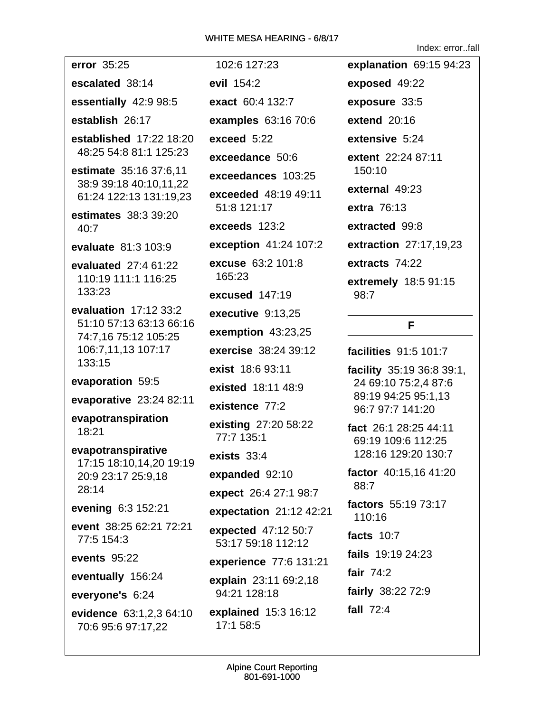Index: error..fall

error 35:25 escalated 38:14 essentially 42:9 98:5 establish 26:17 established 17:22 18:20 48:25 54:8 81:1 125:23 estimate 35:16 37:6,11 38:9 39:18 40:10,11,22 61:24 122:13 131:19,23 estimates 38:3 39:20  $40:7$ evaluate 81:3 103:9 evaluated 27:4 61:22 110:19 111:1 116:25 133:23 evaluation  $17:1233:2$ 51:10 57:13 63:13 66:16 74:7.16 75:12 105:25 106:7,11,13 107:17 133:15 evaporation 59:5 evaporative 23:24 82:11 evapotranspiration  $18:21$ evapotranspirative 17:15 18:10,14,20 19:19 20:9 23:17 25:9.18  $28:14$ evening 6:3 152:21 event 38:25 62:21 72:21 77:5 154:3 events  $95:22$ eventually 156:24 everyone's 6:24 evidence 63:1,2,3 64:10 70:6 95:6 97:17,22

102:6 127:23 evil 154:2 exact 60:4 132:7 examples 63:16 70:6 exceed 5:22 exceedance 50:6 exceedances 103:25 exceeded 48:19 49:11 51:8 121:17 exceeds 123:2 **exception** 41:24 107:2 excuse 63:2 101:8 165:23 excused 147:19 executive 9:13.25 exemption  $43:23.25$ exercise 38:24 39:12 exist 18:6 93:11 existed 18:11 48:9 existence 77:2 existing 27:20 58:22 77:7 135:1 exists  $33:4$ expanded 92:10 **expect** 26:4 27:1 98:7 expectation  $21:12$  42:21 expected 47:12 50:7 53:17 59:18 112:12 experience 77:6 131:21 explain 23:11 69:2.18 94:21 128:18 explained 15:3 16:12 17:1 58:5

explanation 69:15 94:23 exposed 49:22 exposure 33:5 extend  $20:16$ extensive 5:24 extent 22:24 87:11 150:10 external 49:23 extra 76:13 extracted 99:8 **extraction** 27:17,19,23 extracts 74:22 extremely 18:5 91:15  $98:7$ 

## F.

facilities 91:5 101:7 facility 35:19 36:8 39:1, 24 69:10 75:2,4 87:6 89:19 94:25 95:1,13 96:7 97:7 141:20 fact 26:1 28:25 44:11 69:19 109:6 112:25 128:16 129:20 130:7 factor 40:15,16 41:20 88:7 factors 55:19 73:17 110:16 facts  $10:7$ fails 19:19 24:23 fair  $74:2$ fairly 38:22 72:9 fall  $72:4$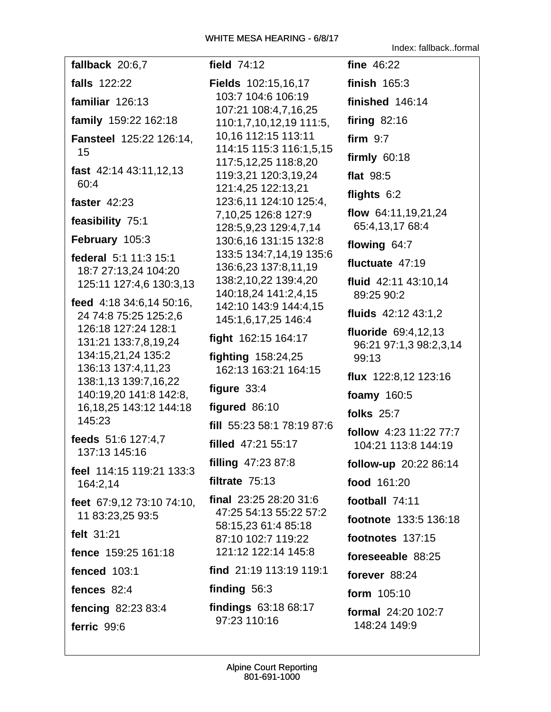Index: fallback..formal

fallback 20:6.7 falls  $122:22$ familiar  $126:13$ family 159:22 162:18 **Fansteel 125:22 126:14.** 15 fast  $42:14$   $43:11,12,13$ 60:4 faster 42:23 feasibility 75:1 February 105:3 federal 5:1 11:3 15:1 18:7 27:13,24 104:20 125:11 127:4,6 130:3,13 feed 4:18 34:6,14 50:16, 24 74:8 75:25 125:2,6 126:18 127:24 128:1 131:21 133:7,8,19,24 134:15,21,24 135:2 136:13 137:4,11,23 138:1,13 139:7,16,22 140:19,20 141:8 142:8, 16, 18, 25 143: 12 144: 18 145:23 feeds 51:6 127:4,7 137:13 145:16 feel 114:15 119:21 133:3 164:2.14 feet 67:9,12 73:10 74:10, 11 83:23,25 93:5 felt 31:21 fence 159:25 161:18 **fenced** 103:1 fences 82:4 fencing 82:23 83:4 ferric 99:6

field 74:12 Fields 102:15,16,17 103:7 104:6 106:19 107:21 108:4,7,16,25 110:1,7,10,12,19 111:5, 10,16 112:15 113:11 114:15 115:3 116:1,5,15 117:5,12,25 118:8,20 119:3,21 120:3,19,24 121:4,25 122:13,21 123:6,11 124:10 125:4, 7,10,25 126:8 127:9 128:5.9.23 129:4.7.14 130:6,16 131:15 132:8 133:5 134:7,14,19 135:6 136:6,23 137:8,11,19 138:2,10,22 139:4,20 140:18.24 141:2.4.15 142:10 143:9 144:4,15 145:1,6,17,25 146:4 fight 162:15 164:17 fighting  $158:24,25$ 162:13 163:21 164:15 figure  $33:4$ figured 86:10 fill 55:23 58:1 78:19 87:6 filled 47:21 55:17 filling  $47:2387:8$ filtrate  $75:13$ final 23:25 28:20 31:6 47:25 54:13 55:22 57:2 58:15,23 61:4 85:18 87:10 102:7 119:22 121:12 122:14 145:8 find 21:19 113:19 119:1 finding  $56:3$ findings 63:18 68:17 97:23 110:16

fine 46:22 finish  $165:3$ finished  $146:14$ firing  $82:16$ firm  $9:7$ firmly  $60:18$ flat 98:5 flights 6:2 flow 64:11,19,21,24 65:4,13,17 68:4 flowing  $64:7$ fluctuate 47:19 fluid 42:11 43:10,14 89:25 90:2 fluids 42:12 43:1.2 fluoride 69:4.12.13 96:21 97:1,3 98:2,3,14  $99:13$ flux 122:8,12 123:16 foamy 160:5 **folks** 25:7 follow 4:23 11:22 77:7 104:21 113:8 144:19 follow-up 20:22 86:14 food 161:20 football 74:11 footnote 133:5 136:18 footnotes 137:15 foreseeable 88:25 forever 88:24 form 105:10 formal 24:20 102:7 148:24 149:9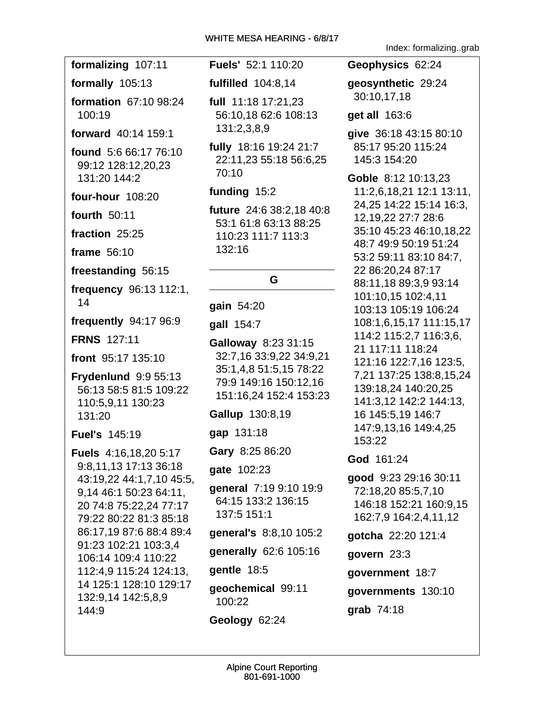formalizing 107:11

formally 105:13

**formation 67:10 98:24** 100:19

forward 40:14 159:1

**found** 5:6 66:17 76:10 99:12 128:12,20,23 131:20 144:2

**four-hour** 108:20

**fourth 50:11** 

fraction 25:25

frame 56:10

freestanding 56:15

frequency 96:13 112:1,  $14$ 

frequently 94:17 96:9

**FRNS 127:11** 

front 95:17 135:10

**Frydenlund 9:9 55:13** 56:13 58:5 81:5 109:22 110:5.9.11 130:23 131:20

**Fuel's 145:19** 

**Fuels** 4:16,18,20 5:17 9:8,11,13 17:13 36:18 43:19,22 44:1,7,10 45:5, 9,14 46:1 50:23 64:11, 20 74:8 75:22,24 77:17 79:22 80:22 81:3 85:18 86:17.19 87:6 88:4 89:4 91:23 102:21 103:3.4 106:14 109:4 110:22 112:4.9 115:24 124:13. 14 125:1 128:10 129:17 132:9,14 142:5,8,9 144:9

Fuels' 52:1 110:20

fulfilled 104:8,14

full  $11:18$  17:21,23 56:10.18 62:6 108:13 131:2,3,8,9

fully 18:16 19:24 21:7 22:11,23 55:18 56:6,25 70:10

## funding 15:2

future 24:6 38:2,18 40:8 53:1 61:8 63:13 88:25 110:23 111:7 113:3 132:16

# G

qain 54:20

gall 154:7

Galloway 8:23 31:15 32:7,16 33:9,22 34:9,21 35:1,4,8 51:5,15 78:22 79:9 149:16 150:12,16 151:16,24 152:4 153:23

**Gallup 130:8,19** 

gap 131:18

Gary 8:25 86:20

gate 102:23

general 7:19 9:10 19:9 64:15 133:2 136:15 137:5 151:1

general's 8:8,10 105:2

generally 62:6 105:16

gentle 18:5

geochemical 99:11 100:22

Geology 62:24

Index: formalizing..grab

Geophysics 62:24

qeosynthetic 29:24 30:10,17,18

**get all** 163:6

give 36:18 43:15 80:10 85:17 95:20 115:24 145:3 154:20

Goble 8:12 10:13,23 11:2,6,18,21 12:1 13:11, 24,25 14:22 15:14 16:3, 12, 19, 22 27: 7 28: 6 35:10 45:23 46:10,18,22 48:7 49:9 50:19 51:24 53:2 59:11 83:10 84:7, 22 86:20,24 87:17 88:11,18 89:3,9 93:14 101:10,15 102:4,11 103:13 105:19 106:24 108:1,6,15,17 111:15,17 114:2 115:2,7 116:3,6, 21 117:11 118:24 121:16 122:7.16 123:5. 7,21 137:25 138:8,15,24 139:18,24 140:20,25 141:3,12 142:2 144:13, 16 145:5,19 146:7 147:9,13,16 149:4,25 153:22

God 161:24

good 9:23 29:16 30:11 72:18,20 85:5,7,10 146:18 152:21 160:9,15 162:7,9 164:2,4,11,12

qotcha 22:20 121:4

govern  $23:3$ 

government 18:7

governments 130:10

grab  $74:18$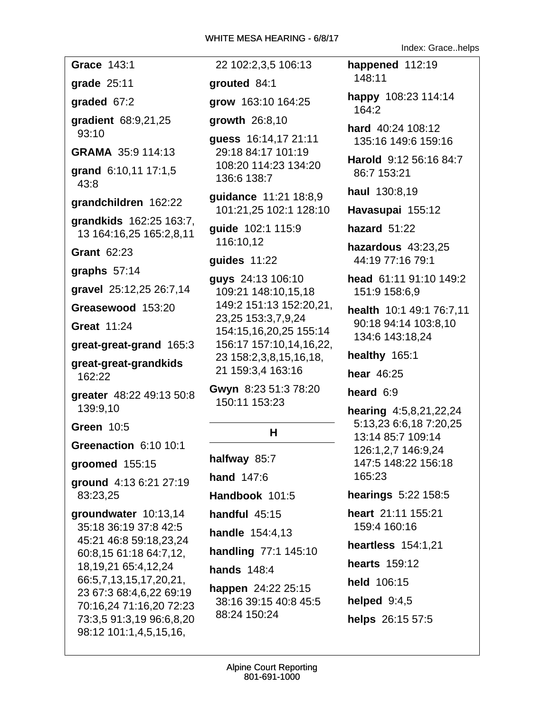Grace 143:1

grade 25:11

graded  $67:2$ 

gradient 68:9,21,25  $93:10$ 

GRAMA 35:9 114:13

grand 6:10,11 17:1,5  $43:8$ 

grandchildren 162:22

grandkids 162:25 163:7, 13 164:16,25 165:2,8,11

**Grant 62:23** 

graphs  $57:14$ 

gravel 25:12,25 26:7,14

Greasewood 153:20

**Great 11:24** 

great-great-grand 165:3

great-great-grandkids 162:22

greater 48:22 49:13 50:8 139:9.10

**Green 10:5** 

Greenaction 6:10 10:1

groomed 155:15

ground 4:13 6:21 27:19 83:23,25

groundwater 10:13,14 35:18 36:19 37:8 42:5 45:21 46:8 59:18.23.24 60:8,15 61:18 64:7,12, 18, 19, 21 65: 4, 12, 24 66:5,7,13,15,17,20,21, 23 67:3 68:4,6,22 69:19 70:16.24 71:16.20 72:23 73:3,5 91:3,19 96:6,8,20 98:12 101:1,4,5,15,16,

22 102:2,3,5 106:13

grouted 84:1

grow 163:10 164:25

growth 26:8,10

quess 16:14,17 21:11 29:18 84:17 101:19 108:20 114:23 134:20 136:6 138:7

guidance 11:21 18:8,9 101:21,25 102:1 128:10

guide 102:1 115:9 116:10,12

quides  $11:22$ 

guys 24:13 106:10 109:21 148:10,15,18 149:2 151:13 152:20,21, 23,25 153:3,7,9,24 154:15,16,20,25 155:14 156:17 157:10,14,16,22, 23 158:2,3,8,15,16,18, 21 159:3,4 163:16

Gwyn 8:23 51:3 78:20 150:11 153:23

## н

halfway 85:7 hand  $147:6$ Handbook 101:5 handful 45:15 **handle** 154:4,13 handling 77:1 145:10 hands  $148:4$ happen 24:22 25:15 38:16 39:15 40:8 45:5 88:24 150:24

happened 112:19  $148:11$ 

happy 108:23 114:14  $164:2$ 

Index: Grace..helps

hard 40:24 108:12 135:16 149:6 159:16

Harold 9:12 56:16 84:7 86:7 153:21

haul 130:8,19

Havasupai 155:12

hazard  $51:22$ 

hazardous 43:23,25 44:19 77:16 79:1

head 61:11 91:10 149:2 151:9 158:6.9

health 10:1 49:1 76:7,11 90:18 94:14 103:8,10 134:6 143:18.24

healthy 165:1

hear 46:25

heard  $6:9$ 

**hearing**  $4:5,8,21,22,24$ 5:13,23 6:6,18 7:20,25 13:14 85:7 109:14 126:1,2,7 146:9,24 147:5 148:22 156:18 165:23

hearings 5:22 158:5

heart 21:11 155:21 159:4 160:16

- heartless 154:1,21
- hearts 159:12

held 106:15

helped  $9:4.5$ 

helps 26:15 57:5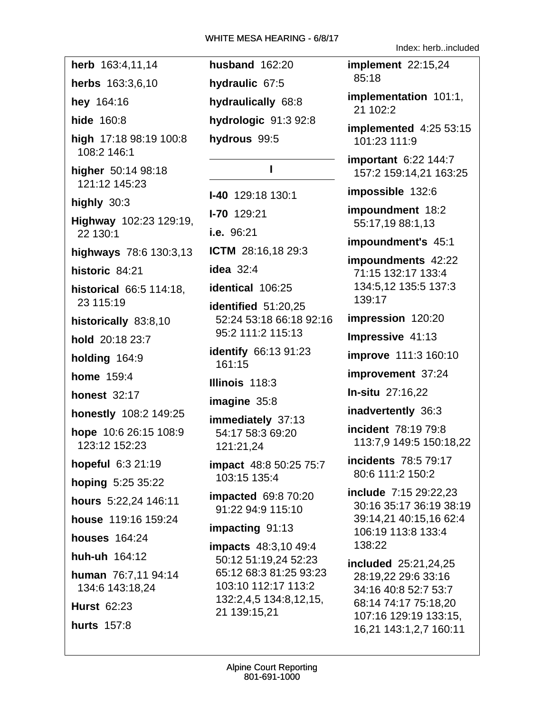| herb 163:4,11,14                       |  |  |
|----------------------------------------|--|--|
| herbs 163:3,6,10                       |  |  |
| hey 164:16                             |  |  |
| hide 160:8                             |  |  |
| high 17:18 98:19 100:8<br>108:2 146:1  |  |  |
| higher 50:14 98:18<br>121:12 145:23    |  |  |
| highly $30:3$                          |  |  |
| Highway 102:23 129:19,<br>22 130:1     |  |  |
| highways 78:6 130:3,13                 |  |  |
| historic 84:21                         |  |  |
| historical 66:5 114:18,<br>23 115:19   |  |  |
| historically 83:8,10                   |  |  |
| hold 20:18 23:7                        |  |  |
| holding 164:9                          |  |  |
| <b>home</b> 159:4                      |  |  |
| <b>honest 32:17</b>                    |  |  |
| honestly 108:2 149:25                  |  |  |
| hope 10:6 26:15 108:9<br>123:12 152:23 |  |  |
| hopeful 6:3 21:19                      |  |  |
| hoping 5:25 35:22                      |  |  |
| hours 5:22,24 146:11                   |  |  |
| house 119:16 159:24                    |  |  |
| houses 164:24                          |  |  |
| huh-uh 164:12                          |  |  |
| human 76:7,11 94:14<br>134:6 143:18,24 |  |  |
| <b>Hurst 62:23</b>                     |  |  |
| <b>hurts</b> 157:8                     |  |  |

**husband 162:20** hydraulic 67:5 hydraulically 68:8 hydrologic 91:3 92:8 hydrous 99:5

## $\mathbf{I}$

 $I-40$  129:18 130:1  $I - 70$  129:21 i.e. 96:21 **ICTM** 28:16,18 29:3 idea  $32:4$ identical 106:25 identified 51:20,25 52:24 53:18 66:18 92:16 95:2 111:2 115:13 **identify** 66:13 91:23 161:15 Illinois 118:3 imagine  $35:8$ immediately 37:13

54:17 58:3 69:20 121:21.24

impact 48:8 50:25 75:7 103:15 135:4

**impacted** 69:8 70:20 91:22 94:9 115:10

impacting 91:13

**impacts** 48:3,10 49:4 50:12 51:19.24 52:23 65:12 68:3 81:25 93:23 103:10 112:17 113:2 132:2.4.5 134:8.12.15. 21 139:15,21

Index: herb..included

implement 22:15,24 85:18

implementation 101:1, 21 102:2

implemented  $4:2553:15$ 101:23 111:9

important 6:22 144:7 157:2 159:14,21 163:25

impossible 132:6

impoundment 18:2 55:17,19 88:1,13

impoundment's 45:1

impoundments 42:22 71:15 132:17 133:4 134:5,12 135:5 137:3 139:17

impression 120:20

Impressive 41:13

improve 111:3 160:10

improvement 37:24

In-situ 27:16,22

inadvertently 36:3

**incident** 78:19 79:8 113:7,9 149:5 150:18,22

incidents 78:5 79:17 80:6 111:2 150:2

include 7:15 29:22.23 30:16 35:17 36:19 38:19 39:14,21 40:15,16 62:4 106:19 113:8 133:4 138:22

included 25:21,24,25 28:19,22 29:6 33:16 34:16 40:8 52:7 53:7 68:14 74:17 75:18,20 107:16 129:19 133:15, 16,21 143:1,2,7 160:11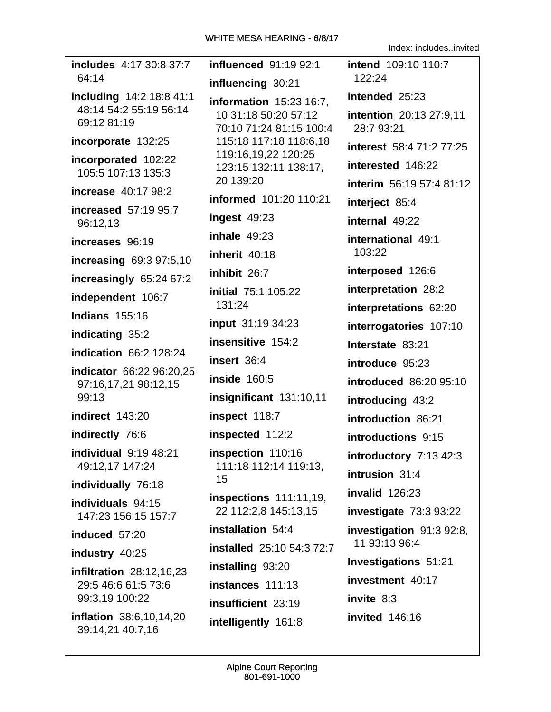includes 4:17 30:8 37:7 **influenced** 91:19 92:1  $64:14$ influencing 30:21 including 14:2 18:8 41:1 **information** 15:23 16:7. 48:14 54:2 55:19 56:14 10 31:18 50:20 57:12 69:12 81:19 70:10 71:24 81:15 100:4 incorporate 132:25 115:18 117:18 118:6,18 119:16,19,22 120:25 incorporated 102:22 123:15 132:11 138:17, 105:5 107:13 135:3 20 139:20 **increase** 40:17 98:2 informed 101:20 110:21 **increased** 57:19 95:7 ingest  $49:23$ 96:12,13 inhale  $49:23$ increases 96:19 inherit  $40:18$ increasing 69:3 97:5,10 inhibit 26:7 increasingly 65:24 67:2 initial 75:1 105:22 independent 106:7 131:24 **Indians 155:16** input 31:19 34:23 indicating 35:2 insensitive 154:2 **indication 66:2 128:24** insert 36:4 indicator 66:22 96:20,25 **inside** 160:5 97:16,17,21 98:12,15 99:13 insignificant 131:10,11 indirect 143:20 inspect 118:7 indirectly 76:6 inspected 112:2 individual  $9:19$  48:21 **inspection** 110:16 49:12.17 147:24 111:18 112:14 119:13. 15 individually 76:18  $inspections$  111:11,19, individuals 94:15 22 112:2.8 145:13.15 147:23 156:15 157:7 installation 54:4 induced 57:20 installed 25:10 54:3 72:7 industry 40:25 installing 93:20 **infiltration** 28:12,16,23 instances 111:13 29:5 46:6 61:5 73:6 99:3.19 100:22 insufficient 23:19 inflation 38:6,10,14,20 intelligently 161:8 39:14,21 40:7,16

intend 109:10 110:7  $122:24$ intended 25:23 intention 20:13 27:9.11 28:7 93:21 interest 58:4 71:2 77:25 interested 146:22 interim 56:19 57:4 81:12 interject 85:4 internal 49:22 international 49:1 103:22 interposed 126:6 interpretation 28:2 interpretations 62:20 interrogatories 107:10 Interstate 83:21 introduce 95:23  $introduced$  86:20 95:10 introducing 43:2 introduction 86:21 introductions 9:15 introductory  $7:13$  42:3 intrusion 31:4 invalid  $126:23$ investigate  $73:393:22$ investigation 91:3 92:8, 11 93:13 96:4 **Investigations 51:21** investment 40:17 invite  $8:3$ invited 146:16

Index includes invited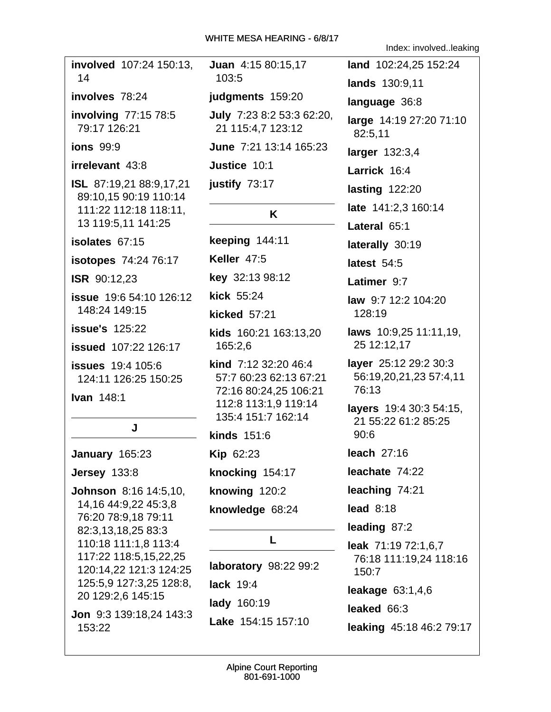| involved 107:24 150:13,<br>14                                                                                                                                                                                                |
|------------------------------------------------------------------------------------------------------------------------------------------------------------------------------------------------------------------------------|
| involves 78:24                                                                                                                                                                                                               |
| involving 77:15 78:5<br>79:17 126:21                                                                                                                                                                                         |
| <b>ions</b> 99:9                                                                                                                                                                                                             |
| irrelevant 43:8                                                                                                                                                                                                              |
| <b>ISL</b> 87:19,21 88:9,17,21<br>89:10,15 90:19 110:14<br>111:22 112:18 118:11,<br>13 119:5,11 141:25                                                                                                                       |
| isolates 67:15                                                                                                                                                                                                               |
| isotopes 74:24 76:17                                                                                                                                                                                                         |
| <b>ISR</b> 90:12,23                                                                                                                                                                                                          |
| <b>issue</b> 19:6 54:10 126:12<br>148:24 149:15                                                                                                                                                                              |
| <b>issue's</b> 125:22                                                                                                                                                                                                        |
| issued 107:22 126:17                                                                                                                                                                                                         |
| <b>issues</b> 19:4 105:6<br>124:11 126:25 150:25                                                                                                                                                                             |
| <b>Ivan 148:1</b>                                                                                                                                                                                                            |
|                                                                                                                                                                                                                              |
| J                                                                                                                                                                                                                            |
| January 165:23                                                                                                                                                                                                               |
| <b>Jersey 133:8</b>                                                                                                                                                                                                          |
| <b>Johnson</b> 8:16 14:5,10,<br>14,16 44:9,22 45:3,8<br>76:20 78:9,18 79:11<br>82:3,13,18,25 83:3<br>110:18 111:1,8 113:4<br>117:22 118:5,15,22,25<br>120:14,22 121:3 124:25<br>125:5,9 127:3,25 128:8,<br>20 129:2,6 145:15 |
| Jon 9:3 139:18,24 143:3                                                                                                                                                                                                      |

153:22

Juan 4:15 80:15,17 103:5 judgments 159:20 July 7:23 8:2 53:3 62:20, 21 115:4,7 123:12 June 7:21 13:14 165:23 Justice 10:1 justify 73:17 K keeping 144:11 **Keller 47:5** key 32:13 98:12 kick 55:24 kicked 57:21 kids 160:21 163:13,20  $\blacksquare$ 

165:2,6 kind 7:12 32:20 46:4 57:7 60:23 62:13 67:21 72:16 80:24,25 106:21 112:8 113:1,9 119:14 135:4 151:7 162:14

kinds 151:6 Kip 62:23 knocking 154:17 knowing 120:2 knowledge 68:24

## L

laboratory 98:22 99:2 lack 19:4 lady 160:19 Lake 154:15 157:10

Index: involved..leaking

| land 102:24,25 152:24                                    |
|----------------------------------------------------------|
| lands 130:9,11                                           |
| language 36:8                                            |
| large 14:19 27:20 71:10<br>82:5,11                       |
| larger 132:3,4                                           |
| Larrick 16:4                                             |
| lasting 122:20                                           |
| late 141:2,3 160:14                                      |
| Lateral 65:1                                             |
| laterally 30:19                                          |
| latest 54:5                                              |
| Latimer 9:7                                              |
| law 9:7 12:2 104:20<br>128:19                            |
| laws 10:9,25 11:11,19,<br>25 12:12,17                    |
| layer 25:12 29:2 30:3<br>56:19,20,21,23 57:4,11<br>76:13 |
| layers 19:4 30:3 54:15,<br>21 55:22 61:2 85:25<br>90:6   |
| <b>leach</b> 27:16                                       |
| leachate 74:22                                           |
| leaching 74:21                                           |
| lead $8:18$                                              |
| leading 87:2                                             |
| leak 71:19 72:1,6,7<br>76:18 111:19,24 118:16<br>150:7   |
| leakage 63:1,4,6                                         |
| leaked 66:3                                              |
| leaking 45:18 46:2 79:17                                 |
|                                                          |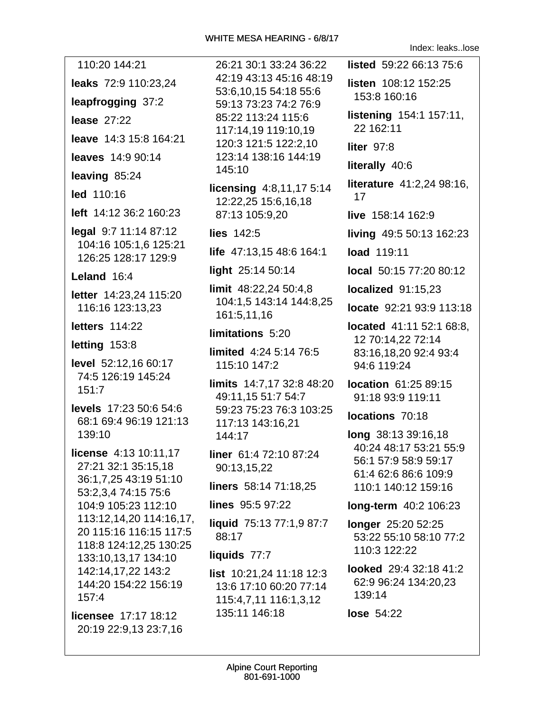Index: leaks..lose

| 110:20 144:21                                                               | 26:21 30:1 3                  |
|-----------------------------------------------------------------------------|-------------------------------|
| leaks 72:9 110:23,24                                                        | 42:19 43:13<br>53:6,10,155    |
| leapfrogging 37:2                                                           | 59:13 73:23                   |
| lease $27:22$                                                               | 85:22 113:24                  |
| leave 14:3 15:8 164:21                                                      | 117:14,191<br>120:3 121:5     |
| leaves 14:9 90:14                                                           | 123:14 138:                   |
| leaving 85:24                                                               | 145:10                        |
| led 110:16                                                                  | licensing 4:8<br>12:22,25 15: |
| left 14:12 36:2 160:23                                                      | 87:13 105:9,                  |
| legal 9:7 11:14 87:12                                                       | lies 142:5                    |
| 104:16 105:1,6 125:21<br>126:25 128:17 129:9                                | life 47:13,15                 |
| Leland 16:4                                                                 | light 25:14 5                 |
| letter 14:23,24 115:20                                                      | limit 48:22,24                |
| 116:16 123:13.23                                                            | 104:1,5 143:                  |
| letters 114:22                                                              | 161:5,11,16                   |
| letting 153:8                                                               | limitations 5                 |
| level 52:12,16 60:17                                                        | limited 4:24<br>115:10 147:2  |
| 74:5 126:19 145:24                                                          | limits 14:7,1                 |
| 151:7                                                                       | 49:11,15 51:                  |
| levels 17:23 50:6 54:6<br>68:1 69:4 96:19 121:13                            | 59:23 75:23<br>117:13 143:    |
| 139:10                                                                      | 144:17                        |
| license 4:13 10:11,17                                                       | liner 61:4 72                 |
| 27:21 32:1 35:15,18<br>36:1,7,25 43:19 51:10                                | 90:13,15,22                   |
| 53:2,3,4 74:15 75:6                                                         | liners 58:14                  |
| 104:9 105:23 112:10                                                         | lines 95:5 97                 |
| 113:12,14,20 114:16,17,<br>20 115:16 116:15 117:5<br>118:8 124:12,25 130:25 | liquid 75:13<br>88:17         |
| 133:10,13,17 134:10                                                         | liquids 77:7                  |
| 142:14,17,22 143:2                                                          | <b>list</b> $10:21,24$        |
| 144:20 154:22 156:19<br>157:4                                               | 13:6 17:10 6<br>115:4,7,11 1  |
| licensee 17:17 18:12                                                        | 135:11 146:                   |
| 20:19 22:9,13 23:7,16                                                       |                               |

30:1 33:24 36:22 listed 59:22 66:13 75:6 43:13 45:16 48:19 listen 108:12 152:25 0.15 54:18 55:6 153:8 160:16 73:23 74:2 76:9 listening 154:1 157:11. 113:24 115:6 22 162:11 .19 119:10.19 121:5 122:2,10 liter 97:8 138:16 144:19 literally 40:6 literature 41:2,24 98:16, g 4:8,11,17 5:14  $17$ 25 15:6,16,18 105:9,20 live 158:14 162:9 living 49:5 50:13 162:23 13,15 48:6 164:1 load 119:11  $5:14\,50:14$ local 50:15 77:20 80:12 3:22.24 50:4.8 localized 91:15,23 5 143:14 144:8.25 locate 92:21 93:9 113:18 located 41:11 52:1 68:8,  $\text{ons}$  5:20 12 70:14,22 72:14 4:24 5:14 76:5 83:16.18.20 92:4 93:4 94:6 119:24 4:7,17 32:8 48:20 **location** 61:25 89:15 15 51:7 54:7 91:18 93:9 119:11 75:23 76:3 103:25 locations 70:18 143:16,21 long 38:13 39:16,18 40:24 48:17 53:21 55:9 :4 72:10 87:24 56:1 57:9 58:9 59:17 61:4 62:6 86:6 109:9 58:14 71:18,25 110:1 140:12 159:16 5:5 97:22 long-term 40:2 106:23 75:13 77:1,9 87:7 longer 25:20 52:25 53:22 55:10 58:10 77:2 110:3 122:22 looked 29:4 32:18 41:2 21,24 11:18 12:3 62:9 96:24 134:20,23 7:10 60:20 77:14 139:14 7,11 116:1,3,12 146:18 lose 54:22

 $147:2$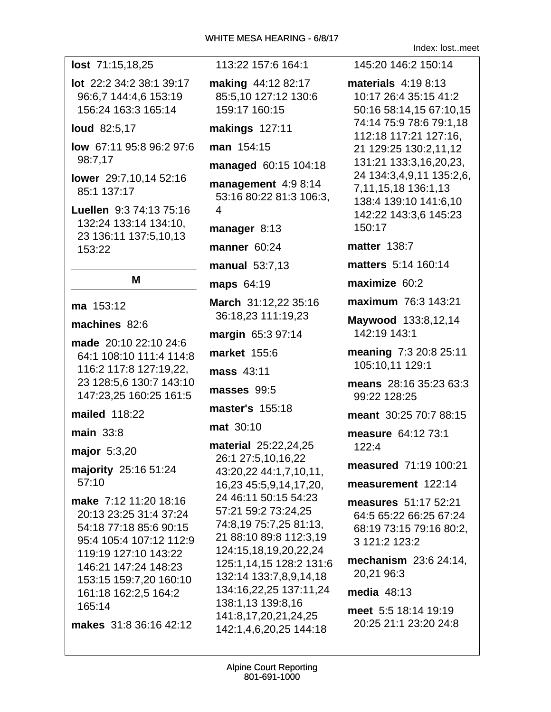| lost 71:15,18,25                                                                                                                                                                                                                           |
|--------------------------------------------------------------------------------------------------------------------------------------------------------------------------------------------------------------------------------------------|
| lot 22:2 34:2 38:1 39:17<br>96:6,7 144:4,6 153:19<br>156:24 163:3 165:14                                                                                                                                                                   |
| loud 82:5,17                                                                                                                                                                                                                               |
| low 67:11 95:8 96:2 97:6<br>98:7,17                                                                                                                                                                                                        |
| lower 29:7,10,14 52:16<br>85:1 137:17                                                                                                                                                                                                      |
| Luellen 9:3 74:13 75:16<br>132:24 133:14 134:10,<br>23 136:11 137:5,10,13<br>153:22                                                                                                                                                        |
| Μ                                                                                                                                                                                                                                          |
| ma 153:12                                                                                                                                                                                                                                  |
| machines 82:6                                                                                                                                                                                                                              |
| made 20:10 22:10 24:6<br>64:1 108:10 111:4 114:8<br>116:2 117:8 127:19,22,<br>23 128:5,6 130:7 143:10<br>147:23,25 160:25 161:5                                                                                                            |
| mailed 118:22                                                                                                                                                                                                                              |
| main $33:8$                                                                                                                                                                                                                                |
| major 5:3,20                                                                                                                                                                                                                               |
| majority 25:16 51:24<br>57:10                                                                                                                                                                                                              |
| make 7:12 11:20 18:16<br>20:13 23:25 31:4 37:24<br>54:18 77:18 85:6 90:15<br>95:4 105:4 107:12 112:9<br>119:19 127:10 143:22<br>146:21 147:24 148:23<br>153:15 159:7,20 160:10<br>161:18 162:2,5 164:2<br>165:14<br>makes 31:8 36:16 42:12 |
|                                                                                                                                                                                                                                            |

113:22 157:6 164:1 making 44:12 82:17 85:5.10 127:12 130:6 159:17 160:15 makings 127:11 **man** 154:15 managed 60:15 104:18 management 4:9 8:14 53:16 80:22 81:3 106:3,  $\overline{\mathbf{A}}$ manager 8:13 manner 60:24 manual 53:7.13 **maps** 64:19 March 31:12.22 35:16 36:18,23 111:19,23 margin 65:3 97:14 market 155:6 mass 43:11 masses 99:5 master's 155:18 **mat** 30:10 material 25:22,24,25 26:1 27:5,10,16,22 43:20,22 44:1,7,10,11, 16,23 45:5,9,14,17,20, 24 46:11 50:15 54:23 57:21 59:2 73:24,25 74:8,19 75:7,25 81:13, 21 88:10 89:8 112:3,19 124:15,18,19,20,22,24 125:1,14,15 128:2 131:6 132:14 133:7,8,9,14,18 134:16,22,25 137:11,24 138:1,13 139:8,16 141:8,17,20,21,24,25 142:1,4,6,20,25 144:18

Index: lost..meet

145:20 146:2 150:14 materials  $4:19.8:13$ 10:17 26:4 35:15 41:2 50:16 58:14,15 67:10,15 74:14 75:9 78:6 79:1,18 112:18 117:21 127:16, 21 129:25 130:2,11,12 131:21 133:3,16,20,23, 24 134:3,4,9,11 135:2,6, 7,11,15,18 136:1,13 138:4 139:10 141:6,10 142:22 143:3,6 145:23 150:17 **matter 138:7** matters 5:14 160:14 maximize  $60:2$ maximum 76:3 143:21 Maywood 133:8,12,14 142:19 143:1 meaning 7:3 20:8 25:11 105:10,11 129:1 means 28:16 35:23 63:3 99:22 128:25 meant 30:25 70:7 88:15 measure 64:12 73:1  $122:4$ measured 71:19 100:21 measurement 122:14 measures 51:17 52:21 64:5 65:22 66:25 67:24 68:19 73:15 79:16 80:2, 3 121:2 123:2 mechanism 23:6 24:14, 20,21 96:3 media  $48:13$ meet 5:5 18:14 19:19 20:25 21:1 23:20 24:8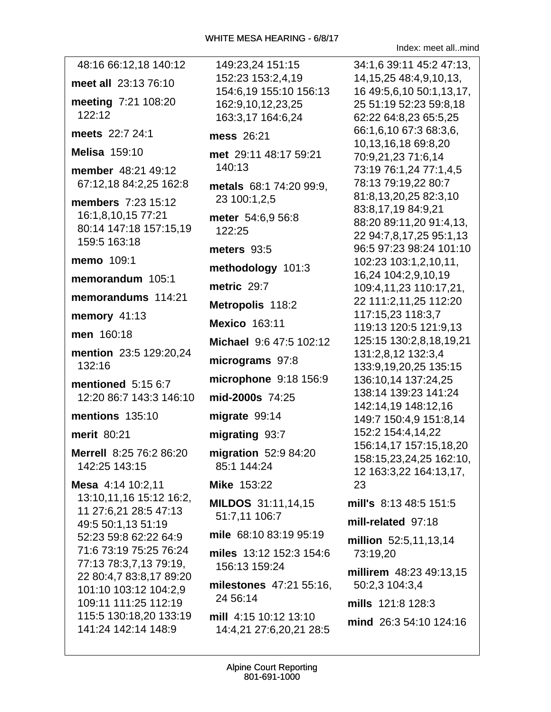Index: meet all..mind

| 48:16 66:12,18 140:12                                                                                                                                                                                                                                                                                 |
|-------------------------------------------------------------------------------------------------------------------------------------------------------------------------------------------------------------------------------------------------------------------------------------------------------|
| meet all 23:13 76:10                                                                                                                                                                                                                                                                                  |
| meeting 7:21 108:20<br>122:12                                                                                                                                                                                                                                                                         |
| meets 22:7 24:1                                                                                                                                                                                                                                                                                       |
| <b>Melisa 159:10</b>                                                                                                                                                                                                                                                                                  |
| member 48:21 49:12<br>67:12,18 84:2,25 162:8                                                                                                                                                                                                                                                          |
| members 7:23 15:12<br>16:1,8,10,15 77:21<br>80:14 147:18 157:15,19<br>159:5 163:18                                                                                                                                                                                                                    |
| memo 109:1                                                                                                                                                                                                                                                                                            |
| memorandum 105:1                                                                                                                                                                                                                                                                                      |
| memorandums 114:21                                                                                                                                                                                                                                                                                    |
| memory 41:13                                                                                                                                                                                                                                                                                          |
| men 160:18                                                                                                                                                                                                                                                                                            |
| mention 23:5 129:20,24<br>132:16                                                                                                                                                                                                                                                                      |
| mentioned 5:15 6:7<br>12:20 86:7 143:3 146:10                                                                                                                                                                                                                                                         |
| mentions 135:10                                                                                                                                                                                                                                                                                       |
| merit 80:21                                                                                                                                                                                                                                                                                           |
| Merrell 8:25 76:2 86:20<br>142:25 143:15                                                                                                                                                                                                                                                              |
| Mesa 4:14 10:2,11<br>13:10,11,16 15:12 16:2,<br>11 27:6,21 28:5 47:13<br>49:5 50:1,13 51:19<br>52:23 59:8 62:22 64:9<br>71:6 73:19 75:25 76:24<br>77:13 78:3,7,13 79:19,<br>22 80:4,7 83:8,17 89:20<br>101:10 103:12 104:2,9<br>109:11 111:25 112:19<br>115:5 130:18,20 133:19<br>141:24 142:14 148:9 |

149:23,24 151:15 152:23 153:2,4,19 154:6,19 155:10 156:13 162:9,10,12,23,25 163:3,17 164:6,24 mess 26:21 met 29:11 48:17 59:21 140:13 metals 68:1 74:20 99:9, 23 100:1,2,5 meter 54:6,9 56:8 122:25 meters  $93:5$ methodology 101:3 metric 29:7 Metropolis 118:2 Mexico 163:11 Michael 9:6 47:5 102:12 micrograms 97:8 microphone  $9:18$  156:9 mid-2000s 74:25 migrate 99:14 migrating 93:7 migration  $52:984:20$ 85:1 144:24 **Mike 153:22 MILDOS** 31:11,14,15 51:7,11 106:7 mile 68:10 83:19 95:19 miles 13:12 152:3 154:6 156:13 159:24 milestones 47:21 55:16. 24 56:14 mill 4:15 10:12 13:10 14:4,21 27:6,20,21 28:5

34:1.6 39:11 45:2 47:13. 14, 15, 25 48: 4, 9, 10, 13, 16 49:5,6,10 50:1,13,17, 25 51:19 52:23 59:8.18 62:22 64:8,23 65:5,25 66:1,6,10 67:3 68:3,6, 10,13,16,18 69:8,20 70:9,21,23 71:6,14 73:19 76:1,24 77:1,4,5 78:13 79:19,22 80:7 81:8,13,20,25 82:3,10 83:8,17,19 84:9,21 88:20 89:11,20 91:4,13, 22 94:7,8,17,25 95:1,13 96:5 97:23 98:24 101:10 102:23 103:1,2,10,11, 16,24 104:2,9,10,19 109:4,11,23 110:17,21, 22 111:2,11,25 112:20 117:15,23 118:3,7 119:13 120:5 121:9,13 125:15 130:2,8,18,19,21 131:2,8,12 132:3,4 133:9,19,20,25 135:15 136:10,14 137:24,25 138:14 139:23 141:24 142:14,19 148:12,16 149:7 150:4,9 151:8,14 152:2 154:4,14,22 156:14.17 157:15.18.20 158:15,23,24,25 162:10, 12 163:3,22 164:13,17, 23 mill's 8:13 48:5 151:5 mill-related 97:18 million 52:5,11,13,14 73:19,20 millirem 48:23 49:13,15 50:2,3 104:3,4 mills 121:8 128:3 mind 26:3 54:10 124:16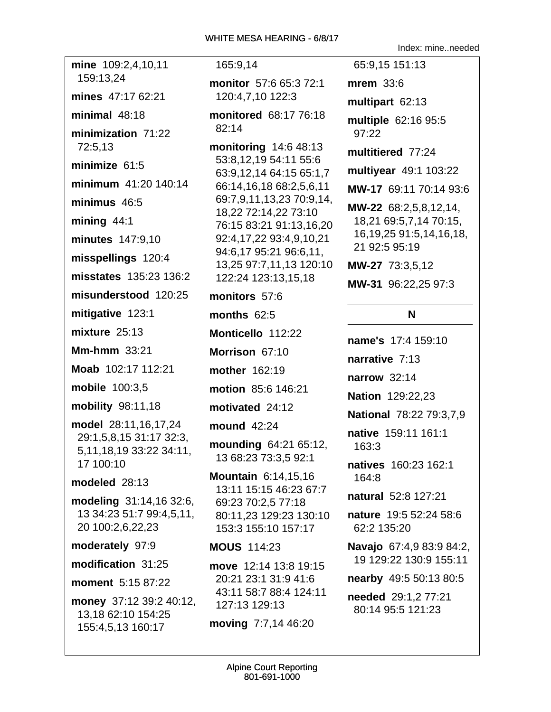mine 109:2,4,10,11 159:13.24 mines 47:17 62:21 minimal  $48:18$ minimization 71:22 72:5.13 minimize 61:5 minimum 41:20 140:14 minimus 46:5 mining  $44:1$ minutes 147:9,10 misspellings 120:4 misstates 135:23 136:2 misunderstood 120:25 mitigative 123:1 mixture  $25:13$ Mm-hmm  $33:21$ Moab 102:17 112:21 mobile 100:3.5 **mobility** 98:11,18 model 28:11,16,17,24 29:1,5,8,15 31:17 32:3, 5, 11, 18, 19 33: 22 34: 11, 17 100:10 modeled 28:13 modeling 31:14,16 32:6, 13 34:23 51:7 99:4,5,11, 20 100:2,6,22,23 moderately 97:9 modification 31:25 moment 5:15 87:22 money 37:12 39:2 40:12, 13,18 62:10 154:25 155:4,5,13 160:17

### 165:9.14

monitor 57:6 65:3 72:1 120:4,7,10 122:3

monitored 68:17 76:18  $82:14$ 

monitoring 14:6 48:13 53:8,12,19 54:11 55:6 63:9,12,14 64:15 65:1,7 66:14,16,18 68:2,5,6,11 69:7,9,11,13,23 70:9,14, 18,22 72:14,22 73:10 76:15 83:21 91:13,16,20 92:4,17,22 93:4,9,10,21 94:6,17 95:21 96:6,11, 13,25 97:7,11,13 120:10 122:24 123:13.15.18

monitors 57:6

months  $62:5$ 

Monticello 112:22

Morrison 67:10

mother 162:19

motion 85:6 146:21

motivated 24:12

mound 42:24

mounding 64:21 65:12, 13 68:23 73:3,5 92:1

**Mountain 6:14.15.16** 13:11 15:15 46:23 67:7 69:23 70:2.5 77:18 80:11,23 129:23 130:10 153:3 155:10 157:17

### **MOUS 114:23**

move 12:14 13:8 19:15 20:21 23:1 31:9 41:6 43:11 58:7 88:4 124:11 127:13 129:13

moving 7:7,14 46:20

65:9.15 151:13 mrem  $33:6$ multipart 62:13 multiple 62:16 95:5 97:22 multitiered 77:24 multiyear 49:1 103:22 MW-17 69:11 70:14 93:6 MW-22 68:2,5,8,12,14, 18,21 69:5,7,14 70:15, 16, 19, 25 91: 5, 14, 16, 18, 21 92:5 95:19 MW-27 73:3,5,12

Index: mine..needed

MW-31 96:22.25 97:3

## N

name's 17:4 159:10 narrative 7:13 narrow  $32:14$ **Nation 129:22,23 National 78:22 79:3,7,9** native 159:11 161:1  $163:3$ natives 160:23 162:1 164:8 natural 52:8 127:21 nature 19:5 52:24 58:6 62:2 135:20 Navajo 67:4,9 83:9 84:2, 19 129:22 130:9 155:11 nearby 49:5 50:13 80:5 needed 29:1,2 77:21 80:14 95:5 121:23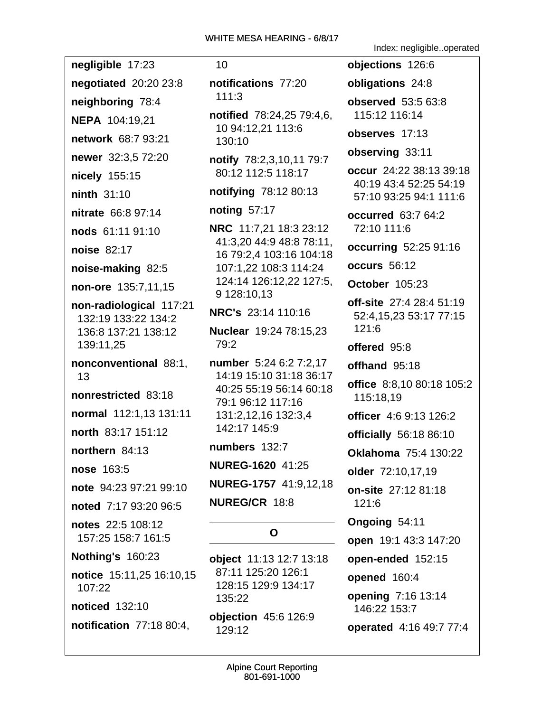$10<sup>°</sup>$ 

# notifications 77:20  $111:3$ notified 78:24,25 79:4,6, 10 94:12,21 113:6 130:10 notify 78:2,3,10,11 79:7 80:12 112:5 118:17 notifying 78:12 80:13 noting  $57:17$ **NRC** 11:7,21 18:3 23:12 41:3,20 44:9 48:8 78:11, 16 79:2,4 103:16 104:18 107:1.22 108:3 114:24 124:14 126:12,22 127:5, 9 128:10.13 NRC's 23:14 110:16 Nuclear 19:24 78:15,23  $79:2$ number 5:24 6:2 7:2.17 14:19 15:10 31:18 36:17 40:25 55:19 56:14 60:18 79:1 96:12 117:16 131:2,12,16 132:3,4 142:17 145:9

numbers 132:7

NUREG-1620 41:25

NUREG-1757 41:9,12,18

**NUREG/CR 18:8** 

# $\Omega$

object 11:13 12:7 13:18 87:11 125:20 126:1 128:15 129:9 134:17 135:22 objection 45:6 126:9 129:12

Index: negligible..operated

objections 126:6 obligations 24:8 **observed** 53:5 63:8 115:12 116:14 observes 17:13 observing 33:11 occur 24:22 38:13 39:18 40:19 43:4 52:25 54:19 57:10 93:25 94:1 111:6 **occurred** 63:7 64:2 72:10 111:6 occurring 52:25 91:16 occurs 56:12 October 105:23 off-site 27:4 28:4 51:19 52:4, 15, 23 53: 17 77: 15  $121:6$ offered 95:8 offhand 95:18 office 8:8,10 80:18 105:2 115:18,19 officer 4:6 9:13 126:2 officially 56:18 86:10 **Oklahoma** 75:4 130:22 older 72:10,17,19 on-site 27:12 81:18  $121:6$ Ongoing 54:11 **open** 19:1 43:3 147:20 open-ended 152:15 opened 160:4 opening 7:16 13:14 146:22 153:7 operated 4:16 49:7 77:4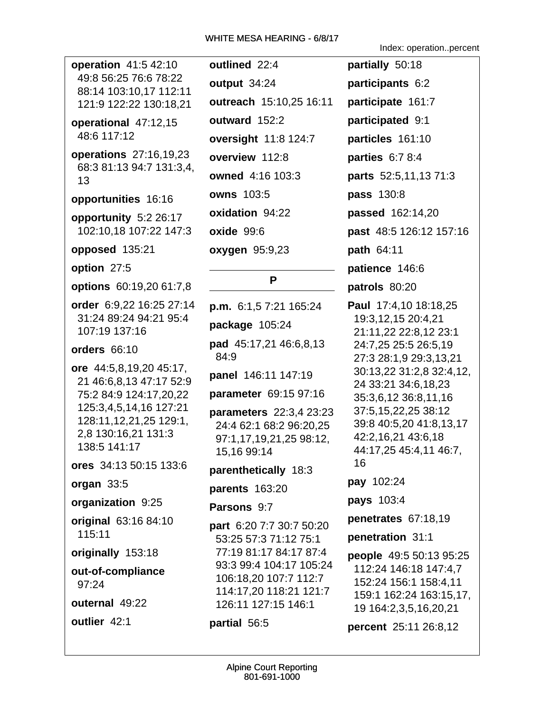operation 41:5 42:10 49:8 56:25 76:6 78:22 88:14 103:10,17 112:11 121:9 122:22 130:18,21

operational 47:12,15 48:6 117:12

**operations** 27:16,19,23 68:3 81:13 94:7 131:3,4, 13

#### opportunities 16:16

opportunity 5:2 26:17 102:10,18 107:22 147:3

opposed 135:21

option 27:5

options 60:19,20 61:7,8

order 6:9,22 16:25 27:14 31:24 89:24 94:21 95:4 107:19 137:16

orders 66:10

ore 44:5,8,19,20 45:17, 21 46:6,8,13 47:17 52:9 75:2 84:9 124:17,20,22 125:3,4,5,14,16 127:21 128:11, 12, 21, 25 129:1, 2,8 130:16,21 131:3 138:5 141:17

ores 34:13 50:15 133:6

organ 33:5

organization 9:25

original 63:16 84:10 115:11

originally 153:18

out-of-compliance  $97:24$ 

outernal 49:22

outlier 42:1

outlined 22:4 output 34:24 outreach 15:10,25 16:11 outward 152:2 **oversight 11:8 124:7** overview 112:8 owned 4:16 103:3 **owns 103:5** oxidation 94:22 oxide 99:6 **oxygen** 95:9,23

# P

**p.m.**  $6:1.57:21165:24$ package 105:24 pad 45:17,21 46:6,8,13 84:9 panel 146:11 147:19 **parameter** 69:15 97:16 **parameters** 22:3,4 23:23 24:4 62:1 68:2 96:20,25 97:1,17,19,21,25 98:12, 15,16 99:14 parenthetically 18:3 parents 163:20 **Parsons 9:7** part 6:20 7:7 30:7 50:20 53:25 57:3 71:12 75:1 77:19 81:17 84:17 87:4 93:3 99:4 104:17 105:24 106:18,20 107:7 112:7 114:17,20 118:21 121:7 126:11 127:15 146:1

### partial 56:5

Index: operation..percent

partially 50:18 participants 6:2 participate 161:7 participated 9:1 particles 161:10 parties 6:7 8:4 **parts** 52:5,11,13 71:3 **pass** 130:8 passed 162:14,20 past 48:5 126:12 157:16 path  $64:11$ patience 146:6 patrols 80:20 Paul 17:4,10 18:18,25 19:3,12,15 20:4,21 21:11,22 22:8,12 23:1 24:7,25 25:5 26:5,19 27:3 28:1,9 29:3,13,21 30:13,22 31:2,8 32:4,12, 24 33:21 34:6,18,23 35:3,6,12 36:8,11,16 37:5,15,22,25 38:12 39:8 40:5,20 41:8,13,17 42:2,16,21 43:6,18 44:17,25 45:4,11 46:7, 16 pay 102:24 pays 103:4 penetrates 67:18,19 penetration 31:1 people 49:5 50:13 95:25 112:24 146:18 147:4,7 152:24 156:1 158:4,11 159:1 162:24 163:15,17, 19 164:2,3,5,16,20,21 percent 25:11 26:8,12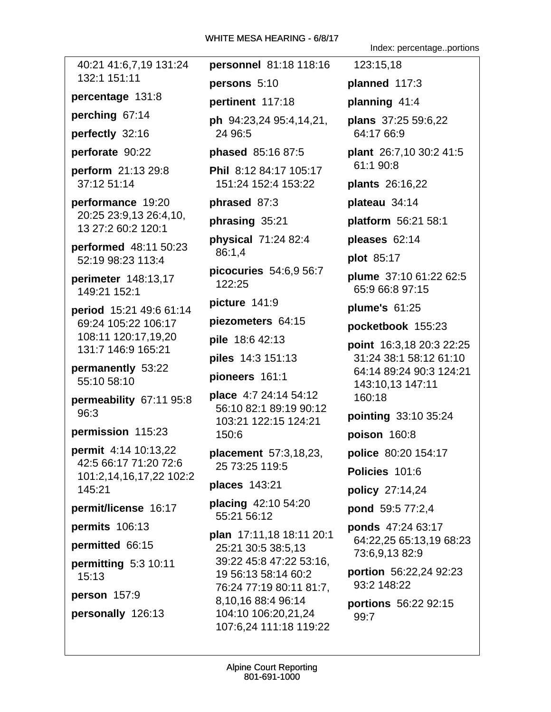40:21 41:6,7,19 131:24 personnel 81:18 118:16 132:1 151:11 percentage 131:8 perching 67:14 perfectly 32:16 perforate 90:22 **perform** 21:13 29:8 37:12 51:14 performance 19:20 20:25 23:9,13 26:4,10, 13 27:2 60:2 120:1 performed 48:11 50:23 52:19 98:23 113:4 perimeter 148:13,17 149:21 152:1 period 15:21 49:6 61:14 69:24 105:22 106:17 108:11 120:17,19,20 131:7 146:9 165:21 permanently 53:22 55:10 58:10 permeability 67:11 95:8  $96:3$ permission 115:23 permit 4:14 10:13,22 42:5 66:17 71:20 72:6 101:2,14,16,17,22 102:2 145:21 permit/license 16:17 permits 106:13 permitted 66:15 permitting 5:3 10:11  $15:13$ person 157:9 personally 126:13

persons 5:10 pertinent 117:18 **ph** 94:23,24 95:4,14,21, 24 96:5 **phased** 85:16 87:5 Phil 8:12 84:17 105:17 151:24 152:4 153:22 phrased 87:3 phrasing 35:21 physical 71:24 82:4 86:1,4 picocuries 54:6,9 56:7 122:25 picture 141:9 piezometers 64:15 pile 18:6 42:13 **piles** 14:3 151:13 pioneers 161:1 **place** 4:7 24:14 54:12 56:10 82:1 89:19 90:12 103:21 122:15 124:21 150:6 **placement** 57:3,18,23, 25 73:25 119:5 places 143:21 placing 42:10 54:20 55:21 56:12 plan 17:11,18 18:11 20:1 25:21 30:5 38:5.13 39:22 45:8 47:22 53:16. 19 56:13 58:14 60:2 76:24 77:19 80:11 81:7, 8,10,16 88:4 96:14 104:10 106:20,21,24 107:6,24 111:18 119:22

Index: percentage..portions

123:15,18 planned 117:3 planning 41:4 plans 37:25 59:6,22 64:17 66:9 plant 26:7,10 30:2 41:5 61:1 90:8 plants 26:16,22 plateau 34:14 **platform** 56:21 58:1 pleases 62:14 plot 85:17 plume 37:10 61:22 62:5 65:9 66:8 97:15 plume's  $61:25$ pocketbook 155:23 point 16:3,18 20:3 22:25 31:24 38:1 58:12 61:10 64:14 89:24 90:3 124:21 143:10,13 147:11 160:18 pointing 33:10 35:24 poison 160:8 **police** 80:20 154:17 Policies 101:6 policy 27:14,24 pond 59:5 77:2,4 ponds 47:24 63:17 64:22,25 65:13,19 68:23 73:6,9,13 82:9 portion 56:22,24 92:23 93:2 148:22 portions 56:22 92:15 99:7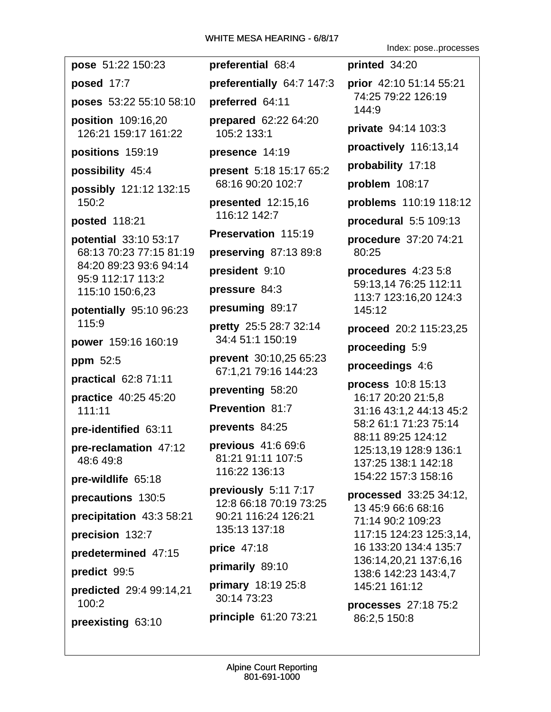posed 17:7

poses 53:22 55:10 58:10

position 109:16.20 126:21 159:17 161:22

positions 159:19

## possibility 45:4

possibly 121:12 132:15 150:2

posted 118:21

**potential** 33:10 53:17 68:13 70:23 77:15 81:19 84:20 89:23 93:6 94:14 95:9 112:17 113:2 115:10 150:6,23

potentially 95:10 96:23 115:9

power 159:16 160:19

ppm 52:5

practical  $62:871:11$ 

**practice** 40:25 45:20  $111:11$ 

pre-identified 63:11

pre-reclamation 47:12 48:649:8

pre-wildlife 65:18

precautions 130:5

precipitation 43:3 58:21

precision 132:7

predetermined 47:15

predict 99:5

predicted 29:4 99:14,21  $100:2$ 

preexisting 63:10

preferential 68:4 preferentially 64:7 147:3 preferred 64:11 prepared 62:22 64:20 105:2 133:1 presence 14:19

**present** 5:18 15:17 65:2 68:16 90:20 102:7

presented 12:15,16 116:12 142:7

Preservation 115:19

preserving  $87:1389:8$ 

president 9:10

pressure  $84:3$ 

presuming 89:17

pretty 25:5 28:7 32:14 34:4 51:1 150:19

**prevent** 30:10,25 65:23 67:1.21 79:16 144:23

preventing 58:20

Prevention 81:7

prevents 84:25

previous 41:6 69:6 81:21 91:11 107:5 116:22 136:13

previously 5:11 7:17 12:8 66:18 70:19 73:25 90:21 116:24 126:21 135:13 137:18

price 47:18

primarily 89:10

primary 18:19 25:8 30:14 73:23

principle 61:20 73:21

Index: pose..processes

printed 34:20 prior 42:10 51:14 55:21 74:25 79:22 126:19  $144:9$ private 94:14 103:3 proactively 116:13,14 probability 17:18 problem 108:17 problems 110:19 118:12 procedural  $5:5109:13$ procedure  $37:2074:21$ 80:25 procedures 4:23 5:8 59:13.14 76:25 112:11 113:7 123:16,20 124:3 145:12 proceed 20:2 115:23,25

proceeding 5:9

proceedings 4:6

process 10:8 15:13 16:17 20:20 21:5,8 31:16 43:1.2 44:13 45:2 58:2 61:1 71:23 75:14 88:11 89:25 124:12 125:13,19 128:9 136:1 137:25 138:1 142:18 154:22 157:3 158:16

processed 33:25 34:12. 13 45:9 66:6 68:16 71:14 90:2 109:23 117:15 124:23 125:3,14, 16 133:20 134:4 135:7 136:14,20,21 137:6,16 138:6 142:23 143:4,7 145:21 161:12

processes 27:18 75:2 86:2,5 150:8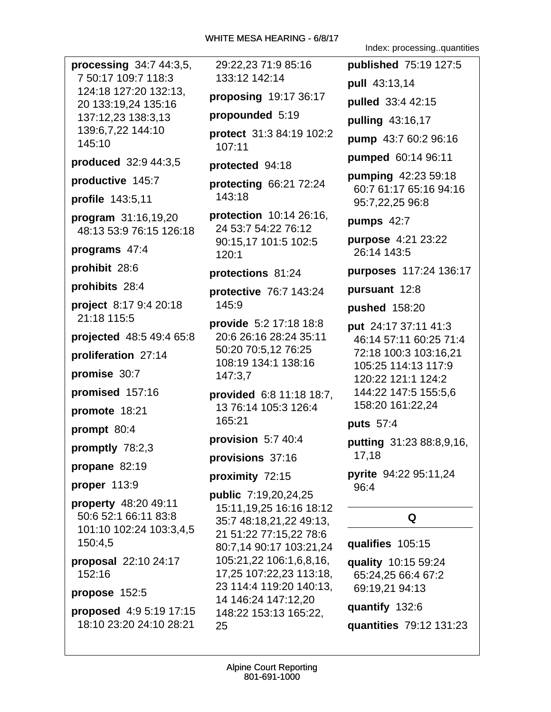**processing**  $34:744:3,5$ 7 50:17 109:7 118:3 124:18 127:20 132:13. 20 133:19.24 135:16 137:12,23 138:3,13 139:6,7,22 144:10 145:10 produced 32:9 44:3,5 productive 145:7 profile 143:5,11 program 31:16,19,20 48:13 53:9 76:15 126:18 programs 47:4 prohibit 28:6 prohibits 28:4 project 8:17 9:4 20:18 21:18 115:5 projected 48:5 49:4 65:8 proliferation 27:14 promise 30:7 promised 157:16 promote 18:21 prompt 80:4 promptly 78:2,3 propane 82:19 proper  $113:9$ property 48:20 49:11 50:6 52:1 66:11 83:8 101:10 102:24 103:3,4,5 150:4,5 proposal 22:10 24:17 152:16 propose 152:5 proposed 4:9 5:19 17:15 18:10 23:20 24:10 28:21

29:22,23 71:9 85:16 133:12 142:14 proposing  $19:1736:17$ propounded 5:19 protect 31:3 84:19 102:2 107:11 protected 94:18 protecting 66:21 72:24 143:18 **protection** 10:14 26:16, 24 53:7 54:22 76:12 90:15,17 101:5 102:5  $120:1$ protections 81:24 protective 76:7 143:24 145:9 provide 5:2 17:18 18:8 20:6 26:16 28:24 35:11 50:20 70:5,12 76:25 108:19 134:1 138:16 147:3,7 provided 6:8 11:18 18:7, 13 76:14 105:3 126:4 165:21 provision 5:7 40:4 provisions 37:16 proximity 72:15 public 7:19,20,24,25 15:11, 19, 25 16:16 18:12 35:7 48:18,21,22 49:13, 21 51:22 77:15,22 78:6 80:7.14 90:17 103:21.24 105:21,22 106:1,6,8,16, 17,25 107:22,23 113:18, 23 114:4 119:20 140:13, 14 146:24 147:12,20 148:22 153:13 165:22, 25

Index: processing..guantities

**published** 75:19 127:5 pull 43:13,14 pulled 33:4 42:15 pulling 43:16,17 pump 43:7 60:2 96:16 pumped 60:14 96:11 **pumping 42:23 59:18** 60:7 61:17 65:16 94:16 95:7,22,25 96:8 pumps  $42:7$ **purpose** 4:21 23:22 26:14 143:5 purposes 117:24 136:17 pursuant 12:8 **pushed** 158:20 put 24:17 37:11 41:3 46:14 57:11 60:25 71:4 72:18 100:3 103:16.21 105:25 114:13 117:9 120:22 121:1 124:2 144:22 147:5 155:5,6 158:20 161:22,24 **puts** 57:4 **putting** 31:23 88:8,9,16, 17,18 pyrite 94:22 95:11,24 96:4 Q qualifies 105:15 quality 10:15 59:24 65:24,25 66:4 67:2 69:19,21 94:13 quantify 132:6 quantities 79:12 131:23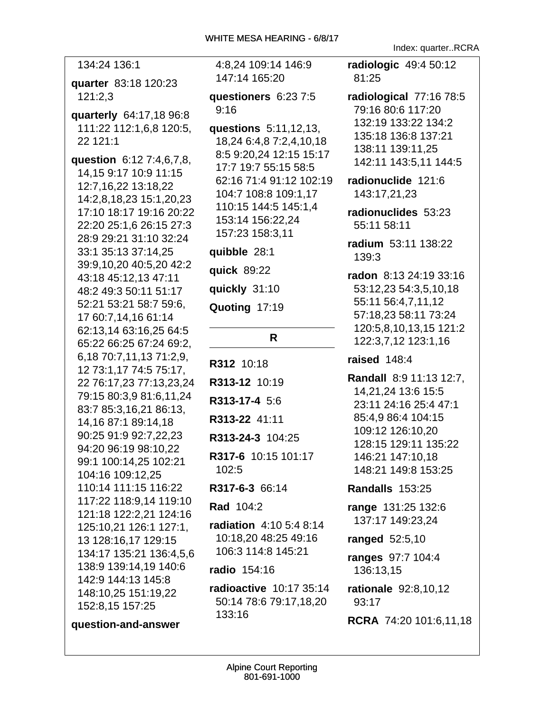| 134:24 136:1                                                                                                                                                                                                                                                                                                                                                                                                                                                                                                                                                                                                                                           |
|--------------------------------------------------------------------------------------------------------------------------------------------------------------------------------------------------------------------------------------------------------------------------------------------------------------------------------------------------------------------------------------------------------------------------------------------------------------------------------------------------------------------------------------------------------------------------------------------------------------------------------------------------------|
| quarter 83:18 120:23<br>121:2,3                                                                                                                                                                                                                                                                                                                                                                                                                                                                                                                                                                                                                        |
| quarterly 64:17,18 96:8<br>111:22 112:1,6,8 120:5,<br>22 121:1                                                                                                                                                                                                                                                                                                                                                                                                                                                                                                                                                                                         |
| question 6:12 7:4,6,7,8,<br>14,15 9:17 10:9 11:15<br>12:7,16,22 13:18,22<br>14:2,8,18,23 15:1,20,23<br>17:10 18:17 19:16 20:22<br>22:20 25:1,6 26:15 27:3<br>28:9 29:21 31:10 32:24<br>33:1 35:13 37:14,25<br>39:9,10,20 40:5,20 42:2<br>43:18 45:12,13 47:11<br>48:2 49:3 50:11 51:17<br>52:21 53:21 58:7 59:6,<br>17 60:7,14,16 61:14<br>62:13,14 63:16,25 64:5<br>65:22 66:25 67:24 69:2,<br>6,18 70:7,11,13 71:2,9,<br>12 73:1,17 74:5 75:17,<br>22 76:17,23 77:13,23,24<br>79:15 80:3,9 81:6,11,24<br>83:7 85:3,16,21 86:13,<br>14,16 87:1 89:14,18<br>90:25 91:9 92:7,22,23<br>94:20 96:19 98:10,22<br>99:1 100:14,25 102:21<br>104:16 109:12,25 |
| 110:14 111:15 116:22<br>117:22 118:9,14 119:10<br>121:18 122:2,21 124:16                                                                                                                                                                                                                                                                                                                                                                                                                                                                                                                                                                               |
| 125:10,21 126:1 127:1,                                                                                                                                                                                                                                                                                                                                                                                                                                                                                                                                                                                                                                 |

13 128:16,17 129:15

134:17 135:21 136:4,5,6

138:9 139:14,19 140:6

142:9 144:13 145:8

152:8,15 157:25

148:10,25 151:19,22

question-and-answer

4:8,24 109:14 146:9 147:14 165:20

questioners 6:23 7:5  $9:16$ 

questions 5:11,12,13, 18,24 6:4,8 7:2,4,10,18 8:5 9:20,24 12:15 15:17 17:7 19:7 55:15 58:5 62:16 71:4 91:12 102:19 104:7 108:8 109:1,17 110:15 144:5 145:1,4 153:14 156:22.24 157:23 158:3,11

## quibble 28:1

**quick 89:22** quickly 31:10 Quoting 17:19

### $\mathsf{R}$

R312 10:18 R313-12 10:19 R313-17-4 5:6 R313-22 41:11 R313-24-3 104:25 R317-6 10:15 101:17  $102:5$ R317-6-3 66:14 **Rad 104:2 radiation** 4:10 5:4 8:14 10:18.20 48:25 49:16 106:3 114:8 145:21

radio 154:16

radioactive 10:17 35:14 50:14 78:6 79:17,18,20 133:16

Index: quarter..RCRA

radiologic 49:4 50:12 81:25

radiological 77:16 78:5 79:16 80:6 117:20 132:19 133:22 134:2 135:18 136:8 137:21 138:11 139:11,25 142:11 143:5,11 144:5

radionuclide 121:6 143:17,21,23

radionuclides 53:23 55:11 58:11

radium 53:11 138:22 139:3

radon 8:13 24:19 33:16 53:12.23 54:3.5.10.18 55:11 56:4,7,11,12 57:18.23 58:11 73:24 120:5.8.10.13.15 121:2 122:3,7,12 123:1,16

## raised  $148:4$

Randall 8:9 11:13 12:7, 14.21.24 13:6 15:5 23:11 24:16 25:4 47:1 85:4,9 86:4 104:15 109:12 126:10.20 128:15 129:11 135:22 146:21 147:10.18 148:21 149:8 153:25

Randalls 153:25

**range** 131:25 132:6 137:17 149:23,24

ranged 52:5,10

ranges 97:7 104:4 136:13,15

**rationale** 92:8,10,12 93:17

**RCRA** 74:20 101:6,11,18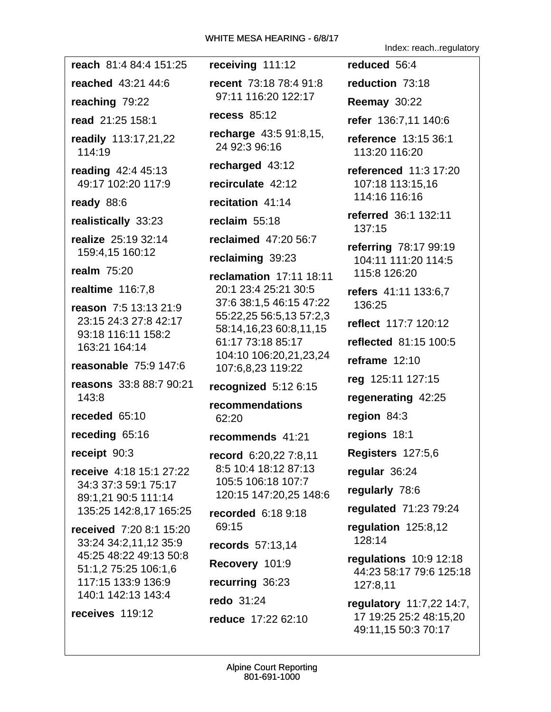|                                                | 0/0/17 - טוואאאה אכאווד ב ווחזי                                                            | Index: reachregulatory                            |
|------------------------------------------------|--------------------------------------------------------------------------------------------|---------------------------------------------------|
| reach 81:4 84:4 151:25                         | receiving 111:12                                                                           | reduced 56:4                                      |
| reached 43:21 44:6                             | recent 73:18 78:4 91:8<br>97:11 116:20 122:17                                              | reduction 73:18                                   |
| reaching 79:22                                 |                                                                                            | <b>Reemay 30:22</b>                               |
| read 21:25 158:1                               | recess 85:12                                                                               | refer 136:7,11 140:6                              |
| readily 113:17,21,22<br>114:19                 | recharge 43:5 91:8,15,<br>24 92:3 96:16                                                    | reference 13:15 36:1<br>113:20 116:20             |
| reading 42:4 45:13                             | recharged 43:12                                                                            | referenced 11:3 17:20                             |
| 49:17 102:20 117:9                             | recirculate 42:12                                                                          | 107:18 113:15,16                                  |
| ready 88:6                                     | recitation 41:14                                                                           | 114:16 116:16                                     |
| realistically 33:23                            | reclaim $55:18$                                                                            | referred 36:1 132:11<br>137:15                    |
| realize 25:19 32:14                            | reclaimed 47:20 56:7                                                                       | referring 78:17 99:19                             |
| 159:4,15 160:12                                | reclaiming 39:23                                                                           | 104:11 111:20 114:5                               |
| realm $75:20$                                  | reclamation 17:11 18:11                                                                    | 115:8 126:20                                      |
| realtime $116:7,8$                             | 20:1 23:4 25:21 30:5<br>37:6 38:1,5 46:15 47:22                                            | refers 41:11 133:6,7                              |
| reason 7:5 13:13 21:9<br>23:15 24:3 27:8 42:17 | 55:22,25 56:5,13 57:2,3                                                                    | 136:25                                            |
| 93:18 116:11 158:2                             | 58:14,16,23 60:8,11,15<br>61:17 73:18 85:17<br>104:10 106:20,21,23,24<br>107:6,8,23 119:22 | reflect 117:7 120:12                              |
| 163:21 164:14                                  |                                                                                            | <b>reflected</b> 81:15 100:5                      |
| reasonable 75:9 147:6                          |                                                                                            | reframe $12:10$                                   |
| reasons 33:8 88:7 90:21                        | recognized 5:12 6:15                                                                       | reg 125:11 127:15                                 |
| 143:8                                          | recommendations                                                                            | regenerating 42:25                                |
| receded 65:10                                  | 62:20                                                                                      | region $84:3$                                     |
| receding 65:16                                 | recommends 41:21                                                                           | regions 18:1                                      |
| receipt 90:3                                   | record 6:20,22 7:8,11                                                                      | <b>Registers</b> 127:5,6                          |
| receive 4:18 15:1 27:22                        | 8:5 10:4 18:12 87:13<br>105:5 106:18 107:7<br>120:15 147:20,25 148:6                       | regular 36:24                                     |
| 34:3 37:3 59:1 75:17<br>89:1.21 90:5 111:14    |                                                                                            | regularly 78:6                                    |
| 135:25 142:8,17 165:25                         | <b>recorded</b> 6:18 9:18                                                                  | regulated 71:23 79:24                             |
| received 7:20 8:1 15:20                        | 69:15                                                                                      | regulation 125:8,12                               |
| 33:24 34:2,11,12 35:9                          | records 57:13,14                                                                           | 128:14                                            |
| 45:25 48:22 49:13 50:8<br>51:1,2 75:25 106:1,6 | Recovery 101:9                                                                             | regulations 10:9 12:18<br>44:23 58:17 79:6 125:18 |
| 117:15 133:9 136:9                             | recurring 36:23                                                                            | 127:8,11                                          |
| 140:1 142:13 143:4                             | redo 31:24                                                                                 | regulatory 11:7,22 14:7,                          |
| receives 119:12                                | reduce 17:22 62:10                                                                         | 17 19:25 25:2 48:15,20<br>49:11,15 50:3 70:17     |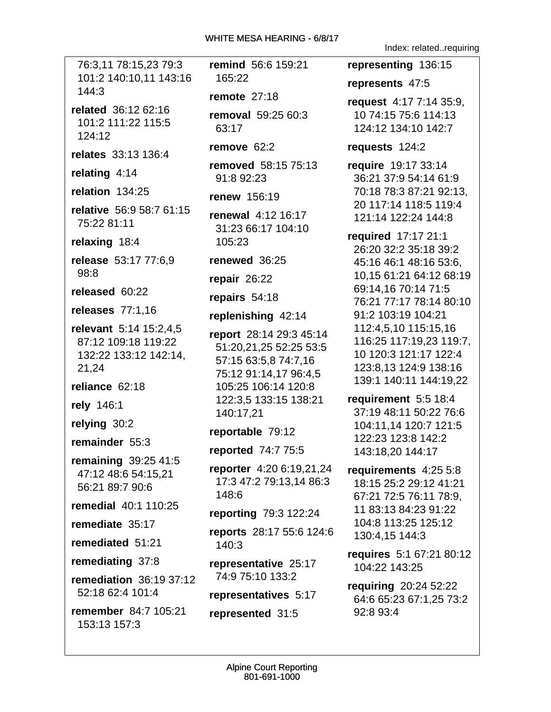76:3,11 78:15,23 79:3 101:2 140:10,11 143:16  $144:3$ 

related 36:12 62:16 101:2 111:22 115:5 124:12

relates 33:13 136:4

relating 4:14

relation 134:25

relative 56:9 58:7 61:15 75:22 81:11

relaxing 18:4

release 53:17 77:6,9  $98:8$ 

released 60:22

releases 77:1,16

relevant 5:14 15:2,4,5 87:12 109:18 119:22 132:22 133:12 142:14, 21,24

reliance 62:18

rely 146:1

relying 30:2

remainder 55:3

remaining  $39:2541:5$ 47:12 48:6 54:15,21 56:21 89:7 90:6

remedial 40:1 110:25

remediate 35:17

remediated 51:21

remediating 37:8

remediation  $36:1937:12$ 52:18 62:4 101:4

remember 84:7 105:21 153:13 157:3

remind 56:6 159:21 165:22

remote  $27:18$ 

**removal** 59:25 60:3 63:17

remove  $62:2$ 

**removed** 58:15 75:13 91:8 92:23

**renew 156:19** 

**renewal** 4:12 16:17 31:23 66:17 104:10 105:23

renewed 36:25

repair  $26:22$ 

repairs 54:18

replenishing 42:14

report 28:14 29:3 45:14 51:20,21,25 52:25 53:5 57:15 63:5,8 74:7,16 75:12 91:14,17 96:4,5 105:25 106:14 120:8 122:3,5 133:15 138:21 140:17,21

reportable 79:12

reported 74:7 75:5

reporter 4:20 6:19,21,24 17:3 47:2 79:13,14 86:3 148:6

reporting 79:3 122:24

reports 28:17 55:6 124:6 140:3

representative 25:17 74:9 75:10 133:2

representatives 5:17

represented 31:5

Index: related..requiring

representing 136:15

represents 47:5

request  $4:177:1435:9$ , 10 74:15 75:6 114:13 124:12 134:10 142:7

requests  $124:2$ 

**require** 19:17 33:14 36:21 37:9 54:14 61:9 70:18 78:3 87:21 92:13, 20 117:14 118:5 119:4 121:14 122:24 144:8

required 17:17 21:1 26:20 32:2 35:18 39:2 45:16 46:1 48:16 53:6, 10,15 61:21 64:12 68:19 69:14.16 70:14 71:5 76:21 77:17 78:14 80:10 91:2 103:19 104:21 112:4,5,10 115:15,16 116:25 117:19,23 119:7, 10 120:3 121:17 122:4 123:8,13 124:9 138:16 139:1 140:11 144:19,22

requirement 5:5 18:4 37:19 48:11 50:22 76:6 104:11,14 120:7 121:5 122:23 123:8 142:2 143:18,20 144:17

requirements 4:25 5:8 18:15 25:2 29:12 41:21 67:21 72:5 76:11 78:9. 11 83:13 84:23 91:22 104:8 113:25 125:12 130:4.15 144:3

requires 5:1 67:21 80:12 104:22 143:25

requiring 20:24 52:22 64:6 65:23 67:1,25 73:2 92:8 93:4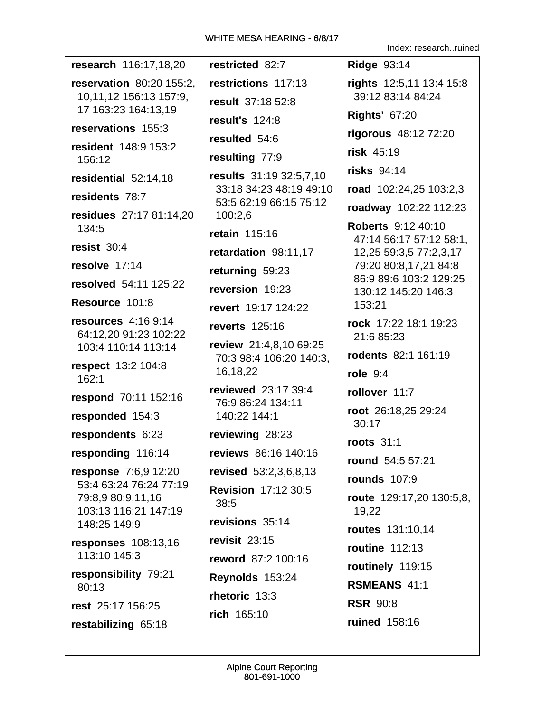research 116:17,18,20 **reservation 80:20 155:2.** 10,11,12 156:13 157:9, 17 163:23 164:13.19 reservations 155:3 resident 148:9 153:2 156:12 residential 52:14,18 residents 78:7 residues 27:17 81:14.20 100:2.6 134:5 resist  $30:4$ resolve 17:14 resolved 54:11 125:22 Resource 101:8 resources  $4:169:14$ 64:12.20 91:23 102:22 103:4 110:14 113:14 respect 13:2 104:8 16,18,22  $162:1$ respond 70:11 152:16 responded 154:3 respondents 6:23 responding 116:14 **response** 7:6,9 12:20 53:4 63:24 76:24 77:19 79:8,9 80:9,11,16  $38:5$ 103:13 116:21 147:19 148:25 149:9 **responses** 108:13.16 113:10 145:3 responsibility 79:21 80:13 rest 25:17 156:25 rich 165:10 restabilizing 65:18

restricted 82:7 restrictions 117:13 result 37:18 52:8 result's 124:8 resulted 54:6 resulting 77:9 results 31:19 32:5,7,10 33:18 34:23 48:19 49:10 53:5 62:19 66:15 75:12 retain 115:16 retardation 98:11,17 returning 59:23 reversion 19:23 revert 19:17 124:22 reverts 125:16 review 21:4,8,10 69:25 70:3 98:4 106:20 140:3. reviewed 23:17 39:4 76:9 86:24 134:11 140:22 144:1 reviewing 28:23 reviews 86:16 140:16 revised 53:2,3,6,8,13 **Revision 17:12 30:5** revisions 35:14 revisit  $23:15$ reword 87:2 100:16 Reynolds 153:24 rhetoric  $13:3$ 

Index: research..ruined

**Ridge 93:14** rights 12:5,11 13:4 15:8 39:12 83:14 84:24 **Rights' 67:20** rigorous 48:12 72:20 risk  $45:19$ risks 94:14 road 102:24,25 103:2,3 roadway 102:22 112:23 **Roberts** 9:12 40:10 47:14 56:17 57:12 58:1, 12,25 59:3,5 77:2,3,17 79:20 80:8,17,21 84:8 86:9 89:6 103:2 129:25 130:12 145:20 146:3 153:21 rock 17:22 18:1 19:23 21:6 85:23 rodents 82:1 161:19 role  $9:4$ rollover 11:7 root 26:18,25 29:24  $30:17$ roots  $31:1$ round 54:5 57:21 **rounds** 107:9 **route** 129:17,20 130:5,8, 19,22 routes 131:10,14 **routine** 112:13 routinely 119:15 RSMEANS 41:1 **RSR 90:8** ruined 158:16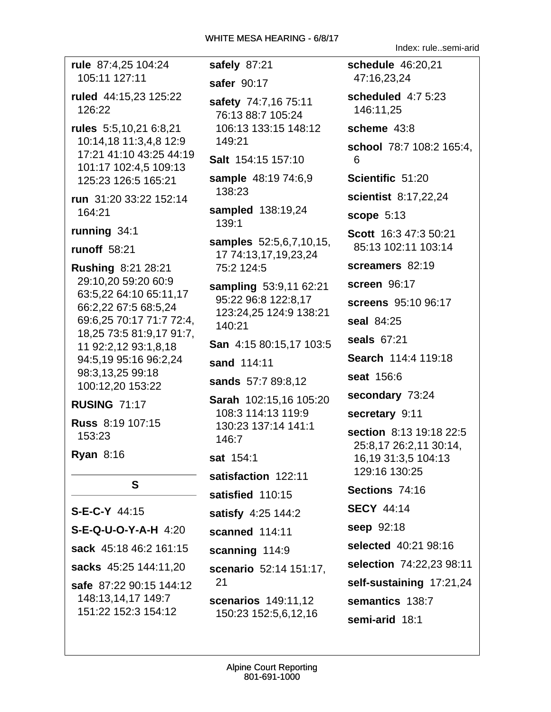Index: rule..semi-arid

| rule 87:4,25 104:24                                                                                                                                                                                                    | safely 87:21                                                                                                                                      |  |  |
|------------------------------------------------------------------------------------------------------------------------------------------------------------------------------------------------------------------------|---------------------------------------------------------------------------------------------------------------------------------------------------|--|--|
| 105:11 127:11                                                                                                                                                                                                          | safer 90:17                                                                                                                                       |  |  |
| ruled 44:15,23 125:22<br>126:22                                                                                                                                                                                        | safety 74:7,16 75:11<br>76:13 88:7 105:24<br>106:13 133:15 148:12<br>149:21                                                                       |  |  |
| rules 5:5,10,21 6:8,21<br>10:14,18 11:3,4,8 12:9                                                                                                                                                                       |                                                                                                                                                   |  |  |
| 17:21 41:10 43:25 44:19<br>101:17 102:4,5 109:13                                                                                                                                                                       | Salt 154:15 157:10                                                                                                                                |  |  |
| 125:23 126:5 165:21                                                                                                                                                                                                    | sample 48:19 74:6,9<br>138:23                                                                                                                     |  |  |
| run 31:20 33:22 152:14<br>164:21                                                                                                                                                                                       | sampled 138:19,24<br>139:1                                                                                                                        |  |  |
| running 34:1                                                                                                                                                                                                           |                                                                                                                                                   |  |  |
| <b>runoff</b> 58:21<br><b>Rushing 8:21 28:21</b>                                                                                                                                                                       | samples 52:5,6,7,10,15,<br>17 74:13,17,19,23,24<br>75:2 124:5                                                                                     |  |  |
| 29:10,20 59:20 60:9<br>63:5,22 64:10 65:11,17<br>66:2,22 67:5 68:5,24<br>69:6,25 70:17 71:7 72:4,<br>18,25 73:5 81:9,17 91:7,<br>11 92:2,12 93:1,8,18<br>94:5,19 95:16 96:2,24<br>98:3,13,25 99:18<br>100:12,20 153:22 | sampling 53:9,11 62:21<br>95:22 96:8 122:8,17<br>123:24,25 124:9 138:21<br>140:21<br>San 4:15 80:15,17 103:5<br>sand 114:11<br>sands 57:7 89:8,12 |  |  |
| <b>RUSING 71:17</b>                                                                                                                                                                                                    | Sarah 102:15,16 105:20<br>108:3 114:13 119:9<br>130:23 137:14 141:1<br>146:7<br>sat 154:1                                                         |  |  |
| Russ 8:19 107:15<br>153:23                                                                                                                                                                                             |                                                                                                                                                   |  |  |
| Ryan 8:16                                                                                                                                                                                                              |                                                                                                                                                   |  |  |
| S                                                                                                                                                                                                                      | satisfaction 122:11                                                                                                                               |  |  |
|                                                                                                                                                                                                                        | satisfied 110:15                                                                                                                                  |  |  |
| $S-E-C-Y$ 44:15                                                                                                                                                                                                        | satisfy 4:25 144:2                                                                                                                                |  |  |
| <b>S-E-Q-U-O-Y-A-H</b> 4:20                                                                                                                                                                                            | scanned 114:11                                                                                                                                    |  |  |
| sack 45:18 46:2 161:15                                                                                                                                                                                                 | scanning 114:9                                                                                                                                    |  |  |
| sacks 45:25 144:11,20                                                                                                                                                                                                  | scenario 52:14 151:17,                                                                                                                            |  |  |
| safe 87:22 90:15 144:12                                                                                                                                                                                                | 21                                                                                                                                                |  |  |
| 148:13,14,17 149:7<br>151:22 152:3 154:12                                                                                                                                                                              | scenarios 149:11,12<br>150:23 152:5,6,12,16                                                                                                       |  |  |

schedule 46:20,21 47:16.23.24 scheduled 4:7 5:23 146:11.25 scheme 43:8 school 78:7 108:2 165:4. 6 Scientific 51:20 scientist 8:17,22,24 scope  $5:13$ Scott 16:3 47:3 50:21  $2:5,6,7,10,15,$ 85:13 102:11 103:14 screamers 82:19 screen 96:17 screens 95:10 96:17 seal 84:25 seals 67:21 0:15,17 103:5 Search 114:4 119:18 seat 156:6 secondary 73:24 secretary 9:11 section 8:13 19:18 22:5 25:8,17 26:2,11 30:14, 16, 19 31: 3, 5 104: 13 129:16 130:25 Sections 74:16 **SECY 44:14** seep 92:18 selected 40:21 98:16 selection 74:22,23 98:11 self-sustaining 17:21,24 semantics 138:7 semi-arid 18:1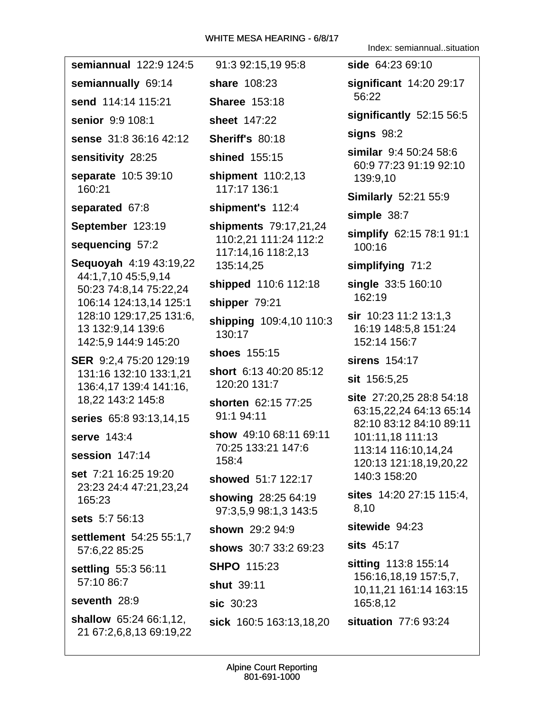Index: semiannual..situation

semiannual 122:9 124:5 91:3 92:15,19 95:8 side 64:23 69:10 significant 14:20 29:17 semiannually 69:14 share 108:23 56:22 send 114:14 115:21 **Sharee 153:18** significantly 52:15 56:5 senior 9:9 108:1 sheet 147:22 signs  $98:2$ sense 31:8 36:16 42:12 **Sheriff's 80:18** similar 9:4 50:24 58:6 sensitivity 28:25 shined 155:15 60:9 77:23 91:19 92:10 **separate** 10:5 39:10 shipment 110:2,13 139:9,10 160:21 117:17 136:1 **Similarly 52:21 55:9** separated 67:8 shipment's 112:4 simple 38:7 September 123:19 shipments 79:17,21,24 simplify 62:15 78:1 91:1 110:2.21 111:24 112:2 sequencing 57:2 100:16 117:14,16 118:2,13 **Sequoyah** 4:19 43:19,22 simplifying 71:2 135:14.25 44:1,7,10 45:5,9,14 shipped 110:6 112:18 single 33:5 160:10 50:23 74:8.14 75:22.24  $162:19$ 106:14 124:13.14 125:1 shipper 79:21 128:10 129:17,25 131:6, sir 10:23 11:2 13:1,3 shipping 109:4,10 110:3 13 132:9,14 139:6 16:19 148:5.8 151:24  $130:17$ 142:5.9 144:9 145:20 152:14 156:7 shoes 155:15 SER 9:2,4 75:20 129:19 sirens 154:17 short 6:13 40:20 85:12 131:16 132:10 133:1,21 **sit** 156:5,25 120:20 131:7 136:4,17 139:4 141:16. site 27:20,25 28:8 54:18 18,22 143:2 145:8 shorten 62:15 77:25 63:15,22,24 64:13 65:14 91:1 94:11 series 65:8 93:13,14,15 82:10 83:12 84:10 89:11 show 49:10 68:11 69:11 serve 143:4 101:11,18 111:13 70:25 133:21 147:6 113:14 116:10,14,24 session 147:14 158:4 120:13 121:18,19,20,22 set 7:21 16:25 19:20 140:3 158:20 showed 51:7 122:17 23:23 24:4 47:21,23,24 sites 14:20 27:15 115:4. showing 28:25 64:19 165:23 8,10 97:3.5.9 98:1.3 143:5 sets 5:7 56:13 sitewide 94:23 shown 29:2 94:9 settlement 54:25 55:1,7 sits 45:17 shows 30:7 33:2 69:23 57:6.22 85:25 sitting 113:8 155:14 **SHPO 115:23** settling 55:3 56:11 156:16,18,19 157:5,7, 57:10 86:7 shut 39:11 10,11,21 161:14 163:15 seventh 28:9 sic 30:23 165:8,12 **shallow** 65:24 66:1,12, situation 77:6 93:24 sick 160:5 163:13,18,20 21 67:2,6,8,13 69:19,22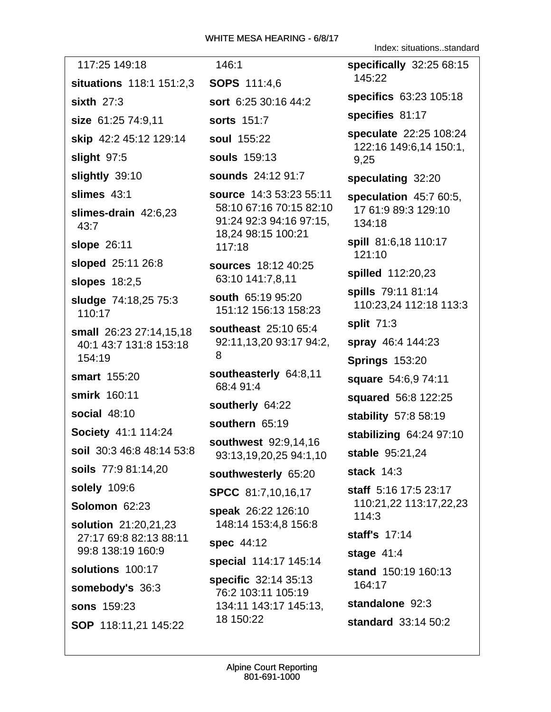Index: situations..standard

| 117:25 149:18                                               | 146:1                                                | specifically 32:25 68:15                                 |
|-------------------------------------------------------------|------------------------------------------------------|----------------------------------------------------------|
| <b>situations</b> 118:1 151:2,3                             | <b>SOPS 111:4,6</b>                                  | 145:22                                                   |
| sixth $27:3$                                                | sort 6:25 30:16 44:2                                 | specifics 63:23 105:18                                   |
| size 61:25 74:9,11                                          | sorts 151:7                                          | specifies 81:17                                          |
| skip 42:2 45:12 129:14                                      | soul 155:22                                          | speculate 22:25 108:24                                   |
| slight 97:5                                                 | <b>souls</b> 159:13                                  | 122:16 149:6,14 150:1,<br>9,25                           |
| slightly 39:10                                              | <b>sounds</b> 24:12 91:7                             | speculating 32:20                                        |
| slimes 43:1                                                 | source 14:3 53:23 55:11                              | speculation 45:7 60:5,                                   |
| slimes-drain 42:6,23<br>43:7                                | 58:10 67:16 70:15 82:10<br>91:24 92:3 94:16 97:15,   | 17 61:9 89:3 129:10<br>134:18                            |
| slope 26:11                                                 | 18,24 98:15 100:21<br>117:18                         | spill 81:6,18 110:17<br>121:10                           |
| sloped 25:11 26:8                                           | sources 18:12 40:25<br>63:10 141:7,8,11              | spilled 112:20,23                                        |
| slopes 18:2,5                                               |                                                      | spills 79:11 81:14                                       |
| <b>sludge 74:18,25 75:3</b><br>110:17                       | south 65:19 95:20<br>151:12 156:13 158:23            | 110:23,24 112:18 113:3                                   |
| small 26:23 27:14,15,18<br>40:1 43:7 131:8 153:18<br>154:19 | southeast 25:10 65:4<br>92:11,13,20 93:17 94:2,<br>8 | split 71:3<br>spray 46:4 144:23<br><b>Springs 153:20</b> |
| smart 155:20                                                | southeasterly 64:8,11                                | square 54:6,9 74:11                                      |
| smirk 160:11                                                | 68:4 91:4                                            | squared 56:8 122:25                                      |
| <b>social 48:10</b>                                         | southerly 64:22                                      | stability 57:8 58:19                                     |
| Society 41:1 114:24                                         | southern 65:19                                       | stabilizing 64:24 97:10                                  |
| soil 30:3 46:8 48:14 53:8                                   | southwest 92:9,14,16<br>93:13,19,20,25 94:1,10       | stable 95:21,24                                          |
| soils 77:9 81:14,20                                         | southwesterly 65:20                                  | stack $14:3$                                             |
| solely 109:6                                                | SPCC 81:7,10,16,17                                   | staff 5:16 17:5 23:17                                    |
| Solomon 62:23                                               | speak 26:22 126:10                                   | 110:21,22 113:17,22,23<br>114:3                          |
| solution 21:20,21,23                                        | 148:14 153:4,8 156:8                                 | staff's 17:14                                            |
| 27:17 69:8 82:13 88:11<br>99:8 138:19 160:9                 | spec 44:12                                           |                                                          |
| solutions 100:17                                            | special 114:17 145:14                                | stage $41:4$<br>stand 150:19 160:13                      |
| somebody's 36:3                                             | specific 32:14 35:13<br>76:2 103:11 105:19           | 164:17                                                   |
| <b>sons</b> 159:23                                          | 134:11 143:17 145:13,                                | standalone 92:3                                          |
| SOP 118:11,21 145:22                                        | 18 150:22                                            | standard 33:14 50:2                                      |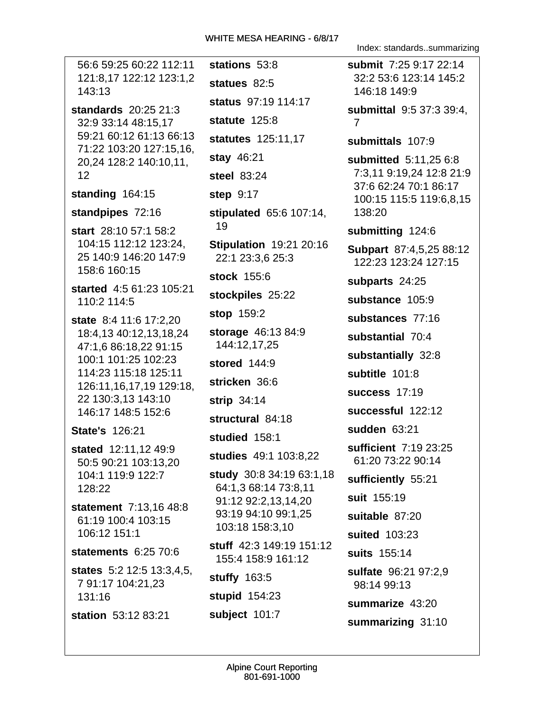56:6 59:25 60:22 112:11 stations 53:8 121:8,17 122:12 123:1,2 statues  $82:5$ 143:13 status 97:19 114:17 standards 20:25 21:3 statute 125:8 32:9 33:14 48:15,17 59:21 60:12 61:13 66:13 statutes 125:11,17 71:22 103:20 127:15,16, stay 46:21 20,24 128:2 140:10,11,  $12 \overline{ }$ steel 83:24 standing 164:15 **step 9:17** standpipes 72:16 stipulated 65:6 107:14, 19 start 28:10 57:1 58:2 104:15 112:12 123:24, **Stipulation 19:21 20:16** 25 140:9 146:20 147:9 22:1 23:3.6 25:3 158:6 160:15 stock 155:6 started 4:5 61:23 105:21 stockpiles 25:22 110:2 114:5 stop 159:2 state 8:4 11:6 17:2,20 storage 46:13 84:9 18:4,13 40:12,13,18,24 144:12,17,25 47:1.6 86:18.22 91:15 100:1 101:25 102:23 stored  $144:9$ 114:23 115:18 125:11 stricken 36:6 126:11,16,17,19 129:18, 22 130:3,13 143:10 strip  $34:14$ 146:17 148:5 152:6 structural 84:18 **State's 126:21** studied 158:1 stated 12:11,12 49:9 studies 49:1 103:8.22 50:5 90:21 103:13,20 104:1 119:9 122:7 study 30:8 34:19 63:1,18 128:22 64:1,3 68:14 73:8,11 91:12 92:2,13,14,20 statement 7:13.16 48:8 93:19 94:10 99:1,25 61:19 100:4 103:15 103:18 158:3.10 106:12 151:1 stuff 42:3 149:19 151:12 statements  $6:2570:6$ 155:4 158:9 161:12 **states** 5:2 12:5 13:3,4,5, stuffy 163:5 7 91:17 104:21,23 stupid 154:23 131:16 station 53:12 83:21 subject 101:7

Index: standards..summarizing

submit 7:25 9:17 22:14 32:2 53:6 123:14 145:2 146:18 149:9 **submittal** 9:5 37:3 39:4.  $\overline{7}$ submittals 107:9 **submitted** 5:11,25 6:8 7:3,11 9:19,24 12:8 21:9 37:6 62:24 70:1 86:17

100:15 115:5 119:6,8,15 138:20

submitting 124:6

Subpart 87:4,5,25 88:12 122:23 123:24 127:15

subparts 24:25

substance 105:9

substances 77:16

substantial 70:4

substantially 32:8

subtitle 101:8

success  $17:19$ 

successful 122:12

sudden 63:21

sufficient 7:19 23:25 61:20 73:22 90:14

sufficiently 55:21

suit 155:19

suitable 87:20

suited 103:23 suits 155:14

sulfate 96:21 97:2,9 98:14 99:13

summarize 43:20

summarizing 31:10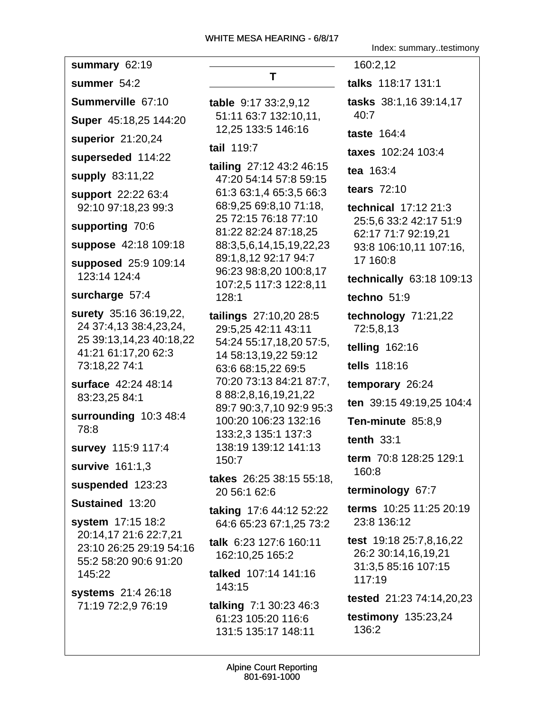| summary 62:19                                                                                                       |
|---------------------------------------------------------------------------------------------------------------------|
| summer 54:2                                                                                                         |
| Summerville 67:10                                                                                                   |
| Super 45:18,25 144:20                                                                                               |
| superior 21:20,24                                                                                                   |
| superseded 114:22                                                                                                   |
| <b>supply 83:11,22</b>                                                                                              |
| support 22:22 63:4<br>92:10 97:18,23 99:3                                                                           |
| supporting 70:6                                                                                                     |
| suppose 42:18 109:18                                                                                                |
| supposed 25:9 109:14<br>123:14 124:4                                                                                |
| surcharge 57:4                                                                                                      |
| surety 35:16 36:19,22,<br>24 37:4,13 38:4,23,24,<br>25 39:13,14,23 40:18,22<br>41:21 61:17,20 62:3<br>73:18,22 74:1 |
| surface 42:24 48:14<br>83:23,25 84:1                                                                                |
| surrounding 10:3 48:4<br>78:8                                                                                       |
| survey 115:9 117:4                                                                                                  |
| survive 161:1,3                                                                                                     |
| suspended 123:23                                                                                                    |
| Sustained 13:20                                                                                                     |
| system 17:15 18:2<br>20:14,17 21:6 22:7,21<br>23:10 26:25 29:19 54:16<br>55:2 58:20 90:6 91:20<br>145:22            |
| systems 21:4 26:18<br>71:19 72:2.9 76:19                                                                            |

T. table 9:17 33:2,9,12 51:11 63:7 132:10,11, 12,25 133:5 146:16 tail 119:7 tailing  $27:1243:246:15$ 

47:20 54:14 57:8 59:15 61:3 63:1,4 65:3,5 66:3 68:9,25 69:8,10 71:18, 25 72:15 76:18 77:10 81:22 82:24 87:18.25 88:3,5,6,14,15,19,22,23 89:1,8,12 92:17 94:7 96:23 98:8,20 100:8,17 107:2,5 117:3 122:8,11 128:1

tailings 27:10,20 28:5 29:5,25 42:11 43:11 54:24 55:17,18,20 57:5, 14 58:13,19,22 59:12 63:6 68:15,22 69:5 70:20 73:13 84:21 87:7, 8 88:2,8,16,19,21,22 89:7 90:3,7,10 92:9 95:3 100:20 106:23 132:16 133:2,3 135:1 137:3 138:19 139:12 141:13 150:7

takes 26:25 38:15 55:18, 20 56:1 62:6

taking 17:6 44:12 52:22 64:6 65:23 67:1,25 73:2

talk 6:23 127:6 160:11 162:10.25 165:2

talked 107:14 141:16 143:15

**talking 7:1 30:23 46:3** 61:23 105:20 116:6 131:5 135:17 148:11

Index: summary..testimony

160:2,12 talks 118:17 131:1 tasks 38:1,16 39:14,17  $40:7$ **taste** 164:4 **taxes** 102:24 103:4 tea 163:4 tears 72:10 technical 17:12 21:3 25:5,6 33:2 42:17 51:9 62:17 71:7 92:19.21 93:8 106:10,11 107:16, 17 160:8 technically 63:18 109:13 techno 51:9 technology 71:21,22 72:5,8,13 telling  $162:16$ tells 118:16 temporary 26:24 ten 39:15 49:19,25 104:4 Ten-minute 85:8,9 tenth  $33:1$ term 70:8 128:25 129:1 160:8 terminology 67:7 terms 10:25 11:25 20:19 23:8 136:12 test 19:18 25:7,8,16,22 26:2 30:14,16,19,21 31:3,5 85:16 107:15 117:19 tested 21:23 74:14,20,23 **testimony** 135:23,24 136:2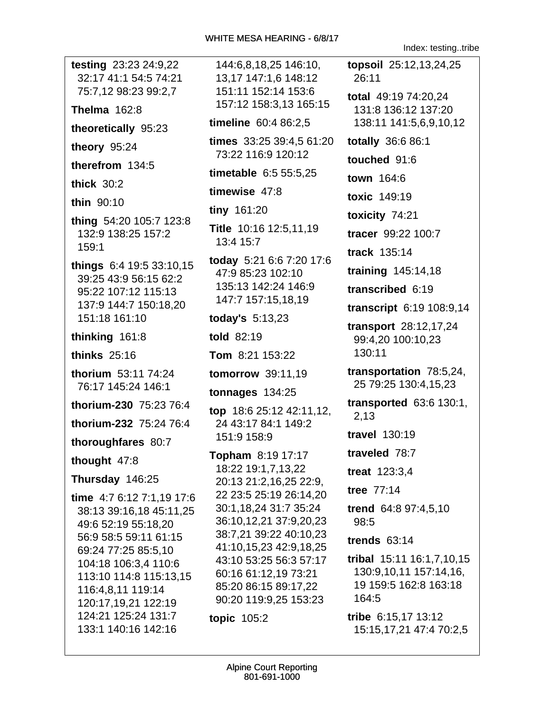Index: testing..tribe

| testing 23:23 24:9,22<br>32:17 41:1 54:5 74:21 | 144:6,8,18,25 146:10,<br>13,17 147:1,6 148:12    | topsoil 25:12,13,24,25<br>26:11                |
|------------------------------------------------|--------------------------------------------------|------------------------------------------------|
| 75:7,12 98:23 99:2,7                           | 151:11 152:14 153:6<br>157:12 158:3,13 165:15    | total 49:19 74:20,24                           |
| <b>Thelma</b> 162:8                            | timeline 60:4 86:2,5                             | 131:8 136:12 137:20<br>138:11 141:5,6,9,10,12  |
| theoretically 95:23                            | times 33:25 39:4,5 61:20                         | totally 36:6 86:1                              |
| theory 95:24                                   | 73:22 116:9 120:12                               | touched 91:6                                   |
| therefrom 134:5                                | timetable 6:5 55:5,25                            | town 164:6                                     |
| thick $30:2$                                   | timewise 47:8                                    | toxic 149:19                                   |
| thin 90:10                                     | tiny 161:20                                      |                                                |
| thing 54:20 105:7 123:8                        | Title 10:16 12:5,11,19                           | toxicity 74:21                                 |
| 132:9 138:25 157:2<br>159:1                    | 13:4 15:7                                        | tracer 99:22 100:7                             |
| things 6:4 19:5 33:10,15                       | today 5:21 6:6 7:20 17:6                         | track 135:14                                   |
| 39:25 43:9 56:15 62:2                          | 47:9 85:23 102:10                                | training 145:14,18                             |
| 95:22 107:12 115:13                            | 135:13 142:24 146:9<br>147:7 157:15,18,19        | transcribed 6:19                               |
| 137:9 144:7 150:18,20<br>151:18 161:10         | today's $5:13,23$                                | transcript 6:19 108:9,14                       |
|                                                | told 82:19                                       | transport 28:12,17,24                          |
| thinking 161:8                                 |                                                  | 99:4,20 100:10,23                              |
|                                                |                                                  |                                                |
| thinks $25:16$                                 | Tom 8:21 153:22                                  | 130:11                                         |
| thorium 53:11 74:24                            | tomorrow 39:11,19                                | transportation 78:5,24,                        |
| 76:17 145:24 146:1                             | tonnages $134:25$                                | 25 79:25 130:4,15,23                           |
| thorium-230 75:23 76:4                         | top 18:6 25:12 42:11,12,                         | <b>transported</b> 63:6 130:1,<br>2,13         |
| thorium-232 75:24 76:4                         | 24 43:17 84:1 149:2<br>151:9 158:9               | <b>travel</b> 130:19                           |
| thoroughfares 80:7                             | Topham 8:19 17:17                                | traveled 78:7                                  |
| thought 47:8                                   | 18:22 19:1,7,13,22                               | treat 123:3,4                                  |
| Thursday 146:25                                | 20:13 21:2,16,25 22:9,                           | tree 77:14                                     |
| time 4:7 6:12 7:1,19 17:6                      | 22 23:5 25:19 26:14,20<br>30:1,18,24 31:7 35:24  |                                                |
| 38:13 39:16,18 45:11,25<br>49:6 52:19 55:18,20 | 36:10,12,21 37:9,20,23                           | trend 64:8 97:4,5,10<br>98:5                   |
| 56:9 58:5 59:11 61:15                          | 38:7,21 39:22 40:10,23                           | trends $63:14$                                 |
| 69:24 77:25 85:5,10                            | 41:10,15,23 42:9,18,25<br>43:10 53:25 56:3 57:17 | tribal 15:11 16:1,7,10,15                      |
| 104:18 106:3,4 110:6<br>113:10 114:8 115:13,15 | 60:16 61:12,19 73:21                             | 130:9,10,11 157:14,16,                         |
| 116:4,8,11 119:14                              | 85:20 86:15 89:17,22                             | 19 159:5 162:8 163:18                          |
| 120:17,19,21 122:19                            | 90:20 119:9,25 153:23                            | 164:5                                          |
| 124:21 125:24 131:7<br>133:1 140:16 142:16     | <b>topic 105:2</b>                               | tribe 6:15,17 13:12<br>15:15,17,21 47:4 70:2,5 |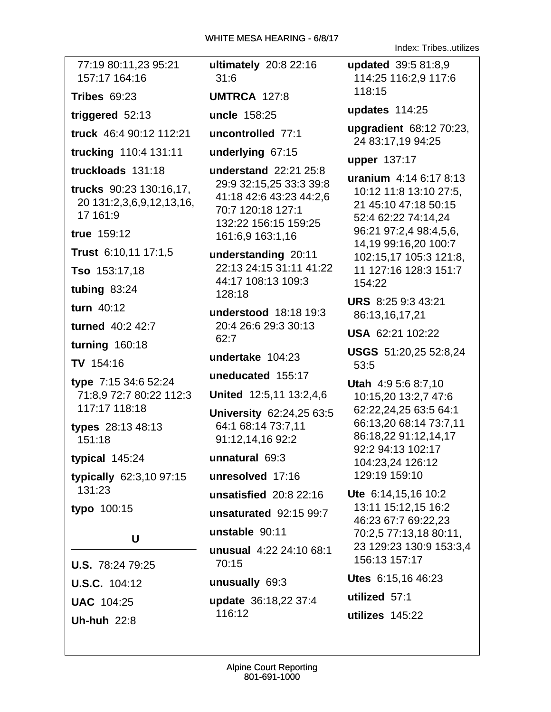Index: Tribes..utilizes

| 77:19 80:11,23 95:21<br>157:17 164:16                           | ultimately 20:8 22:16<br>31:6                                                                             | updated 39:5 81:8,9<br>114:25 116:2,9 117:6                             |
|-----------------------------------------------------------------|-----------------------------------------------------------------------------------------------------------|-------------------------------------------------------------------------|
| <b>Tribes 69:23</b>                                             | <b>UMTRCA 127:8</b>                                                                                       | 118:15                                                                  |
| triggered 52:13                                                 | uncle 158:25                                                                                              | updates 114:25                                                          |
| truck 46:4 90:12 112:21                                         | uncontrolled 77:1                                                                                         | upgradient 68:12 70:23,<br>24 83:17,19 94:25                            |
| trucking 110:4 131:11                                           | underlying 67:15                                                                                          | upper 137:17                                                            |
| truckloads 131:18                                               | understand 22:21 25:8                                                                                     | uranium 4:14 6:17 8:13                                                  |
| trucks 90:23 130:16,17,<br>20 131:2,3,6,9,12,13,16,<br>17 161:9 | 29:9 32:15,25 33:3 39:8<br>41:18 42:6 43:23 44:2,6<br>70:7 120:18 127:1<br>132:22 156:15 159:25           | 10:12 11:8 13:10 27:5,<br>21 45:10 47:18 50:15<br>52:4 62:22 74:14,24   |
| true 159:12                                                     | 161:6,9 163:1,16                                                                                          | 96:21 97:2,4 98:4,5,6,                                                  |
| Trust 6:10,11 17:1,5                                            | understanding 20:11                                                                                       | 14,19 99:16,20 100:7<br>102:15,17 105:3 121:8,                          |
| Tso 153:17,18                                                   | 22:13 24:15 31:11 41:22                                                                                   | 11 127:16 128:3 151:7<br>154:22                                         |
| tubing 83:24                                                    | 44:17 108:13 109:3<br>128:18                                                                              |                                                                         |
| turn 40:12                                                      | understood 18:18 19:3                                                                                     | <b>URS</b> 8:25 9:3 43:21<br>86:13,16,17,21                             |
| turned 40:2 42:7                                                | 20:4 26:6 29:3 30:13                                                                                      | USA 62:21 102:22                                                        |
| <b>turning 160:18</b>                                           | 62:7                                                                                                      | USGS 51:20,25 52:8,24                                                   |
| TV 154:16                                                       | undertake 104:23                                                                                          | 53:5                                                                    |
| type 7:15 34:6 52:24                                            | uneducated 155:17<br><b>Utah</b> 4:9 5:6 8:7,10                                                           |                                                                         |
| 71:8,9 72:7 80:22 112:3                                         | United 12:5,11 13:2,4,6                                                                                   | 10:15,20 13:2,7 47:6                                                    |
| 117:17 118:18<br>types 28:13 48:13<br>151:18                    | University 62:24,25 63:5<br>64:1 68:14 73:7,11<br>91:12,14,16 92:2<br>92:2 94:13 102:17<br>unnatural 69:3 | 62:22,24,25 63:5 64:1<br>66:13,20 68:14 73:7,11<br>86:18,22 91:12,14,17 |
| typical 145:24                                                  |                                                                                                           | 104:23,24 126:12                                                        |
| <b>typically</b> 62:3,10 97:15                                  | unresolved 17:16                                                                                          | 129:19 159:10                                                           |
| 131:23                                                          | unsatisfied 20:8 22:16                                                                                    | Ute 6:14,15,16 10:2                                                     |
| typo 100:15                                                     | unsaturated 92:15 99:7                                                                                    | 13:11 15:12,15 16:2<br>46:23 67:7 69:22,23<br>70:2,5 77:13,18 80:11,    |
| U                                                               | unstable 90:11                                                                                            |                                                                         |
| <b>U.S.</b> 78:24 79:25                                         | unusual 4:22 24:10 68:1<br>70:15                                                                          | 23 129:23 130:9 153:3,4<br>156:13 157:17                                |
| <b>U.S.C.</b> 104:12                                            | unusually 69:3                                                                                            | Utes 6:15,16 46:23                                                      |
| <b>UAC 104:25</b>                                               | update 36:18,22 37:4                                                                                      | utilized 57:1                                                           |
| <b>Uh-huh 22:8</b>                                              | 116:12                                                                                                    | utilizes 145:22                                                         |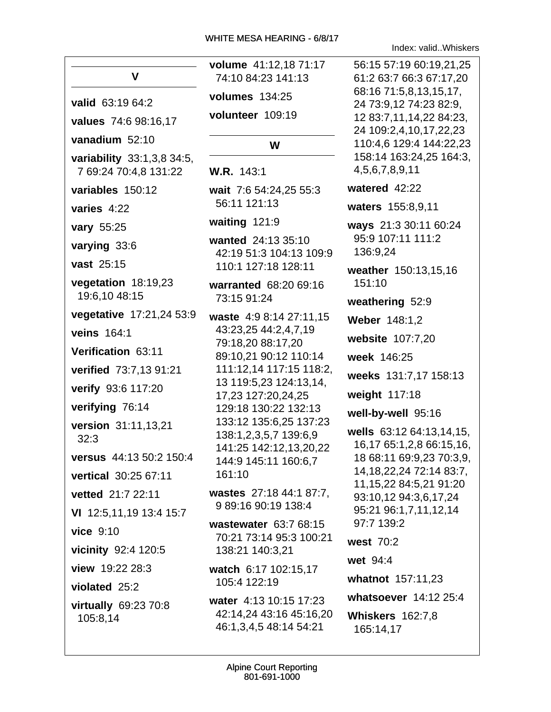| V                                                   | volume 41:12,18 71:17<br>74:10 84:23 141:13                         | 56:15 57:19 60:19,21,25<br>61:2 63:7 66:3 67:17,20                          |
|-----------------------------------------------------|---------------------------------------------------------------------|-----------------------------------------------------------------------------|
| valid 63:19 64:2                                    | volumes 134:25                                                      | 68:16 71:5,8,13,15,17,<br>24 73:9,12 74:23 82:9,<br>12 83:7,11,14,22 84:23, |
| values 74:6 98:16,17                                | volunteer 109:19                                                    |                                                                             |
| vanadium 52:10                                      | W                                                                   | 24 109:2,4,10,17,22,23<br>110:4,6 129:4 144:22,23                           |
| variability 33:1,3,8 34:5,<br>7 69:24 70:4,8 131:22 | W.R. 143:1                                                          | 158:14 163:24,25 164:3,<br>4,5,6,7,8,9,11                                   |
| variables 150:12                                    | wait 7:6 54:24,25 55:3                                              | watered 42:22                                                               |
| varies 4:22                                         | 56:11 121:13                                                        | waters 155:8,9,11                                                           |
| vary 55:25                                          | waiting 121:9                                                       | ways 21:3 30:11 60:24                                                       |
| varying 33:6                                        | wanted 24:13 35:10<br>42:19 51:3 104:13 109:9                       | 95:9 107:11 111:2<br>136:9,24                                               |
| vast 25:15                                          | 110:1 127:18 128:11                                                 | weather 150:13,15,16                                                        |
| vegetation 18:19,23<br>19:6,10 48:15                | warranted 68:20 69:16                                               | 151:10                                                                      |
| vegetative 17:21,24 53:9                            | 73:15 91:24                                                         | weathering 52:9                                                             |
| veins 164:1                                         | waste 4:9 8:14 27:11,15<br>43:23,25 44:2,4,7,19                     | <b>Weber 148:1,2</b>                                                        |
|                                                     | 79:18,20 88:17,20                                                   | website 107:7,20                                                            |
| Verification 63:11                                  | 89:10,21 90:12 110:14                                               | week 146:25                                                                 |
| verified 73:7,13 91:21                              | 111:12,14 117:15 118:2,<br>13 119:5,23 124:13,14,                   | weeks 131:7,17 158:13                                                       |
| verify 93:6 117:20                                  | 17,23 127:20,24,25                                                  | weight 117:18                                                               |
| verifying 76:14                                     | 129:18 130:22 132:13                                                | well-by-well 95:16                                                          |
| version 31:11,13,21<br>32:3                         | 133:12 135:6,25 137:23<br>138:1,2,3,5,7 139:6,9                     | wells 63:12 64:13,14,15,<br>16,17 65:1,2,8 66:15,16,                        |
| versus 44:13 50:2 150:4                             | 141:25 142:12,13,20,22<br>144:9 145:11 160:6,7                      | 18 68:11 69:9,23 70:3,9,                                                    |
| vertical 30:25 67:11                                | 161:10                                                              | 14, 18, 22, 24 72: 14 83: 7,                                                |
| vetted 21:7 22:11                                   | wastes 27:18 44:1 87:7,                                             | 11, 15, 22 84: 5, 21 91: 20<br>93:10,12 94:3,6,17,24                        |
| VI 12:5,11,19 13:4 15:7                             | 9 89:16 90:19 138:4                                                 | 95:21 96:1,7,11,12,14                                                       |
| vice 9:10                                           | wastewater 63:7 68:15<br>70:21 73:14 95:3 100:21<br>138:21 140:3,21 | 97:7 139:2                                                                  |
| vicinity 92:4 120:5                                 |                                                                     | west 70:2                                                                   |
| view 19:22 28:3                                     | watch 6:17 102:15,17<br>105:4 122:19                                | wet 94:4                                                                    |
| violated 25:2                                       |                                                                     | whatnot 157:11,23                                                           |
| virtually 69:23 70:8                                | water 4:13 10:15 17:23                                              | whatsoever 14:12 25:4                                                       |
| 105:8,14                                            | 42:14,24 43:16 45:16,20<br>46:1,3,4,5 48:14 54:21                   | <b>Whiskers</b> 162:7,8<br>165:14,17                                        |